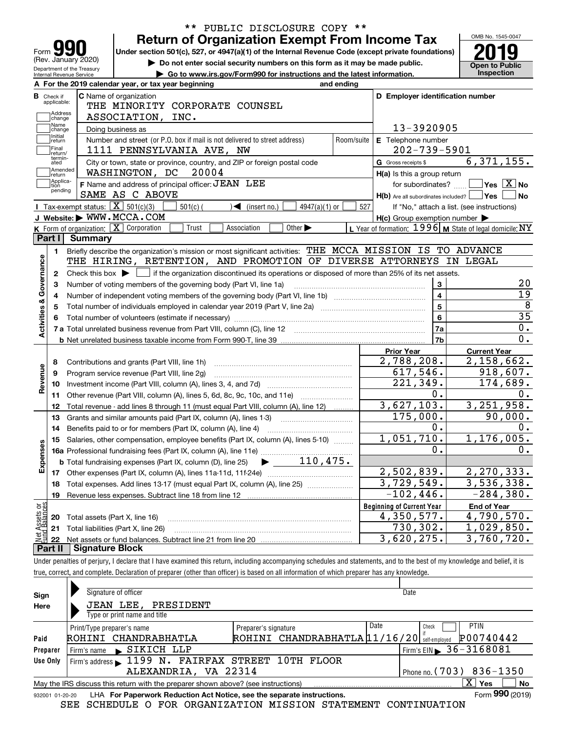| Form                                              | <b>Return of Organization Exempt From Income Tax</b><br>Under section 501(c), 527, or 4947(a)(1) of the Internal Revenue Code (except private foundations) |                             |            |                                                           |                                            |
|---------------------------------------------------|------------------------------------------------------------------------------------------------------------------------------------------------------------|-----------------------------|------------|-----------------------------------------------------------|--------------------------------------------|
| (Rev. January 2020)<br>Department of the Treasury | Do not enter social security numbers on this form as it may be made public.                                                                                |                             |            |                                                           | <b>Open to Public</b>                      |
| Internal Revenue Service                          | Go to www.irs.gov/Form990 for instructions and the latest information.                                                                                     |                             |            |                                                           | Inspection                                 |
|                                                   | A For the 2019 calendar year, or tax year beginning                                                                                                        | and ending                  |            |                                                           |                                            |
| <b>B</b> Check if<br>applicable:                  | C Name of organization                                                                                                                                     |                             |            | D Employer identification number                          |                                            |
| Address                                           | THE MINORITY CORPORATE COUNSEL                                                                                                                             |                             |            |                                                           |                                            |
| change<br>Name                                    | ASSOCIATION, INC.                                                                                                                                          |                             |            |                                                           |                                            |
| change<br>Initial                                 | Doing business as                                                                                                                                          |                             |            | 13-3920905                                                |                                            |
| return<br>Final                                   | Number and street (or P.O. box if mail is not delivered to street address)                                                                                 |                             | Room/suite | E Telephone number                                        |                                            |
| return/<br>termin-                                | 1111 PENNSYLVANIA AVE, NW                                                                                                                                  |                             |            | $202 - 739 - 5901$                                        |                                            |
| ated<br>Amended                                   | City or town, state or province, country, and ZIP or foreign postal code                                                                                   |                             |            | G Gross receipts \$                                       | 6,371,155.                                 |
| return<br> Applica-                               | WASHINGTON, DC 20004                                                                                                                                       |                             |            | H(a) Is this a group return                               |                                            |
| tion<br>pending                                   | F Name and address of principal officer: JEAN LEE                                                                                                          |                             |            | for subordinates?                                         | $\sqrt{}$ Yes $\sqrt{}$ X $\sqrt{}$ No     |
|                                                   | SAME AS C ABOVE                                                                                                                                            |                             |            | $H(b)$ Are all subordinates included? $\Box$ Yes          | No                                         |
|                                                   | Tax-exempt status: $\boxed{\mathbf{X}}$ 501(c)(3)<br>$501(c)$ (<br>$\blacktriangleleft$ (insert no.)                                                       | $4947(a)(1)$ or             | 527        |                                                           | If "No," attach a list. (see instructions) |
|                                                   | J Website: WWW.MCCA.COM                                                                                                                                    |                             |            | $H(c)$ Group exemption number $\blacktriangleright$       |                                            |
|                                                   | K Form of organization: X Corporation<br>Trust<br>Association                                                                                              | Other $\blacktriangleright$ |            | L Year of formation: 1996   M State of legal domicile: NY |                                            |
| Part I                                            | Summary                                                                                                                                                    |                             |            |                                                           |                                            |
| 1.                                                | Briefly describe the organization's mission or most significant activities: THE MCCA MISSION IS TO ADVANCE                                                 |                             |            |                                                           |                                            |
|                                                   | THE HIRING, RETENTION, AND PROMOTION OF DIVERSE ATTORNEYS IN LEGAL                                                                                         |                             |            |                                                           |                                            |
| 2                                                 | Check this box $\blacktriangleright$ $\blacksquare$ if the organization discontinued its operations or disposed of more than 25% of its net assets.        |                             |            |                                                           |                                            |
| з                                                 | Number of voting members of the governing body (Part VI, line 1a)                                                                                          |                             |            | 3                                                         |                                            |
| Activities & Governance<br>4                      |                                                                                                                                                            |                             |            | $\overline{\mathbf{4}}$                                   |                                            |
| 5                                                 |                                                                                                                                                            |                             |            | $\overline{5}$                                            |                                            |
|                                                   |                                                                                                                                                            |                             |            | $6\phantom{a}$                                            |                                            |
|                                                   |                                                                                                                                                            |                             |            | 7a                                                        |                                            |
|                                                   |                                                                                                                                                            |                             |            | 7b                                                        |                                            |
|                                                   |                                                                                                                                                            |                             |            | <b>Prior Year</b>                                         | <b>Current Year</b>                        |
| 8                                                 |                                                                                                                                                            |                             |            | 2,788,208.                                                | 2,158,662.                                 |
| Revenue<br>9                                      | Program service revenue (Part VIII, line 2g)                                                                                                               |                             |            | 617,546.<br>221,349.                                      | $\overline{918}$ , 607.                    |
| 10                                                |                                                                                                                                                            |                             |            |                                                           |                                            |
|                                                   |                                                                                                                                                            |                             |            |                                                           | 174,689.                                   |
| 11                                                |                                                                                                                                                            |                             |            | $0$ .                                                     |                                            |
| 12                                                | Total revenue - add lines 8 through 11 (must equal Part VIII, column (A), line 12)                                                                         |                             |            | 3,627,103.                                                | 3,251,958.                                 |
| 13                                                | Grants and similar amounts paid (Part IX, column (A), lines 1-3)                                                                                           |                             |            | 175,000.                                                  | 90,000.                                    |
| 14                                                | Benefits paid to or for members (Part IX, column (A), line 4)                                                                                              |                             |            | 0.                                                        |                                            |
| 15                                                | Salaries, other compensation, employee benefits (Part IX, column (A), lines 5-10)                                                                          |                             |            | 1,051,710.                                                | 1, 176, 005.                               |
|                                                   |                                                                                                                                                            |                             |            | $\mathbf{0}$ .                                            |                                            |
|                                                   |                                                                                                                                                            |                             |            |                                                           |                                            |
| Expenses<br>17                                    |                                                                                                                                                            |                             |            | 2,502,839.                                                | 2,270,333.                                 |
| 18                                                | Total expenses. Add lines 13-17 (must equal Part IX, column (A), line 25) [11, 11, 1201, 1301, 1301, 1301, 130                                             |                             |            | $\overline{3,729,549}$ .                                  | $\overline{3,536,338}$ .                   |
| 19                                                | Revenue less expenses. Subtract line 18 from line 12                                                                                                       |                             |            | $-102, 446.$                                              | $-284,380.$                                |
|                                                   |                                                                                                                                                            |                             |            | <b>Beginning of Current Year</b>                          | <b>End of Year</b>                         |
| 20                                                | Total assets (Part X, line 16)                                                                                                                             |                             |            | 4,350,577.                                                | 4,790,570.                                 |
| 21                                                | Total liabilities (Part X, line 26)                                                                                                                        |                             |            | 730,302.                                                  | 1,029,850.                                 |
| Net Assets or<br>22<br>Part II                    | <b>Signature Block</b>                                                                                                                                     |                             |            | 3,620,275.                                                | 3,760,720.                                 |

| Sign            | Signature of officer                                                              |                                               | Date                                     |  |  |  |  |  |  |  |  |
|-----------------|-----------------------------------------------------------------------------------|-----------------------------------------------|------------------------------------------|--|--|--|--|--|--|--|--|
| Here            | JEAN LEE, PRESIDENT                                                               |                                               |                                          |  |  |  |  |  |  |  |  |
|                 | Type or print name and title                                                      |                                               |                                          |  |  |  |  |  |  |  |  |
|                 | Print/Type preparer's name                                                        | Preparer's signature                          | Date<br><b>PTIN</b><br>Check             |  |  |  |  |  |  |  |  |
| Paid            | ROHINI CHANDRABHATLA                                                              | ROHINI CHANDRABHATLA 11/16/20   Self-employed | P00740442                                |  |  |  |  |  |  |  |  |
| Preparer        | $\blacktriangleright$ SIKICH LLP<br>Firm's name                                   |                                               | Firm's EIN $\triangleright$ 36 - 3168081 |  |  |  |  |  |  |  |  |
| Use Only        | Firm's address 1199 N. FAIRFAX STREET 10TH FLOOR                                  |                                               |                                          |  |  |  |  |  |  |  |  |
|                 | ALEXANDRIA, VA 22314<br>Phone no. $(703)$ 836-1350                                |                                               |                                          |  |  |  |  |  |  |  |  |
|                 | May the IRS discuss this return with the preparer shown above? (see instructions) |                                               | x<br><b>No</b><br>Yes                    |  |  |  |  |  |  |  |  |
| 932001 01-20-20 | LHA For Paperwork Reduction Act Notice, see the separate instructions.            |                                               | Form 990 (2019)                          |  |  |  |  |  |  |  |  |

SEE SCHEDULE O FOR ORGANIZATION MISSION STATEMENT CONTINUATION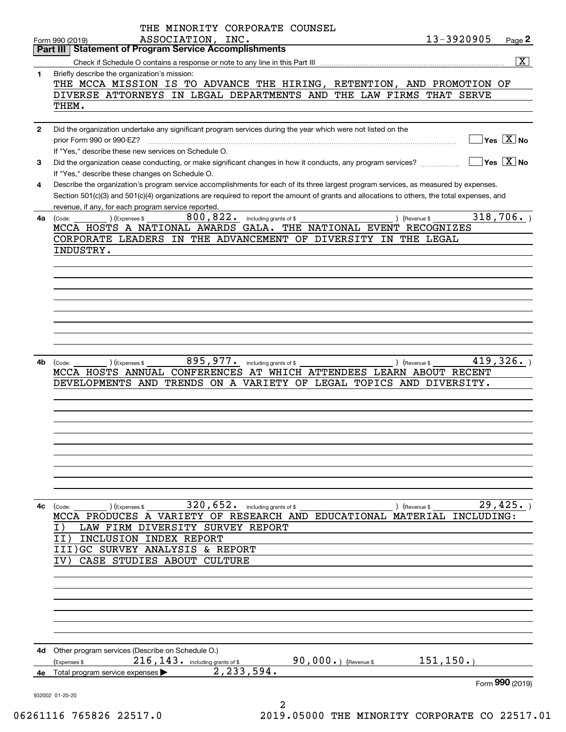|              | THE MINORITY CORPORATE COUNSEL                                                                                                                         |
|--------------|--------------------------------------------------------------------------------------------------------------------------------------------------------|
|              | ASSOCIATION, INC.<br>13-3920905<br>Page 2<br>Form 990 (2019)                                                                                           |
|              | <b>Statement of Program Service Accomplishments</b><br>Part III                                                                                        |
|              | $\overline{\mathbf{X}}$                                                                                                                                |
| 1            | Briefly describe the organization's mission:                                                                                                           |
|              | THE MCCA MISSION IS TO ADVANCE THE HIRING, RETENTION, AND PROMOTION OF                                                                                 |
|              | DIVERSE ATTORNEYS IN LEGAL DEPARTMENTS AND THE LAW FIRMS THAT SERVE<br>THEM.                                                                           |
|              |                                                                                                                                                        |
| $\mathbf{2}$ | Did the organization undertake any significant program services during the year which were not listed on the                                           |
|              | $Yes \quad X$ No<br>prior Form 990 or 990-EZ?                                                                                                          |
|              | If "Yes," describe these new services on Schedule O.                                                                                                   |
| 3            | $\sqrt{}$ Yes $\sqrt{}$ X $\sqrt{}$ No<br>Did the organization cease conducting, or make significant changes in how it conducts, any program services? |
|              | If "Yes," describe these changes on Schedule O.                                                                                                        |
| 4            | Describe the organization's program service accomplishments for each of its three largest program services, as measured by expenses.                   |
|              | Section 501(c)(3) and 501(c)(4) organizations are required to report the amount of grants and allocations to others, the total expenses, and           |
|              | revenue, if any, for each program service reported.                                                                                                    |
| 4a           | 318,706.<br>$800, 822$ . including grants of \$<br>) (Expenses \$<br>) (Revenue \$<br>(Code:                                                           |
|              | MCCA HOSTS A NATIONAL AWARDS GALA. THE NATIONAL EVENT RECOGNIZES                                                                                       |
|              | CORPORATE LEADERS IN THE ADVANCEMENT OF DIVERSITY IN THE LEGAL                                                                                         |
|              | INDUSTRY.                                                                                                                                              |
|              |                                                                                                                                                        |
|              |                                                                                                                                                        |
|              |                                                                                                                                                        |
|              |                                                                                                                                                        |
|              |                                                                                                                                                        |
|              |                                                                                                                                                        |
|              |                                                                                                                                                        |
|              |                                                                                                                                                        |
|              |                                                                                                                                                        |
| 4b           | 419,326.<br>895, 977. including grants of \$<br>) (Revenue \$<br>(Code:<br>) (Expenses \$                                                              |
|              | CONFERENCES AT WHICH ATTENDEES LEARN ABOUT RECENT<br>MCCA HOSTS ANNUAL                                                                                 |
|              | DEVELOPMENTS AND TRENDS ON A VARIETY OF LEGAL TOPICS AND DIVERSITY.                                                                                    |
|              |                                                                                                                                                        |
|              |                                                                                                                                                        |
|              |                                                                                                                                                        |
|              |                                                                                                                                                        |
|              |                                                                                                                                                        |
|              |                                                                                                                                                        |
|              |                                                                                                                                                        |
|              |                                                                                                                                                        |
|              |                                                                                                                                                        |
| 4с           | 320,652.<br>29,425.<br>including grants of \$<br>(Code:<br>) (Expenses \$<br>) (Revenue \$                                                             |
|              | MCCA PRODUCES A VARIETY OF RESEARCH AND EDUCATIONAL MATERIAL<br>INCLUDING:                                                                             |
|              | LAW FIRM DIVERSITY SURVEY REPORT<br>I)                                                                                                                 |
|              | INCLUSION INDEX REPORT<br>II)                                                                                                                          |
|              | III)GC SURVEY ANALYSIS<br>& REPORT                                                                                                                     |
|              | CASE STUDIES ABOUT CULTURE                                                                                                                             |
|              |                                                                                                                                                        |
|              |                                                                                                                                                        |
|              |                                                                                                                                                        |
|              |                                                                                                                                                        |
|              |                                                                                                                                                        |
|              |                                                                                                                                                        |
|              |                                                                                                                                                        |
| 4d           | Other program services (Describe on Schedule O.)                                                                                                       |
|              | 151, 150.<br>90,000 $\cdot$ ) (Revenue \$<br>216, 143. including grants of \$<br>(Expenses \$                                                          |
| 4e -         | 2,233,594.<br>Total program service expenses                                                                                                           |
|              | Form 990 (2019)                                                                                                                                        |
|              | 932002 01-20-20                                                                                                                                        |
|              | 2                                                                                                                                                      |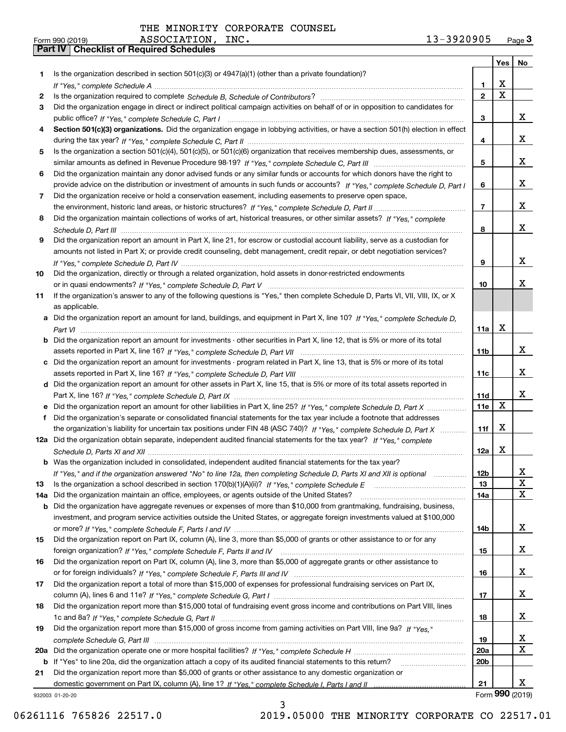| Is the organization described in section $501(c)(3)$ or $4947(a)(1)$ (other than a private foundation)?<br>1<br>X<br>1.<br>$\overline{\mathbf{x}}$<br>$\overline{2}$<br>2<br>Did the organization engage in direct or indirect political campaign activities on behalf of or in opposition to candidates for<br>3<br>x<br>3<br>Section 501(c)(3) organizations. Did the organization engage in lobbying activities, or have a section 501(h) election in effect<br>4<br>x<br>4<br>Is the organization a section 501(c)(4), 501(c)(5), or 501(c)(6) organization that receives membership dues, assessments, or<br>5<br>x<br>5<br>Did the organization maintain any donor advised funds or any similar funds or accounts for which donors have the right to<br>6<br>x<br>provide advice on the distribution or investment of amounts in such funds or accounts? If "Yes," complete Schedule D, Part I<br>6<br>Did the organization receive or hold a conservation easement, including easements to preserve open space,<br>7<br>x<br>$\overline{7}$<br>Did the organization maintain collections of works of art, historical treasures, or other similar assets? If "Yes," complete<br>8<br>x<br>8<br>Did the organization report an amount in Part X, line 21, for escrow or custodial account liability, serve as a custodian for<br>9<br>amounts not listed in Part X; or provide credit counseling, debt management, credit repair, or debt negotiation services?<br>x<br>9<br>Did the organization, directly or through a related organization, hold assets in donor-restricted endowments<br>10<br>x<br>10<br>If the organization's answer to any of the following questions is "Yes," then complete Schedule D, Parts VI, VII, VIII, IX, or X<br>11<br>as applicable.<br>a Did the organization report an amount for land, buildings, and equipment in Part X, line 10? If "Yes," complete Schedule D,<br>$\mathbf X$<br>11a<br>Did the organization report an amount for investments - other securities in Part X, line 12, that is 5% or more of its total<br>b<br>x<br>11 <sub>b</sub><br>Did the organization report an amount for investments - program related in Part X, line 13, that is 5% or more of its total<br>c<br>x<br>11c<br>d Did the organization report an amount for other assets in Part X, line 15, that is 5% or more of its total assets reported in<br>x<br>11d<br>X<br>11e<br>Did the organization report an amount for other liabilities in Part X, line 25? If "Yes," complete Schedule D, Part X<br>Did the organization's separate or consolidated financial statements for the tax year include a footnote that addresses<br>f<br>X<br>the organization's liability for uncertain tax positions under FIN 48 (ASC 740)? If "Yes," complete Schedule D, Part X<br>11f<br>12a Did the organization obtain separate, independent audited financial statements for the tax year? If "Yes," complete<br>X<br>12a<br><b>b</b> Was the organization included in consolidated, independent audited financial statements for the tax year?<br>If "Yes," and if the organization answered "No" to line 12a, then completing Schedule D, Parts XI and XII is optional<br>12D<br>ᅀ<br>X<br>13<br>13<br>X<br>Did the organization maintain an office, employees, or agents outside of the United States?<br>14a<br>14a<br>Did the organization have aggregate revenues or expenses of more than \$10,000 from grantmaking, fundraising, business,<br>b<br>investment, and program service activities outside the United States, or aggregate foreign investments valued at \$100,000<br>X<br>14b<br>Did the organization report on Part IX, column (A), line 3, more than \$5,000 of grants or other assistance to or for any<br>15<br>x<br>15<br>Did the organization report on Part IX, column (A), line 3, more than \$5,000 of aggregate grants or other assistance to<br>16<br>x<br>16<br>Did the organization report a total of more than \$15,000 of expenses for professional fundraising services on Part IX,<br>17<br>х<br>17<br>Did the organization report more than \$15,000 total of fundraising event gross income and contributions on Part VIII, lines<br>18<br>X<br>18<br>Did the organization report more than \$15,000 of gross income from gaming activities on Part VIII, line 9a? If "Yes."<br>19<br>x<br>19<br>X<br>20a<br>20a<br>20 <sub>b</sub><br>If "Yes" to line 20a, did the organization attach a copy of its audited financial statements to this return?<br>b<br>Did the organization report more than \$5,000 of grants or other assistance to any domestic organization or<br>21<br>X.<br>21<br>932003 01-20-20 |  | Yes | No |
|----------------------------------------------------------------------------------------------------------------------------------------------------------------------------------------------------------------------------------------------------------------------------------------------------------------------------------------------------------------------------------------------------------------------------------------------------------------------------------------------------------------------------------------------------------------------------------------------------------------------------------------------------------------------------------------------------------------------------------------------------------------------------------------------------------------------------------------------------------------------------------------------------------------------------------------------------------------------------------------------------------------------------------------------------------------------------------------------------------------------------------------------------------------------------------------------------------------------------------------------------------------------------------------------------------------------------------------------------------------------------------------------------------------------------------------------------------------------------------------------------------------------------------------------------------------------------------------------------------------------------------------------------------------------------------------------------------------------------------------------------------------------------------------------------------------------------------------------------------------------------------------------------------------------------------------------------------------------------------------------------------------------------------------------------------------------------------------------------------------------------------------------------------------------------------------------------------------------------------------------------------------------------------------------------------------------------------------------------------------------------------------------------------------------------------------------------------------------------------------------------------------------------------------------------------------------------------------------------------------------------------------------------------------------------------------------------------------------------------------------------------------------------------------------------------------------------------------------------------------------------------------------------------------------------------------------------------------------------------------------------------------------------------------------------------------------------------------------------------------------------------------------------------------------------------------------------------------------------------------------------------------------------------------------------------------------------------------------------------------------------------------------------------------------------------------------------------------------------------------------------------------------------------------------------------------------------------------------------------------------------------------------------------------------------------------------------------------------------------------------------------------------------------------------------------------------------------------------------------------------------------------------------------------------------------------------------------------------------------------------------------------------------------------------------------------------------------------------------------------------------------------------------------------------------------------------------------------------------------------------------------------------------------------------------------------------------------------------------------------------------------------------------------------------------------------------------------------------------------------------------------------------------------------------------------------------------------------------------------------------------------------------------------------------------|--|-----|----|
|                                                                                                                                                                                                                                                                                                                                                                                                                                                                                                                                                                                                                                                                                                                                                                                                                                                                                                                                                                                                                                                                                                                                                                                                                                                                                                                                                                                                                                                                                                                                                                                                                                                                                                                                                                                                                                                                                                                                                                                                                                                                                                                                                                                                                                                                                                                                                                                                                                                                                                                                                                                                                                                                                                                                                                                                                                                                                                                                                                                                                                                                                                                                                                                                                                                                                                                                                                                                                                                                                                                                                                                                                                                                                                                                                                                                                                                                                                                                                                                                                                                                                                                                                                                                                                                                                                                                                                                                                                                                                                                                                                                                                                                                            |  |     |    |
|                                                                                                                                                                                                                                                                                                                                                                                                                                                                                                                                                                                                                                                                                                                                                                                                                                                                                                                                                                                                                                                                                                                                                                                                                                                                                                                                                                                                                                                                                                                                                                                                                                                                                                                                                                                                                                                                                                                                                                                                                                                                                                                                                                                                                                                                                                                                                                                                                                                                                                                                                                                                                                                                                                                                                                                                                                                                                                                                                                                                                                                                                                                                                                                                                                                                                                                                                                                                                                                                                                                                                                                                                                                                                                                                                                                                                                                                                                                                                                                                                                                                                                                                                                                                                                                                                                                                                                                                                                                                                                                                                                                                                                                                            |  |     |    |
|                                                                                                                                                                                                                                                                                                                                                                                                                                                                                                                                                                                                                                                                                                                                                                                                                                                                                                                                                                                                                                                                                                                                                                                                                                                                                                                                                                                                                                                                                                                                                                                                                                                                                                                                                                                                                                                                                                                                                                                                                                                                                                                                                                                                                                                                                                                                                                                                                                                                                                                                                                                                                                                                                                                                                                                                                                                                                                                                                                                                                                                                                                                                                                                                                                                                                                                                                                                                                                                                                                                                                                                                                                                                                                                                                                                                                                                                                                                                                                                                                                                                                                                                                                                                                                                                                                                                                                                                                                                                                                                                                                                                                                                                            |  |     |    |
|                                                                                                                                                                                                                                                                                                                                                                                                                                                                                                                                                                                                                                                                                                                                                                                                                                                                                                                                                                                                                                                                                                                                                                                                                                                                                                                                                                                                                                                                                                                                                                                                                                                                                                                                                                                                                                                                                                                                                                                                                                                                                                                                                                                                                                                                                                                                                                                                                                                                                                                                                                                                                                                                                                                                                                                                                                                                                                                                                                                                                                                                                                                                                                                                                                                                                                                                                                                                                                                                                                                                                                                                                                                                                                                                                                                                                                                                                                                                                                                                                                                                                                                                                                                                                                                                                                                                                                                                                                                                                                                                                                                                                                                                            |  |     |    |
|                                                                                                                                                                                                                                                                                                                                                                                                                                                                                                                                                                                                                                                                                                                                                                                                                                                                                                                                                                                                                                                                                                                                                                                                                                                                                                                                                                                                                                                                                                                                                                                                                                                                                                                                                                                                                                                                                                                                                                                                                                                                                                                                                                                                                                                                                                                                                                                                                                                                                                                                                                                                                                                                                                                                                                                                                                                                                                                                                                                                                                                                                                                                                                                                                                                                                                                                                                                                                                                                                                                                                                                                                                                                                                                                                                                                                                                                                                                                                                                                                                                                                                                                                                                                                                                                                                                                                                                                                                                                                                                                                                                                                                                                            |  |     |    |
|                                                                                                                                                                                                                                                                                                                                                                                                                                                                                                                                                                                                                                                                                                                                                                                                                                                                                                                                                                                                                                                                                                                                                                                                                                                                                                                                                                                                                                                                                                                                                                                                                                                                                                                                                                                                                                                                                                                                                                                                                                                                                                                                                                                                                                                                                                                                                                                                                                                                                                                                                                                                                                                                                                                                                                                                                                                                                                                                                                                                                                                                                                                                                                                                                                                                                                                                                                                                                                                                                                                                                                                                                                                                                                                                                                                                                                                                                                                                                                                                                                                                                                                                                                                                                                                                                                                                                                                                                                                                                                                                                                                                                                                                            |  |     |    |
|                                                                                                                                                                                                                                                                                                                                                                                                                                                                                                                                                                                                                                                                                                                                                                                                                                                                                                                                                                                                                                                                                                                                                                                                                                                                                                                                                                                                                                                                                                                                                                                                                                                                                                                                                                                                                                                                                                                                                                                                                                                                                                                                                                                                                                                                                                                                                                                                                                                                                                                                                                                                                                                                                                                                                                                                                                                                                                                                                                                                                                                                                                                                                                                                                                                                                                                                                                                                                                                                                                                                                                                                                                                                                                                                                                                                                                                                                                                                                                                                                                                                                                                                                                                                                                                                                                                                                                                                                                                                                                                                                                                                                                                                            |  |     |    |
|                                                                                                                                                                                                                                                                                                                                                                                                                                                                                                                                                                                                                                                                                                                                                                                                                                                                                                                                                                                                                                                                                                                                                                                                                                                                                                                                                                                                                                                                                                                                                                                                                                                                                                                                                                                                                                                                                                                                                                                                                                                                                                                                                                                                                                                                                                                                                                                                                                                                                                                                                                                                                                                                                                                                                                                                                                                                                                                                                                                                                                                                                                                                                                                                                                                                                                                                                                                                                                                                                                                                                                                                                                                                                                                                                                                                                                                                                                                                                                                                                                                                                                                                                                                                                                                                                                                                                                                                                                                                                                                                                                                                                                                                            |  |     |    |
|                                                                                                                                                                                                                                                                                                                                                                                                                                                                                                                                                                                                                                                                                                                                                                                                                                                                                                                                                                                                                                                                                                                                                                                                                                                                                                                                                                                                                                                                                                                                                                                                                                                                                                                                                                                                                                                                                                                                                                                                                                                                                                                                                                                                                                                                                                                                                                                                                                                                                                                                                                                                                                                                                                                                                                                                                                                                                                                                                                                                                                                                                                                                                                                                                                                                                                                                                                                                                                                                                                                                                                                                                                                                                                                                                                                                                                                                                                                                                                                                                                                                                                                                                                                                                                                                                                                                                                                                                                                                                                                                                                                                                                                                            |  |     |    |
|                                                                                                                                                                                                                                                                                                                                                                                                                                                                                                                                                                                                                                                                                                                                                                                                                                                                                                                                                                                                                                                                                                                                                                                                                                                                                                                                                                                                                                                                                                                                                                                                                                                                                                                                                                                                                                                                                                                                                                                                                                                                                                                                                                                                                                                                                                                                                                                                                                                                                                                                                                                                                                                                                                                                                                                                                                                                                                                                                                                                                                                                                                                                                                                                                                                                                                                                                                                                                                                                                                                                                                                                                                                                                                                                                                                                                                                                                                                                                                                                                                                                                                                                                                                                                                                                                                                                                                                                                                                                                                                                                                                                                                                                            |  |     |    |
|                                                                                                                                                                                                                                                                                                                                                                                                                                                                                                                                                                                                                                                                                                                                                                                                                                                                                                                                                                                                                                                                                                                                                                                                                                                                                                                                                                                                                                                                                                                                                                                                                                                                                                                                                                                                                                                                                                                                                                                                                                                                                                                                                                                                                                                                                                                                                                                                                                                                                                                                                                                                                                                                                                                                                                                                                                                                                                                                                                                                                                                                                                                                                                                                                                                                                                                                                                                                                                                                                                                                                                                                                                                                                                                                                                                                                                                                                                                                                                                                                                                                                                                                                                                                                                                                                                                                                                                                                                                                                                                                                                                                                                                                            |  |     |    |
|                                                                                                                                                                                                                                                                                                                                                                                                                                                                                                                                                                                                                                                                                                                                                                                                                                                                                                                                                                                                                                                                                                                                                                                                                                                                                                                                                                                                                                                                                                                                                                                                                                                                                                                                                                                                                                                                                                                                                                                                                                                                                                                                                                                                                                                                                                                                                                                                                                                                                                                                                                                                                                                                                                                                                                                                                                                                                                                                                                                                                                                                                                                                                                                                                                                                                                                                                                                                                                                                                                                                                                                                                                                                                                                                                                                                                                                                                                                                                                                                                                                                                                                                                                                                                                                                                                                                                                                                                                                                                                                                                                                                                                                                            |  |     |    |
|                                                                                                                                                                                                                                                                                                                                                                                                                                                                                                                                                                                                                                                                                                                                                                                                                                                                                                                                                                                                                                                                                                                                                                                                                                                                                                                                                                                                                                                                                                                                                                                                                                                                                                                                                                                                                                                                                                                                                                                                                                                                                                                                                                                                                                                                                                                                                                                                                                                                                                                                                                                                                                                                                                                                                                                                                                                                                                                                                                                                                                                                                                                                                                                                                                                                                                                                                                                                                                                                                                                                                                                                                                                                                                                                                                                                                                                                                                                                                                                                                                                                                                                                                                                                                                                                                                                                                                                                                                                                                                                                                                                                                                                                            |  |     |    |
|                                                                                                                                                                                                                                                                                                                                                                                                                                                                                                                                                                                                                                                                                                                                                                                                                                                                                                                                                                                                                                                                                                                                                                                                                                                                                                                                                                                                                                                                                                                                                                                                                                                                                                                                                                                                                                                                                                                                                                                                                                                                                                                                                                                                                                                                                                                                                                                                                                                                                                                                                                                                                                                                                                                                                                                                                                                                                                                                                                                                                                                                                                                                                                                                                                                                                                                                                                                                                                                                                                                                                                                                                                                                                                                                                                                                                                                                                                                                                                                                                                                                                                                                                                                                                                                                                                                                                                                                                                                                                                                                                                                                                                                                            |  |     |    |
|                                                                                                                                                                                                                                                                                                                                                                                                                                                                                                                                                                                                                                                                                                                                                                                                                                                                                                                                                                                                                                                                                                                                                                                                                                                                                                                                                                                                                                                                                                                                                                                                                                                                                                                                                                                                                                                                                                                                                                                                                                                                                                                                                                                                                                                                                                                                                                                                                                                                                                                                                                                                                                                                                                                                                                                                                                                                                                                                                                                                                                                                                                                                                                                                                                                                                                                                                                                                                                                                                                                                                                                                                                                                                                                                                                                                                                                                                                                                                                                                                                                                                                                                                                                                                                                                                                                                                                                                                                                                                                                                                                                                                                                                            |  |     |    |
|                                                                                                                                                                                                                                                                                                                                                                                                                                                                                                                                                                                                                                                                                                                                                                                                                                                                                                                                                                                                                                                                                                                                                                                                                                                                                                                                                                                                                                                                                                                                                                                                                                                                                                                                                                                                                                                                                                                                                                                                                                                                                                                                                                                                                                                                                                                                                                                                                                                                                                                                                                                                                                                                                                                                                                                                                                                                                                                                                                                                                                                                                                                                                                                                                                                                                                                                                                                                                                                                                                                                                                                                                                                                                                                                                                                                                                                                                                                                                                                                                                                                                                                                                                                                                                                                                                                                                                                                                                                                                                                                                                                                                                                                            |  |     |    |
|                                                                                                                                                                                                                                                                                                                                                                                                                                                                                                                                                                                                                                                                                                                                                                                                                                                                                                                                                                                                                                                                                                                                                                                                                                                                                                                                                                                                                                                                                                                                                                                                                                                                                                                                                                                                                                                                                                                                                                                                                                                                                                                                                                                                                                                                                                                                                                                                                                                                                                                                                                                                                                                                                                                                                                                                                                                                                                                                                                                                                                                                                                                                                                                                                                                                                                                                                                                                                                                                                                                                                                                                                                                                                                                                                                                                                                                                                                                                                                                                                                                                                                                                                                                                                                                                                                                                                                                                                                                                                                                                                                                                                                                                            |  |     |    |
|                                                                                                                                                                                                                                                                                                                                                                                                                                                                                                                                                                                                                                                                                                                                                                                                                                                                                                                                                                                                                                                                                                                                                                                                                                                                                                                                                                                                                                                                                                                                                                                                                                                                                                                                                                                                                                                                                                                                                                                                                                                                                                                                                                                                                                                                                                                                                                                                                                                                                                                                                                                                                                                                                                                                                                                                                                                                                                                                                                                                                                                                                                                                                                                                                                                                                                                                                                                                                                                                                                                                                                                                                                                                                                                                                                                                                                                                                                                                                                                                                                                                                                                                                                                                                                                                                                                                                                                                                                                                                                                                                                                                                                                                            |  |     |    |
|                                                                                                                                                                                                                                                                                                                                                                                                                                                                                                                                                                                                                                                                                                                                                                                                                                                                                                                                                                                                                                                                                                                                                                                                                                                                                                                                                                                                                                                                                                                                                                                                                                                                                                                                                                                                                                                                                                                                                                                                                                                                                                                                                                                                                                                                                                                                                                                                                                                                                                                                                                                                                                                                                                                                                                                                                                                                                                                                                                                                                                                                                                                                                                                                                                                                                                                                                                                                                                                                                                                                                                                                                                                                                                                                                                                                                                                                                                                                                                                                                                                                                                                                                                                                                                                                                                                                                                                                                                                                                                                                                                                                                                                                            |  |     |    |
|                                                                                                                                                                                                                                                                                                                                                                                                                                                                                                                                                                                                                                                                                                                                                                                                                                                                                                                                                                                                                                                                                                                                                                                                                                                                                                                                                                                                                                                                                                                                                                                                                                                                                                                                                                                                                                                                                                                                                                                                                                                                                                                                                                                                                                                                                                                                                                                                                                                                                                                                                                                                                                                                                                                                                                                                                                                                                                                                                                                                                                                                                                                                                                                                                                                                                                                                                                                                                                                                                                                                                                                                                                                                                                                                                                                                                                                                                                                                                                                                                                                                                                                                                                                                                                                                                                                                                                                                                                                                                                                                                                                                                                                                            |  |     |    |
|                                                                                                                                                                                                                                                                                                                                                                                                                                                                                                                                                                                                                                                                                                                                                                                                                                                                                                                                                                                                                                                                                                                                                                                                                                                                                                                                                                                                                                                                                                                                                                                                                                                                                                                                                                                                                                                                                                                                                                                                                                                                                                                                                                                                                                                                                                                                                                                                                                                                                                                                                                                                                                                                                                                                                                                                                                                                                                                                                                                                                                                                                                                                                                                                                                                                                                                                                                                                                                                                                                                                                                                                                                                                                                                                                                                                                                                                                                                                                                                                                                                                                                                                                                                                                                                                                                                                                                                                                                                                                                                                                                                                                                                                            |  |     |    |
|                                                                                                                                                                                                                                                                                                                                                                                                                                                                                                                                                                                                                                                                                                                                                                                                                                                                                                                                                                                                                                                                                                                                                                                                                                                                                                                                                                                                                                                                                                                                                                                                                                                                                                                                                                                                                                                                                                                                                                                                                                                                                                                                                                                                                                                                                                                                                                                                                                                                                                                                                                                                                                                                                                                                                                                                                                                                                                                                                                                                                                                                                                                                                                                                                                                                                                                                                                                                                                                                                                                                                                                                                                                                                                                                                                                                                                                                                                                                                                                                                                                                                                                                                                                                                                                                                                                                                                                                                                                                                                                                                                                                                                                                            |  |     |    |
|                                                                                                                                                                                                                                                                                                                                                                                                                                                                                                                                                                                                                                                                                                                                                                                                                                                                                                                                                                                                                                                                                                                                                                                                                                                                                                                                                                                                                                                                                                                                                                                                                                                                                                                                                                                                                                                                                                                                                                                                                                                                                                                                                                                                                                                                                                                                                                                                                                                                                                                                                                                                                                                                                                                                                                                                                                                                                                                                                                                                                                                                                                                                                                                                                                                                                                                                                                                                                                                                                                                                                                                                                                                                                                                                                                                                                                                                                                                                                                                                                                                                                                                                                                                                                                                                                                                                                                                                                                                                                                                                                                                                                                                                            |  |     |    |
|                                                                                                                                                                                                                                                                                                                                                                                                                                                                                                                                                                                                                                                                                                                                                                                                                                                                                                                                                                                                                                                                                                                                                                                                                                                                                                                                                                                                                                                                                                                                                                                                                                                                                                                                                                                                                                                                                                                                                                                                                                                                                                                                                                                                                                                                                                                                                                                                                                                                                                                                                                                                                                                                                                                                                                                                                                                                                                                                                                                                                                                                                                                                                                                                                                                                                                                                                                                                                                                                                                                                                                                                                                                                                                                                                                                                                                                                                                                                                                                                                                                                                                                                                                                                                                                                                                                                                                                                                                                                                                                                                                                                                                                                            |  |     |    |
|                                                                                                                                                                                                                                                                                                                                                                                                                                                                                                                                                                                                                                                                                                                                                                                                                                                                                                                                                                                                                                                                                                                                                                                                                                                                                                                                                                                                                                                                                                                                                                                                                                                                                                                                                                                                                                                                                                                                                                                                                                                                                                                                                                                                                                                                                                                                                                                                                                                                                                                                                                                                                                                                                                                                                                                                                                                                                                                                                                                                                                                                                                                                                                                                                                                                                                                                                                                                                                                                                                                                                                                                                                                                                                                                                                                                                                                                                                                                                                                                                                                                                                                                                                                                                                                                                                                                                                                                                                                                                                                                                                                                                                                                            |  |     |    |
|                                                                                                                                                                                                                                                                                                                                                                                                                                                                                                                                                                                                                                                                                                                                                                                                                                                                                                                                                                                                                                                                                                                                                                                                                                                                                                                                                                                                                                                                                                                                                                                                                                                                                                                                                                                                                                                                                                                                                                                                                                                                                                                                                                                                                                                                                                                                                                                                                                                                                                                                                                                                                                                                                                                                                                                                                                                                                                                                                                                                                                                                                                                                                                                                                                                                                                                                                                                                                                                                                                                                                                                                                                                                                                                                                                                                                                                                                                                                                                                                                                                                                                                                                                                                                                                                                                                                                                                                                                                                                                                                                                                                                                                                            |  |     |    |
|                                                                                                                                                                                                                                                                                                                                                                                                                                                                                                                                                                                                                                                                                                                                                                                                                                                                                                                                                                                                                                                                                                                                                                                                                                                                                                                                                                                                                                                                                                                                                                                                                                                                                                                                                                                                                                                                                                                                                                                                                                                                                                                                                                                                                                                                                                                                                                                                                                                                                                                                                                                                                                                                                                                                                                                                                                                                                                                                                                                                                                                                                                                                                                                                                                                                                                                                                                                                                                                                                                                                                                                                                                                                                                                                                                                                                                                                                                                                                                                                                                                                                                                                                                                                                                                                                                                                                                                                                                                                                                                                                                                                                                                                            |  |     |    |
|                                                                                                                                                                                                                                                                                                                                                                                                                                                                                                                                                                                                                                                                                                                                                                                                                                                                                                                                                                                                                                                                                                                                                                                                                                                                                                                                                                                                                                                                                                                                                                                                                                                                                                                                                                                                                                                                                                                                                                                                                                                                                                                                                                                                                                                                                                                                                                                                                                                                                                                                                                                                                                                                                                                                                                                                                                                                                                                                                                                                                                                                                                                                                                                                                                                                                                                                                                                                                                                                                                                                                                                                                                                                                                                                                                                                                                                                                                                                                                                                                                                                                                                                                                                                                                                                                                                                                                                                                                                                                                                                                                                                                                                                            |  |     |    |
|                                                                                                                                                                                                                                                                                                                                                                                                                                                                                                                                                                                                                                                                                                                                                                                                                                                                                                                                                                                                                                                                                                                                                                                                                                                                                                                                                                                                                                                                                                                                                                                                                                                                                                                                                                                                                                                                                                                                                                                                                                                                                                                                                                                                                                                                                                                                                                                                                                                                                                                                                                                                                                                                                                                                                                                                                                                                                                                                                                                                                                                                                                                                                                                                                                                                                                                                                                                                                                                                                                                                                                                                                                                                                                                                                                                                                                                                                                                                                                                                                                                                                                                                                                                                                                                                                                                                                                                                                                                                                                                                                                                                                                                                            |  |     |    |
|                                                                                                                                                                                                                                                                                                                                                                                                                                                                                                                                                                                                                                                                                                                                                                                                                                                                                                                                                                                                                                                                                                                                                                                                                                                                                                                                                                                                                                                                                                                                                                                                                                                                                                                                                                                                                                                                                                                                                                                                                                                                                                                                                                                                                                                                                                                                                                                                                                                                                                                                                                                                                                                                                                                                                                                                                                                                                                                                                                                                                                                                                                                                                                                                                                                                                                                                                                                                                                                                                                                                                                                                                                                                                                                                                                                                                                                                                                                                                                                                                                                                                                                                                                                                                                                                                                                                                                                                                                                                                                                                                                                                                                                                            |  |     |    |
|                                                                                                                                                                                                                                                                                                                                                                                                                                                                                                                                                                                                                                                                                                                                                                                                                                                                                                                                                                                                                                                                                                                                                                                                                                                                                                                                                                                                                                                                                                                                                                                                                                                                                                                                                                                                                                                                                                                                                                                                                                                                                                                                                                                                                                                                                                                                                                                                                                                                                                                                                                                                                                                                                                                                                                                                                                                                                                                                                                                                                                                                                                                                                                                                                                                                                                                                                                                                                                                                                                                                                                                                                                                                                                                                                                                                                                                                                                                                                                                                                                                                                                                                                                                                                                                                                                                                                                                                                                                                                                                                                                                                                                                                            |  |     |    |
|                                                                                                                                                                                                                                                                                                                                                                                                                                                                                                                                                                                                                                                                                                                                                                                                                                                                                                                                                                                                                                                                                                                                                                                                                                                                                                                                                                                                                                                                                                                                                                                                                                                                                                                                                                                                                                                                                                                                                                                                                                                                                                                                                                                                                                                                                                                                                                                                                                                                                                                                                                                                                                                                                                                                                                                                                                                                                                                                                                                                                                                                                                                                                                                                                                                                                                                                                                                                                                                                                                                                                                                                                                                                                                                                                                                                                                                                                                                                                                                                                                                                                                                                                                                                                                                                                                                                                                                                                                                                                                                                                                                                                                                                            |  |     |    |
|                                                                                                                                                                                                                                                                                                                                                                                                                                                                                                                                                                                                                                                                                                                                                                                                                                                                                                                                                                                                                                                                                                                                                                                                                                                                                                                                                                                                                                                                                                                                                                                                                                                                                                                                                                                                                                                                                                                                                                                                                                                                                                                                                                                                                                                                                                                                                                                                                                                                                                                                                                                                                                                                                                                                                                                                                                                                                                                                                                                                                                                                                                                                                                                                                                                                                                                                                                                                                                                                                                                                                                                                                                                                                                                                                                                                                                                                                                                                                                                                                                                                                                                                                                                                                                                                                                                                                                                                                                                                                                                                                                                                                                                                            |  |     |    |
|                                                                                                                                                                                                                                                                                                                                                                                                                                                                                                                                                                                                                                                                                                                                                                                                                                                                                                                                                                                                                                                                                                                                                                                                                                                                                                                                                                                                                                                                                                                                                                                                                                                                                                                                                                                                                                                                                                                                                                                                                                                                                                                                                                                                                                                                                                                                                                                                                                                                                                                                                                                                                                                                                                                                                                                                                                                                                                                                                                                                                                                                                                                                                                                                                                                                                                                                                                                                                                                                                                                                                                                                                                                                                                                                                                                                                                                                                                                                                                                                                                                                                                                                                                                                                                                                                                                                                                                                                                                                                                                                                                                                                                                                            |  |     |    |
|                                                                                                                                                                                                                                                                                                                                                                                                                                                                                                                                                                                                                                                                                                                                                                                                                                                                                                                                                                                                                                                                                                                                                                                                                                                                                                                                                                                                                                                                                                                                                                                                                                                                                                                                                                                                                                                                                                                                                                                                                                                                                                                                                                                                                                                                                                                                                                                                                                                                                                                                                                                                                                                                                                                                                                                                                                                                                                                                                                                                                                                                                                                                                                                                                                                                                                                                                                                                                                                                                                                                                                                                                                                                                                                                                                                                                                                                                                                                                                                                                                                                                                                                                                                                                                                                                                                                                                                                                                                                                                                                                                                                                                                                            |  |     |    |
|                                                                                                                                                                                                                                                                                                                                                                                                                                                                                                                                                                                                                                                                                                                                                                                                                                                                                                                                                                                                                                                                                                                                                                                                                                                                                                                                                                                                                                                                                                                                                                                                                                                                                                                                                                                                                                                                                                                                                                                                                                                                                                                                                                                                                                                                                                                                                                                                                                                                                                                                                                                                                                                                                                                                                                                                                                                                                                                                                                                                                                                                                                                                                                                                                                                                                                                                                                                                                                                                                                                                                                                                                                                                                                                                                                                                                                                                                                                                                                                                                                                                                                                                                                                                                                                                                                                                                                                                                                                                                                                                                                                                                                                                            |  |     |    |
|                                                                                                                                                                                                                                                                                                                                                                                                                                                                                                                                                                                                                                                                                                                                                                                                                                                                                                                                                                                                                                                                                                                                                                                                                                                                                                                                                                                                                                                                                                                                                                                                                                                                                                                                                                                                                                                                                                                                                                                                                                                                                                                                                                                                                                                                                                                                                                                                                                                                                                                                                                                                                                                                                                                                                                                                                                                                                                                                                                                                                                                                                                                                                                                                                                                                                                                                                                                                                                                                                                                                                                                                                                                                                                                                                                                                                                                                                                                                                                                                                                                                                                                                                                                                                                                                                                                                                                                                                                                                                                                                                                                                                                                                            |  |     |    |
|                                                                                                                                                                                                                                                                                                                                                                                                                                                                                                                                                                                                                                                                                                                                                                                                                                                                                                                                                                                                                                                                                                                                                                                                                                                                                                                                                                                                                                                                                                                                                                                                                                                                                                                                                                                                                                                                                                                                                                                                                                                                                                                                                                                                                                                                                                                                                                                                                                                                                                                                                                                                                                                                                                                                                                                                                                                                                                                                                                                                                                                                                                                                                                                                                                                                                                                                                                                                                                                                                                                                                                                                                                                                                                                                                                                                                                                                                                                                                                                                                                                                                                                                                                                                                                                                                                                                                                                                                                                                                                                                                                                                                                                                            |  |     |    |
|                                                                                                                                                                                                                                                                                                                                                                                                                                                                                                                                                                                                                                                                                                                                                                                                                                                                                                                                                                                                                                                                                                                                                                                                                                                                                                                                                                                                                                                                                                                                                                                                                                                                                                                                                                                                                                                                                                                                                                                                                                                                                                                                                                                                                                                                                                                                                                                                                                                                                                                                                                                                                                                                                                                                                                                                                                                                                                                                                                                                                                                                                                                                                                                                                                                                                                                                                                                                                                                                                                                                                                                                                                                                                                                                                                                                                                                                                                                                                                                                                                                                                                                                                                                                                                                                                                                                                                                                                                                                                                                                                                                                                                                                            |  |     |    |
|                                                                                                                                                                                                                                                                                                                                                                                                                                                                                                                                                                                                                                                                                                                                                                                                                                                                                                                                                                                                                                                                                                                                                                                                                                                                                                                                                                                                                                                                                                                                                                                                                                                                                                                                                                                                                                                                                                                                                                                                                                                                                                                                                                                                                                                                                                                                                                                                                                                                                                                                                                                                                                                                                                                                                                                                                                                                                                                                                                                                                                                                                                                                                                                                                                                                                                                                                                                                                                                                                                                                                                                                                                                                                                                                                                                                                                                                                                                                                                                                                                                                                                                                                                                                                                                                                                                                                                                                                                                                                                                                                                                                                                                                            |  |     |    |
|                                                                                                                                                                                                                                                                                                                                                                                                                                                                                                                                                                                                                                                                                                                                                                                                                                                                                                                                                                                                                                                                                                                                                                                                                                                                                                                                                                                                                                                                                                                                                                                                                                                                                                                                                                                                                                                                                                                                                                                                                                                                                                                                                                                                                                                                                                                                                                                                                                                                                                                                                                                                                                                                                                                                                                                                                                                                                                                                                                                                                                                                                                                                                                                                                                                                                                                                                                                                                                                                                                                                                                                                                                                                                                                                                                                                                                                                                                                                                                                                                                                                                                                                                                                                                                                                                                                                                                                                                                                                                                                                                                                                                                                                            |  |     |    |
|                                                                                                                                                                                                                                                                                                                                                                                                                                                                                                                                                                                                                                                                                                                                                                                                                                                                                                                                                                                                                                                                                                                                                                                                                                                                                                                                                                                                                                                                                                                                                                                                                                                                                                                                                                                                                                                                                                                                                                                                                                                                                                                                                                                                                                                                                                                                                                                                                                                                                                                                                                                                                                                                                                                                                                                                                                                                                                                                                                                                                                                                                                                                                                                                                                                                                                                                                                                                                                                                                                                                                                                                                                                                                                                                                                                                                                                                                                                                                                                                                                                                                                                                                                                                                                                                                                                                                                                                                                                                                                                                                                                                                                                                            |  |     |    |
|                                                                                                                                                                                                                                                                                                                                                                                                                                                                                                                                                                                                                                                                                                                                                                                                                                                                                                                                                                                                                                                                                                                                                                                                                                                                                                                                                                                                                                                                                                                                                                                                                                                                                                                                                                                                                                                                                                                                                                                                                                                                                                                                                                                                                                                                                                                                                                                                                                                                                                                                                                                                                                                                                                                                                                                                                                                                                                                                                                                                                                                                                                                                                                                                                                                                                                                                                                                                                                                                                                                                                                                                                                                                                                                                                                                                                                                                                                                                                                                                                                                                                                                                                                                                                                                                                                                                                                                                                                                                                                                                                                                                                                                                            |  |     |    |
|                                                                                                                                                                                                                                                                                                                                                                                                                                                                                                                                                                                                                                                                                                                                                                                                                                                                                                                                                                                                                                                                                                                                                                                                                                                                                                                                                                                                                                                                                                                                                                                                                                                                                                                                                                                                                                                                                                                                                                                                                                                                                                                                                                                                                                                                                                                                                                                                                                                                                                                                                                                                                                                                                                                                                                                                                                                                                                                                                                                                                                                                                                                                                                                                                                                                                                                                                                                                                                                                                                                                                                                                                                                                                                                                                                                                                                                                                                                                                                                                                                                                                                                                                                                                                                                                                                                                                                                                                                                                                                                                                                                                                                                                            |  |     |    |
|                                                                                                                                                                                                                                                                                                                                                                                                                                                                                                                                                                                                                                                                                                                                                                                                                                                                                                                                                                                                                                                                                                                                                                                                                                                                                                                                                                                                                                                                                                                                                                                                                                                                                                                                                                                                                                                                                                                                                                                                                                                                                                                                                                                                                                                                                                                                                                                                                                                                                                                                                                                                                                                                                                                                                                                                                                                                                                                                                                                                                                                                                                                                                                                                                                                                                                                                                                                                                                                                                                                                                                                                                                                                                                                                                                                                                                                                                                                                                                                                                                                                                                                                                                                                                                                                                                                                                                                                                                                                                                                                                                                                                                                                            |  |     |    |
|                                                                                                                                                                                                                                                                                                                                                                                                                                                                                                                                                                                                                                                                                                                                                                                                                                                                                                                                                                                                                                                                                                                                                                                                                                                                                                                                                                                                                                                                                                                                                                                                                                                                                                                                                                                                                                                                                                                                                                                                                                                                                                                                                                                                                                                                                                                                                                                                                                                                                                                                                                                                                                                                                                                                                                                                                                                                                                                                                                                                                                                                                                                                                                                                                                                                                                                                                                                                                                                                                                                                                                                                                                                                                                                                                                                                                                                                                                                                                                                                                                                                                                                                                                                                                                                                                                                                                                                                                                                                                                                                                                                                                                                                            |  |     |    |
|                                                                                                                                                                                                                                                                                                                                                                                                                                                                                                                                                                                                                                                                                                                                                                                                                                                                                                                                                                                                                                                                                                                                                                                                                                                                                                                                                                                                                                                                                                                                                                                                                                                                                                                                                                                                                                                                                                                                                                                                                                                                                                                                                                                                                                                                                                                                                                                                                                                                                                                                                                                                                                                                                                                                                                                                                                                                                                                                                                                                                                                                                                                                                                                                                                                                                                                                                                                                                                                                                                                                                                                                                                                                                                                                                                                                                                                                                                                                                                                                                                                                                                                                                                                                                                                                                                                                                                                                                                                                                                                                                                                                                                                                            |  |     |    |
|                                                                                                                                                                                                                                                                                                                                                                                                                                                                                                                                                                                                                                                                                                                                                                                                                                                                                                                                                                                                                                                                                                                                                                                                                                                                                                                                                                                                                                                                                                                                                                                                                                                                                                                                                                                                                                                                                                                                                                                                                                                                                                                                                                                                                                                                                                                                                                                                                                                                                                                                                                                                                                                                                                                                                                                                                                                                                                                                                                                                                                                                                                                                                                                                                                                                                                                                                                                                                                                                                                                                                                                                                                                                                                                                                                                                                                                                                                                                                                                                                                                                                                                                                                                                                                                                                                                                                                                                                                                                                                                                                                                                                                                                            |  |     |    |
|                                                                                                                                                                                                                                                                                                                                                                                                                                                                                                                                                                                                                                                                                                                                                                                                                                                                                                                                                                                                                                                                                                                                                                                                                                                                                                                                                                                                                                                                                                                                                                                                                                                                                                                                                                                                                                                                                                                                                                                                                                                                                                                                                                                                                                                                                                                                                                                                                                                                                                                                                                                                                                                                                                                                                                                                                                                                                                                                                                                                                                                                                                                                                                                                                                                                                                                                                                                                                                                                                                                                                                                                                                                                                                                                                                                                                                                                                                                                                                                                                                                                                                                                                                                                                                                                                                                                                                                                                                                                                                                                                                                                                                                                            |  |     |    |
|                                                                                                                                                                                                                                                                                                                                                                                                                                                                                                                                                                                                                                                                                                                                                                                                                                                                                                                                                                                                                                                                                                                                                                                                                                                                                                                                                                                                                                                                                                                                                                                                                                                                                                                                                                                                                                                                                                                                                                                                                                                                                                                                                                                                                                                                                                                                                                                                                                                                                                                                                                                                                                                                                                                                                                                                                                                                                                                                                                                                                                                                                                                                                                                                                                                                                                                                                                                                                                                                                                                                                                                                                                                                                                                                                                                                                                                                                                                                                                                                                                                                                                                                                                                                                                                                                                                                                                                                                                                                                                                                                                                                                                                                            |  |     |    |
|                                                                                                                                                                                                                                                                                                                                                                                                                                                                                                                                                                                                                                                                                                                                                                                                                                                                                                                                                                                                                                                                                                                                                                                                                                                                                                                                                                                                                                                                                                                                                                                                                                                                                                                                                                                                                                                                                                                                                                                                                                                                                                                                                                                                                                                                                                                                                                                                                                                                                                                                                                                                                                                                                                                                                                                                                                                                                                                                                                                                                                                                                                                                                                                                                                                                                                                                                                                                                                                                                                                                                                                                                                                                                                                                                                                                                                                                                                                                                                                                                                                                                                                                                                                                                                                                                                                                                                                                                                                                                                                                                                                                                                                                            |  |     |    |
|                                                                                                                                                                                                                                                                                                                                                                                                                                                                                                                                                                                                                                                                                                                                                                                                                                                                                                                                                                                                                                                                                                                                                                                                                                                                                                                                                                                                                                                                                                                                                                                                                                                                                                                                                                                                                                                                                                                                                                                                                                                                                                                                                                                                                                                                                                                                                                                                                                                                                                                                                                                                                                                                                                                                                                                                                                                                                                                                                                                                                                                                                                                                                                                                                                                                                                                                                                                                                                                                                                                                                                                                                                                                                                                                                                                                                                                                                                                                                                                                                                                                                                                                                                                                                                                                                                                                                                                                                                                                                                                                                                                                                                                                            |  |     |    |
| Form 990 (2019)                                                                                                                                                                                                                                                                                                                                                                                                                                                                                                                                                                                                                                                                                                                                                                                                                                                                                                                                                                                                                                                                                                                                                                                                                                                                                                                                                                                                                                                                                                                                                                                                                                                                                                                                                                                                                                                                                                                                                                                                                                                                                                                                                                                                                                                                                                                                                                                                                                                                                                                                                                                                                                                                                                                                                                                                                                                                                                                                                                                                                                                                                                                                                                                                                                                                                                                                                                                                                                                                                                                                                                                                                                                                                                                                                                                                                                                                                                                                                                                                                                                                                                                                                                                                                                                                                                                                                                                                                                                                                                                                                                                                                                                            |  |     |    |
|                                                                                                                                                                                                                                                                                                                                                                                                                                                                                                                                                                                                                                                                                                                                                                                                                                                                                                                                                                                                                                                                                                                                                                                                                                                                                                                                                                                                                                                                                                                                                                                                                                                                                                                                                                                                                                                                                                                                                                                                                                                                                                                                                                                                                                                                                                                                                                                                                                                                                                                                                                                                                                                                                                                                                                                                                                                                                                                                                                                                                                                                                                                                                                                                                                                                                                                                                                                                                                                                                                                                                                                                                                                                                                                                                                                                                                                                                                                                                                                                                                                                                                                                                                                                                                                                                                                                                                                                                                                                                                                                                                                                                                                                            |  |     |    |
|                                                                                                                                                                                                                                                                                                                                                                                                                                                                                                                                                                                                                                                                                                                                                                                                                                                                                                                                                                                                                                                                                                                                                                                                                                                                                                                                                                                                                                                                                                                                                                                                                                                                                                                                                                                                                                                                                                                                                                                                                                                                                                                                                                                                                                                                                                                                                                                                                                                                                                                                                                                                                                                                                                                                                                                                                                                                                                                                                                                                                                                                                                                                                                                                                                                                                                                                                                                                                                                                                                                                                                                                                                                                                                                                                                                                                                                                                                                                                                                                                                                                                                                                                                                                                                                                                                                                                                                                                                                                                                                                                                                                                                                                            |  |     |    |

932003 01-20-20

06261116 765826 22517.0 2019.05000 THE MINORITY CORPORATE CO 22517.01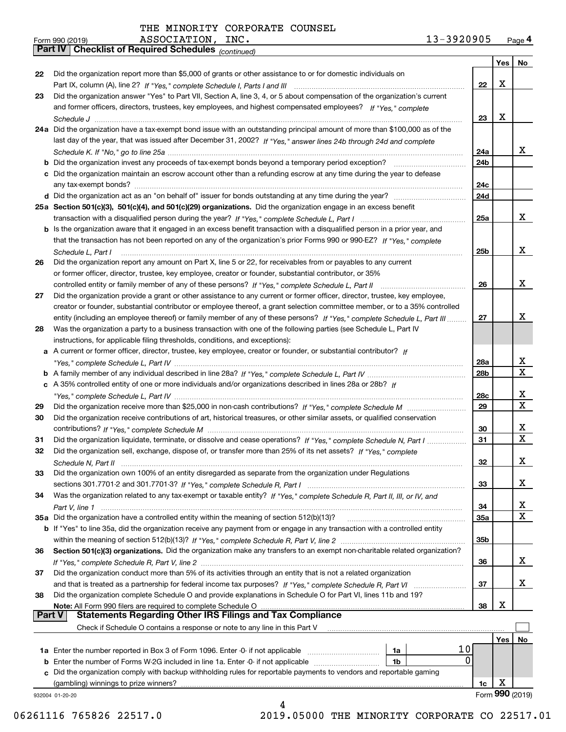*(continued)*

|        |                                                                                                                              |                 | Yes∣ | No              |
|--------|------------------------------------------------------------------------------------------------------------------------------|-----------------|------|-----------------|
| 22     | Did the organization report more than \$5,000 of grants or other assistance to or for domestic individuals on                |                 |      |                 |
|        |                                                                                                                              | 22              | X    |                 |
| 23     | Did the organization answer "Yes" to Part VII, Section A, line 3, 4, or 5 about compensation of the organization's current   |                 |      |                 |
|        | and former officers, directors, trustees, key employees, and highest compensated employees? If "Yes," complete               |                 |      |                 |
|        |                                                                                                                              | 23              | X    |                 |
|        | 24a Did the organization have a tax-exempt bond issue with an outstanding principal amount of more than \$100,000 as of the  |                 |      |                 |
|        | last day of the year, that was issued after December 31, 2002? If "Yes," answer lines 24b through 24d and complete           |                 |      |                 |
|        |                                                                                                                              | 24a             |      | х               |
|        | <b>b</b> Did the organization invest any proceeds of tax-exempt bonds beyond a temporary period exception?                   | 24b             |      |                 |
|        | c Did the organization maintain an escrow account other than a refunding escrow at any time during the year to defease       |                 |      |                 |
|        |                                                                                                                              | 24c             |      |                 |
|        |                                                                                                                              | 24d             |      |                 |
|        | 25a Section 501(c)(3), 501(c)(4), and 501(c)(29) organizations. Did the organization engage in an excess benefit             |                 |      |                 |
|        |                                                                                                                              | 25a             |      | x               |
|        | b Is the organization aware that it engaged in an excess benefit transaction with a disqualified person in a prior year, and |                 |      |                 |
|        | that the transaction has not been reported on any of the organization's prior Forms 990 or 990-EZ? If "Yes," complete        |                 |      |                 |
|        | Schedule L. Part I                                                                                                           | 25b             |      | х               |
| 26     | Did the organization report any amount on Part X, line 5 or 22, for receivables from or payables to any current              |                 |      |                 |
|        | or former officer, director, trustee, key employee, creator or founder, substantial contributor, or 35%                      |                 |      |                 |
|        |                                                                                                                              | 26              |      | х               |
| 27     | Did the organization provide a grant or other assistance to any current or former officer, director, trustee, key employee,  |                 |      |                 |
|        | creator or founder, substantial contributor or employee thereof, a grant selection committee member, or to a 35% controlled  |                 |      |                 |
|        | entity (including an employee thereof) or family member of any of these persons? If "Yes," complete Schedule L, Part III     | 27              |      | x               |
| 28     | Was the organization a party to a business transaction with one of the following parties (see Schedule L, Part IV            |                 |      |                 |
|        | instructions, for applicable filing thresholds, conditions, and exceptions):                                                 |                 |      |                 |
|        | a A current or former officer, director, trustee, key employee, creator or founder, or substantial contributor? If           |                 |      |                 |
|        |                                                                                                                              | 28a             |      | x               |
|        |                                                                                                                              | 28 <sub>b</sub> |      | $\mathbf X$     |
|        | c A 35% controlled entity of one or more individuals and/or organizations described in lines 28a or 28b? If                  |                 |      |                 |
|        |                                                                                                                              | 28c             |      | х               |
| 29     |                                                                                                                              | 29              |      | $\mathbf x$     |
| 30     | Did the organization receive contributions of art, historical treasures, or other similar assets, or qualified conservation  |                 |      |                 |
|        |                                                                                                                              | 30              |      | х               |
| 31     | Did the organization liquidate, terminate, or dissolve and cease operations? If "Yes," complete Schedule N, Part I           | 31              |      | $\mathbf X$     |
| 32     | Did the organization sell, exchange, dispose of, or transfer more than 25% of its net assets? If "Yes," complete             |                 |      |                 |
|        |                                                                                                                              | 32              |      | х               |
| 33     | Did the organization own 100% of an entity disregarded as separate from the organization under Regulations                   |                 |      |                 |
|        |                                                                                                                              | 33              |      | х               |
| 34     | Was the organization related to any tax-exempt or taxable entity? If "Yes," complete Schedule R, Part II, III, or IV, and    |                 |      |                 |
|        |                                                                                                                              | 34              |      | x               |
|        | 35a Did the organization have a controlled entity within the meaning of section 512(b)(13)?                                  | <b>35a</b>      |      | X               |
|        | b If "Yes" to line 35a, did the organization receive any payment from or engage in any transaction with a controlled entity  |                 |      |                 |
|        |                                                                                                                              | 35b             |      |                 |
| 36     | Section 501(c)(3) organizations. Did the organization make any transfers to an exempt non-charitable related organization?   |                 |      |                 |
|        |                                                                                                                              | 36              |      | x               |
| 37     | Did the organization conduct more than 5% of its activities through an entity that is not a related organization             |                 |      |                 |
|        | and that is treated as a partnership for federal income tax purposes? If "Yes," complete Schedule R, Part VI                 | 37              |      | x               |
| 38     | Did the organization complete Schedule O and provide explanations in Schedule O for Part VI, lines 11b and 19?               |                 |      |                 |
|        | Note: All Form 990 filers are required to complete Schedule O                                                                | 38              | X    |                 |
| Part V | <b>Statements Regarding Other IRS Filings and Tax Compliance</b>                                                             |                 |      |                 |
|        | Check if Schedule O contains a response or note to any line in this Part V                                                   |                 |      |                 |
|        |                                                                                                                              |                 | Yes  | No              |
|        | 10<br>1a Enter the number reported in Box 3 of Form 1096. Enter -0- if not applicable<br>1a                                  |                 |      |                 |
|        | 0<br>1b                                                                                                                      |                 |      |                 |
| c      | Did the organization comply with backup withholding rules for reportable payments to vendors and reportable gaming           |                 |      |                 |
|        | (gambling) winnings to prize winners?                                                                                        | 1c              | X    |                 |
|        | 932004 01-20-20                                                                                                              |                 |      | Form 990 (2019) |
|        | 4                                                                                                                            |                 |      |                 |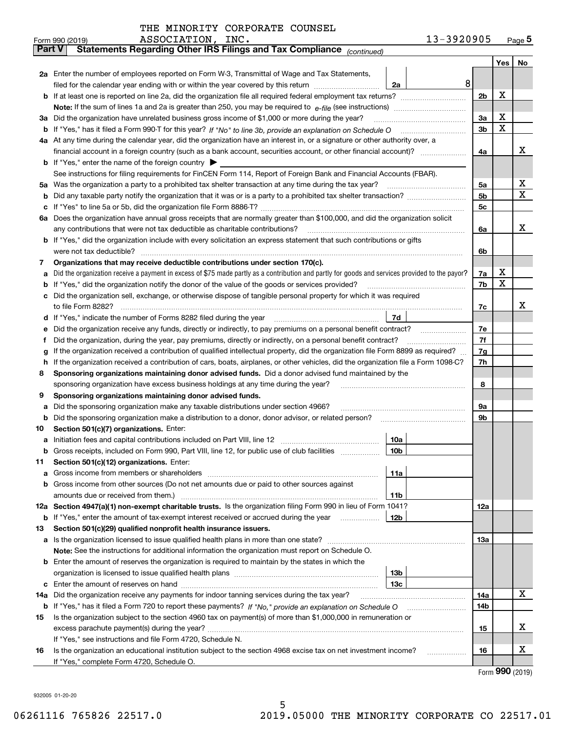|  |  | THE MINORITY CORPORATE COUNSEL |  |
|--|--|--------------------------------|--|
|--|--|--------------------------------|--|

|               | 13-3920905<br>ASSOCIATION, INC.<br>Form 990 (2019)                                                                                                                                                                                   |                |   | $Page$ <sup>5</sup> |  |  |  |  |  |  |
|---------------|--------------------------------------------------------------------------------------------------------------------------------------------------------------------------------------------------------------------------------------|----------------|---|---------------------|--|--|--|--|--|--|
| <b>Part V</b> | Statements Regarding Other IRS Filings and Tax Compliance (continued)                                                                                                                                                                |                |   |                     |  |  |  |  |  |  |
|               |                                                                                                                                                                                                                                      |                |   | Yes   No            |  |  |  |  |  |  |
|               | 2a Enter the number of employees reported on Form W-3, Transmittal of Wage and Tax Statements,                                                                                                                                       |                |   |                     |  |  |  |  |  |  |
|               | 8<br>filed for the calendar year ending with or within the year covered by this return <i>manumumumum</i><br>2a                                                                                                                      |                |   |                     |  |  |  |  |  |  |
|               |                                                                                                                                                                                                                                      | 2 <sub>b</sub> | х |                     |  |  |  |  |  |  |
|               |                                                                                                                                                                                                                                      |                |   |                     |  |  |  |  |  |  |
| За            | Did the organization have unrelated business gross income of \$1,000 or more during the year?                                                                                                                                        |                |   |                     |  |  |  |  |  |  |
|               |                                                                                                                                                                                                                                      | 3 <sub>b</sub> | х |                     |  |  |  |  |  |  |
|               | 4a At any time during the calendar year, did the organization have an interest in, or a signature or other authority over, a                                                                                                         |                |   |                     |  |  |  |  |  |  |
|               |                                                                                                                                                                                                                                      | 4a             |   | х                   |  |  |  |  |  |  |
|               | <b>b</b> If "Yes," enter the name of the foreign country $\blacktriangleright$                                                                                                                                                       |                |   |                     |  |  |  |  |  |  |
|               | See instructions for filing requirements for FinCEN Form 114, Report of Foreign Bank and Financial Accounts (FBAR).                                                                                                                  |                |   |                     |  |  |  |  |  |  |
|               |                                                                                                                                                                                                                                      | 5a             |   | х                   |  |  |  |  |  |  |
| b             |                                                                                                                                                                                                                                      | 5b             |   | х                   |  |  |  |  |  |  |
|               |                                                                                                                                                                                                                                      | 5c             |   |                     |  |  |  |  |  |  |
|               | 6a Does the organization have annual gross receipts that are normally greater than \$100,000, and did the organization solicit                                                                                                       |                |   |                     |  |  |  |  |  |  |
|               | any contributions that were not tax deductible as charitable contributions?                                                                                                                                                          | 6a             |   | x                   |  |  |  |  |  |  |
|               | <b>b</b> If "Yes," did the organization include with every solicitation an express statement that such contributions or gifts                                                                                                        |                |   |                     |  |  |  |  |  |  |
|               | were not tax deductible?                                                                                                                                                                                                             | 6b             |   |                     |  |  |  |  |  |  |
| 7             | Organizations that may receive deductible contributions under section 170(c).                                                                                                                                                        |                |   |                     |  |  |  |  |  |  |
| а             | Did the organization receive a payment in excess of \$75 made partly as a contribution and partly for goods and services provided to the payor?                                                                                      | 7a             | х |                     |  |  |  |  |  |  |
|               | <b>b</b> If "Yes," did the organization notify the donor of the value of the goods or services provided?                                                                                                                             | 7b             | х |                     |  |  |  |  |  |  |
|               | c Did the organization sell, exchange, or otherwise dispose of tangible personal property for which it was required                                                                                                                  |                |   |                     |  |  |  |  |  |  |
|               |                                                                                                                                                                                                                                      | 7c             |   | x                   |  |  |  |  |  |  |
|               | 7d<br>d If "Yes," indicate the number of Forms 8282 filed during the year [11] [11] No. 2010 [12] Henry Marian Marian Marian Marian Marian Marian Marian Marian Marian Marian Marian Marian Marian Marian Marian Marian Marian Maria |                |   |                     |  |  |  |  |  |  |
| е             | Did the organization receive any funds, directly or indirectly, to pay premiums on a personal benefit contract?                                                                                                                      | 7e             |   |                     |  |  |  |  |  |  |
| f             | Did the organization, during the year, pay premiums, directly or indirectly, on a personal benefit contract?                                                                                                                         | 7f             |   |                     |  |  |  |  |  |  |
| g             | If the organization received a contribution of qualified intellectual property, did the organization file Form 8899 as required?                                                                                                     | 7g             |   |                     |  |  |  |  |  |  |
| h.            | If the organization received a contribution of cars, boats, airplanes, or other vehicles, did the organization file a Form 1098-C?                                                                                                   | 7h             |   |                     |  |  |  |  |  |  |
| 8             | Sponsoring organizations maintaining donor advised funds. Did a donor advised fund maintained by the                                                                                                                                 |                |   |                     |  |  |  |  |  |  |
|               | sponsoring organization have excess business holdings at any time during the year?                                                                                                                                                   | 8              |   |                     |  |  |  |  |  |  |
| 9             | Sponsoring organizations maintaining donor advised funds.                                                                                                                                                                            |                |   |                     |  |  |  |  |  |  |
| а             | Did the sponsoring organization make any taxable distributions under section 4966?                                                                                                                                                   | 9а             |   |                     |  |  |  |  |  |  |
|               | <b>b</b> Did the sponsoring organization make a distribution to a donor, donor advisor, or related person?                                                                                                                           | 9b             |   |                     |  |  |  |  |  |  |
| 10            | Section 501(c)(7) organizations. Enter:                                                                                                                                                                                              |                |   |                     |  |  |  |  |  |  |
|               | 10a                                                                                                                                                                                                                                  |                |   |                     |  |  |  |  |  |  |
|               | 10b <br>Gross receipts, included on Form 990, Part VIII, line 12, for public use of club facilities                                                                                                                                  |                |   |                     |  |  |  |  |  |  |
| 11            | Section 501(c)(12) organizations. Enter:                                                                                                                                                                                             |                |   |                     |  |  |  |  |  |  |
|               | 11a                                                                                                                                                                                                                                  |                |   |                     |  |  |  |  |  |  |
|               | b Gross income from other sources (Do not net amounts due or paid to other sources against                                                                                                                                           |                |   |                     |  |  |  |  |  |  |
|               | 11b                                                                                                                                                                                                                                  |                |   |                     |  |  |  |  |  |  |
|               | 12a Section 4947(a)(1) non-exempt charitable trusts. Is the organization filing Form 990 in lieu of Form 1041?                                                                                                                       | 12a            |   |                     |  |  |  |  |  |  |
|               | 12b<br><b>b</b> If "Yes," enter the amount of tax-exempt interest received or accrued during the year <i>manument</i>                                                                                                                |                |   |                     |  |  |  |  |  |  |
| 13            | Section 501(c)(29) qualified nonprofit health insurance issuers.                                                                                                                                                                     |                |   |                     |  |  |  |  |  |  |
|               | <b>a</b> Is the organization licensed to issue qualified health plans in more than one state?                                                                                                                                        | 13а            |   |                     |  |  |  |  |  |  |
|               | Note: See the instructions for additional information the organization must report on Schedule O.                                                                                                                                    |                |   |                     |  |  |  |  |  |  |
|               | <b>b</b> Enter the amount of reserves the organization is required to maintain by the states in which the                                                                                                                            |                |   |                     |  |  |  |  |  |  |
|               | 13b                                                                                                                                                                                                                                  |                |   |                     |  |  |  |  |  |  |
|               | 13с                                                                                                                                                                                                                                  |                |   |                     |  |  |  |  |  |  |
| 14a           | Did the organization receive any payments for indoor tanning services during the tax year?                                                                                                                                           | 14a            |   | x                   |  |  |  |  |  |  |
|               | b If "Yes," has it filed a Form 720 to report these payments? If "No," provide an explanation on Schedule O                                                                                                                          | 14b            |   |                     |  |  |  |  |  |  |
| 15            | Is the organization subject to the section 4960 tax on payment(s) of more than \$1,000,000 in remuneration or                                                                                                                        |                |   |                     |  |  |  |  |  |  |
|               |                                                                                                                                                                                                                                      | 15             |   | X                   |  |  |  |  |  |  |
|               | If "Yes," see instructions and file Form 4720, Schedule N.                                                                                                                                                                           |                |   |                     |  |  |  |  |  |  |
| 16            | Is the organization an educational institution subject to the section 4968 excise tax on net investment income?                                                                                                                      | 16             |   | X                   |  |  |  |  |  |  |
|               | If "Yes," complete Form 4720, Schedule O.                                                                                                                                                                                            |                |   |                     |  |  |  |  |  |  |

Form (2019) **990**

932005 01-20-20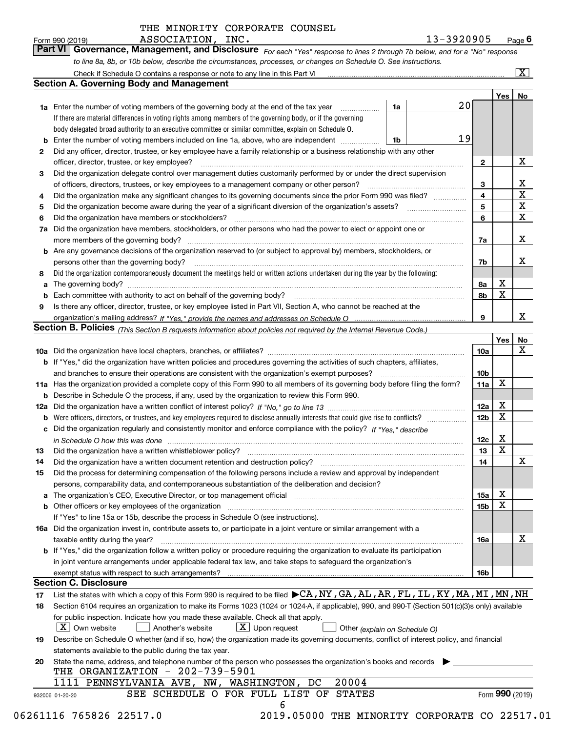*For each "Yes" response to lines 2 through 7b below, and for a "No" response to line 8a, 8b, or 10b below, describe the circumstances, processes, or changes on Schedule O. See instructions.* Form 990 (2019) **Page 6**<br>**Part VI Governance, Management, and Disclosure** For each "Yes" response to lines 2 through 7b below, and for a "No" response

|                 |                                                                                                                                                                               |    |    |                         | Yes             | No                      |
|-----------------|-------------------------------------------------------------------------------------------------------------------------------------------------------------------------------|----|----|-------------------------|-----------------|-------------------------|
|                 | <b>1a</b> Enter the number of voting members of the governing body at the end of the tax year                                                                                 | 1a | 20 |                         |                 |                         |
|                 | If there are material differences in voting rights among members of the governing body, or if the governing                                                                   |    |    |                         |                 |                         |
|                 | body delegated broad authority to an executive committee or similar committee, explain on Schedule O.                                                                         |    |    |                         |                 |                         |
|                 |                                                                                                                                                                               | 1b | 19 |                         |                 |                         |
| $\mathbf{2}$    | Did any officer, director, trustee, or key employee have a family relationship or a business relationship with any other                                                      |    |    |                         |                 |                         |
|                 | officer, director, trustee, or key employee?                                                                                                                                  |    |    | $\mathbf{2}$            |                 | X                       |
| 3               | Did the organization delegate control over management duties customarily performed by or under the direct supervision                                                         |    |    |                         |                 |                         |
|                 |                                                                                                                                                                               |    |    | 3                       |                 | X                       |
| 4               | Did the organization make any significant changes to its governing documents since the prior Form 990 was filed?                                                              |    |    | $\overline{\mathbf{4}}$ |                 | $\overline{\textbf{X}}$ |
| 5               |                                                                                                                                                                               |    |    | 5                       |                 | $\mathbf X$             |
| 6               | Did the organization have members or stockholders?                                                                                                                            |    |    | 6                       |                 | $\mathbf x$             |
|                 | 7a Did the organization have members, stockholders, or other persons who had the power to elect or appoint one or                                                             |    |    |                         |                 |                         |
|                 |                                                                                                                                                                               |    |    | 7a                      |                 | x                       |
|                 | <b>b</b> Are any governance decisions of the organization reserved to (or subject to approval by) members, stockholders, or                                                   |    |    |                         |                 |                         |
|                 | persons other than the governing body?                                                                                                                                        |    |    | 7b                      |                 | х                       |
| 8               | Did the organization contemporaneously document the meetings held or written actions undertaken during the year by the following:                                             |    |    |                         |                 |                         |
| a               |                                                                                                                                                                               |    |    | 8a                      | X               |                         |
|                 |                                                                                                                                                                               |    |    | 8b                      | X               |                         |
| 9               | Is there any officer, director, trustee, or key employee listed in Part VII, Section A, who cannot be reached at the                                                          |    |    |                         |                 |                         |
|                 |                                                                                                                                                                               |    |    | 9                       |                 | х                       |
|                 | Section B. Policies (This Section B requests information about policies not required by the Internal Revenue Code.)                                                           |    |    |                         |                 |                         |
|                 |                                                                                                                                                                               |    |    |                         | Yes             | No                      |
|                 |                                                                                                                                                                               |    |    | 10a                     |                 | X                       |
|                 | <b>b</b> If "Yes," did the organization have written policies and procedures governing the activities of such chapters, affiliates,                                           |    |    |                         |                 |                         |
|                 |                                                                                                                                                                               |    |    | 10 <sub>b</sub>         |                 |                         |
|                 | 11a Has the organization provided a complete copy of this Form 990 to all members of its governing body before filing the form?                                               |    |    | 11a                     | X               |                         |
|                 | <b>b</b> Describe in Schedule O the process, if any, used by the organization to review this Form 990.                                                                        |    |    |                         |                 |                         |
|                 |                                                                                                                                                                               |    |    | 12a                     | X               |                         |
| b               |                                                                                                                                                                               |    |    | 12b                     | X               |                         |
|                 | c Did the organization regularly and consistently monitor and enforce compliance with the policy? If "Yes," describe                                                          |    |    |                         |                 |                         |
|                 |                                                                                                                                                                               |    |    | 12c                     | x               |                         |
|                 | in Schedule O how this was done manufactured and continuum control of the Schedule O how this was done manufactured and continuum control of the Schedule O how this was done |    |    | 13                      | X               |                         |
| 13              |                                                                                                                                                                               |    |    |                         |                 | X                       |
| 14              | Did the organization have a written document retention and destruction policy? manufactured and the organization have a written document retention and destruction policy?    |    |    | 14                      |                 |                         |
| 15              | Did the process for determining compensation of the following persons include a review and approval by independent                                                            |    |    |                         |                 |                         |
|                 | persons, comparability data, and contemporaneous substantiation of the deliberation and decision?                                                                             |    |    |                         | X               |                         |
|                 |                                                                                                                                                                               |    |    | <b>15a</b>              | X               |                         |
|                 |                                                                                                                                                                               |    |    | 15b                     |                 |                         |
|                 | If "Yes" to line 15a or 15b, describe the process in Schedule O (see instructions).                                                                                           |    |    |                         |                 |                         |
|                 | 16a Did the organization invest in, contribute assets to, or participate in a joint venture or similar arrangement with a                                                     |    |    |                         |                 |                         |
|                 | taxable entity during the year?                                                                                                                                               |    |    | 16a                     |                 | X                       |
|                 | b If "Yes," did the organization follow a written policy or procedure requiring the organization to evaluate its participation                                                |    |    |                         |                 |                         |
|                 | in joint venture arrangements under applicable federal tax law, and take steps to safeguard the organization's                                                                |    |    |                         |                 |                         |
|                 | exempt status with respect to such arrangements?                                                                                                                              |    |    | 16b                     |                 |                         |
|                 | <b>Section C. Disclosure</b>                                                                                                                                                  |    |    |                         |                 |                         |
| 17              | List the states with which a copy of this Form 990 is required to be filed CA, NY, GA, AL, AR, FL, IL, KY, MA, MI, MN, NH                                                     |    |    |                         |                 |                         |
| 18              | Section 6104 requires an organization to make its Forms 1023 (1024 or 1024-A, if applicable), 990, and 990-T (Section 501(c)(3)s only) available                              |    |    |                         |                 |                         |
|                 | for public inspection. Indicate how you made these available. Check all that apply.                                                                                           |    |    |                         |                 |                         |
|                 | $\lfloor X \rfloor$ Own website<br>$\lfloor x \rfloor$ Upon request<br>  Another's website<br>Other (explain on Schedule O)                                                   |    |    |                         |                 |                         |
| 19              | Describe on Schedule O whether (and if so, how) the organization made its governing documents, conflict of interest policy, and financial                                     |    |    |                         |                 |                         |
|                 | statements available to the public during the tax year.                                                                                                                       |    |    |                         |                 |                         |
| 20              | State the name, address, and telephone number of the person who possesses the organization's books and records                                                                |    |    |                         |                 |                         |
|                 | THE ORGANIZATION - 202-739-5901                                                                                                                                               |    |    |                         |                 |                         |
|                 | 20004<br>1111 PENNSYLVANIA AVE, NW, WASHINGTON, DC                                                                                                                            |    |    |                         |                 |                         |
| 932006 01-20-20 | SEE SCHEDULE O FOR FULL LIST OF STATES                                                                                                                                        |    |    |                         | Form 990 (2019) |                         |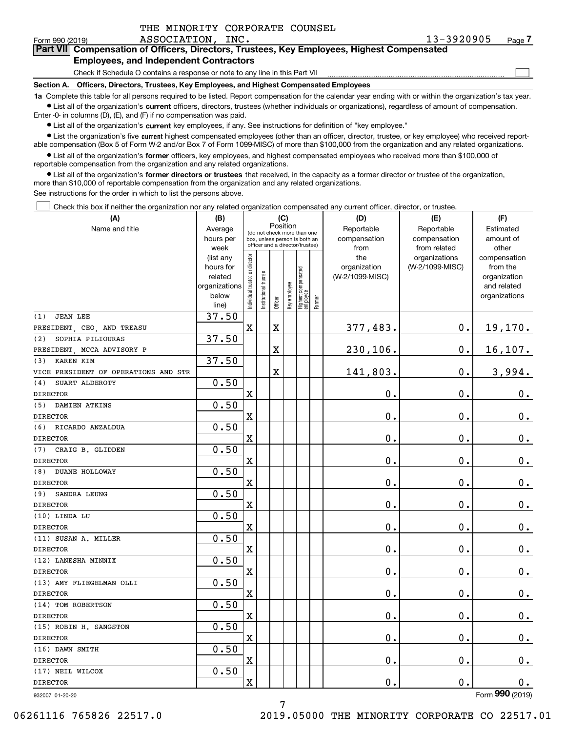$\mathcal{L}^{\text{max}}$ 

### Form 990 (2019) ASSOCIATION, INC . 13-3920905 <sub>Page</sub> **7Part VII Compensation of Officers, Directors, Trustees, Key Employees, Highest Compensated Employees, and Independent Contractors**

Check if Schedule O contains a response or note to any line in this Part VII

**Section A. Officers, Directors, Trustees, Key Employees, and Highest Compensated Employees**

**1a**  Complete this table for all persons required to be listed. Report compensation for the calendar year ending with or within the organization's tax year. **•** List all of the organization's current officers, directors, trustees (whether individuals or organizations), regardless of amount of compensation.

Enter -0- in columns (D), (E), and (F) if no compensation was paid.

 $\bullet$  List all of the organization's  $\,$ current key employees, if any. See instructions for definition of "key employee."

**•** List the organization's five current highest compensated employees (other than an officer, director, trustee, or key employee) who received reportable compensation (Box 5 of Form W-2 and/or Box 7 of Form 1099-MISC) of more than \$100,000 from the organization and any related organizations.

**•** List all of the organization's former officers, key employees, and highest compensated employees who received more than \$100,000 of reportable compensation from the organization and any related organizations.

**former directors or trustees**  ¥ List all of the organization's that received, in the capacity as a former director or trustee of the organization, more than \$10,000 of reportable compensation from the organization and any related organizations.

See instructions for the order in which to list the persons above.

Check this box if neither the organization nor any related organization compensated any current officer, director, or trustee.  $\mathcal{L}^{\text{max}}$ 

| (A)                                  | (B)                    | (C)                                     |                       |                         |              |                                                                  |        | (D)                 | (E)                              | (F)                      |
|--------------------------------------|------------------------|-----------------------------------------|-----------------------|-------------------------|--------------|------------------------------------------------------------------|--------|---------------------|----------------------------------|--------------------------|
| Name and title                       | Average                | Position<br>(do not check more than one |                       |                         |              |                                                                  |        | Reportable          | Reportable                       | Estimated                |
|                                      | hours per              |                                         |                       |                         |              | box, unless person is both an<br>officer and a director/trustee) |        | compensation        | compensation                     | amount of                |
|                                      | week                   |                                         |                       |                         |              |                                                                  |        | from                | from related                     | other                    |
|                                      | (list any<br>hours for |                                         |                       |                         |              |                                                                  |        | the<br>organization | organizations<br>(W-2/1099-MISC) | compensation<br>from the |
|                                      | related                |                                         |                       |                         |              |                                                                  |        | (W-2/1099-MISC)     |                                  | organization             |
|                                      | organizations          | Individual trustee or director          | Institutional trustee |                         |              |                                                                  |        |                     |                                  | and related              |
|                                      | below                  |                                         |                       |                         | Key employee |                                                                  |        |                     |                                  | organizations            |
|                                      | line)                  |                                         |                       | Officer                 |              | Highest compensated<br>  employee                                | Former |                     |                                  |                          |
| <b>JEAN LEE</b><br>(1)               | 37.50                  |                                         |                       |                         |              |                                                                  |        |                     |                                  |                          |
| PRESIDENT, CEO, AND TREASU           |                        | $\rm X$                                 |                       | $\overline{\mathbf{X}}$ |              |                                                                  |        | 377,483.            | $\mathbf 0$ .                    | 19,170.                  |
| SOPHIA PILIOURAS<br>(2)              | 37.50                  |                                         |                       |                         |              |                                                                  |        |                     |                                  |                          |
| PRESIDENT, MCCA ADVISORY P           |                        |                                         |                       | $\overline{\mathbf{X}}$ |              |                                                                  |        | 230,106.            | $\mathbf 0$ .                    | 16, 107.                 |
| <b>KAREN KIM</b><br>(3)              | 37.50                  |                                         |                       |                         |              |                                                                  |        |                     |                                  |                          |
| VICE PRESIDENT OF OPERATIONS AND STR |                        |                                         |                       | $\overline{\mathbf{X}}$ |              |                                                                  |        | 141,803.            | $\mathbf 0$ .                    | 3,994.                   |
| SUART ALDEROTY<br>(4)                | 0.50                   |                                         |                       |                         |              |                                                                  |        |                     |                                  |                          |
| <b>DIRECTOR</b>                      |                        | X                                       |                       |                         |              |                                                                  |        | 0.                  | 0.                               | $0_{.}$                  |
| (5)<br>DAMIEN ATKINS                 | 0.50                   |                                         |                       |                         |              |                                                                  |        |                     |                                  |                          |
| <b>DIRECTOR</b>                      |                        | $\mathbf x$                             |                       |                         |              |                                                                  |        | 0.                  | $\mathbf 0$ .                    | 0.                       |
| RICARDO ANZALDUA<br>(6)              | 0.50                   |                                         |                       |                         |              |                                                                  |        |                     |                                  |                          |
| <b>DIRECTOR</b>                      |                        | $\mathbf x$                             |                       |                         |              |                                                                  |        | 0.                  | 0.                               | $0_{.}$                  |
| CRAIG B. GLIDDEN<br>(7)              | 0.50                   |                                         |                       |                         |              |                                                                  |        |                     |                                  |                          |
| <b>DIRECTOR</b>                      |                        | $\mathbf x$                             |                       |                         |              |                                                                  |        | 0.                  | $\mathbf 0$ .                    | $\mathbf 0$ .            |
| <b>DUANE HOLLOWAY</b><br>(8)         | 0.50                   |                                         |                       |                         |              |                                                                  |        |                     |                                  |                          |
| <b>DIRECTOR</b>                      |                        | X                                       |                       |                         |              |                                                                  |        | 0.                  | $\mathbf 0$ .                    | $\mathbf 0$ .            |
| SANDRA LEUNG<br>(9)                  | 0.50                   |                                         |                       |                         |              |                                                                  |        |                     |                                  |                          |
| <b>DIRECTOR</b>                      |                        | $\mathbf X$                             |                       |                         |              |                                                                  |        | 0.                  | 0.                               | 0.                       |
| (10) LINDA LU                        | 0.50                   |                                         |                       |                         |              |                                                                  |        |                     |                                  |                          |
| <b>DIRECTOR</b>                      |                        | X                                       |                       |                         |              |                                                                  |        | 0.                  | $\mathbf 0$ .                    | $\mathbf 0$ .            |
| (11) SUSAN A. MILLER                 | 0.50                   |                                         |                       |                         |              |                                                                  |        |                     |                                  |                          |
| <b>DIRECTOR</b>                      |                        | $\mathbf X$                             |                       |                         |              |                                                                  |        | $\mathbf 0$ .       | $\mathbf 0$ .                    | $\mathbf 0$ .            |
| (12) LANESHA MINNIX                  | 0.50                   |                                         |                       |                         |              |                                                                  |        |                     |                                  |                          |
| <b>DIRECTOR</b>                      |                        | $\mathbf x$                             |                       |                         |              |                                                                  |        | 0.                  | 0.                               | $\mathbf 0$ .            |
| (13) AMY FLIEGELMAN OLLI             | 0.50                   |                                         |                       |                         |              |                                                                  |        |                     |                                  |                          |
| <b>DIRECTOR</b>                      |                        | $\mathbf X$                             |                       |                         |              |                                                                  |        | 0.                  | $\mathbf 0$ .                    | 0.                       |
| (14) TOM ROBERTSON                   | 0.50                   |                                         |                       |                         |              |                                                                  |        |                     |                                  |                          |
| <b>DIRECTOR</b>                      |                        | $\mathbf X$                             |                       |                         |              |                                                                  |        | 0.                  | $\mathbf 0$ .                    | $0_{.}$                  |
| (15) ROBIN H. SANGSTON               | 0.50                   |                                         |                       |                         |              |                                                                  |        |                     |                                  |                          |
| <b>DIRECTOR</b>                      |                        | X                                       |                       |                         |              |                                                                  |        | 0.                  | 0.                               | 0.                       |
| (16) DAWN SMITH                      | 0.50                   |                                         |                       |                         |              |                                                                  |        |                     |                                  |                          |
| <b>DIRECTOR</b>                      |                        | $\mathbf X$                             |                       |                         |              |                                                                  |        | 0.                  | $\mathbf 0$ .                    | 0.                       |
| (17) NEIL WILCOX                     | 0.50                   |                                         |                       |                         |              |                                                                  |        |                     |                                  |                          |
| <b>DIRECTOR</b>                      |                        | X                                       |                       |                         |              |                                                                  |        | 0.                  | $\mathbf 0$ .                    | 0.                       |
| 932007 01-20-20                      |                        |                                         |                       |                         |              |                                                                  |        |                     |                                  | Form 990 (2019)          |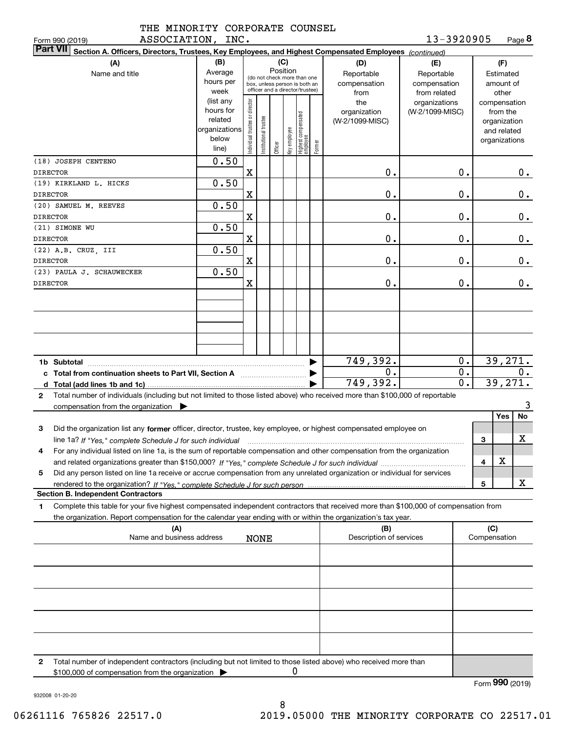| THE MINORITY CORPORATE COUNSEL |  |
|--------------------------------|--|
| ASSOCIATION INC                |  |

**8**13-3920905

|                       | ASSOCIATION, INC.<br>Form 990 (2019)                                                                                                                                                                                                                                 |                                                                      |                                                                                                                    |                       |         |              |                                 |        |                                           | 13-3920905                                        |                                 |                                                                          | Page <b>ö</b> |
|-----------------------|----------------------------------------------------------------------------------------------------------------------------------------------------------------------------------------------------------------------------------------------------------------------|----------------------------------------------------------------------|--------------------------------------------------------------------------------------------------------------------|-----------------------|---------|--------------|---------------------------------|--------|-------------------------------------------|---------------------------------------------------|---------------------------------|--------------------------------------------------------------------------|---------------|
|                       | <b>Part VII</b><br>Section A. Officers, Directors, Trustees, Key Employees, and Highest Compensated Employees (continued)                                                                                                                                            |                                                                      |                                                                                                                    |                       |         |              |                                 |        |                                           |                                                   |                                 |                                                                          |               |
| (A)<br>Name and title |                                                                                                                                                                                                                                                                      | (B)<br>Average<br>hours per<br>week                                  | (C)<br>Position<br>(do not check more than one<br>box, unless person is both an<br>officer and a director/trustee) |                       |         |              |                                 |        | (D)<br>Reportable<br>compensation<br>from | (E)<br>Reportable<br>compensation<br>from related | Estimated<br>amount of<br>other |                                                                          |               |
|                       |                                                                                                                                                                                                                                                                      | (list any<br>hours for<br>related<br>organizations<br>below<br>line) | Individual trustee or director                                                                                     | Institutional trustee | Officer | Key employee | Highest compensated<br>employee | Former | the<br>organization<br>(W-2/1099-MISC)    | organizations<br>(W-2/1099-MISC)                  |                                 | compensation<br>from the<br>organization<br>and related<br>organizations |               |
|                       | (18) JOSEPH CENTENO<br><b>DIRECTOR</b>                                                                                                                                                                                                                               | 0.50                                                                 | $\mathbf X$                                                                                                        |                       |         |              |                                 |        | 0.                                        | $\mathbf 0$ .                                     |                                 |                                                                          | $0$ .         |
|                       | (19) KIRKLAND L. HICKS<br><b>DIRECTOR</b>                                                                                                                                                                                                                            | 0.50                                                                 | $\mathbf X$                                                                                                        |                       |         |              |                                 |        | 0.                                        | $\mathbf 0$ .                                     |                                 |                                                                          | 0.            |
|                       | (20) SAMUEL M. REEVES                                                                                                                                                                                                                                                | 0.50                                                                 |                                                                                                                    |                       |         |              |                                 |        |                                           |                                                   |                                 |                                                                          |               |
|                       | <b>DIRECTOR</b><br>(21) SIMONE WU                                                                                                                                                                                                                                    | 0.50                                                                 | $\mathbf X$                                                                                                        |                       |         |              |                                 |        | 0.                                        | $\mathbf 0$ .                                     |                                 |                                                                          | 0.            |
|                       | <b>DIRECTOR</b>                                                                                                                                                                                                                                                      |                                                                      | $\mathbf X$                                                                                                        |                       |         |              |                                 |        | 0.                                        | $\mathbf 0$ .                                     |                                 |                                                                          | 0.            |
|                       | $(22)$ A.B. CRUZ, III<br><b>DIRECTOR</b>                                                                                                                                                                                                                             | 0.50                                                                 | $\mathbf X$                                                                                                        |                       |         |              |                                 |        | 0.                                        | 0.                                                |                                 |                                                                          | 0.            |
|                       | (23) PAULA J. SCHAUWECKER<br><b>DIRECTOR</b>                                                                                                                                                                                                                         | 0.50                                                                 | $\mathbf X$                                                                                                        |                       |         |              |                                 |        | 0.                                        | 0.                                                |                                 |                                                                          | $0$ .         |
|                       |                                                                                                                                                                                                                                                                      |                                                                      |                                                                                                                    |                       |         |              |                                 |        |                                           |                                                   |                                 |                                                                          |               |
|                       |                                                                                                                                                                                                                                                                      |                                                                      |                                                                                                                    |                       |         |              |                                 |        |                                           |                                                   |                                 |                                                                          |               |
|                       | c Total from continuation sheets to Part VII, Section A <b>Constant Contact Part</b>                                                                                                                                                                                 |                                                                      |                                                                                                                    |                       |         |              |                                 | ▶      | 749,392.<br>0.<br>749,392.                | 0.<br>$0$ .<br>$\overline{0}$ .                   |                                 | 39,271.<br>39,271.                                                       | 0.            |
| $\mathbf{2}$          | Total number of individuals (including but not limited to those listed above) who received more than \$100,000 of reportable<br>compensation from the organization $\blacktriangleright$                                                                             |                                                                      |                                                                                                                    |                       |         |              |                                 |        |                                           |                                                   |                                 |                                                                          | 3             |
| 3                     | Did the organization list any former officer, director, trustee, key employee, or highest compensated employee on<br>line 1a? If "Yes," complete Schedule J for such individual manufactured contained and the 1a? If "Yes," complete Schedule J for such individual |                                                                      |                                                                                                                    |                       |         |              |                                 |        |                                           |                                                   | 3                               | Yes                                                                      | No<br>х       |
|                       | For any individual listed on line 1a, is the sum of reportable compensation and other compensation from the organization                                                                                                                                             |                                                                      |                                                                                                                    |                       |         |              |                                 |        |                                           |                                                   | 4                               | X                                                                        |               |
| 5                     | Did any person listed on line 1a receive or accrue compensation from any unrelated organization or individual for services                                                                                                                                           |                                                                      |                                                                                                                    |                       |         |              |                                 |        |                                           |                                                   |                                 |                                                                          | X             |
|                       | <b>Section B. Independent Contractors</b>                                                                                                                                                                                                                            |                                                                      |                                                                                                                    |                       |         |              |                                 |        |                                           |                                                   | 5                               |                                                                          |               |
| 1                     | Complete this table for your five highest compensated independent contractors that received more than \$100,000 of compensation from<br>the organization. Report compensation for the calendar year ending with or within the organization's tax year.               |                                                                      |                                                                                                                    |                       |         |              |                                 |        |                                           |                                                   |                                 |                                                                          |               |
|                       | (A)<br>Name and business address                                                                                                                                                                                                                                     |                                                                      |                                                                                                                    | <b>NONE</b>           |         |              |                                 |        | (B)<br>Description of services            |                                                   | (C)<br>Compensation             |                                                                          |               |
|                       |                                                                                                                                                                                                                                                                      |                                                                      |                                                                                                                    |                       |         |              |                                 |        |                                           |                                                   |                                 |                                                                          |               |
|                       |                                                                                                                                                                                                                                                                      |                                                                      |                                                                                                                    |                       |         |              |                                 |        |                                           |                                                   |                                 |                                                                          |               |
| 2                     | Total number of independent contractors (including but not limited to those listed above) who received more than<br>\$100,000 of compensation from the organization                                                                                                  |                                                                      |                                                                                                                    |                       |         | 0            |                                 |        |                                           |                                                   |                                 |                                                                          |               |

Form (2019) **990**

932008 01-20-20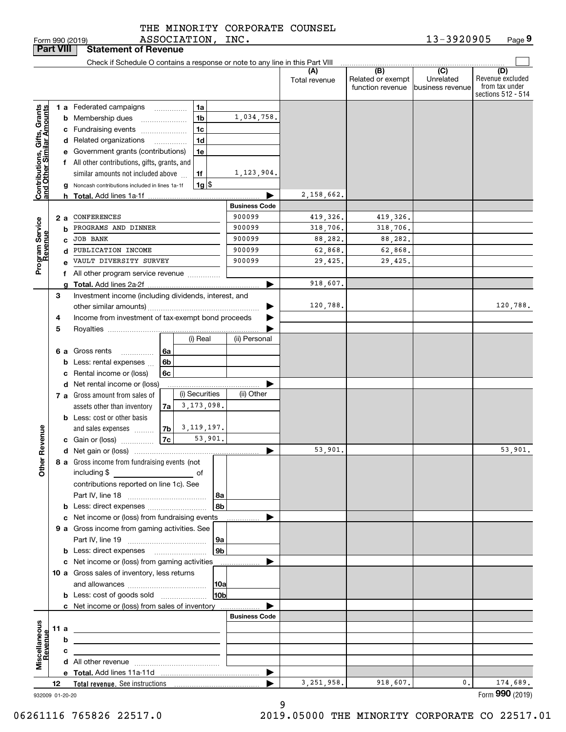| THE MINORITY CORPORATE COUNSEL |  |
|--------------------------------|--|
| ASSOCIATION, INC.              |  |

| <b>Part VIII</b>                                          |      |    | <b>Statement of Revenue</b>                                                               |                |   |                    |                      |                      |                                              |                                                 |                                                                 |
|-----------------------------------------------------------|------|----|-------------------------------------------------------------------------------------------|----------------|---|--------------------|----------------------|----------------------|----------------------------------------------|-------------------------------------------------|-----------------------------------------------------------------|
|                                                           |      |    | Check if Schedule O contains a response or note to any line in this Part VIII             |                |   |                    |                      |                      |                                              |                                                 |                                                                 |
|                                                           |      |    |                                                                                           |                |   |                    |                      | (A)<br>Total revenue | (B)<br>Related or exempt<br>function revenue | $\overline{C}$<br>Unrelated<br>business revenue | (D)<br>Revenue excluded<br>from tax under<br>sections 512 - 514 |
|                                                           |      |    | 1 a Federated campaigns                                                                   |                | . | 1a                 |                      |                      |                                              |                                                 |                                                                 |
|                                                           |      |    | <b>b</b> Membership dues                                                                  |                |   | 1 <sub>b</sub>     | 1,034,758.           |                      |                                              |                                                 |                                                                 |
|                                                           |      |    | c Fundraising events                                                                      |                |   | 1c                 |                      |                      |                                              |                                                 |                                                                 |
|                                                           |      |    | d Related organizations                                                                   |                |   | 1 <sub>d</sub>     |                      |                      |                                              |                                                 |                                                                 |
|                                                           |      |    | e Government grants (contributions)                                                       |                |   | 1e                 |                      |                      |                                              |                                                 |                                                                 |
|                                                           |      |    | f All other contributions, gifts, grants, and                                             |                |   |                    |                      |                      |                                              |                                                 |                                                                 |
|                                                           |      |    | similar amounts not included above                                                        |                |   | 1f                 | 1,123,904.           |                      |                                              |                                                 |                                                                 |
| Contributions, Gifts, Grants<br>and Other Similar Amounts |      |    | g Noncash contributions included in lines 1a-1f                                           |                |   | $1g$ $\frac{1}{3}$ |                      |                      |                                              |                                                 |                                                                 |
|                                                           |      |    | <b>h</b> Total. Add lines 1a-1f                                                           |                |   |                    |                      | 2,158,662.           |                                              |                                                 |                                                                 |
|                                                           |      |    |                                                                                           |                |   |                    | <b>Business Code</b> |                      |                                              |                                                 |                                                                 |
|                                                           |      | 2а | CONFERENCES                                                                               |                |   |                    | 900099               | 419,326.             | 419,326.                                     |                                                 |                                                                 |
|                                                           |      | b  | PROGRAMS AND DINNER                                                                       |                |   |                    | 900099               | 318,706.             | 318,706.                                     |                                                 |                                                                 |
|                                                           |      | C  | <b>JOB BANK</b>                                                                           |                |   |                    | 900099               | 88,282.              | 88,282.                                      |                                                 |                                                                 |
|                                                           |      | d  | PUBLICATION INCOME                                                                        |                |   |                    | 900099               | 62,868.              | 62,868.                                      |                                                 |                                                                 |
| Program Service<br>Revenue                                |      |    | VAULT DIVERSITY SURVEY                                                                    |                |   |                    | 900099               | 29,425.              | 29,425.                                      |                                                 |                                                                 |
|                                                           |      |    | f All other program service revenue                                                       |                |   |                    |                      | 918,607.             |                                              |                                                 |                                                                 |
|                                                           | 3    | a  | Investment income (including dividends, interest, and                                     |                |   |                    |                      |                      |                                              |                                                 |                                                                 |
|                                                           |      |    |                                                                                           |                |   |                    |                      | 120,788.             |                                              |                                                 | 120,788.                                                        |
|                                                           | 4    |    | Income from investment of tax-exempt bond proceeds                                        |                |   |                    |                      |                      |                                              |                                                 |                                                                 |
|                                                           | 5    |    |                                                                                           |                |   |                    |                      |                      |                                              |                                                 |                                                                 |
|                                                           |      |    |                                                                                           |                |   | (i) Real           | (ii) Personal        |                      |                                              |                                                 |                                                                 |
|                                                           |      |    | 6 a Gross rents<br>.                                                                      | 6a             |   |                    |                      |                      |                                              |                                                 |                                                                 |
|                                                           |      |    | <b>b</b> Less: rental expenses                                                            | 6b             |   |                    |                      |                      |                                              |                                                 |                                                                 |
|                                                           |      |    | c Rental income or (loss)                                                                 | 6c             |   |                    |                      |                      |                                              |                                                 |                                                                 |
|                                                           |      |    | d Net rental income or (loss)                                                             |                |   |                    |                      |                      |                                              |                                                 |                                                                 |
|                                                           |      |    | 7 a Gross amount from sales of                                                            |                |   | (i) Securities     | (ii) Other           |                      |                                              |                                                 |                                                                 |
|                                                           |      |    | assets other than inventory                                                               | 7a             |   | 3,173,098.         |                      |                      |                                              |                                                 |                                                                 |
|                                                           |      |    | <b>b</b> Less: cost or other basis                                                        |                |   |                    |                      |                      |                                              |                                                 |                                                                 |
|                                                           |      |    | and sales expenses                                                                        | 7 <sub>b</sub> |   | 3, 119, 197.       |                      |                      |                                              |                                                 |                                                                 |
| Revenue                                                   |      |    | c Gain or (loss)                                                                          | 7c             |   | 53,901.            |                      |                      |                                              |                                                 |                                                                 |
|                                                           |      |    |                                                                                           |                |   |                    |                      | 53,901.              |                                              |                                                 | 53,901.                                                         |
| <b>Othe</b>                                               |      |    | 8 a Gross income from fundraising events (not                                             |                |   |                    |                      |                      |                                              |                                                 |                                                                 |
|                                                           |      |    | including \$<br>and the control of the control of                                         |                |   |                    |                      |                      |                                              |                                                 |                                                                 |
|                                                           |      |    | contributions reported on line 1c). See                                                   |                |   |                    |                      |                      |                                              |                                                 |                                                                 |
|                                                           |      |    |                                                                                           |                |   | 8a<br>8b           |                      |                      |                                              |                                                 |                                                                 |
|                                                           |      |    | c Net income or (loss) from fundraising events                                            |                |   |                    |                      |                      |                                              |                                                 |                                                                 |
|                                                           |      |    | 9 a Gross income from gaming activities. See                                              |                |   |                    |                      |                      |                                              |                                                 |                                                                 |
|                                                           |      |    |                                                                                           |                |   | 9a                 |                      |                      |                                              |                                                 |                                                                 |
|                                                           |      |    | <b>b</b> Less: direct expenses <b>manually</b>                                            |                |   | 9b                 |                      |                      |                                              |                                                 |                                                                 |
|                                                           |      |    | c Net income or (loss) from gaming activities                                             |                |   |                    | .                    |                      |                                              |                                                 |                                                                 |
|                                                           |      |    | 10 a Gross sales of inventory, less returns                                               |                |   |                    |                      |                      |                                              |                                                 |                                                                 |
|                                                           |      |    |                                                                                           |                |   | 10a                |                      |                      |                                              |                                                 |                                                                 |
|                                                           |      |    | <b>b</b> Less: cost of goods sold                                                         |                |   | 10b                |                      |                      |                                              |                                                 |                                                                 |
|                                                           |      |    | c Net income or (loss) from sales of inventory                                            |                |   |                    |                      |                      |                                              |                                                 |                                                                 |
|                                                           |      |    |                                                                                           |                |   |                    | <b>Business Code</b> |                      |                                              |                                                 |                                                                 |
| Miscellaneous<br>Revenue                                  | 11 a |    | the control of the control of the control of the control of the control of the control of |                |   |                    |                      |                      |                                              |                                                 |                                                                 |
|                                                           |      | b  |                                                                                           |                |   |                    |                      |                      |                                              |                                                 |                                                                 |
|                                                           |      | с  | the control of the control of the control of the control of the control of                |                |   |                    |                      |                      |                                              |                                                 |                                                                 |
|                                                           |      |    |                                                                                           |                |   |                    |                      |                      |                                              |                                                 |                                                                 |
|                                                           |      |    |                                                                                           |                |   |                    | ▶                    |                      |                                              |                                                 |                                                                 |
|                                                           | 12   |    |                                                                                           |                |   |                    |                      | 3,251,958.           | 918,607.                                     | 0.                                              | 174,689.<br>Form 990 (2019)                                     |
| 932009 01-20-20                                           |      |    |                                                                                           |                |   |                    |                      |                      |                                              |                                                 |                                                                 |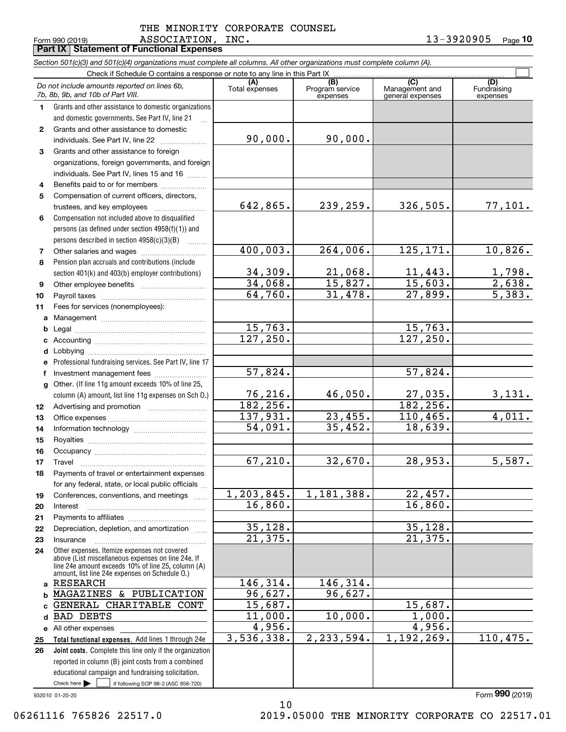**Part IX Statement of Functional Expenses**

Form 990 (2019) ASSOCIATION, INC. 13-3920905 <sub>Page</sub> **10**

|              | Section 501(c)(3) and 501(c)(4) organizations must complete all columns. All other organizations must complete column (A). |                     |                             |                                    |                                 |
|--------------|----------------------------------------------------------------------------------------------------------------------------|---------------------|-----------------------------|------------------------------------|---------------------------------|
|              | Check if Schedule O contains a response or note to any line in this Part IX                                                | (A)                 | (B)                         | (C)                                | (D)                             |
|              | Do not include amounts reported on lines 6b,<br>7b, 8b, 9b, and 10b of Part VIII.                                          | Total expenses      | Program service<br>expenses | Management and<br>general expenses | Fundraising<br>expenses         |
| 1.           | Grants and other assistance to domestic organizations                                                                      |                     |                             |                                    |                                 |
|              | and domestic governments. See Part IV, line 21                                                                             |                     |                             |                                    |                                 |
| $\mathbf{2}$ | Grants and other assistance to domestic                                                                                    |                     |                             |                                    |                                 |
|              | individuals. See Part IV, line 22                                                                                          | 90,000.             | 90,000.                     |                                    |                                 |
| 3            | Grants and other assistance to foreign                                                                                     |                     |                             |                                    |                                 |
|              | organizations, foreign governments, and foreign                                                                            |                     |                             |                                    |                                 |
|              | individuals. See Part IV, lines 15 and 16                                                                                  |                     |                             |                                    |                                 |
| 4            | Benefits paid to or for members                                                                                            |                     |                             |                                    |                                 |
| 5            | Compensation of current officers, directors,                                                                               |                     |                             |                                    |                                 |
|              | trustees, and key employees                                                                                                | 642,865.            | 239,259.                    | 326,505.                           | 77,101.                         |
| 6            | Compensation not included above to disqualified                                                                            |                     |                             |                                    |                                 |
|              | persons (as defined under section 4958(f)(1)) and                                                                          |                     |                             |                                    |                                 |
|              | persons described in section 4958(c)(3)(B)                                                                                 |                     |                             |                                    |                                 |
| 7            |                                                                                                                            | 400,003.            | 264,006.                    | 125,171.                           | 10,826.                         |
| 8            | Pension plan accruals and contributions (include                                                                           |                     |                             |                                    |                                 |
|              | section 401(k) and 403(b) employer contributions)                                                                          | 34,309.             | 21,068.                     | 11,443.                            | $\frac{1,798}{2,638}$<br>5,383. |
| 9            |                                                                                                                            | 34,068.             | 15,827.                     | 15,603.                            |                                 |
| 10           |                                                                                                                            | 64,760.             | 31,478.                     | 27,899.                            |                                 |
| 11           | Fees for services (nonemployees):                                                                                          |                     |                             |                                    |                                 |
|              |                                                                                                                            |                     |                             |                                    |                                 |
| b            |                                                                                                                            | 15,763.             |                             | 15,763.                            |                                 |
| c            |                                                                                                                            | 127, 250.           |                             | 127,250.                           |                                 |
| d            |                                                                                                                            |                     |                             |                                    |                                 |
| е            | Professional fundraising services. See Part IV, line 17                                                                    |                     |                             |                                    |                                 |
| f            | Investment management fees                                                                                                 | 57,824.             |                             | 57,824.                            |                                 |
| g            | Other. (If line 11g amount exceeds 10% of line 25,                                                                         |                     |                             |                                    |                                 |
|              | column (A) amount, list line 11g expenses on Sch O.)                                                                       | 76,216.<br>182,256. | 46,050.                     | 27,035.<br>182,256.                | <u>3,131.</u>                   |
| 12           |                                                                                                                            | 137,931.            | 23,455.                     | 110,465.                           | 4,011.                          |
| 13           |                                                                                                                            | 54,091.             | 35,452.                     | 18,639.                            |                                 |
| 14           |                                                                                                                            |                     |                             |                                    |                                 |
| 15           |                                                                                                                            |                     |                             |                                    |                                 |
| 16           |                                                                                                                            | 67, 210.            | 32,670.                     | 28,953.                            | 5,587.                          |
| 17           | Travel<br>Payments of travel or entertainment expenses                                                                     |                     |                             |                                    |                                 |
| 18           |                                                                                                                            |                     |                             |                                    |                                 |
|              | for any federal, state, or local public officials<br>Conferences, conventions, and meetings                                | 1, 203, 845.        | 1,181,388.                  | 22,457.                            |                                 |
| 19<br>20     | Interest                                                                                                                   | 16,860.             |                             | 16,860.                            |                                 |
| 21           |                                                                                                                            |                     |                             |                                    |                                 |
| 22           | Depreciation, depletion, and amortization                                                                                  | 35,128.             |                             | 35,128.                            |                                 |
| 23           | Insurance                                                                                                                  | 21,375.             |                             | 21, 375.                           |                                 |
| 24           | Other expenses. Itemize expenses not covered                                                                               |                     |                             |                                    |                                 |
|              | above (List miscellaneous expenses on line 24e. If                                                                         |                     |                             |                                    |                                 |
|              | line 24e amount exceeds 10% of line 25, column (A)<br>amount, list line 24e expenses on Schedule 0.)                       |                     |                             |                                    |                                 |
| a            | <b>RESEARCH</b>                                                                                                            | 146,314.            | 146,314.                    |                                    |                                 |
| b            | MAGAZINES & PUBLICATION                                                                                                    | 96,627.             | 96,627.                     |                                    |                                 |
|              | GENERAL CHARITABLE CONT                                                                                                    | 15,687.             |                             | 15,687.                            |                                 |
| d            | BAD DEBTS                                                                                                                  | 11,000.             | 10,000.                     | 1,000.                             |                                 |
|              | e All other expenses                                                                                                       | 4,956.              |                             | 4,956.                             |                                 |
| 25           | Total functional expenses. Add lines 1 through 24e                                                                         | 3,536,338.          | 2,233,594.                  | 1,192,269.                         | 110,475.                        |
| 26           | Joint costs. Complete this line only if the organization                                                                   |                     |                             |                                    |                                 |
|              | reported in column (B) joint costs from a combined                                                                         |                     |                             |                                    |                                 |
|              | educational campaign and fundraising solicitation.                                                                         |                     |                             |                                    |                                 |
|              | Check here $\blacktriangleright$<br>if following SOP 98-2 (ASC 958-720)                                                    |                     |                             |                                    |                                 |

932010 01-20-20

06261116 765826 22517.0 2019.05000 THE MINORITY CORPORATE CO 22517.01

Form (2019) **990**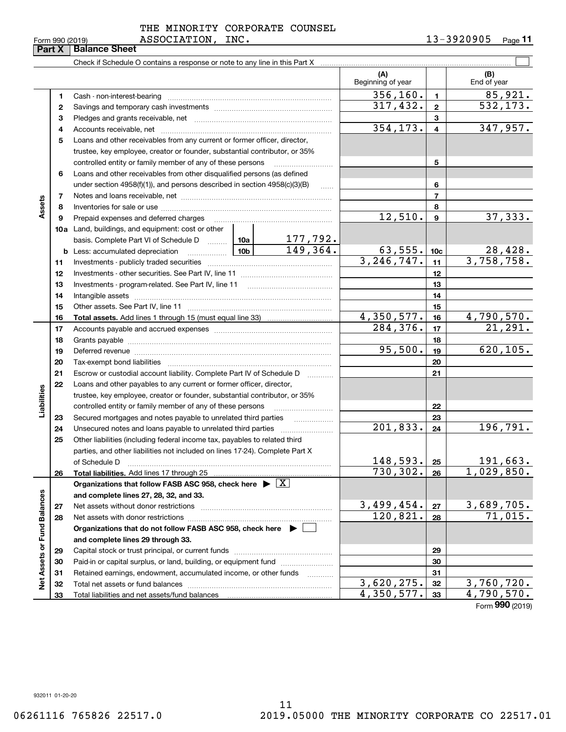| Form 990 (2019) |  |  |  |
|-----------------|--|--|--|
|-----------------|--|--|--|

|                             | Form 990 (2019) | ASSOCIATION,<br><b>Balance Sheet</b>                                                                                                                                                                                          | TMC.                       |                             |                          |                | 13-3940905<br>Page II   |
|-----------------------------|-----------------|-------------------------------------------------------------------------------------------------------------------------------------------------------------------------------------------------------------------------------|----------------------------|-----------------------------|--------------------------|----------------|-------------------------|
|                             | Part X          |                                                                                                                                                                                                                               |                            |                             |                          |                |                         |
|                             |                 |                                                                                                                                                                                                                               |                            |                             | (A)<br>Beginning of year |                | (B)<br>End of year      |
|                             | 1               |                                                                                                                                                                                                                               |                            |                             | 356, 160.                | $\mathbf{1}$   | 85,921.                 |
|                             | 2               |                                                                                                                                                                                                                               |                            |                             | 317,432.                 | $\mathbf{2}$   | $\overline{532}$ , 173. |
|                             | 3               |                                                                                                                                                                                                                               |                            | 3                           |                          |                |                         |
|                             | 4               |                                                                                                                                                                                                                               |                            |                             | 354, 173.                | $\overline{4}$ | 347,957.                |
|                             | 5               | Loans and other receivables from any current or former officer, director,                                                                                                                                                     |                            |                             |                          |                |                         |
|                             |                 | trustee, key employee, creator or founder, substantial contributor, or 35%                                                                                                                                                    |                            |                             |                          |                |                         |
|                             |                 | controlled entity or family member of any of these persons                                                                                                                                                                    |                            |                             |                          | 5              |                         |
|                             | 6               | Loans and other receivables from other disqualified persons (as defined                                                                                                                                                       |                            |                             |                          |                |                         |
|                             |                 | under section $4958(f)(1)$ , and persons described in section $4958(c)(3)(B)$                                                                                                                                                 |                            | $\sim$                      |                          | 6              |                         |
|                             | 7               |                                                                                                                                                                                                                               |                            |                             |                          | $\overline{7}$ |                         |
| Assets                      | 8               |                                                                                                                                                                                                                               |                            |                             |                          | 8              |                         |
|                             | 9               | Prepaid expenses and deferred charges [11] [11] Prepaid expenses and deferred charges [11] [11] Martin Martin Martin Martin Martin Martin Martin Martin Martin Martin Martin Martin Martin Martin Martin Martin Martin Martin |                            |                             | 12,510.                  | 9              | 37,333.                 |
|                             |                 | 10a Land, buildings, and equipment: cost or other                                                                                                                                                                             |                            |                             |                          |                |                         |
|                             |                 | basis. Complete Part VI of Schedule D  10a                                                                                                                                                                                    |                            |                             |                          |                |                         |
|                             |                 |                                                                                                                                                                                                                               |                            | $\frac{177,792.}{149,364.}$ | 63,555.                  | 10c            | 28,428.                 |
|                             | 11              |                                                                                                                                                                                                                               |                            |                             | 3, 246, 747.             | 11             | 3,758,758.              |
|                             | 12              |                                                                                                                                                                                                                               |                            |                             | 12                       |                |                         |
|                             | 13              |                                                                                                                                                                                                                               |                            |                             | 13                       |                |                         |
|                             | 14              |                                                                                                                                                                                                                               |                            |                             | 14                       |                |                         |
|                             | 15              |                                                                                                                                                                                                                               |                            |                             | 15                       |                |                         |
|                             | 16              |                                                                                                                                                                                                                               |                            | $\overline{4}$ , 350, 577.  | 16                       | 4,790,570.     |                         |
|                             | 17              |                                                                                                                                                                                                                               |                            | 284,376.                    | 17                       | 21, 291.       |                         |
|                             | 18              |                                                                                                                                                                                                                               |                            |                             |                          | 18             |                         |
|                             | 19              | Deferred revenue manufacture contracts and contracts are contracted revenue of the contract of the contract of                                                                                                                |                            |                             | 95,500.                  | 19             | 620, 105.               |
|                             | 20              |                                                                                                                                                                                                                               |                            |                             |                          | 20             |                         |
|                             | 21              | Escrow or custodial account liability. Complete Part IV of Schedule D                                                                                                                                                         |                            |                             |                          | 21             |                         |
|                             | 22              | Loans and other payables to any current or former officer, director,                                                                                                                                                          |                            |                             |                          |                |                         |
|                             |                 | trustee, key employee, creator or founder, substantial contributor, or 35%                                                                                                                                                    |                            |                             |                          |                |                         |
| Liabilities                 |                 | controlled entity or family member of any of these persons                                                                                                                                                                    |                            |                             |                          | 22             |                         |
|                             | 23              | Secured mortgages and notes payable to unrelated third parties                                                                                                                                                                |                            |                             |                          | 23             |                         |
|                             | 24              |                                                                                                                                                                                                                               |                            |                             | 201,833.                 | 24             | 196,791.                |
|                             | 25              | Other liabilities (including federal income tax, payables to related third                                                                                                                                                    |                            |                             |                          |                |                         |
|                             |                 | parties, and other liabilities not included on lines 17-24). Complete Part X                                                                                                                                                  |                            |                             |                          |                |                         |
|                             |                 | of Schedule D                                                                                                                                                                                                                 |                            |                             | 148,593.                 | 25             | 191,663.                |
|                             | 26              | <b>Total liabilities.</b> Add lines 17 through 25                                                                                                                                                                             |                            |                             | $\overline{730}$ , 302.  | 26             | 1,029,850.              |
|                             |                 | Organizations that follow FASB ASC 958, check here $\blacktriangleright \lfloor X \rfloor$                                                                                                                                    |                            |                             |                          |                |                         |
|                             |                 | and complete lines 27, 28, 32, and 33.                                                                                                                                                                                        |                            |                             |                          |                |                         |
|                             | 27              | Net assets without donor restrictions                                                                                                                                                                                         |                            |                             | 3,499,454.               | 27             | 3,689,705.              |
|                             | 28              |                                                                                                                                                                                                                               |                            |                             | 120,821.                 | 28             | 71,015.                 |
|                             |                 | Organizations that do not follow FASB ASC 958, check here $\triangleright$                                                                                                                                                    |                            |                             |                          |                |                         |
|                             |                 | and complete lines 29 through 33.                                                                                                                                                                                             |                            |                             |                          |                |                         |
|                             | 29              |                                                                                                                                                                                                                               |                            |                             |                          | 29             |                         |
|                             | 30              |                                                                                                                                                                                                                               |                            |                             |                          | 30             |                         |
| Net Assets or Fund Balances | 31              | Retained earnings, endowment, accumulated income, or other funds                                                                                                                                                              |                            |                             |                          | 31             |                         |
|                             | 32              |                                                                                                                                                                                                                               |                            |                             | 3,620,275.               | 32             | 3,760,720.              |
|                             | 33              | Total liabilities and net assets/fund balances                                                                                                                                                                                | $\overline{4}$ , 350, 577. | 33                          | 4,790,570.               |                |                         |

Form (2019) **990**

932011 01-20-20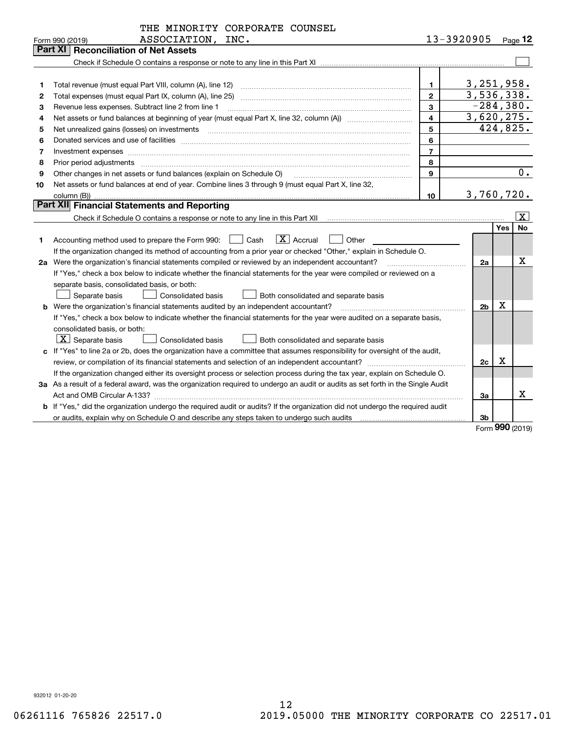|    | THE MINORITY CORPORATE COUNSEL                                                                                                                                                                                                                                                                                                                                                                                                                                          |                         |                |                   |                         |
|----|-------------------------------------------------------------------------------------------------------------------------------------------------------------------------------------------------------------------------------------------------------------------------------------------------------------------------------------------------------------------------------------------------------------------------------------------------------------------------|-------------------------|----------------|-------------------|-------------------------|
|    | ASSOCIATION, INC.<br>Form 990 (2019)                                                                                                                                                                                                                                                                                                                                                                                                                                    |                         | 13-3920905     |                   | Page 12                 |
|    | Part XI<br><b>Reconciliation of Net Assets</b>                                                                                                                                                                                                                                                                                                                                                                                                                          |                         |                |                   |                         |
|    |                                                                                                                                                                                                                                                                                                                                                                                                                                                                         |                         |                |                   |                         |
|    |                                                                                                                                                                                                                                                                                                                                                                                                                                                                         |                         |                |                   |                         |
| 1  | Total revenue (must equal Part VIII, column (A), line 12)                                                                                                                                                                                                                                                                                                                                                                                                               | $\mathbf{1}$            | 3, 251, 958.   |                   |                         |
| 2  |                                                                                                                                                                                                                                                                                                                                                                                                                                                                         | $\overline{2}$          | 3,536,338.     |                   |                         |
| 3  | Revenue less expenses. Subtract line 2 from line 1                                                                                                                                                                                                                                                                                                                                                                                                                      | 3                       | $-284,380.$    |                   |                         |
| 4  |                                                                                                                                                                                                                                                                                                                                                                                                                                                                         | $\overline{\mathbf{4}}$ | 3,620,275.     |                   |                         |
| 5  |                                                                                                                                                                                                                                                                                                                                                                                                                                                                         | 5                       |                |                   | 424,825.                |
| 6  |                                                                                                                                                                                                                                                                                                                                                                                                                                                                         | 6                       |                |                   |                         |
| 7  | Investment expenses www.communication.com/www.communication.com/www.communication.com/www.com                                                                                                                                                                                                                                                                                                                                                                           | $\overline{7}$          |                |                   |                         |
| 8  | Prior period adjustments<br>$\begin{minipage}{0.5\textwidth} \begin{tabular}{ l l l } \hline \multicolumn{1}{ l l l } \hline \multicolumn{1}{ l l } \multicolumn{1}{ l } \multicolumn{1}{ l } \multicolumn{1}{ l } \multicolumn{1}{ l } \multicolumn{1}{ l } \multicolumn{1}{ l } \multicolumn{1}{ l } \multicolumn{1}{ l } \multicolumn{1}{ l } \multicolumn{1}{ l } \multicolumn{1}{ l } \multicolumn{1}{ l } \multicolumn{1}{ l } \multicolumn{1}{ l } \multicolumn$ | 8                       |                |                   |                         |
| 9  | Other changes in net assets or fund balances (explain on Schedule O)                                                                                                                                                                                                                                                                                                                                                                                                    | 9                       |                |                   | 0.                      |
| 10 | Net assets or fund balances at end of year. Combine lines 3 through 9 (must equal Part X, line 32,                                                                                                                                                                                                                                                                                                                                                                      |                         |                |                   |                         |
|    | column (B))                                                                                                                                                                                                                                                                                                                                                                                                                                                             | 10                      | 3,760,720.     |                   |                         |
|    | Part XII Financial Statements and Reporting                                                                                                                                                                                                                                                                                                                                                                                                                             |                         |                |                   |                         |
|    |                                                                                                                                                                                                                                                                                                                                                                                                                                                                         |                         |                |                   | $\overline{\mathbf{x}}$ |
|    |                                                                                                                                                                                                                                                                                                                                                                                                                                                                         |                         |                | <b>Yes</b>        | <b>No</b>               |
| 1  | $ X $ Accrual<br>Accounting method used to prepare the Form 990: <u>[16</u> ] Cash<br>Other                                                                                                                                                                                                                                                                                                                                                                             |                         |                |                   |                         |
|    | If the organization changed its method of accounting from a prior year or checked "Other," explain in Schedule O.                                                                                                                                                                                                                                                                                                                                                       |                         |                |                   |                         |
|    | 2a Were the organization's financial statements compiled or reviewed by an independent accountant?                                                                                                                                                                                                                                                                                                                                                                      |                         | 2a             |                   | х                       |
|    | If "Yes," check a box below to indicate whether the financial statements for the year were compiled or reviewed on a                                                                                                                                                                                                                                                                                                                                                    |                         |                |                   |                         |
|    | separate basis, consolidated basis, or both:                                                                                                                                                                                                                                                                                                                                                                                                                            |                         |                |                   |                         |
|    | Consolidated basis<br>Separate basis<br>Both consolidated and separate basis                                                                                                                                                                                                                                                                                                                                                                                            |                         |                |                   |                         |
|    | b Were the organization's financial statements audited by an independent accountant?                                                                                                                                                                                                                                                                                                                                                                                    |                         | 2 <sub>b</sub> | x                 |                         |
|    | If "Yes," check a box below to indicate whether the financial statements for the year were audited on a separate basis,                                                                                                                                                                                                                                                                                                                                                 |                         |                |                   |                         |
|    | consolidated basis, or both:                                                                                                                                                                                                                                                                                                                                                                                                                                            |                         |                |                   |                         |
|    | $\lfloor x \rfloor$ Separate basis<br>Consolidated basis<br>Both consolidated and separate basis                                                                                                                                                                                                                                                                                                                                                                        |                         |                |                   |                         |
|    | c If "Yes" to line 2a or 2b, does the organization have a committee that assumes responsibility for oversight of the audit,                                                                                                                                                                                                                                                                                                                                             |                         |                | x                 |                         |
|    |                                                                                                                                                                                                                                                                                                                                                                                                                                                                         |                         | 2c             |                   |                         |
|    | If the organization changed either its oversight process or selection process during the tax year, explain on Schedule O.                                                                                                                                                                                                                                                                                                                                               |                         |                |                   |                         |
|    | 3a As a result of a federal award, was the organization required to undergo an audit or audits as set forth in the Single Audit                                                                                                                                                                                                                                                                                                                                         |                         |                |                   | x                       |
|    |                                                                                                                                                                                                                                                                                                                                                                                                                                                                         |                         | За             |                   |                         |
|    | b If "Yes," did the organization undergo the required audit or audits? If the organization did not undergo the required audit                                                                                                                                                                                                                                                                                                                                           |                         | 3b             |                   |                         |
|    |                                                                                                                                                                                                                                                                                                                                                                                                                                                                         |                         |                | $\Omega$ $\Omega$ |                         |

Form (2019) **990**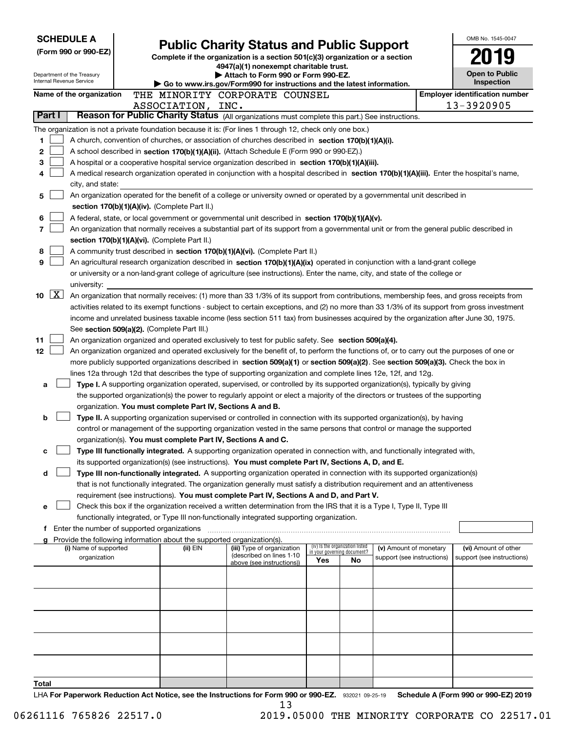| <b>SCHEDULE A</b>                                      |                                                                                                                                                                                                                                                      |                                                                                                                         |                                                               |                                  | OMB No. 1545-0047                     |
|--------------------------------------------------------|------------------------------------------------------------------------------------------------------------------------------------------------------------------------------------------------------------------------------------------------------|-------------------------------------------------------------------------------------------------------------------------|---------------------------------------------------------------|----------------------------------|---------------------------------------|
| (Form 990 or 990-EZ)                                   |                                                                                                                                                                                                                                                      | <b>Public Charity Status and Public Support</b>                                                                         |                                                               |                                  |                                       |
|                                                        |                                                                                                                                                                                                                                                      | Complete if the organization is a section 501(c)(3) organization or a section<br>4947(a)(1) nonexempt charitable trust. |                                                               |                                  |                                       |
| Department of the Treasury<br>Internal Revenue Service |                                                                                                                                                                                                                                                      | Attach to Form 990 or Form 990-EZ.                                                                                      |                                                               |                                  | <b>Open to Public</b><br>Inspection   |
| Name of the organization                               | THE MINORITY CORPORATE COUNSEL                                                                                                                                                                                                                       | Go to www.irs.gov/Form990 for instructions and the latest information.                                                  |                                                               |                                  | <b>Employer identification number</b> |
|                                                        | ASSOCIATION, INC.                                                                                                                                                                                                                                    |                                                                                                                         |                                                               |                                  | 13-3920905                            |
| Part I                                                 | Reason for Public Charity Status (All organizations must complete this part.) See instructions.                                                                                                                                                      |                                                                                                                         |                                                               |                                  |                                       |
|                                                        | The organization is not a private foundation because it is: (For lines 1 through 12, check only one box.)                                                                                                                                            |                                                                                                                         |                                                               |                                  |                                       |
| 1                                                      | A church, convention of churches, or association of churches described in section 170(b)(1)(A)(i).                                                                                                                                                   |                                                                                                                         |                                                               |                                  |                                       |
| 2                                                      | A school described in section 170(b)(1)(A)(ii). (Attach Schedule E (Form 990 or 990-EZ).)                                                                                                                                                            |                                                                                                                         |                                                               |                                  |                                       |
| 3                                                      | A hospital or a cooperative hospital service organization described in section 170(b)(1)(A)(iii).                                                                                                                                                    |                                                                                                                         |                                                               |                                  |                                       |
| 4                                                      | A medical research organization operated in conjunction with a hospital described in section 170(b)(1)(A)(iii). Enter the hospital's name,                                                                                                           |                                                                                                                         |                                                               |                                  |                                       |
| city, and state:                                       |                                                                                                                                                                                                                                                      |                                                                                                                         |                                                               |                                  |                                       |
| 5                                                      | An organization operated for the benefit of a college or university owned or operated by a governmental unit described in                                                                                                                            |                                                                                                                         |                                                               |                                  |                                       |
|                                                        | section 170(b)(1)(A)(iv). (Complete Part II.)                                                                                                                                                                                                        |                                                                                                                         |                                                               |                                  |                                       |
| 6<br>7                                                 | A federal, state, or local government or governmental unit described in section 170(b)(1)(A)(v).<br>An organization that normally receives a substantial part of its support from a governmental unit or from the general public described in        |                                                                                                                         |                                                               |                                  |                                       |
|                                                        | section 170(b)(1)(A)(vi). (Complete Part II.)                                                                                                                                                                                                        |                                                                                                                         |                                                               |                                  |                                       |
| 8                                                      | A community trust described in section 170(b)(1)(A)(vi). (Complete Part II.)                                                                                                                                                                         |                                                                                                                         |                                                               |                                  |                                       |
| 9                                                      | An agricultural research organization described in section 170(b)(1)(A)(ix) operated in conjunction with a land-grant college                                                                                                                        |                                                                                                                         |                                                               |                                  |                                       |
|                                                        | or university or a non-land-grant college of agriculture (see instructions). Enter the name, city, and state of the college or                                                                                                                       |                                                                                                                         |                                                               |                                  |                                       |
| university:                                            |                                                                                                                                                                                                                                                      |                                                                                                                         |                                                               |                                  |                                       |
| X <br>10                                               | An organization that normally receives: (1) more than 33 1/3% of its support from contributions, membership fees, and gross receipts from                                                                                                            |                                                                                                                         |                                                               |                                  |                                       |
|                                                        | activities related to its exempt functions - subject to certain exceptions, and (2) no more than 33 1/3% of its support from gross investment                                                                                                        |                                                                                                                         |                                                               |                                  |                                       |
|                                                        | income and unrelated business taxable income (less section 511 tax) from businesses acquired by the organization after June 30, 1975.                                                                                                                |                                                                                                                         |                                                               |                                  |                                       |
|                                                        | See section 509(a)(2). (Complete Part III.)                                                                                                                                                                                                          |                                                                                                                         |                                                               |                                  |                                       |
| 11                                                     | An organization organized and operated exclusively to test for public safety. See section 509(a)(4).                                                                                                                                                 |                                                                                                                         |                                                               |                                  |                                       |
| 12                                                     | An organization organized and operated exclusively for the benefit of, to perform the functions of, or to carry out the purposes of one or                                                                                                           |                                                                                                                         |                                                               |                                  |                                       |
|                                                        | more publicly supported organizations described in section 509(a)(1) or section 509(a)(2). See section 509(a)(3). Check the box in<br>lines 12a through 12d that describes the type of supporting organization and complete lines 12e, 12f, and 12g. |                                                                                                                         |                                                               |                                  |                                       |
| a                                                      | Type I. A supporting organization operated, supervised, or controlled by its supported organization(s), typically by giving                                                                                                                          |                                                                                                                         |                                                               |                                  |                                       |
|                                                        | the supported organization(s) the power to regularly appoint or elect a majority of the directors or trustees of the supporting                                                                                                                      |                                                                                                                         |                                                               |                                  |                                       |
|                                                        | organization. You must complete Part IV, Sections A and B.                                                                                                                                                                                           |                                                                                                                         |                                                               |                                  |                                       |
| b                                                      | Type II. A supporting organization supervised or controlled in connection with its supported organization(s), by having                                                                                                                              |                                                                                                                         |                                                               |                                  |                                       |
|                                                        | control or management of the supporting organization vested in the same persons that control or manage the supported                                                                                                                                 |                                                                                                                         |                                                               |                                  |                                       |
|                                                        | organization(s). You must complete Part IV, Sections A and C.                                                                                                                                                                                        |                                                                                                                         |                                                               |                                  |                                       |
| с                                                      | Type III functionally integrated. A supporting organization operated in connection with, and functionally integrated with,                                                                                                                           |                                                                                                                         |                                                               |                                  |                                       |
|                                                        | its supported organization(s) (see instructions). You must complete Part IV, Sections A, D, and E.                                                                                                                                                   |                                                                                                                         |                                                               |                                  |                                       |
| d                                                      | Type III non-functionally integrated. A supporting organization operated in connection with its supported organization(s)                                                                                                                            |                                                                                                                         |                                                               |                                  |                                       |
|                                                        | that is not functionally integrated. The organization generally must satisfy a distribution requirement and an attentiveness<br>requirement (see instructions). You must complete Part IV, Sections A and D, and Part V.                             |                                                                                                                         |                                                               |                                  |                                       |
| е                                                      | Check this box if the organization received a written determination from the IRS that it is a Type I, Type II, Type III                                                                                                                              |                                                                                                                         |                                                               |                                  |                                       |
|                                                        | functionally integrated, or Type III non-functionally integrated supporting organization.                                                                                                                                                            |                                                                                                                         |                                                               |                                  |                                       |
|                                                        | Enter the number of supported organizations                                                                                                                                                                                                          |                                                                                                                         |                                                               |                                  |                                       |
|                                                        | Provide the following information about the supported organization(s).                                                                                                                                                                               |                                                                                                                         |                                                               |                                  |                                       |
| (i) Name of supported                                  | (ii) EIN                                                                                                                                                                                                                                             | (iii) Type of organization<br>(described on lines 1-10                                                                  | (iv) Is the organization listed<br>n your governing document? | (v) Amount of monetary           | (vi) Amount of other                  |
| organization                                           |                                                                                                                                                                                                                                                      | above (see instructions))                                                                                               | Yes                                                           | support (see instructions)<br>No | support (see instructions)            |
|                                                        |                                                                                                                                                                                                                                                      |                                                                                                                         |                                                               |                                  |                                       |
|                                                        |                                                                                                                                                                                                                                                      |                                                                                                                         |                                                               |                                  |                                       |
|                                                        |                                                                                                                                                                                                                                                      |                                                                                                                         |                                                               |                                  |                                       |
|                                                        |                                                                                                                                                                                                                                                      |                                                                                                                         |                                                               |                                  |                                       |
|                                                        |                                                                                                                                                                                                                                                      |                                                                                                                         |                                                               |                                  |                                       |
|                                                        |                                                                                                                                                                                                                                                      |                                                                                                                         |                                                               |                                  |                                       |
|                                                        |                                                                                                                                                                                                                                                      |                                                                                                                         |                                                               |                                  |                                       |
|                                                        |                                                                                                                                                                                                                                                      |                                                                                                                         |                                                               |                                  |                                       |
|                                                        |                                                                                                                                                                                                                                                      |                                                                                                                         |                                                               |                                  |                                       |
| Total                                                  |                                                                                                                                                                                                                                                      |                                                                                                                         |                                                               |                                  |                                       |
|                                                        | LHA For Paperwork Reduction Act Notice, see the Instructions for Form 990 or 990-EZ. 932021 09-25-19                                                                                                                                                 |                                                                                                                         |                                                               |                                  | Schedule A (Form 990 or 990-EZ) 2019  |

or 990-EZ. 932021 09-25-19 Schedule A (Form 990 or 990-EZ) 2019 13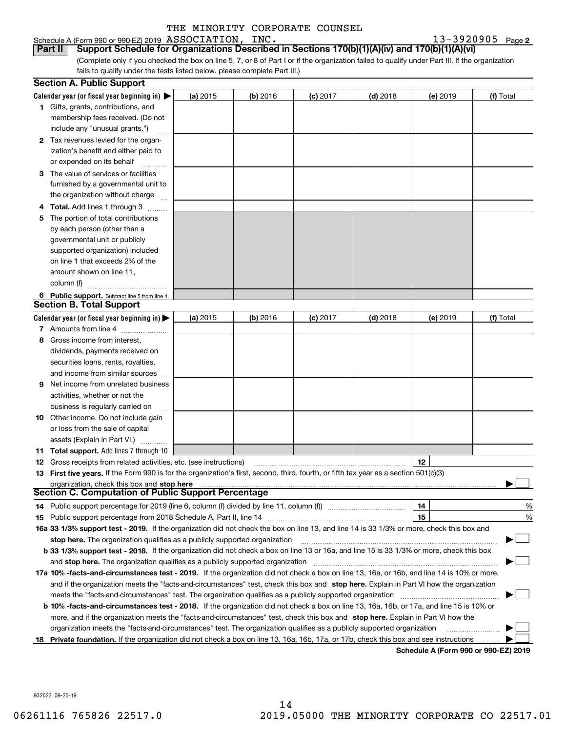### Schedule A (Form 990 or 990-EZ) 2019  $\, {\rm ASSOCIATION}$  ,  $\, {\rm INC}$  ,  $\,$

**Part II Support Schedule for Organizations Described in Sections 170(b)(1)(A)(iv) and 170(b)(1)(A)(vi)**

(Complete only if you checked the box on line 5, 7, or 8 of Part I or if the organization failed to qualify under Part III. If the organization fails to qualify under the tests listed below, please complete Part III.)

|    | <b>Section A. Public Support</b>                                                                                                               |          |            |            |            |                                      |           |
|----|------------------------------------------------------------------------------------------------------------------------------------------------|----------|------------|------------|------------|--------------------------------------|-----------|
|    | Calendar year (or fiscal year beginning in) $\blacktriangleright$                                                                              | (a) 2015 | $(b)$ 2016 | $(c)$ 2017 | $(d)$ 2018 | (e) 2019                             | (f) Total |
|    | 1 Gifts, grants, contributions, and                                                                                                            |          |            |            |            |                                      |           |
|    | membership fees received. (Do not                                                                                                              |          |            |            |            |                                      |           |
|    | include any "unusual grants.")                                                                                                                 |          |            |            |            |                                      |           |
|    | 2 Tax revenues levied for the organ-                                                                                                           |          |            |            |            |                                      |           |
|    | ization's benefit and either paid to                                                                                                           |          |            |            |            |                                      |           |
|    | or expended on its behalf                                                                                                                      |          |            |            |            |                                      |           |
|    | 3 The value of services or facilities                                                                                                          |          |            |            |            |                                      |           |
|    | furnished by a governmental unit to                                                                                                            |          |            |            |            |                                      |           |
|    | the organization without charge                                                                                                                |          |            |            |            |                                      |           |
|    | 4 Total. Add lines 1 through 3                                                                                                                 |          |            |            |            |                                      |           |
| 5. | The portion of total contributions                                                                                                             |          |            |            |            |                                      |           |
|    | by each person (other than a                                                                                                                   |          |            |            |            |                                      |           |
|    | governmental unit or publicly                                                                                                                  |          |            |            |            |                                      |           |
|    | supported organization) included                                                                                                               |          |            |            |            |                                      |           |
|    | on line 1 that exceeds 2% of the                                                                                                               |          |            |            |            |                                      |           |
|    | amount shown on line 11,                                                                                                                       |          |            |            |            |                                      |           |
|    | column (f)                                                                                                                                     |          |            |            |            |                                      |           |
|    | 6 Public support. Subtract line 5 from line 4.                                                                                                 |          |            |            |            |                                      |           |
|    | <b>Section B. Total Support</b>                                                                                                                |          |            |            |            |                                      |           |
|    | Calendar year (or fiscal year beginning in)                                                                                                    | (a) 2015 | $(b)$ 2016 | $(c)$ 2017 | $(d)$ 2018 | $(e)$ 2019                           | (f) Total |
|    | 7 Amounts from line 4                                                                                                                          |          |            |            |            |                                      |           |
| 8  | Gross income from interest,                                                                                                                    |          |            |            |            |                                      |           |
|    | dividends, payments received on                                                                                                                |          |            |            |            |                                      |           |
|    | securities loans, rents, royalties,                                                                                                            |          |            |            |            |                                      |           |
|    | and income from similar sources                                                                                                                |          |            |            |            |                                      |           |
|    | <b>9</b> Net income from unrelated business                                                                                                    |          |            |            |            |                                      |           |
|    | activities, whether or not the                                                                                                                 |          |            |            |            |                                      |           |
|    | business is regularly carried on                                                                                                               |          |            |            |            |                                      |           |
|    | <b>10</b> Other income. Do not include gain                                                                                                    |          |            |            |            |                                      |           |
|    | or loss from the sale of capital                                                                                                               |          |            |            |            |                                      |           |
|    | assets (Explain in Part VI.)                                                                                                                   |          |            |            |            |                                      |           |
|    | <b>11 Total support.</b> Add lines 7 through 10                                                                                                |          |            |            |            |                                      |           |
|    | <b>12</b> Gross receipts from related activities, etc. (see instructions)                                                                      |          |            |            |            | 12                                   |           |
|    | 13 First five years. If the Form 990 is for the organization's first, second, third, fourth, or fifth tax year as a section 501(c)(3)          |          |            |            |            |                                      |           |
|    | organization, check this box and stop here                                                                                                     |          |            |            |            |                                      |           |
|    | <b>Section C. Computation of Public Support Percentage</b>                                                                                     |          |            |            |            |                                      |           |
|    | 14 Public support percentage for 2019 (line 6, column (f) divided by line 11, column (f) <i>marrourcommum</i>                                  |          |            |            |            | 14                                   | %         |
|    |                                                                                                                                                |          |            |            |            | 15                                   | %         |
|    | 16a 33 1/3% support test - 2019. If the organization did not check the box on line 13, and line 14 is 33 1/3% or more, check this box and      |          |            |            |            |                                      |           |
|    | stop here. The organization qualifies as a publicly supported organization                                                                     |          |            |            |            |                                      |           |
|    | b 33 1/3% support test - 2018. If the organization did not check a box on line 13 or 16a, and line 15 is 33 1/3% or more, check this box       |          |            |            |            |                                      |           |
|    | and stop here. The organization qualifies as a publicly supported organization                                                                 |          |            |            |            |                                      |           |
|    | 17a 10% -facts-and-circumstances test - 2019. If the organization did not check a box on line 13, 16a, or 16b, and line 14 is 10% or more,     |          |            |            |            |                                      |           |
|    | and if the organization meets the "facts-and-circumstances" test, check this box and stop here. Explain in Part VI how the organization        |          |            |            |            |                                      |           |
|    | meets the "facts-and-circumstances" test. The organization qualifies as a publicly supported organization                                      |          |            |            |            |                                      |           |
|    | <b>b 10% -facts-and-circumstances test - 2018.</b> If the organization did not check a box on line 13, 16a, 16b, or 17a, and line 15 is 10% or |          |            |            |            |                                      |           |
|    | more, and if the organization meets the "facts-and-circumstances" test, check this box and stop here. Explain in Part VI how the               |          |            |            |            |                                      |           |
|    | organization meets the "facts-and-circumstances" test. The organization qualifies as a publicly supported organization                         |          |            |            |            |                                      |           |
|    | 18 Private foundation. If the organization did not check a box on line 13, 16a, 16b, 17a, or 17b, check this box and see instructions          |          |            |            |            |                                      |           |
|    |                                                                                                                                                |          |            |            |            | Schodule A (Form 000 or 000 F7) 2010 |           |

**Schedule A (Form 990 or 990-EZ) 2019**

932022 09-25-19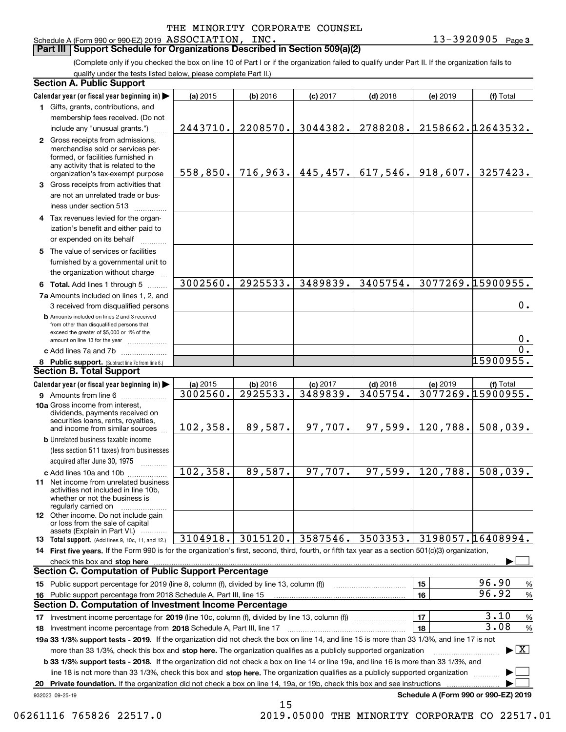### **Part III Support Schedule for Organizations Described in Section 509(a)(2)**

(Complete only if you checked the box on line 10 of Part I or if the organization failed to qualify under Part II. If the organization fails to qualify under the tests listed below, please complete Part II.)

|     | <b>Section A. Public Support</b>                                                                                                                                                                                               |           |                       |            |            |           |                                         |
|-----|--------------------------------------------------------------------------------------------------------------------------------------------------------------------------------------------------------------------------------|-----------|-----------------------|------------|------------|-----------|-----------------------------------------|
|     | Calendar year (or fiscal year beginning in)                                                                                                                                                                                    | (a) 2015  | $(b)$ 2016            | $(c)$ 2017 | $(d)$ 2018 | (e) 2019  | (f) Total                               |
|     | 1 Gifts, grants, contributions, and                                                                                                                                                                                            |           |                       |            |            |           |                                         |
|     | membership fees received. (Do not                                                                                                                                                                                              |           |                       |            |            |           |                                         |
|     | include any "unusual grants.")                                                                                                                                                                                                 | 2443710.  | 2208570.              | 3044382.   | 2788208.   |           | 2158662.12643532.                       |
|     | 2 Gross receipts from admissions,<br>merchandise sold or services per-<br>formed, or facilities furnished in<br>any activity that is related to the<br>organization's tax-exempt purpose                                       |           | $558, 850.$ 716, 963. | 445,457.   | 617,546.   | 918,607.  | 3257423.                                |
|     | 3 Gross receipts from activities that                                                                                                                                                                                          |           |                       |            |            |           |                                         |
|     | are not an unrelated trade or bus-<br>iness under section 513                                                                                                                                                                  |           |                       |            |            |           |                                         |
|     | 4 Tax revenues levied for the organ-                                                                                                                                                                                           |           |                       |            |            |           |                                         |
|     | ization's benefit and either paid to                                                                                                                                                                                           |           |                       |            |            |           |                                         |
|     | or expended on its behalf                                                                                                                                                                                                      |           |                       |            |            |           |                                         |
|     | 5 The value of services or facilities                                                                                                                                                                                          |           |                       |            |            |           |                                         |
|     | furnished by a governmental unit to                                                                                                                                                                                            |           |                       |            |            |           |                                         |
|     | the organization without charge                                                                                                                                                                                                |           |                       |            |            |           |                                         |
|     | 6 Total. Add lines 1 through 5                                                                                                                                                                                                 | 3002560.  | 2925533.              | 3489839.   | 3405754.   |           | 3077269.15900955.                       |
|     | 7a Amounts included on lines 1, 2, and                                                                                                                                                                                         |           |                       |            |            |           |                                         |
|     | 3 received from disqualified persons                                                                                                                                                                                           |           |                       |            |            |           | 0.                                      |
|     | <b>b</b> Amounts included on lines 2 and 3 received                                                                                                                                                                            |           |                       |            |            |           |                                         |
|     | from other than disqualified persons that<br>exceed the greater of \$5,000 or 1% of the<br>amount on line 13 for the year                                                                                                      |           |                       |            |            |           | 0.                                      |
|     | c Add lines 7a and 7b                                                                                                                                                                                                          |           |                       |            |            |           | 0.                                      |
|     | 8 Public support. (Subtract line 7c from line 6.)                                                                                                                                                                              |           |                       |            |            |           | 15900955.                               |
|     | <b>Section B. Total Support</b>                                                                                                                                                                                                |           |                       |            |            |           |                                         |
|     | Calendar year (or fiscal year beginning in)                                                                                                                                                                                    | (a) 2015  | (b) 2016              | $(c)$ 2017 | $(d)$ 2018 | (e) 2019  | (f) Total                               |
|     | <b>9</b> Amounts from line 6                                                                                                                                                                                                   | 3002560.  | 2925533.              | 3489839.   | 3405754.   |           | 3077269.15900955.                       |
|     | 10a Gross income from interest,<br>dividends, payments received on<br>securities loans, rents, royalties,<br>and income from similar sources                                                                                   | 102, 358. | 89,587.               | 97,707.    | 97,599.    | 120,788.  | 508,039.                                |
|     | <b>b</b> Unrelated business taxable income                                                                                                                                                                                     |           |                       |            |            |           |                                         |
|     | (less section 511 taxes) from businesses                                                                                                                                                                                       |           |                       |            |            |           |                                         |
|     | acquired after June 30, 1975                                                                                                                                                                                                   |           |                       |            |            |           |                                         |
|     | c Add lines 10a and 10b                                                                                                                                                                                                        | 102, 358. | 89,587.               | 97,707.    | 97,599.    | 120, 788. | 508,039.                                |
|     | <b>11</b> Net income from unrelated business<br>activities not included in line 10b,<br>whether or not the business is<br>regularly carried on                                                                                 |           |                       |            |            |           |                                         |
|     | <b>12</b> Other income. Do not include gain<br>or loss from the sale of capital<br>assets (Explain in Part VI.)                                                                                                                |           |                       |            |            |           |                                         |
|     | 13 Total support. (Add lines 9, 10c, 11, and 12.)                                                                                                                                                                              | 3104918.  | 3015120.              | 3587546.   | 3503353.   |           | 3198057.16408994.                       |
|     | 14 First five years. If the Form 990 is for the organization's first, second, third, fourth, or fifth tax year as a section 501(c)(3) organization,                                                                            |           |                       |            |            |           |                                         |
|     | check this box and stop here with the continuum control to the control of the control of the control of the control of the control of the control of the control of the control of the control of the control of the control o |           |                       |            |            |           |                                         |
|     | <b>Section C. Computation of Public Support Percentage</b>                                                                                                                                                                     |           |                       |            |            |           |                                         |
|     | 15 Public support percentage for 2019 (line 8, column (f), divided by line 13, column (f))                                                                                                                                     |           |                       |            |            | 15        | 96.90<br>%                              |
| 16. | Public support percentage from 2018 Schedule A, Part III, line 15                                                                                                                                                              |           |                       |            |            | 16        | 96.92<br>%                              |
|     | <b>Section D. Computation of Investment Income Percentage</b>                                                                                                                                                                  |           |                       |            |            |           |                                         |
|     | 17 Investment income percentage for 2019 (line 10c, column (f), divided by line 13, column (f))                                                                                                                                |           |                       |            |            | 17        | 3.10<br>%                               |
|     | 18 Investment income percentage from 2018 Schedule A, Part III, line 17                                                                                                                                                        |           |                       |            |            | 18        | 3.08<br>$\%$                            |
|     | 19a 33 1/3% support tests - 2019. If the organization did not check the box on line 14, and line 15 is more than 33 1/3%, and line 17 is not                                                                                   |           |                       |            |            |           |                                         |
|     | more than 33 1/3%, check this box and stop here. The organization qualifies as a publicly supported organization                                                                                                               |           |                       |            |            |           | $\blacktriangleright$ $\vert$ X $\vert$ |
|     | <b>b 33 1/3% support tests - 2018.</b> If the organization did not check a box on line 14 or line 19a, and line 16 is more than 33 1/3%, and                                                                                   |           |                       |            |            |           |                                         |
|     | line 18 is not more than 33 1/3%, check this box and stop here. The organization qualifies as a publicly supported organization                                                                                                |           |                       |            |            |           |                                         |
| 20  | Private foundation. If the organization did not check a box on line 14, 19a, or 19b, check this box and see instructions                                                                                                       |           |                       |            |            |           |                                         |
|     | 932023 09-25-19                                                                                                                                                                                                                |           |                       |            |            |           | Schedule A (Form 990 or 990-EZ) 2019    |

 <sup>06261116 765826 22517.0 2019.05000</sup> THE MINORITY CORPORATE CO 22517.01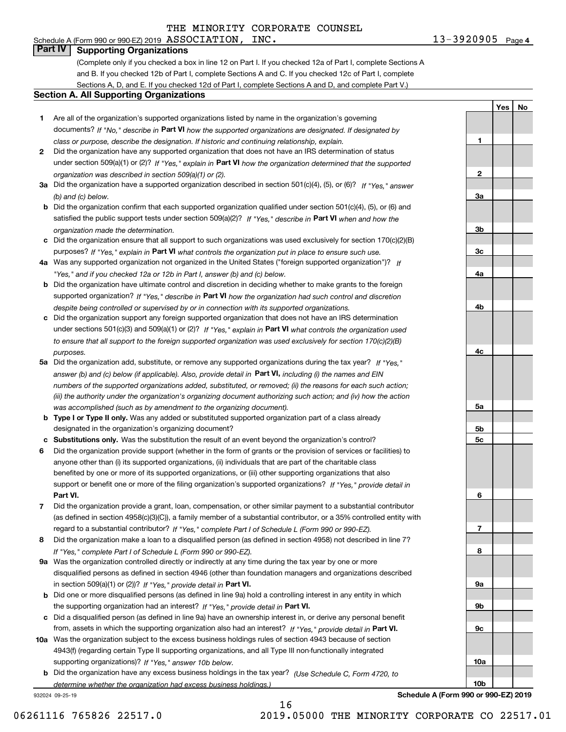### Schedule A (Form 990 or 990-EZ) 2019  $\, {\rm ASSOCIATION}$  ,  $\, {\rm INC}$  ,  $\,$ **Part IV Supporting Organizations**

(Complete only if you checked a box in line 12 on Part I. If you checked 12a of Part I, complete Sections A and B. If you checked 12b of Part I, complete Sections A and C. If you checked 12c of Part I, complete Sections A, D, and E. If you checked 12d of Part I, complete Sections A and D, and complete Part V.)

### **Section A. All Supporting Organizations**

- **1** Are all of the organization's supported organizations listed by name in the organization's governing documents? If "No," describe in **Part VI** how the supported organizations are designated. If designated by *class or purpose, describe the designation. If historic and continuing relationship, explain.*
- **2** Did the organization have any supported organization that does not have an IRS determination of status under section 509(a)(1) or (2)? If "Yes," explain in Part VI how the organization determined that the supported *organization was described in section 509(a)(1) or (2).*
- **3a** Did the organization have a supported organization described in section 501(c)(4), (5), or (6)? If "Yes," answer *(b) and (c) below.*
- **b** Did the organization confirm that each supported organization qualified under section 501(c)(4), (5), or (6) and satisfied the public support tests under section 509(a)(2)? If "Yes," describe in **Part VI** when and how the *organization made the determination.*
- **c**Did the organization ensure that all support to such organizations was used exclusively for section 170(c)(2)(B) purposes? If "Yes," explain in **Part VI** what controls the organization put in place to ensure such use.
- **4a***If* Was any supported organization not organized in the United States ("foreign supported organization")? *"Yes," and if you checked 12a or 12b in Part I, answer (b) and (c) below.*
- **b** Did the organization have ultimate control and discretion in deciding whether to make grants to the foreign supported organization? If "Yes," describe in **Part VI** how the organization had such control and discretion *despite being controlled or supervised by or in connection with its supported organizations.*
- **c** Did the organization support any foreign supported organization that does not have an IRS determination under sections 501(c)(3) and 509(a)(1) or (2)? If "Yes," explain in **Part VI** what controls the organization used *to ensure that all support to the foreign supported organization was used exclusively for section 170(c)(2)(B) purposes.*
- **5a** Did the organization add, substitute, or remove any supported organizations during the tax year? If "Yes," answer (b) and (c) below (if applicable). Also, provide detail in **Part VI,** including (i) the names and EIN *numbers of the supported organizations added, substituted, or removed; (ii) the reasons for each such action; (iii) the authority under the organization's organizing document authorizing such action; and (iv) how the action was accomplished (such as by amendment to the organizing document).*
- **b** Type I or Type II only. Was any added or substituted supported organization part of a class already designated in the organization's organizing document?
- **cSubstitutions only.**  Was the substitution the result of an event beyond the organization's control?
- **6** Did the organization provide support (whether in the form of grants or the provision of services or facilities) to **Part VI.** *If "Yes," provide detail in* support or benefit one or more of the filing organization's supported organizations? anyone other than (i) its supported organizations, (ii) individuals that are part of the charitable class benefited by one or more of its supported organizations, or (iii) other supporting organizations that also
- **7**Did the organization provide a grant, loan, compensation, or other similar payment to a substantial contributor *If "Yes," complete Part I of Schedule L (Form 990 or 990-EZ).* regard to a substantial contributor? (as defined in section 4958(c)(3)(C)), a family member of a substantial contributor, or a 35% controlled entity with
- **8** Did the organization make a loan to a disqualified person (as defined in section 4958) not described in line 7? *If "Yes," complete Part I of Schedule L (Form 990 or 990-EZ).*
- **9a** Was the organization controlled directly or indirectly at any time during the tax year by one or more in section 509(a)(1) or (2))? If "Yes," *provide detail in* <code>Part VI.</code> disqualified persons as defined in section 4946 (other than foundation managers and organizations described
- **b** Did one or more disqualified persons (as defined in line 9a) hold a controlling interest in any entity in which the supporting organization had an interest? If "Yes," provide detail in P**art VI**.
- **c**Did a disqualified person (as defined in line 9a) have an ownership interest in, or derive any personal benefit from, assets in which the supporting organization also had an interest? If "Yes," provide detail in P**art VI.**
- **10a** Was the organization subject to the excess business holdings rules of section 4943 because of section supporting organizations)? If "Yes," answer 10b below. 4943(f) (regarding certain Type II supporting organizations, and all Type III non-functionally integrated
- **b** Did the organization have any excess business holdings in the tax year? (Use Schedule C, Form 4720, to *determine whether the organization had excess business holdings.)*

16

932024 09-25-19

**3b3c4a4b4c5a 5b5c6789a 9b9c10a**

**Schedule A (Form 990 or 990-EZ) 2019**

**10b**

06261116 765826 22517.0 2019.05000 THE MINORITY CORPORATE CO 22517.01

**1**

**2**

**3a**

**YesNo**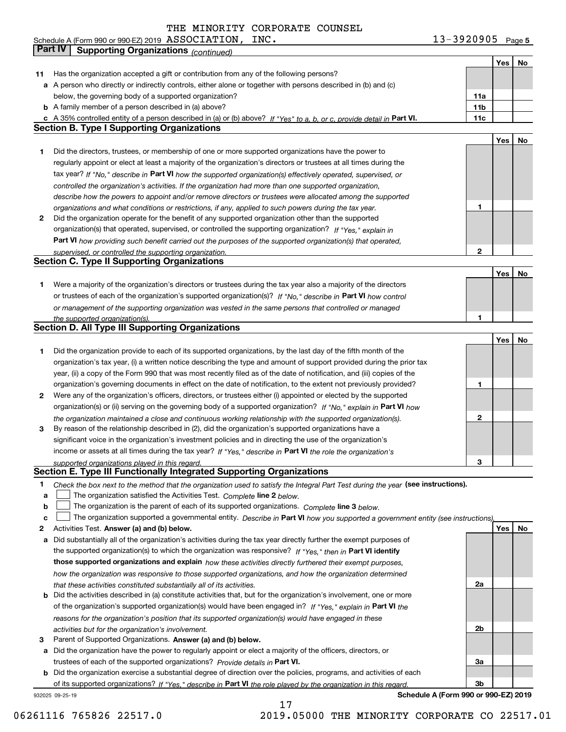**5** Schedule A (Form 990 or 990-EZ) 2019 Page ASSOCIATION, INC. 13-3920905

|              | Part IV<br><b>Supporting Organizations (continued)</b>                                                                            |              |     |    |
|--------------|-----------------------------------------------------------------------------------------------------------------------------------|--------------|-----|----|
|              |                                                                                                                                   |              | Yes | No |
| 11           | Has the organization accepted a gift or contribution from any of the following persons?                                           |              |     |    |
|              | a A person who directly or indirectly controls, either alone or together with persons described in (b) and (c)                    |              |     |    |
|              | below, the governing body of a supported organization?                                                                            | 11a          |     |    |
|              | <b>b</b> A family member of a person described in (a) above?                                                                      | 11b          |     |    |
|              | c A 35% controlled entity of a person described in (a) or (b) above? If "Yes" to a, b, or c, provide detail in Part VI.           | 11c          |     |    |
|              | <b>Section B. Type I Supporting Organizations</b>                                                                                 |              |     |    |
|              |                                                                                                                                   |              | Yes | No |
|              |                                                                                                                                   |              |     |    |
| 1            | Did the directors, trustees, or membership of one or more supported organizations have the power to                               |              |     |    |
|              | regularly appoint or elect at least a majority of the organization's directors or trustees at all times during the                |              |     |    |
|              | tax year? If "No," describe in Part VI how the supported organization(s) effectively operated, supervised, or                     |              |     |    |
|              | controlled the organization's activities. If the organization had more than one supported organization,                           |              |     |    |
|              | describe how the powers to appoint and/or remove directors or trustees were allocated among the supported                         |              |     |    |
|              | organizations and what conditions or restrictions, if any, applied to such powers during the tax year.                            | 1            |     |    |
| $\mathbf{2}$ | Did the organization operate for the benefit of any supported organization other than the supported                               |              |     |    |
|              | organization(s) that operated, supervised, or controlled the supporting organization? If "Yes," explain in                        |              |     |    |
|              | Part VI how providing such benefit carried out the purposes of the supported organization(s) that operated,                       |              |     |    |
|              | supervised, or controlled the supporting organization.                                                                            | 2            |     |    |
|              | <b>Section C. Type II Supporting Organizations</b>                                                                                |              |     |    |
|              |                                                                                                                                   |              | Yes | No |
| 1            | Were a majority of the organization's directors or trustees during the tax year also a majority of the directors                  |              |     |    |
|              | or trustees of each of the organization's supported organization(s)? If "No," describe in Part VI how control                     |              |     |    |
|              | or management of the supporting organization was vested in the same persons that controlled or managed                            |              |     |    |
|              | the supported organization(s).                                                                                                    | 1            |     |    |
|              | <b>Section D. All Type III Supporting Organizations</b>                                                                           |              |     |    |
|              |                                                                                                                                   |              | Yes | No |
| 1            | Did the organization provide to each of its supported organizations, by the last day of the fifth month of the                    |              |     |    |
|              |                                                                                                                                   |              |     |    |
|              | organization's tax year, (i) a written notice describing the type and amount of support provided during the prior tax             |              |     |    |
|              | year, (ii) a copy of the Form 990 that was most recently filed as of the date of notification, and (iii) copies of the            |              |     |    |
|              | organization's governing documents in effect on the date of notification, to the extent not previously provided?                  | 1            |     |    |
| 2            | Were any of the organization's officers, directors, or trustees either (i) appointed or elected by the supported                  |              |     |    |
|              | organization(s) or (ii) serving on the governing body of a supported organization? If "No," explain in Part VI how                |              |     |    |
|              | the organization maintained a close and continuous working relationship with the supported organization(s).                       | $\mathbf{2}$ |     |    |
| 3            | By reason of the relationship described in (2), did the organization's supported organizations have a                             |              |     |    |
|              | significant voice in the organization's investment policies and in directing the use of the organization's                        |              |     |    |
|              | income or assets at all times during the tax year? If "Yes," describe in Part VI the role the organization's                      |              |     |    |
|              | supported organizations played in this regard.                                                                                    | 3            |     |    |
|              | Section E. Type III Functionally Integrated Supporting Organizations                                                              |              |     |    |
| 1            | Check the box next to the method that the organization used to satisfy the Integral Part Test during the year (see instructions). |              |     |    |
| a            | The organization satisfied the Activities Test. Complete line 2 below.                                                            |              |     |    |
| b            | The organization is the parent of each of its supported organizations. Complete line 3 below.                                     |              |     |    |
| C            | The organization supported a governmental entity. Describe in Part VI how you supported a government entity (see instructions),   |              |     |    |
| 2            | Activities Test. Answer (a) and (b) below.                                                                                        |              | Yes | No |
| a            | Did substantially all of the organization's activities during the tax year directly further the exempt purposes of                |              |     |    |
|              | the supported organization(s) to which the organization was responsive? If "Yes," then in Part VI identify                        |              |     |    |
|              | those supported organizations and explain how these activities directly furthered their exempt purposes,                          |              |     |    |
|              |                                                                                                                                   |              |     |    |
|              | how the organization was responsive to those supported organizations, and how the organization determined                         |              |     |    |
|              | that these activities constituted substantially all of its activities.                                                            | 2a           |     |    |
| b            | Did the activities described in (a) constitute activities that, but for the organization's involvement, one or more               |              |     |    |
|              | of the organization's supported organization(s) would have been engaged in? If "Yes," explain in Part VI the                      |              |     |    |
|              | reasons for the organization's position that its supported organization(s) would have engaged in these                            |              |     |    |
|              | activities but for the organization's involvement.                                                                                | 2b           |     |    |
| з            | Parent of Supported Organizations. Answer (a) and (b) below.                                                                      |              |     |    |
| а            | Did the organization have the power to regularly appoint or elect a majority of the officers, directors, or                       |              |     |    |
|              | trustees of each of the supported organizations? Provide details in Part VI.                                                      | За           |     |    |
|              | <b>b</b> Did the organization exercise a substantial degree of direction over the policies, programs, and activities of each      |              |     |    |
|              | of its supported organizations? If "Yes," describe in Part VI the role played by the organization in this regard                  | Зb           |     |    |
|              | Schedule A (Form 990 or 990-EZ) 2019<br>932025 09-25-19                                                                           |              |     |    |

17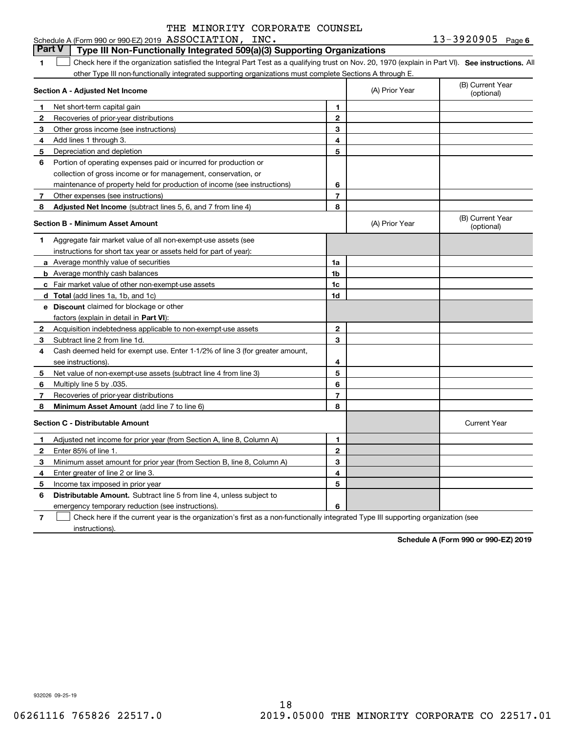#### **1SEP 10. See instructions.** All antegral Part Test as a qualifying trust on Nov. 20, 1970 (explain in Part VI). See instructions. All **Section A - Adjusted Net Income 123** Other gross income (see instructions) **456** Portion of operating expenses paid or incurred for production or **7** Other expenses (see instructions) **8** Adjusted Net Income (subtract lines 5, 6, and 7 from line 4) **8 8 1234567Section B - Minimum Asset Amount 1**Aggregate fair market value of all non-exempt-use assets (see **2**Acquisition indebtedness applicable to non-exempt-use assets **3** Subtract line 2 from line 1d. **4**Cash deemed held for exempt use. Enter 1-1/2% of line 3 (for greater amount, **5** Net value of non-exempt-use assets (subtract line 4 from line 3) **678a** Average monthly value of securities **b** Average monthly cash balances **c**Fair market value of other non-exempt-use assets **dTotal**  (add lines 1a, 1b, and 1c) **eDiscount** claimed for blockage or other **1a1b1c1d2345678**factors (explain in detail in **Part VI**): **Minimum Asset Amount**  (add line 7 to line 6) **Section C - Distributable Amount 123456123456Distributable Amount.** Subtract line 5 from line 4, unless subject to Schedule A (Form 990 or 990-EZ) 2019  $\, {\rm ASSOCIATION}$  ,  $\, {\rm INC}$  ,  $\,$ other Type III non-functionally integrated supporting organizations must complete Sections A through E. (B) Current Year (optional)(A) Prior Year Net short-term capital gain Recoveries of prior-year distributions Add lines 1 through 3. Depreciation and depletion collection of gross income or for management, conservation, or maintenance of property held for production of income (see instructions) (B) Current Year (optional)(A) Prior Year instructions for short tax year or assets held for part of year): see instructions). Multiply line 5 by .035. Recoveries of prior-year distributions Current Year Adjusted net income for prior year (from Section A, line 8, Column A) Enter 85% of line 1. Minimum asset amount for prior year (from Section B, line 8, Column A) Enter greater of line 2 or line 3. Income tax imposed in prior year emergency temporary reduction (see instructions). **Part V Type III Non-Functionally Integrated 509(a)(3) Supporting Organizations**   $\mathcal{L}^{\text{max}}$

**7**Check here if the current year is the organization's first as a non-functionally integrated Type III supporting organization (see instructions). $\mathcal{L}^{\text{max}}$ 

**Schedule A (Form 990 or 990-EZ) 2019**

932026 09-25-19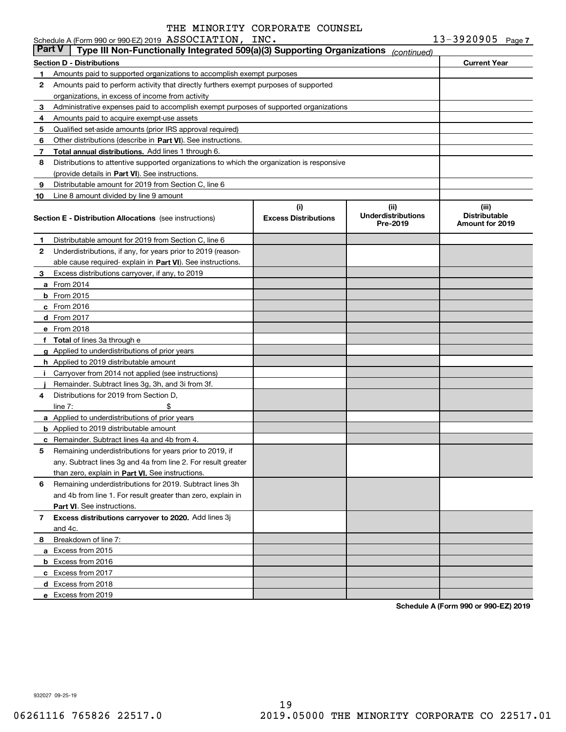### **Section D - Distributions Current Year 1** Amounts paid to supported organizations to accomplish exempt purposes **2345** Qualified set-aside amounts (prior IRS approval required) **678910**Other distributions (describe in Part VI). See instructions. **Total annual distributions.** Add lines 1 through 6. (provide details in Part VI). See instructions. **(i)Excess Distributions (ii) UnderdistributionsPre-2019(iii) Distributable Amount for 2019 Section E - Distribution Allocations**  (see instructions) **12**Underdistributions, if any, for years prior to 2019 (reason-**3**Excess distributions carryover, if any, to 2019 **4**Distributions for 2019 from Section D, **5** Remaining underdistributions for years prior to 2019, if **6** Remaining underdistributions for 2019. Subtract lines 3h **7Excess distributions carryover to 2020.**  Add lines 3j **8**Breakdown of line 7: able cause required- explain in Part VI). See instructions. **a** From 2014 **b** From 2015 **c**From 2016 **d**From 2017 **e** From 2018 **fTotal**  of lines 3a through e **g**Applied to underdistributions of prior years **h** Applied to 2019 distributable amount **ij** Remainder. Subtract lines 3g, 3h, and 3i from 3f. **a** Applied to underdistributions of prior years **b** Applied to 2019 distributable amount **c** Remainder. Subtract lines 4a and 4b from 4. than zero, explain in Part VI. See instructions. **Part VI** . See instructions. **a** Excess from 2015 **b** Excess from 2016 **c**Excess from 2017 **d**Excess from 2018 **e** Excess from 2019 Schedule A (Form 990 or 990-EZ) 2019  $\, {\rm ASSOCIATION}$  ,  $\, {\rm INC}$  ,  $\,$ Amounts paid to perform activity that directly furthers exempt purposes of supported organizations, in excess of income from activity Administrative expenses paid to accomplish exempt purposes of supported organizations Amounts paid to acquire exempt-use assets Distributions to attentive supported organizations to which the organization is responsive Distributable amount for 2019 from Section C, line 6 Line 8 amount divided by line 9 amount Distributable amount for 2019 from Section C, line 6 i Carryover from 2014 not applied (see instructions)  $line 7:$   $\frac{1}{2}$ any. Subtract lines 3g and 4a from line 2. For result greater and 4b from line 1. For result greater than zero, explain in and 4c. **Part V Type III Non-Functionally Integrated 509(a)(3) Supporting Organizations** *(continued)*

**Schedule A (Form 990 or 990-EZ) 2019**

932027 09-25-19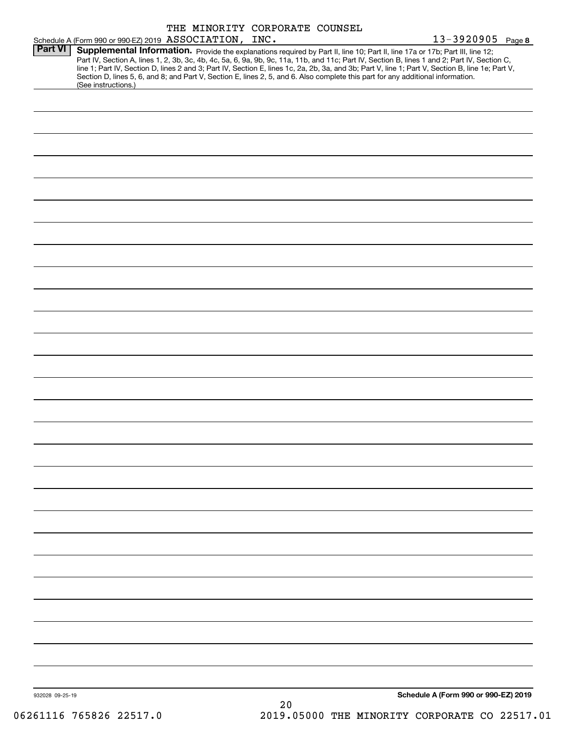|                                                        |  | THE MINORITY CORPORATE COUNSEL                                                                                                                                                                                                                                   |                                                                                                                                                                                                                                                                                                  |
|--------------------------------------------------------|--|------------------------------------------------------------------------------------------------------------------------------------------------------------------------------------------------------------------------------------------------------------------|--------------------------------------------------------------------------------------------------------------------------------------------------------------------------------------------------------------------------------------------------------------------------------------------------|
| Schedule A (Form 990 or 990-EZ) 2019 ASSOCIATION, INC. |  |                                                                                                                                                                                                                                                                  | $13 - 3920905$ Page 8                                                                                                                                                                                                                                                                            |
| Part VI<br>(See instructions.)                         |  | Supplemental Information. Provide the explanations required by Part II, line 10; Part II, line 17a or 17b; Part III, line 12;<br>Section D, lines 5, 6, and 8; and Part V, Section E, lines 2, 5, and 6. Also complete this part for any additional information. | Part IV, Section A, lines 1, 2, 3b, 3c, 4b, 4c, 5a, 6, 9a, 9b, 9c, 11a, 11b, and 11c; Part IV, Section B, lines 1 and 2; Part IV, Section C,<br>line 1; Part IV, Section D, lines 2 and 3; Part IV, Section E, lines 1c, 2a, 2b, 3a, and 3b; Part V, line 1; Part V, Section B, line 1e; Part V, |
|                                                        |  |                                                                                                                                                                                                                                                                  |                                                                                                                                                                                                                                                                                                  |
|                                                        |  |                                                                                                                                                                                                                                                                  |                                                                                                                                                                                                                                                                                                  |
|                                                        |  |                                                                                                                                                                                                                                                                  |                                                                                                                                                                                                                                                                                                  |
|                                                        |  |                                                                                                                                                                                                                                                                  |                                                                                                                                                                                                                                                                                                  |
|                                                        |  |                                                                                                                                                                                                                                                                  |                                                                                                                                                                                                                                                                                                  |
|                                                        |  |                                                                                                                                                                                                                                                                  |                                                                                                                                                                                                                                                                                                  |
|                                                        |  |                                                                                                                                                                                                                                                                  |                                                                                                                                                                                                                                                                                                  |
|                                                        |  |                                                                                                                                                                                                                                                                  |                                                                                                                                                                                                                                                                                                  |
|                                                        |  |                                                                                                                                                                                                                                                                  |                                                                                                                                                                                                                                                                                                  |
|                                                        |  |                                                                                                                                                                                                                                                                  |                                                                                                                                                                                                                                                                                                  |
|                                                        |  |                                                                                                                                                                                                                                                                  |                                                                                                                                                                                                                                                                                                  |
|                                                        |  |                                                                                                                                                                                                                                                                  |                                                                                                                                                                                                                                                                                                  |
|                                                        |  |                                                                                                                                                                                                                                                                  |                                                                                                                                                                                                                                                                                                  |
|                                                        |  |                                                                                                                                                                                                                                                                  |                                                                                                                                                                                                                                                                                                  |
|                                                        |  |                                                                                                                                                                                                                                                                  |                                                                                                                                                                                                                                                                                                  |
|                                                        |  |                                                                                                                                                                                                                                                                  |                                                                                                                                                                                                                                                                                                  |
|                                                        |  |                                                                                                                                                                                                                                                                  |                                                                                                                                                                                                                                                                                                  |
|                                                        |  |                                                                                                                                                                                                                                                                  |                                                                                                                                                                                                                                                                                                  |
|                                                        |  |                                                                                                                                                                                                                                                                  |                                                                                                                                                                                                                                                                                                  |
|                                                        |  |                                                                                                                                                                                                                                                                  |                                                                                                                                                                                                                                                                                                  |
|                                                        |  |                                                                                                                                                                                                                                                                  |                                                                                                                                                                                                                                                                                                  |
|                                                        |  |                                                                                                                                                                                                                                                                  |                                                                                                                                                                                                                                                                                                  |
|                                                        |  |                                                                                                                                                                                                                                                                  |                                                                                                                                                                                                                                                                                                  |
|                                                        |  |                                                                                                                                                                                                                                                                  |                                                                                                                                                                                                                                                                                                  |
|                                                        |  |                                                                                                                                                                                                                                                                  |                                                                                                                                                                                                                                                                                                  |
|                                                        |  |                                                                                                                                                                                                                                                                  |                                                                                                                                                                                                                                                                                                  |
|                                                        |  |                                                                                                                                                                                                                                                                  |                                                                                                                                                                                                                                                                                                  |
|                                                        |  |                                                                                                                                                                                                                                                                  |                                                                                                                                                                                                                                                                                                  |
|                                                        |  |                                                                                                                                                                                                                                                                  |                                                                                                                                                                                                                                                                                                  |
| 932028 09-25-19                                        |  | 20                                                                                                                                                                                                                                                               | Schedule A (Form 990 or 990-EZ) 2019                                                                                                                                                                                                                                                             |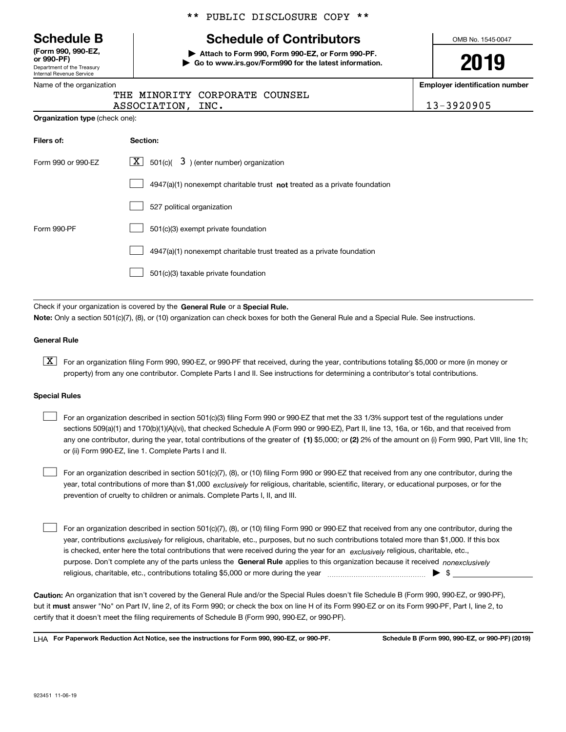Department of the Treasury Internal Revenue Service **(Form 990, 990-EZ, or 990-PF)**

### Name of the organization

**Organization type** (check one):

### \*\* PUBLIC DISCLOSURE COPY \*\*

# **Schedule B Schedule of Contributors**

**| Attach to Form 990, Form 990-EZ, or Form 990-PF. | Go to www.irs.gov/Form990 for the latest information.** OMB No. 1545-0047

# **2019**

**Employer identification number**

| $\overline{1}$ it is vigalization. |                   |                                |  |
|------------------------------------|-------------------|--------------------------------|--|
|                                    |                   | THE MINORITY CORPORATE COUNSEL |  |
|                                    | ASSOCIATION, INC. |                                |  |

13-3920905

| Filers of:         | Section:                                                                    |
|--------------------|-----------------------------------------------------------------------------|
| Form 990 or 990-EZ | $\lfloor \mathbf{X} \rfloor$ 501(c)( 3) (enter number) organization         |
|                    | $4947(a)(1)$ nonexempt charitable trust not treated as a private foundation |
|                    | 527 political organization                                                  |
| Form 990-PF        | 501(c)(3) exempt private foundation                                         |
|                    | 4947(a)(1) nonexempt charitable trust treated as a private foundation       |
|                    | 501(c)(3) taxable private foundation                                        |

Check if your organization is covered by the **General Rule** or a **Special Rule. Note:**  Only a section 501(c)(7), (8), or (10) organization can check boxes for both the General Rule and a Special Rule. See instructions.

### **General Rule**

 $\boxed{\textbf{X}}$  For an organization filing Form 990, 990-EZ, or 990-PF that received, during the year, contributions totaling \$5,000 or more (in money or property) from any one contributor. Complete Parts I and II. See instructions for determining a contributor's total contributions.

### **Special Rules**

any one contributor, during the year, total contributions of the greater of  $\,$  (1) \$5,000; or **(2)** 2% of the amount on (i) Form 990, Part VIII, line 1h; For an organization described in section 501(c)(3) filing Form 990 or 990-EZ that met the 33 1/3% support test of the regulations under sections 509(a)(1) and 170(b)(1)(A)(vi), that checked Schedule A (Form 990 or 990-EZ), Part II, line 13, 16a, or 16b, and that received from or (ii) Form 990-EZ, line 1. Complete Parts I and II.  $\mathcal{L}^{\text{max}}$ 

year, total contributions of more than \$1,000 *exclusively* for religious, charitable, scientific, literary, or educational purposes, or for the For an organization described in section 501(c)(7), (8), or (10) filing Form 990 or 990-EZ that received from any one contributor, during the prevention of cruelty to children or animals. Complete Parts I, II, and III.  $\mathcal{L}^{\text{max}}$ 

purpose. Don't complete any of the parts unless the **General Rule** applies to this organization because it received *nonexclusively* year, contributions <sub>exclusively</sub> for religious, charitable, etc., purposes, but no such contributions totaled more than \$1,000. If this box is checked, enter here the total contributions that were received during the year for an  $\;$ exclusively religious, charitable, etc., For an organization described in section 501(c)(7), (8), or (10) filing Form 990 or 990-EZ that received from any one contributor, during the religious, charitable, etc., contributions totaling \$5,000 or more during the year  $\Box$ — $\Box$   $\Box$  $\mathcal{L}^{\text{max}}$ 

**Caution:**  An organization that isn't covered by the General Rule and/or the Special Rules doesn't file Schedule B (Form 990, 990-EZ, or 990-PF),  **must** but it answer "No" on Part IV, line 2, of its Form 990; or check the box on line H of its Form 990-EZ or on its Form 990-PF, Part I, line 2, to certify that it doesn't meet the filing requirements of Schedule B (Form 990, 990-EZ, or 990-PF).

**For Paperwork Reduction Act Notice, see the instructions for Form 990, 990-EZ, or 990-PF. Schedule B (Form 990, 990-EZ, or 990-PF) (2019)** LHA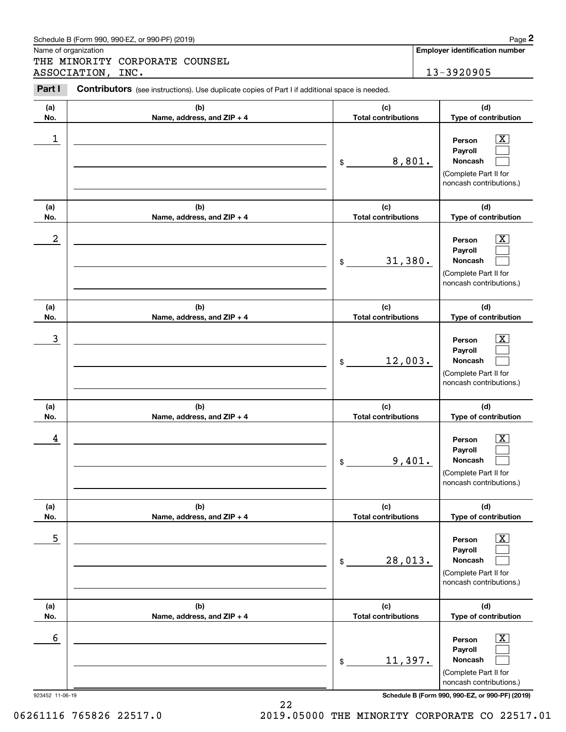|                      | Schedule B (Form 990, 990-EZ, or 990-PF) (2019)                                                |                                   | Page 2                                                                                                 |
|----------------------|------------------------------------------------------------------------------------------------|-----------------------------------|--------------------------------------------------------------------------------------------------------|
| Name of organization | THE MINORITY CORPORATE COUNSEL                                                                 |                                   | <b>Employer identification number</b>                                                                  |
|                      | ASSOCIATION, INC.                                                                              |                                   | 13-3920905                                                                                             |
| Part I               | Contributors (see instructions). Use duplicate copies of Part I if additional space is needed. |                                   |                                                                                                        |
| (a)<br>No.           | (b)<br>Name, address, and ZIP + 4                                                              | (c)<br><b>Total contributions</b> | (d)<br>Type of contribution                                                                            |
| 1                    |                                                                                                | 8,801.<br>\$                      | $\mathbf{X}$<br>Person<br>Payroll<br>Noncash<br>(Complete Part II for<br>noncash contributions.)       |
| (a)<br>No.           | (b)<br>Name, address, and ZIP + 4                                                              | (c)<br><b>Total contributions</b> | (d)<br>Type of contribution                                                                            |
| 2                    |                                                                                                | 31,380.<br>\$                     | $\mathbf{X}$<br>Person<br>Payroll<br>Noncash<br>(Complete Part II for<br>noncash contributions.)       |
| (a)<br>No.           | (b)<br>Name, address, and ZIP + 4                                                              | (c)<br><b>Total contributions</b> | (d)<br>Type of contribution                                                                            |
| 3                    |                                                                                                | 12,003.<br>\$                     | $\mathbf{X}$<br>Person<br>Payroll<br>Noncash<br>(Complete Part II for<br>noncash contributions.)       |
| (a)<br>No.           | (b)<br>Name, address, and ZIP + 4                                                              | (c)<br><b>Total contributions</b> | (d)<br>Type of contribution                                                                            |
| 4                    |                                                                                                | 9,401.<br>\$                      | $\mathbf{X}$<br>Person<br>Payroll<br>Noncash<br>(Complete Part II for<br>noncash contributions.)       |
| (a)<br>No.           | (b)<br>Name, address, and ZIP + 4                                                              | (c)<br><b>Total contributions</b> | (d)<br>Type of contribution                                                                            |
| 5                    |                                                                                                | 28,013.<br>\$                     | $\boxed{\text{X}}$<br>Person<br>Payroll<br>Noncash<br>(Complete Part II for<br>noncash contributions.) |
| (a)<br>No.           | (b)<br>Name, address, and ZIP + 4                                                              | (c)<br><b>Total contributions</b> | (d)<br>Type of contribution                                                                            |
| 6                    |                                                                                                | 11,397.<br>\$                     | $\boxed{\text{X}}$<br>Person<br>Payroll<br>Noncash<br>(Complete Part II for<br>noncash contributions.) |

22

Schedule B (Form 990, 990-EZ, or 990-PF) (2019) Page 2

923452 11-06-19 **Schedule B (Form 990, 990-EZ, or 990-PF) (2019)**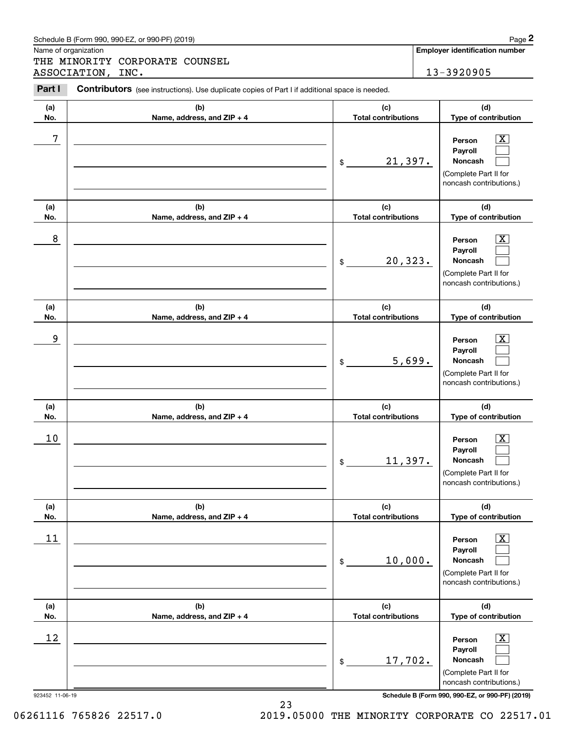| Name of organization | Schedule B (Form 990, 990-EZ, or 990-PF) (2019)                                                       |                                   |        | Page 2<br><b>Employer identification number</b>                                                        |
|----------------------|-------------------------------------------------------------------------------------------------------|-----------------------------------|--------|--------------------------------------------------------------------------------------------------------|
|                      | THE MINORITY CORPORATE COUNSEL                                                                        |                                   |        |                                                                                                        |
|                      | ASSOCIATION, INC.                                                                                     |                                   |        | 13-3920905                                                                                             |
| Part I               | <b>Contributors</b> (see instructions). Use duplicate copies of Part I if additional space is needed. |                                   |        |                                                                                                        |
| (a)<br>No.           | (b)<br>Name, address, and ZIP + 4                                                                     | (c)<br><b>Total contributions</b> |        | (d)<br>Type of contribution                                                                            |
| 7                    |                                                                                                       | 21,397.<br>\$                     |        | $\mathbf{X}$<br>Person<br>Payroll<br>Noncash<br>(Complete Part II for<br>noncash contributions.)       |
| (a)<br>No.           | (b)<br>Name, address, and ZIP + 4                                                                     | (c)<br><b>Total contributions</b> |        | (d)<br>Type of contribution                                                                            |
| 8                    |                                                                                                       | 20,323.<br>\$                     |        | $\mathbf{X}$<br>Person<br>Payroll<br>Noncash<br>(Complete Part II for<br>noncash contributions.)       |
| (a)<br>No.           | (b)<br>Name, address, and ZIP + 4                                                                     | (c)<br><b>Total contributions</b> |        | (d)<br>Type of contribution                                                                            |
| 9                    |                                                                                                       | \$                                | 5,699. | $\mathbf{X}$<br>Person<br>Payroll<br>Noncash<br>(Complete Part II for<br>noncash contributions.)       |
| (a)<br>No.           | (b)<br>Name, address, and ZIP + 4                                                                     | (c)<br><b>Total contributions</b> |        | (d)<br>Type of contribution                                                                            |
| 10                   |                                                                                                       | 11,397.<br>\$                     |        | $\mathbf{X}$<br>Person<br>Payroll<br>Noncash<br>(Complete Part II for<br>noncash contributions.)       |
| (a)<br>No.           | (b)<br>Name, address, and ZIP + 4                                                                     | (c)<br><b>Total contributions</b> |        | (d)<br>Type of contribution                                                                            |
| 11                   |                                                                                                       | 10,000.<br>\$                     |        | $\boxed{\text{X}}$<br>Person<br>Payroll<br>Noncash<br>(Complete Part II for<br>noncash contributions.) |
| (a)<br>No.           | (b)<br>Name, address, and ZIP + 4                                                                     | (c)<br><b>Total contributions</b> |        | (d)<br>Type of contribution                                                                            |
| 12                   |                                                                                                       | 17,702.<br>\$                     |        | $\boxed{\text{X}}$<br>Person<br>Payroll<br>Noncash<br>(Complete Part II for<br>noncash contributions.) |

923452 11-06-19 **Schedule B (Form 990, 990-EZ, or 990-PF) (2019)**

Schedule B (Form 990, 990-EZ, or 990-PF) (2019) Page 2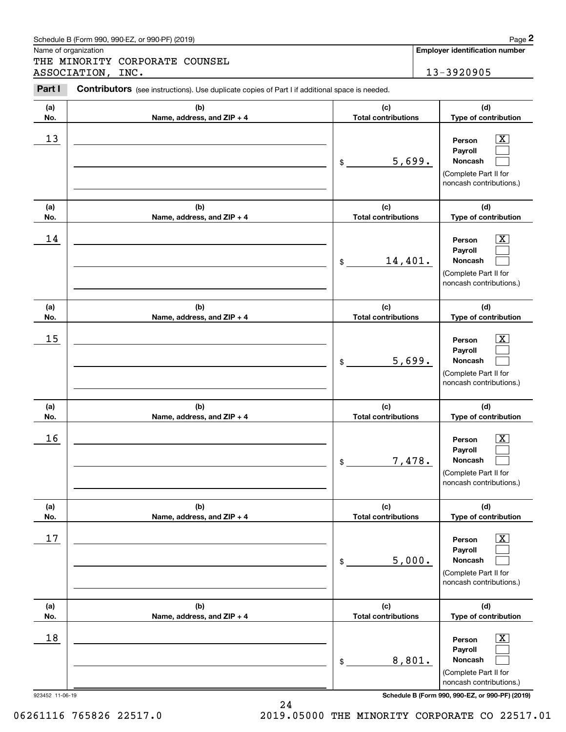|            | Schedule B (Form 990, 990-EZ, or 990-PF) (2019)                                                |                                   |        | Page 2                                                                                                      |
|------------|------------------------------------------------------------------------------------------------|-----------------------------------|--------|-------------------------------------------------------------------------------------------------------------|
|            | Name of organization<br>THE MINORITY CORPORATE COUNSEL                                         |                                   |        | <b>Employer identification number</b>                                                                       |
|            | ASSOCIATION,<br>INC.                                                                           |                                   |        | 13-3920905                                                                                                  |
| Part I     | Contributors (see instructions). Use duplicate copies of Part I if additional space is needed. |                                   |        |                                                                                                             |
| (a)<br>No. | (b)<br>Name, address, and ZIP + 4                                                              | (c)<br><b>Total contributions</b> |        | (d)<br>Type of contribution                                                                                 |
| 13         |                                                                                                | \$                                | 5,699. | $\overline{\mathbf{X}}$<br>Person<br>Payroll<br>Noncash<br>(Complete Part II for<br>noncash contributions.) |
| (a)<br>No. | (b)<br>Name, address, and ZIP + 4                                                              | (c)<br><b>Total contributions</b> |        | (d)<br>Type of contribution                                                                                 |
| 14         |                                                                                                | 14,401.<br>\$                     |        | $\overline{\mathbf{X}}$<br>Person<br>Payroll<br>Noncash<br>(Complete Part II for<br>noncash contributions.) |
| (a)<br>No. | (b)<br>Name, address, and ZIP + 4                                                              | (c)<br><b>Total contributions</b> |        | (d)<br>Type of contribution                                                                                 |
| 15         |                                                                                                | \$                                | 5,699. | $\overline{\mathbf{X}}$<br>Person<br>Payroll<br>Noncash<br>(Complete Part II for<br>noncash contributions.) |
| (a)<br>No. | (b)<br>Name, address, and ZIP + 4                                                              | (c)<br><b>Total contributions</b> |        | (d)<br>Type of contribution                                                                                 |
| 16         |                                                                                                | \$                                | 7,478. | $\mathbf{X}$<br>Person<br>Payroll<br>Noncash<br>(Complete Part II for<br>noncash contributions.)            |
| (a)<br>No. | (b)<br>Name, address, and ZIP + 4                                                              | (c)<br><b>Total contributions</b> |        | (d)<br>Type of contribution                                                                                 |
| 17         |                                                                                                | \$                                | 5,000. | $\boxed{\text{X}}$<br>Person<br>Payroll<br>Noncash<br>(Complete Part II for<br>noncash contributions.)      |
| (a)<br>No. | (b)<br>Name, address, and ZIP + 4                                                              | (c)<br><b>Total contributions</b> |        | (d)<br>Type of contribution                                                                                 |
| 18         |                                                                                                | \$                                | 8,801. | $\boxed{\text{X}}$<br>Person<br>Payroll<br>Noncash<br>(Complete Part II for<br>noncash contributions.)      |

24

923452 11-06-19 **Schedule B (Form 990, 990-EZ, or 990-PF) (2019)**

06261116 765826 22517.0 2019.05000 THE MINORITY CORPORATE CO 22517.01

Schedule B (Form 990, 990-EZ, or 990-PF) (2019) **Page 2** Page 2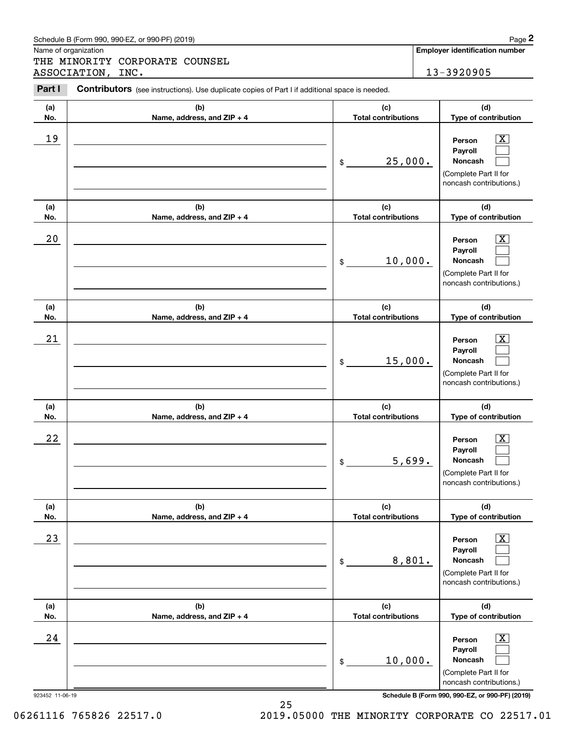|            | Schedule B (Form 990, 990-EZ, or 990-PF) (2019)                                                |                                   |        | Page 2                                                                                                        |
|------------|------------------------------------------------------------------------------------------------|-----------------------------------|--------|---------------------------------------------------------------------------------------------------------------|
|            | Name of organization<br>THE MINORITY CORPORATE COUNSEL                                         |                                   |        | <b>Employer identification number</b>                                                                         |
|            | ASSOCIATION, INC.                                                                              |                                   |        | 13-3920905                                                                                                    |
| Part I     | Contributors (see instructions). Use duplicate copies of Part I if additional space is needed. |                                   |        |                                                                                                               |
| (a)<br>No. | (b)<br>Name, address, and ZIP + 4                                                              | (c)<br><b>Total contributions</b> |        | (d)<br>Type of contribution                                                                                   |
| 19         |                                                                                                | 25,000.<br>\$                     |        | $\mathbf{X}$<br>Person<br>Payroll<br>Noncash<br>(Complete Part II for<br>noncash contributions.)              |
| (a)<br>No. | (b)<br>Name, address, and ZIP + 4                                                              | (c)<br><b>Total contributions</b> |        | (d)<br>Type of contribution                                                                                   |
| 20         |                                                                                                | 10,000.<br>$\$\$                  |        | $\mathbf{X}$<br>Person<br>Payroll<br>Noncash<br>(Complete Part II for<br>noncash contributions.)              |
| (a)<br>No. | (b)<br>Name, address, and ZIP + 4                                                              | (c)<br><b>Total contributions</b> |        | (d)<br>Type of contribution                                                                                   |
| 21         |                                                                                                | 15,000.<br>\$                     |        | $\mathbf{X}$<br>Person<br>Payroll<br>Noncash<br>(Complete Part II for<br>noncash contributions.)              |
| (a)<br>No. | (b)<br>Name, address, and ZIP + 4                                                              | (c)<br><b>Total contributions</b> |        | (d)<br>Type of contribution                                                                                   |
| 22         |                                                                                                | \$                                | 5,699. | $\mathbf{X}$<br>Person<br>Payroll<br>Noncash<br>(Complete Part II for<br>noncash contributions.)              |
| (a)<br>No. | (b)<br>Name, address, and ZIP + 4                                                              | (c)<br><b>Total contributions</b> |        | (d)<br>Type of contribution                                                                                   |
| 23         |                                                                                                | \$                                | 8,801. | $\boxed{\text{X}}$<br>Person<br>Payroll<br><b>Noncash</b><br>(Complete Part II for<br>noncash contributions.) |
| (a)<br>No. | (b)<br>Name, address, and ZIP + 4                                                              | (c)<br><b>Total contributions</b> |        | (d)<br>Type of contribution                                                                                   |
| 24         |                                                                                                | 10,000.<br>\$                     |        | $\boxed{\text{X}}$<br>Person<br>Payroll<br>Noncash<br>(Complete Part II for<br>noncash contributions.)        |

923452 11-06-19 **Schedule B (Form 990, 990-EZ, or 990-PF) (2019)**

Schedule B (Form 990, 990-EZ, or 990-PF) (2019) **Page 2** Page 2

06261116 765826 22517.0 2019.05000 THE MINORITY CORPORATE CO 22517.01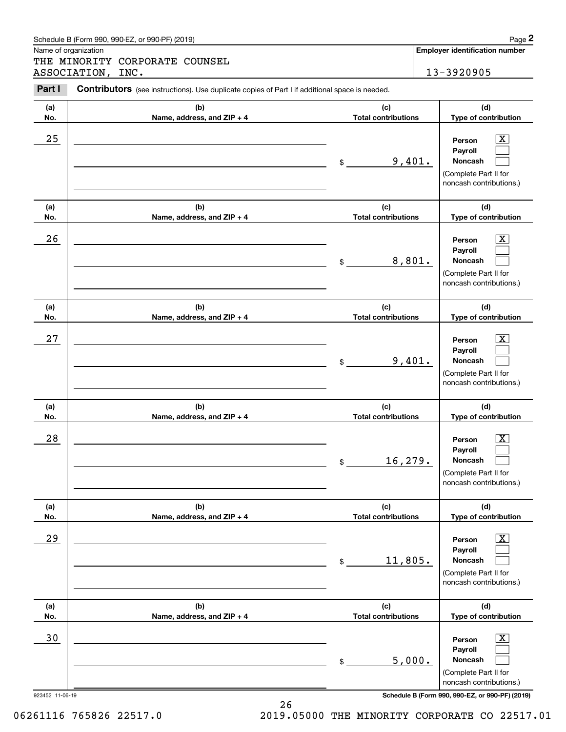|                      | Schedule B (Form 990, 990-EZ, or 990-PF) (2019)                                                |                                   | Page 2                                                                                                      |
|----------------------|------------------------------------------------------------------------------------------------|-----------------------------------|-------------------------------------------------------------------------------------------------------------|
| Name of organization | THE MINORITY CORPORATE COUNSEL                                                                 |                                   | <b>Employer identification number</b>                                                                       |
|                      | ASSOCIATION, INC.                                                                              |                                   | 13-3920905                                                                                                  |
| Part I               | Contributors (see instructions). Use duplicate copies of Part I if additional space is needed. |                                   |                                                                                                             |
| (a)<br>No.           | (b)<br>Name, address, and ZIP + 4                                                              | (c)<br><b>Total contributions</b> | (d)<br>Type of contribution                                                                                 |
| 25                   |                                                                                                | 9,401.<br>\$                      | $\overline{\text{X}}$<br>Person<br>Payroll<br>Noncash<br>(Complete Part II for<br>noncash contributions.)   |
| (a)<br>No.           | (b)<br>Name, address, and ZIP + 4                                                              | (c)<br><b>Total contributions</b> | (d)<br>Type of contribution                                                                                 |
| 26                   |                                                                                                | 8,801.<br>\$                      | $\overline{\text{X}}$<br>Person<br>Payroll<br>Noncash<br>(Complete Part II for<br>noncash contributions.)   |
| (a)<br>No.           | (b)<br>Name, address, and ZIP + 4                                                              | (c)<br><b>Total contributions</b> | (d)<br>Type of contribution                                                                                 |
| 27                   |                                                                                                | 9,401.<br>\$                      | $\overline{\text{X}}$<br>Person<br>Payroll<br>Noncash<br>(Complete Part II for<br>noncash contributions.)   |
| (a)<br>No.           | (b)<br>Name, address, and ZIP + 4                                                              | (c)<br><b>Total contributions</b> | (d)<br>Type of contribution                                                                                 |
| 28                   |                                                                                                | 16, 279.<br>\$                    | $\overline{\text{X}}$<br>Person<br>Payroll<br>Noncash<br>(Complete Part II for<br>noncash contributions.)   |
| (a)<br>No.           | (b)<br>Name, address, and ZIP + 4                                                              | (c)<br><b>Total contributions</b> | (d)<br>Type of contribution                                                                                 |
| 29                   |                                                                                                | 11,805.<br>\$                     | $\overline{\mathbf{X}}$<br>Person<br>Payroll<br>Noncash<br>(Complete Part II for<br>noncash contributions.) |
| (a)<br>No.           | (b)<br>Name, address, and ZIP + 4                                                              | (c)<br><b>Total contributions</b> | (d)<br>Type of contribution                                                                                 |
| 30                   |                                                                                                | 5,000.<br>\$                      | $\overline{\mathbf{X}}$<br>Person<br>Payroll<br>Noncash<br>(Complete Part II for<br>noncash contributions.) |

26

923452 11-06-19 **Schedule B (Form 990, 990-EZ, or 990-PF) (2019)**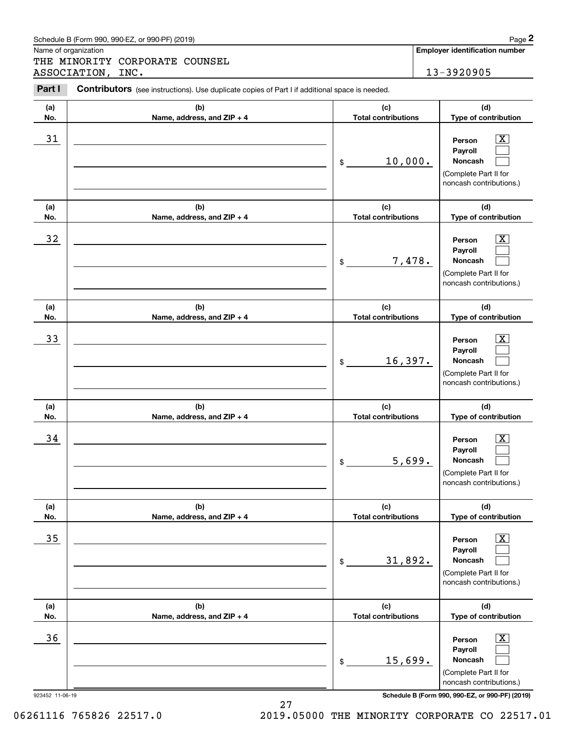| (a)<br>No.            | (b)<br>Name, address, and ZIP + 4 | (c)<br><b>Total contributions</b> | (d)<br>Type of contribution                                                                                                                                    |
|-----------------------|-----------------------------------|-----------------------------------|----------------------------------------------------------------------------------------------------------------------------------------------------------------|
| 31                    |                                   | 10,000.<br>$\frac{1}{2}$          | $\boxed{\text{X}}$<br>Person<br>Payroll<br>Noncash<br>(Complete Part II for<br>noncash contributions.)                                                         |
| (a)<br>No.            | (b)<br>Name, address, and ZIP + 4 | (c)<br><b>Total contributions</b> | (d)<br>Type of contribution                                                                                                                                    |
| 32                    |                                   | 7,478.<br>$\frac{1}{2}$           | $\boxed{\text{X}}$<br>Person<br>Payroll<br>Noncash<br>(Complete Part II for<br>noncash contributions.)                                                         |
| (a)<br>No.            | (b)<br>Name, address, and ZIP + 4 | (c)<br><b>Total contributions</b> | (d)<br>Type of contribution                                                                                                                                    |
| 33                    |                                   | 16,397.<br>\$                     | $\boxed{\text{X}}$<br>Person<br>Payroll<br><b>Noncash</b><br>(Complete Part II for<br>noncash contributions.)                                                  |
| (a)<br>No.            | (b)<br>Name, address, and ZIP + 4 | (c)<br><b>Total contributions</b> | (d)<br>Type of contribution                                                                                                                                    |
| 34                    |                                   | 5,699.<br>\$                      | $\overline{\mathbf{X}}$<br>Person<br>Payroll<br>Noncash<br>(Complete Part II for<br>noncash contributions.)                                                    |
| (a)                   | (b)                               | (c)                               | (d)                                                                                                                                                            |
| No.                   | Name, address, and ZIP + 4        | <b>Total contributions</b>        | <b>Type of contribution</b>                                                                                                                                    |
| 35                    |                                   | 31,892.<br>$$\mathbb{S}$$         | x<br>Person<br>Payroll<br>Noncash<br>(Complete Part II for<br>noncash contributions.)                                                                          |
| (a)<br>No.            | (b)<br>Name, address, and ZIP + 4 | (c)<br><b>Total contributions</b> | (d)<br>Type of contribution                                                                                                                                    |
| 36<br>923452 11-06-19 |                                   | 15,699.<br>\$                     | $\overline{\mathbf{X}}$<br>Person<br>Payroll<br>Noncash<br>(Complete Part II for<br>noncash contributions.)<br>Schedule B (Form 990, 990-EZ, or 990-PF) (2019) |

Contributors (see instructions). Use duplicate copies of Part I if additional space is needed.

Name of organization

Chedule B (Form 990, 990-EZ, or 990-PF) (2019)<br> **2Page 2**<br>
2PART MINORITY CORPORATE COUNSEL<br>
2PART I Contributors (see instructions). Use duplicate copies of Part I if additional space is needed.<br>
2PART I Contributors (see THE MINORITY CORPORATE COUNSEL ASSOCIATION, INC. 13-3920905

**Employer identification number**

06261116 765826 22517.0 2019.05000 THE MINORITY CORPORATE CO 22517.01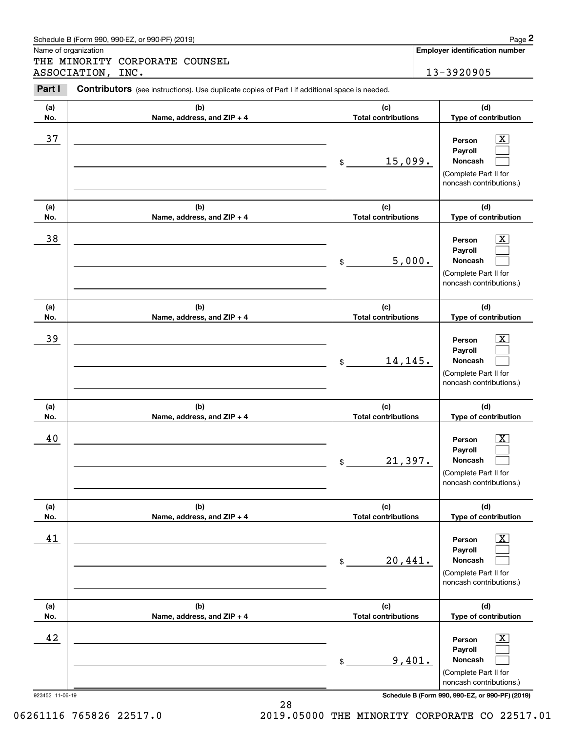|            | Schedule B (Form 990, 990-EZ, or 990-PF) (2019)                                                |                                   |                                                                                                                       | Page 2 |
|------------|------------------------------------------------------------------------------------------------|-----------------------------------|-----------------------------------------------------------------------------------------------------------------------|--------|
|            | Name of organization<br>THE MINORITY CORPORATE COUNSEL                                         |                                   | <b>Employer identification number</b>                                                                                 |        |
|            | ASSOCIATION, INC.                                                                              |                                   | 13-3920905                                                                                                            |        |
| Part I     | Contributors (see instructions). Use duplicate copies of Part I if additional space is needed. |                                   |                                                                                                                       |        |
| (a)<br>No. | (b)<br>Name, address, and ZIP + 4                                                              | (c)<br><b>Total contributions</b> | (d)<br>Type of contribution                                                                                           |        |
| 37         |                                                                                                | 15,099.<br>\$                     | $\overline{\mathbf{X}}$<br>Person<br>Payroll<br>Noncash<br>(Complete Part II for<br>noncash contributions.)           |        |
| (a)<br>No. | (b)<br>Name, address, and ZIP + 4                                                              | (c)<br><b>Total contributions</b> | (d)<br>Type of contribution                                                                                           |        |
| 38         |                                                                                                | \$                                | $\overline{\mathbf{X}}$<br>Person<br>Payroll<br>5,000.<br>Noncash<br>(Complete Part II for<br>noncash contributions.) |        |
| (a)<br>No. | (b)<br>Name, address, and ZIP + 4                                                              | (c)<br><b>Total contributions</b> | (d)<br>Type of contribution                                                                                           |        |
| 39         |                                                                                                | 14,145.<br>\$                     | $\overline{\mathbf{X}}$<br>Person<br>Payroll<br>Noncash<br>(Complete Part II for<br>noncash contributions.)           |        |
| (a)<br>No. | (b)<br>Name, address, and ZIP + 4                                                              | (c)<br><b>Total contributions</b> | (d)<br>Type of contribution                                                                                           |        |
| 40         |                                                                                                | 21,397.<br>\$                     | $\mathbf{X}$<br>Person<br>Payroll<br>Noncash<br>(Complete Part II for<br>noncash contributions.)                      |        |
| (a)<br>No. | (b)<br>Name, address, and ZIP + 4                                                              | (c)<br><b>Total contributions</b> | (d)<br>Type of contribution                                                                                           |        |
| 41         |                                                                                                | 20,441.<br>\$                     | $\boxed{\text{X}}$<br>Person<br>Payroll<br>Noncash<br>(Complete Part II for<br>noncash contributions.)                |        |
| (a)<br>No. | (b)<br>Name, address, and ZIP + 4                                                              | (c)<br><b>Total contributions</b> | (d)<br>Type of contribution                                                                                           |        |
| 42         |                                                                                                | \$                                | $\boxed{\text{X}}$<br>Person<br>Payroll<br>9,401.<br>Noncash<br>(Complete Part II for<br>noncash contributions.)      |        |

28

923452 11-06-19 **Schedule B (Form 990, 990-EZ, or 990-PF) (2019)**

06261116 765826 22517.0 2019.05000 THE MINORITY CORPORATE CO 22517.01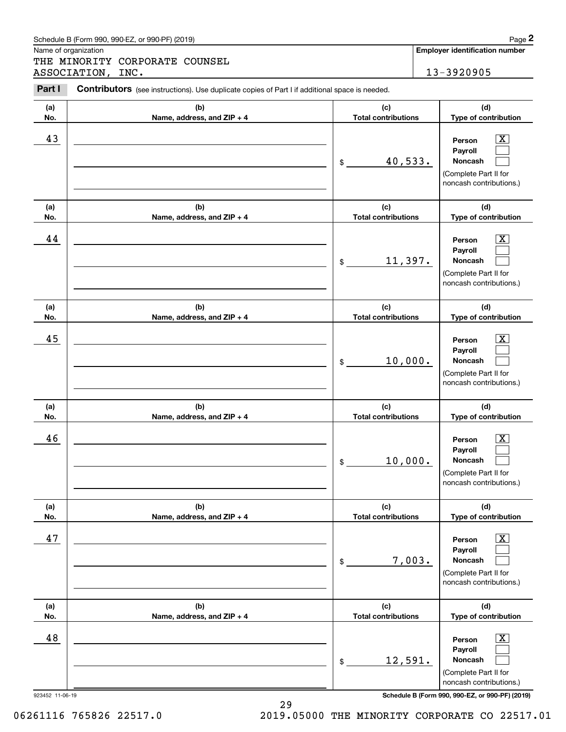|            | Schedule B (Form 990, 990-EZ, or 990-PF) (2019)                                                |                                   | Page 2                                                                                                           |
|------------|------------------------------------------------------------------------------------------------|-----------------------------------|------------------------------------------------------------------------------------------------------------------|
|            | Name of organization<br>THE MINORITY CORPORATE COUNSEL                                         |                                   | <b>Employer identification number</b>                                                                            |
|            | ASSOCIATION, INC.                                                                              |                                   | 13-3920905                                                                                                       |
| Part I     | Contributors (see instructions). Use duplicate copies of Part I if additional space is needed. |                                   |                                                                                                                  |
| (a)<br>No. | (b)<br>Name, address, and ZIP + 4                                                              | (c)<br><b>Total contributions</b> | (d)<br>Type of contribution                                                                                      |
| 43         |                                                                                                | 40,533.<br>\$                     | $\boxed{\text{X}}$<br>Person<br>Payroll<br>Noncash<br>(Complete Part II for<br>noncash contributions.)           |
| (a)<br>No. | (b)<br>Name, address, and ZIP + 4                                                              | (c)<br><b>Total contributions</b> | (d)<br>Type of contribution                                                                                      |
| 44         |                                                                                                | 11,397.<br>\$                     | $\mathbf{X}$<br>Person<br>Payroll<br>Noncash<br>(Complete Part II for<br>noncash contributions.)                 |
| (a)<br>No. | (b)<br>Name, address, and ZIP + 4                                                              | (c)<br><b>Total contributions</b> | (d)<br>Type of contribution                                                                                      |
| 45         |                                                                                                | 10,000.<br>\$                     | $\overline{\mathbf{X}}$<br>Person<br>Payroll<br>Noncash<br>(Complete Part II for<br>noncash contributions.)      |
| (a)<br>No. | (b)<br>Name, address, and ZIP + 4                                                              | (c)<br><b>Total contributions</b> | (d)<br>Type of contribution                                                                                      |
| 46         |                                                                                                | 10,000.<br>\$                     | $\mathbf{X}$<br>Person<br>Payroll<br>Noncash<br>(Complete Part II for<br>noncash contributions.)                 |
| (a)<br>No. | (b)<br>Name, address, and ZIP + 4                                                              | (c)<br><b>Total contributions</b> | (d)<br>Type of contribution                                                                                      |
| 47         |                                                                                                | \$                                | $\boxed{\text{X}}$<br>Person<br>Payroll<br>7,003.<br>Noncash<br>(Complete Part II for<br>noncash contributions.) |
| (a)<br>No. | (b)<br>Name, address, and ZIP + 4                                                              | (c)<br><b>Total contributions</b> | (d)<br>Type of contribution                                                                                      |
| 48         |                                                                                                | 12,591.<br>\$                     | $\boxed{\text{X}}$<br>Person<br>Payroll<br>Noncash<br>(Complete Part II for<br>noncash contributions.)           |

923452 11-06-19 **Schedule B (Form 990, 990-EZ, or 990-PF) (2019)**

29 06261116 765826 22517.0 2019.05000 THE MINORITY CORPORATE CO 22517.01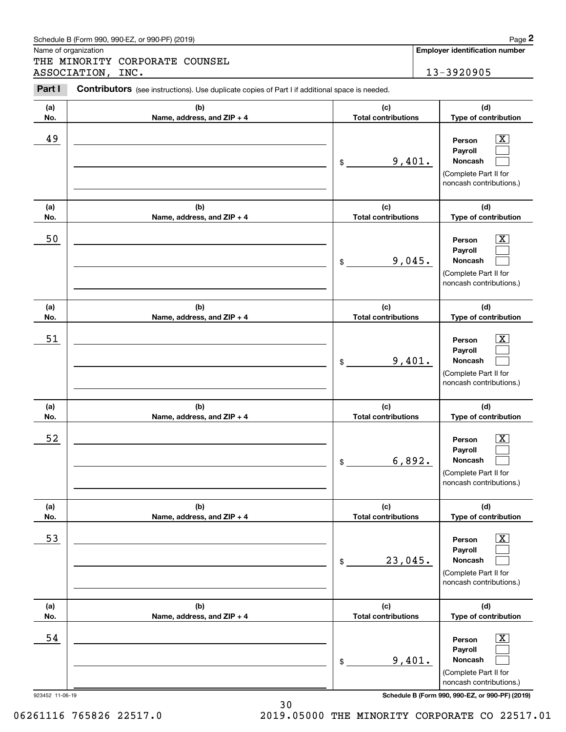|                      | Schedule B (Form 990, 990-EZ, or 990-PF) (2019)                                                |                                   |        | Page 2                                                                                                             |
|----------------------|------------------------------------------------------------------------------------------------|-----------------------------------|--------|--------------------------------------------------------------------------------------------------------------------|
| Name of organization | THE MINORITY CORPORATE COUNSEL                                                                 |                                   |        | <b>Employer identification number</b>                                                                              |
|                      | ASSOCIATION, INC.                                                                              |                                   |        | 13-3920905                                                                                                         |
| Part I               | Contributors (see instructions). Use duplicate copies of Part I if additional space is needed. |                                   |        |                                                                                                                    |
| (a)<br>No.           | (b)<br>Name, address, and ZIP + 4                                                              | (c)<br><b>Total contributions</b> |        | (d)<br>Type of contribution                                                                                        |
| 49                   |                                                                                                | 9,401.<br>\$                      |        | $\overline{\mathbf{x}}$<br>Person<br>Payroll<br>Noncash<br>(Complete Part II for<br>noncash contributions.)        |
| (a)<br>No.           | (b)<br>Name, address, and ZIP + 4                                                              | (c)<br><b>Total contributions</b> |        | (d)<br>Type of contribution                                                                                        |
| 50                   |                                                                                                | \$                                | 9,045. | $\overline{\mathbf{X}}$<br>Person<br>Payroll<br>Noncash<br>(Complete Part II for<br>noncash contributions.)        |
| (a)<br>No.           | (b)<br>Name, address, and ZIP + 4                                                              | (c)<br><b>Total contributions</b> |        | (d)<br>Type of contribution                                                                                        |
| 51                   |                                                                                                | 9,401.<br>\$                      |        | $\overline{\mathbf{X}}$<br>Person<br>Payroll<br>Noncash<br>(Complete Part II for<br>noncash contributions.)        |
| (a)<br>No.           | (b)<br>Name, address, and ZIP + 4                                                              | (c)<br><b>Total contributions</b> |        | (d)<br>Type of contribution                                                                                        |
| 52                   |                                                                                                | \$                                | 6,892. | $\overline{\mathbf{X}}$<br>Person<br>Payroll<br>Noncash<br>(Complete Part II for<br>noncash contributions.)        |
| (a)<br>No.           | (b)<br>Name, address, and ZIP + 4                                                              | (c)<br><b>Total contributions</b> |        | (d)<br>Type of contribution                                                                                        |
| 53                   |                                                                                                | 23,045.<br>\$                     |        | $\overline{\mathbf{X}}$<br>Person<br>Payroll<br><b>Noncash</b><br>(Complete Part II for<br>noncash contributions.) |
| (a)<br>No.           | (b)<br>Name, address, and ZIP + 4                                                              | (c)<br><b>Total contributions</b> |        | (d)<br>Type of contribution                                                                                        |
| 54                   |                                                                                                | \$                                | 9,401. | $\overline{\mathbf{X}}$<br>Person<br>Payroll<br>Noncash<br>(Complete Part II for<br>noncash contributions.)        |

923452 11-06-19 **Schedule B (Form 990, 990-EZ, or 990-PF) (2019)**

06261116 765826 22517.0 2019.05000 THE MINORITY CORPORATE CO 22517.01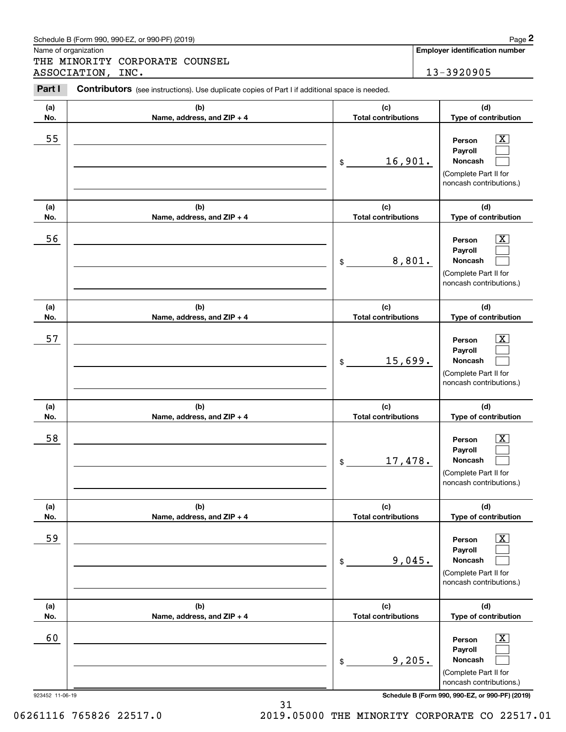|            | Schedule B (Form 990, 990-EZ, or 990-PF) (2019)                                                |                                   | Page 2                                                                                                      |
|------------|------------------------------------------------------------------------------------------------|-----------------------------------|-------------------------------------------------------------------------------------------------------------|
|            | Name of organization<br>THE MINORITY CORPORATE COUNSEL                                         |                                   | <b>Employer identification number</b>                                                                       |
|            | ASSOCIATION, INC.                                                                              |                                   | 13-3920905                                                                                                  |
| Part I     | Contributors (see instructions). Use duplicate copies of Part I if additional space is needed. |                                   |                                                                                                             |
| (a)<br>No. | (b)<br>Name, address, and ZIP + 4                                                              | (c)<br><b>Total contributions</b> | (d)<br>Type of contribution                                                                                 |
| 55         |                                                                                                | 16,901.<br>\$                     | $\overline{\mathbf{X}}$<br>Person<br>Payroll<br>Noncash<br>(Complete Part II for<br>noncash contributions.) |
| (a)<br>No. | (b)<br>Name, address, and ZIP + 4                                                              | (c)<br><b>Total contributions</b> | (d)<br>Type of contribution                                                                                 |
| 56         |                                                                                                | 8,801.<br>\$                      | $\overline{\text{X}}$<br>Person<br>Payroll<br>Noncash<br>(Complete Part II for<br>noncash contributions.)   |
| (a)<br>No. | (b)<br>Name, address, and ZIP + 4                                                              | (c)<br><b>Total contributions</b> | (d)<br>Type of contribution                                                                                 |
| 57         |                                                                                                | 15,699.<br>\$                     | $\overline{\text{X}}$<br>Person<br>Payroll<br>Noncash<br>(Complete Part II for<br>noncash contributions.)   |
| (a)<br>No. | (b)<br>Name, address, and ZIP + 4                                                              | (c)<br><b>Total contributions</b> | (d)<br>Type of contribution                                                                                 |
| 58         |                                                                                                | 17,478.<br>\$                     | $\overline{\text{X}}$<br>Person<br>Payroll<br>Noncash<br>(Complete Part II for<br>noncash contributions.)   |
| (a)<br>No. | (b)<br>Name, address, and ZIP + 4                                                              | (c)<br><b>Total contributions</b> | (d)<br>Type of contribution                                                                                 |
| 59         |                                                                                                | 9,045.<br>\$                      | $\overline{\mathbf{X}}$<br>Person<br>Payroll<br>Noncash<br>(Complete Part II for<br>noncash contributions.) |
| (a)<br>No. | (b)<br>Name, address, and ZIP + 4                                                              | (c)<br><b>Total contributions</b> | (d)<br>Type of contribution                                                                                 |
| 60         |                                                                                                | 9,205.<br>\$                      | $\overline{\mathbf{X}}$<br>Person<br>Payroll<br>Noncash<br>(Complete Part II for<br>noncash contributions.) |

31

923452 11-06-19 **Schedule B (Form 990, 990-EZ, or 990-PF) (2019)**

06261116 765826 22517.0 2019.05000 THE MINORITY CORPORATE CO 22517.01

| . or 990-PF)<br>) (2019)<br>Schedule B (Form 990, 990-EZ,<br>Page |  |
|-------------------------------------------------------------------|--|
|-------------------------------------------------------------------|--|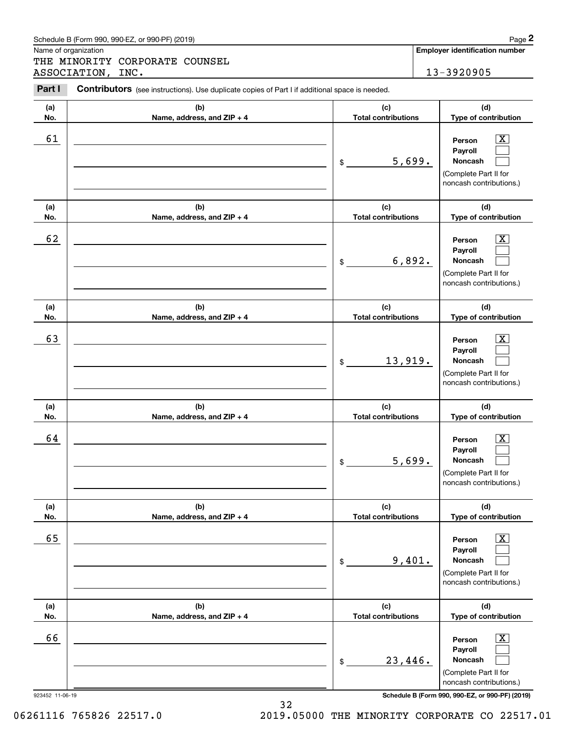| Schedule B (Form 990. 990-EZ. or 990-PF) (2019) | Page |
|-------------------------------------------------|------|
|-------------------------------------------------|------|

Name of organization

THE MINORITY CORPORATE COUNSEL ASSOCIATION, INC. 13-3920905

#### **(a)No.(b)Name, address, and ZIP + 4 (c)Total contributions (d)Type of contribution PersonPayrollNoncash (a)No.(b)Name, address, and ZIP + 4 (c)Total contributions (d)Type of contribution PersonPayrollNoncash (a)No.(b)Name, address, and ZIP + 4 (c)Total contributions (d)Type of contribution PersonPayrollNoncash (a) No.(b) Name, address, and ZIP + 4 (c) Total contributions (d) Type of contribution PersonPayrollNoncash (a) No.(b)Name, address, and ZIP + 4 (c) Total contributions (d) Type of contribution PersonPayrollNoncash (a) No.(b)Name, address, and ZIP + 4 (c) Total contributions (d)Type of contribution PersonPayrollNoncash Contributors** (see instructions). Use duplicate copies of Part I if additional space is needed. \$(Complete Part II for noncash contributions.) \$(Complete Part II for noncash contributions.) \$(Complete Part II for noncash contributions.) \$(Complete Part II for noncash contributions.) \$(Complete Part II for noncash contributions.) \$(Complete Part II for noncash contributions.) Chedule B (Form 990, 990-EZ, or 990-PF) (2019)<br> **2Page 2**<br>
2PART MINORITY CORPORATE COUNSEL<br>
2PART I Contributors (see instructions). Use duplicate copies of Part I if additional space is needed.<br>
2PART I Contributors (see  $|X|$  $\mathcal{L}^{\text{max}}$  $\mathcal{L}^{\text{max}}$  $\boxed{\text{X}}$  $\mathcal{L}^{\text{max}}$  $\mathcal{L}^{\text{max}}$  $|X|$  $\mathcal{L}^{\text{max}}$  $\mathcal{L}^{\text{max}}$  $|X|$  $\mathcal{L}^{\text{max}}$  $\mathcal{L}^{\text{max}}$  $|X|$  $\mathcal{L}^{\text{max}}$  $\mathcal{L}^{\text{max}}$  $\boxed{\text{X}}$  $\mathcal{L}^{\text{max}}$  $\mathcal{L}^{\text{max}}$ 61 X 5,699. 62 X 6,892. 63 | Person X 13,919. 64 X 5,699. 65 X 9,401. 66 X 23,446.

923452 11-06-19 **Schedule B (Form 990, 990-EZ, or 990-PF) (2019)**

06261116 765826 22517.0 2019.05000 THE MINORITY CORPORATE CO 22517.01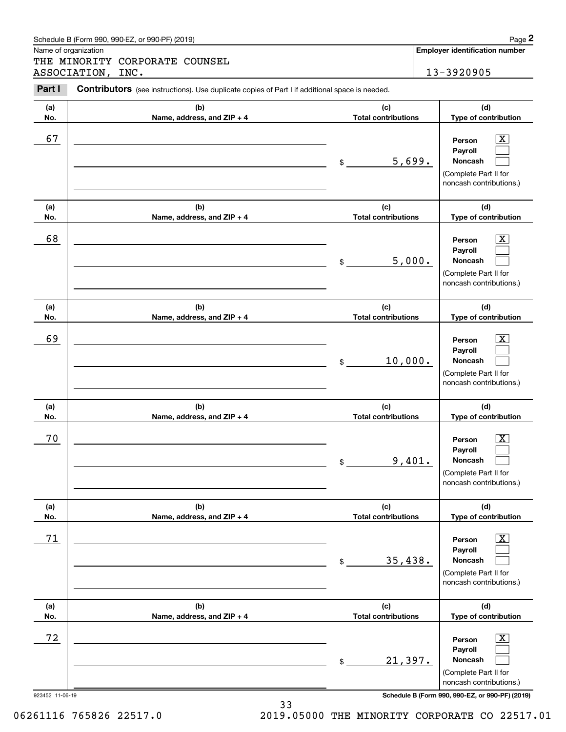|            | Schedule B (Form 990, 990-EZ, or 990-PF) (2019)                                                |                                   | Page 2                                                                                                        |
|------------|------------------------------------------------------------------------------------------------|-----------------------------------|---------------------------------------------------------------------------------------------------------------|
|            | Name of organization<br>THE MINORITY CORPORATE COUNSEL                                         |                                   | <b>Employer identification number</b>                                                                         |
|            | ASSOCIATION, INC.                                                                              |                                   | 13-3920905                                                                                                    |
| Part I     | Contributors (see instructions). Use duplicate copies of Part I if additional space is needed. |                                   |                                                                                                               |
| (a)<br>No. | (b)<br>Name, address, and ZIP + 4                                                              | (c)<br><b>Total contributions</b> | (d)<br>Type of contribution                                                                                   |
| 67         |                                                                                                | 5,699.<br>\$                      | $\mathbf{X}$<br>Person<br>Payroll<br>Noncash<br>(Complete Part II for<br>noncash contributions.)              |
| (a)<br>No. | (b)<br>Name, address, and ZIP + 4                                                              | (c)<br><b>Total contributions</b> | (d)<br>Type of contribution                                                                                   |
| 68         |                                                                                                | 5,000.<br>\$                      | X<br>Person<br>Payroll<br>Noncash<br>(Complete Part II for<br>noncash contributions.)                         |
| (a)<br>No. | (b)<br>Name, address, and ZIP + 4                                                              | (c)<br><b>Total contributions</b> | (d)<br>Type of contribution                                                                                   |
| 69         |                                                                                                | 10,000.<br>\$                     | $\mathbf{X}$<br>Person<br>Payroll<br>Noncash<br>(Complete Part II for<br>noncash contributions.)              |
| (a)<br>No. | (b)<br>Name, address, and ZIP + 4                                                              | (c)<br><b>Total contributions</b> | (d)<br>Type of contribution                                                                                   |
| 70         |                                                                                                | 9,401.<br>\$                      | $\mathbf{X}$<br>Person<br>Payroll<br>Noncash<br>(Complete Part II for<br>noncash contributions.)              |
| (a)<br>No. | (b)<br>Name, address, and ZIP + 4                                                              | (c)<br><b>Total contributions</b> | (d)<br>Type of contribution                                                                                   |
| 71         |                                                                                                | 35,438.<br>\$                     | $\boxed{\text{X}}$<br>Person<br>Payroll<br><b>Noncash</b><br>(Complete Part II for<br>noncash contributions.) |
| (a)<br>No. | (b)<br>Name, address, and ZIP + 4                                                              | (c)<br><b>Total contributions</b> | (d)<br>Type of contribution                                                                                   |
| 72         |                                                                                                | 21,397.<br>\$                     | $\boxed{\text{X}}$<br>Person<br>Payroll<br>Noncash<br>(Complete Part II for<br>noncash contributions.)        |

# Schedule B (Form 990, 990-EZ, or 990-PF) (2019) Page 2

923452 11-06-19 **Schedule B (Form 990, 990-EZ, or 990-PF) (2019)**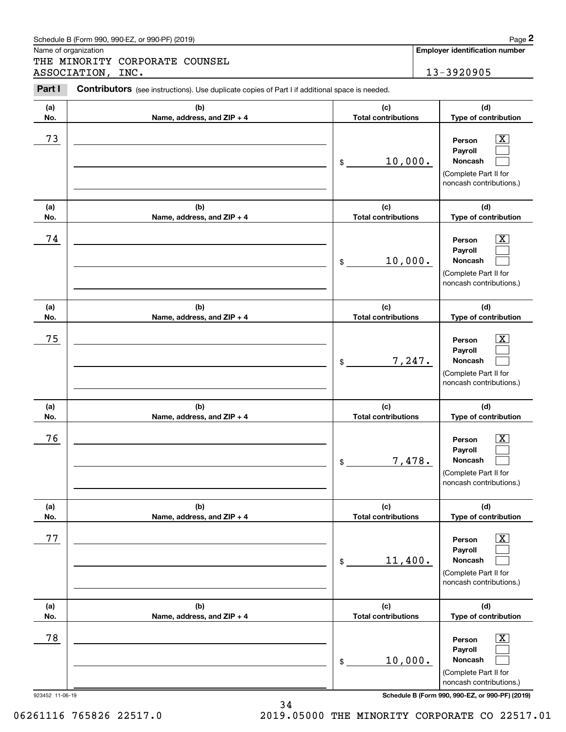|                      | Schedule B (Form 990, 990-EZ, or 990-PF) (2019)                                                       |                                   |        | Page 2                                                                                                             |
|----------------------|-------------------------------------------------------------------------------------------------------|-----------------------------------|--------|--------------------------------------------------------------------------------------------------------------------|
| Name of organization | THE MINORITY CORPORATE COUNSEL                                                                        |                                   |        | Employer identification number                                                                                     |
|                      | ASSOCIATION, INC.                                                                                     |                                   |        | 13-3920905                                                                                                         |
| Part I               | <b>Contributors</b> (see instructions). Use duplicate copies of Part I if additional space is needed. |                                   |        |                                                                                                                    |
| (a)<br>No.           | (b)<br>Name, address, and ZIP + 4                                                                     | (c)<br><b>Total contributions</b> |        | (d)<br>Type of contribution                                                                                        |
| 73                   |                                                                                                       | 10,000.<br>\$                     |        | $\mathbf{X}$<br>Person<br>Payroll<br><b>Noncash</b><br>(Complete Part II for<br>noncash contributions.)            |
| (a)<br>No.           | (b)<br>Name, address, and ZIP + 4                                                                     | (c)<br><b>Total contributions</b> |        | (d)<br>Type of contribution                                                                                        |
| 74                   |                                                                                                       | 10,000.<br>\$                     |        | $\overline{\mathbf{X}}$<br>Person<br>Payroll<br><b>Noncash</b><br>(Complete Part II for<br>noncash contributions.) |
| (a)<br>No.           | (b)<br>Name, address, and ZIP + 4                                                                     | (c)<br><b>Total contributions</b> |        | (d)<br>Type of contribution                                                                                        |
| 75                   |                                                                                                       | \$                                | 7,247. | $\overline{\text{X}}$<br>Person<br>Payroll<br>Noncash<br>(Complete Part II for<br>noncash contributions.)          |
| (a)<br>No.           | (b)<br>Name, address, and ZIP + 4                                                                     | (c)<br><b>Total contributions</b> |        | (d)<br>Type of contribution                                                                                        |
| 76                   |                                                                                                       | \$                                | 7,478. | $\mathbf{X}$<br>Person<br>Payroll<br>Noncash<br>(Complete Part II for<br>noncash contributions.)                   |
| (a)<br>No.           | (b)<br>Name, address, and ZIP + 4                                                                     | (c)<br><b>Total contributions</b> |        | (d)<br>Type of contribution                                                                                        |
| 77                   |                                                                                                       | 11,400.<br>\$                     |        | $\boxed{\text{X}}$<br>Person<br>Payroll<br><b>Noncash</b><br>(Complete Part II for<br>noncash contributions.)      |
| (a)<br>No.           | (b)<br>Name, address, and ZIP + 4                                                                     | (c)<br><b>Total contributions</b> |        | (d)<br>Type of contribution                                                                                        |
| 78                   |                                                                                                       | 10,000.<br>\$                     |        | $\boxed{\text{X}}$<br>Person<br>Payroll<br><b>Noncash</b><br>(Complete Part II for<br>noncash contributions.)      |

923452 11-06-19 **Schedule B (Form 990, 990-EZ, or 990-PF) (2019)**

06261116 765826 22517.0 2019.05000 THE MINORITY CORPORATE CO 22517.01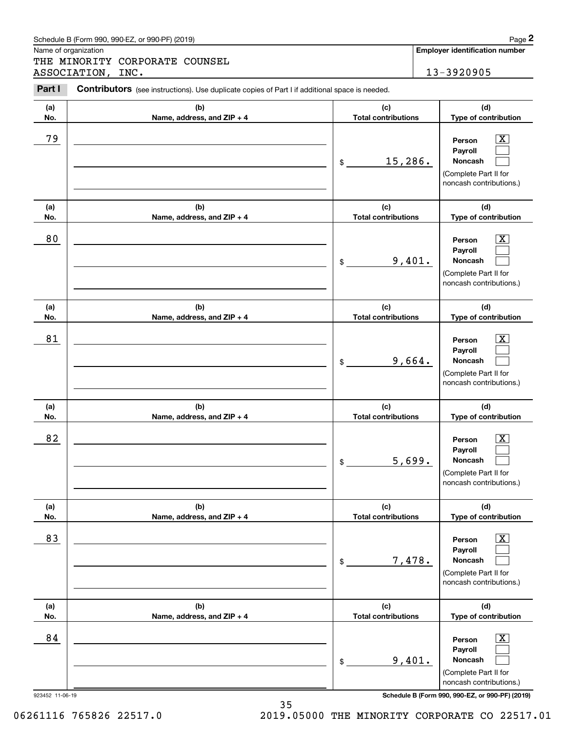|                      | Schedule B (Form 990, 990-EZ, or 990-PF) (2019)                                                       |                                   |        | Page 2                                                                                                      |
|----------------------|-------------------------------------------------------------------------------------------------------|-----------------------------------|--------|-------------------------------------------------------------------------------------------------------------|
| Name of organization |                                                                                                       |                                   |        | <b>Employer identification number</b>                                                                       |
|                      | THE MINORITY CORPORATE COUNSEL<br>ASSOCIATION, INC.                                                   |                                   |        | 13-3920905                                                                                                  |
| Part I               | <b>Contributors</b> (see instructions). Use duplicate copies of Part I if additional space is needed. |                                   |        |                                                                                                             |
| (a)<br>No.           | (b)<br>Name, address, and ZIP + 4                                                                     | (c)<br><b>Total contributions</b> |        | (d)<br>Type of contribution                                                                                 |
| 79                   |                                                                                                       | 15,286.<br>\$                     |        | $\overline{\mathbf{X}}$<br>Person<br>Payroll<br>Noncash<br>(Complete Part II for<br>noncash contributions.) |
| (a)<br>No.           | (b)<br>Name, address, and ZIP + 4                                                                     | (c)<br><b>Total contributions</b> |        | (d)<br>Type of contribution                                                                                 |
| 80                   |                                                                                                       | \$                                | 9,401. | $\overline{\mathbf{X}}$<br>Person<br>Payroll<br>Noncash<br>(Complete Part II for<br>noncash contributions.) |
| (a)<br>No.           | (b)<br>Name, address, and ZIP + 4                                                                     | (c)<br><b>Total contributions</b> |        | (d)<br>Type of contribution                                                                                 |
| 81                   |                                                                                                       | \$                                | 9,664. | x<br>Person<br>Payroll<br>Noncash<br>(Complete Part II for<br>noncash contributions.)                       |
| (a)<br>No.           | (b)<br>Name, address, and ZIP + 4                                                                     | (c)<br><b>Total contributions</b> |        | (d)<br>Type of contribution                                                                                 |
| 82                   |                                                                                                       | \$                                | 5,699. | $\overline{\mathbf{X}}$<br>Person<br>Payroll<br>Noncash<br>(Complete Part II for<br>noncash contributions.) |
| (a)<br>No.           | (b)<br>Name, address, and ZIP + 4                                                                     | (c)<br><b>Total contributions</b> |        | (d)<br>Type of contribution                                                                                 |
| 83                   |                                                                                                       | \$                                | 7,478. | $\boxed{\text{X}}$<br>Person<br>Payroll<br>Noncash<br>(Complete Part II for<br>noncash contributions.)      |
| (a)<br>No.           | (b)<br>Name, address, and ZIP + 4                                                                     | (c)<br><b>Total contributions</b> |        | (d)<br>Type of contribution                                                                                 |
| 84                   |                                                                                                       | \$                                | 9,401. | $\overline{\mathbf{X}}$<br>Person<br>Payroll<br>Noncash<br>(Complete Part II for<br>noncash contributions.) |

923452 11-06-19 **Schedule B (Form 990, 990-EZ, or 990-PF) (2019)**

35 06261116 765826 22517.0 2019.05000 THE MINORITY CORPORATE CO 22517.01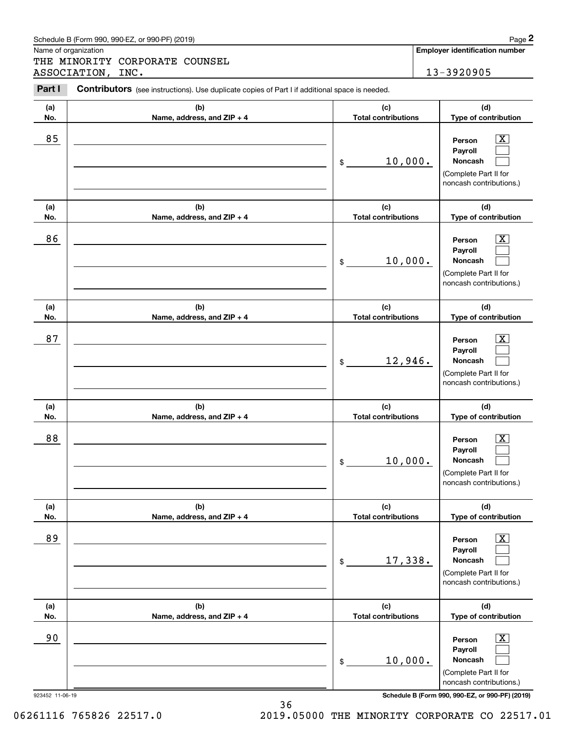|                      | Schedule B (Form 990, 990-EZ, or 990-PF) (2019)                                                                               |                                   |  | Page 2                                                                                                    |  |
|----------------------|-------------------------------------------------------------------------------------------------------------------------------|-----------------------------------|--|-----------------------------------------------------------------------------------------------------------|--|
| Name of organization | THE MINORITY CORPORATE COUNSEL                                                                                                |                                   |  | Employer identification number                                                                            |  |
| Part I               | ASSOCIATION,<br>INC.<br><b>Contributors</b> (see instructions). Use duplicate copies of Part I if additional space is needed. |                                   |  | 13-3920905                                                                                                |  |
| (a)<br>No.           | (b)<br>Name, address, and ZIP + 4                                                                                             | (c)<br><b>Total contributions</b> |  | (d)<br>Type of contribution                                                                               |  |
| 85                   |                                                                                                                               | 10,000.<br>\$                     |  | $\mathbf{X}$<br>Person<br>Payroll<br>Noncash<br>(Complete Part II for<br>noncash contributions.)          |  |
| (a)<br>No.           | (b)<br>Name, address, and ZIP + 4                                                                                             | (c)<br><b>Total contributions</b> |  | (d)<br>Type of contribution                                                                               |  |
| 86                   |                                                                                                                               | 10,000.<br>\$                     |  | $\overline{\text{X}}$<br>Person<br>Payroll<br>Noncash<br>(Complete Part II for<br>noncash contributions.) |  |
| (a)<br>No.           | (b)<br>Name, address, and ZIP + 4                                                                                             | (c)<br><b>Total contributions</b> |  | (d)<br>Type of contribution                                                                               |  |
| 87                   |                                                                                                                               | 12,946.<br>\$                     |  | $\overline{\text{X}}$<br>Person<br>Payroll<br>Noncash<br>(Complete Part II for<br>noncash contributions.) |  |
| (a)<br>No.           | (b)<br>Name, address, and ZIP + 4                                                                                             | (c)<br><b>Total contributions</b> |  | (d)<br>Type of contribution                                                                               |  |
| 88                   |                                                                                                                               | 10,000.<br>\$                     |  | $\mathbf{X}$<br>Person<br>Payroll<br>Noncash<br>(Complete Part II for<br>noncash contributions.)          |  |
| (a)<br>No.           | (b)<br>Name, address, and ZIP + 4                                                                                             | (c)<br><b>Total contributions</b> |  | (d)<br>Type of contribution                                                                               |  |
| 89                   |                                                                                                                               | 17,338.<br>\$                     |  | $\boxed{\text{X}}$<br>Person<br>Payroll<br>Noncash<br>(Complete Part II for<br>noncash contributions.)    |  |
| (a)<br>No.           | (b)<br>Name, address, and ZIP + 4                                                                                             | (c)<br><b>Total contributions</b> |  | (d)<br>Type of contribution                                                                               |  |
| 90                   |                                                                                                                               | 10,000.<br>\$                     |  | $\boxed{\text{X}}$<br>Person<br>Payroll<br>Noncash<br>(Complete Part II for<br>noncash contributions.)    |  |

923452 11-06-19 **Schedule B (Form 990, 990-EZ, or 990-PF) (2019)**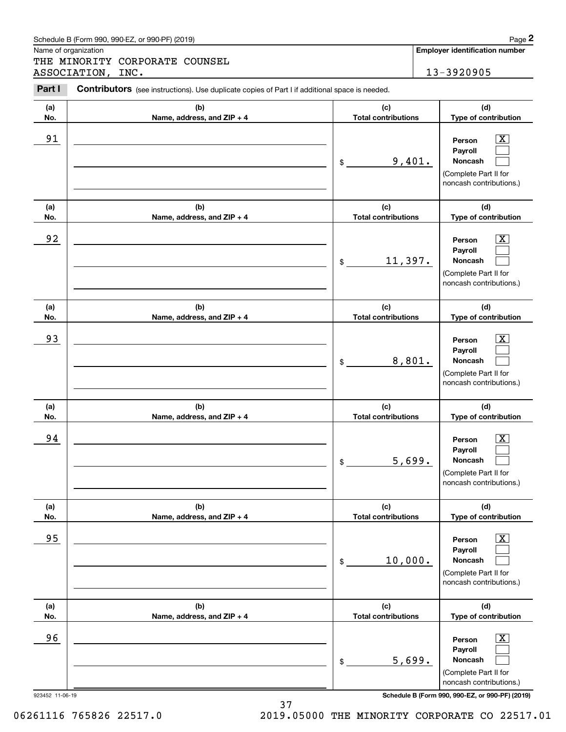|            | Schedule B (Form 990, 990-EZ, or 990-PF) (2019)                                                |                                   | Page 2                                                                                                      |
|------------|------------------------------------------------------------------------------------------------|-----------------------------------|-------------------------------------------------------------------------------------------------------------|
|            | Name of organization<br>THE MINORITY CORPORATE COUNSEL                                         |                                   | <b>Employer identification number</b>                                                                       |
|            | ASSOCIATION, INC.                                                                              |                                   | 13-3920905                                                                                                  |
| Part I     | Contributors (see instructions). Use duplicate copies of Part I if additional space is needed. |                                   |                                                                                                             |
| (a)<br>No. | (b)<br>Name, address, and ZIP + 4                                                              | (c)<br><b>Total contributions</b> | (d)<br>Type of contribution                                                                                 |
| 91         |                                                                                                | 9,401.<br>\$                      | $\overline{\text{X}}$<br>Person<br>Payroll<br>Noncash<br>(Complete Part II for<br>noncash contributions.)   |
| (a)<br>No. | (b)<br>Name, address, and ZIP + 4                                                              | (c)<br><b>Total contributions</b> | (d)<br>Type of contribution                                                                                 |
| 92         |                                                                                                | 11,397.<br>\$                     | $\overline{\text{X}}$<br>Person<br>Payroll<br>Noncash<br>(Complete Part II for<br>noncash contributions.)   |
| (a)<br>No. | (b)<br>Name, address, and ZIP + 4                                                              | (c)<br><b>Total contributions</b> | (d)<br>Type of contribution                                                                                 |
| 93         |                                                                                                | 8,801.<br>\$                      | $\overline{\text{X}}$<br>Person<br>Payroll<br>Noncash<br>(Complete Part II for<br>noncash contributions.)   |
| (a)<br>No. | (b)<br>Name, address, and ZIP + 4                                                              | (c)<br><b>Total contributions</b> | (d)<br>Type of contribution                                                                                 |
| 94         |                                                                                                | 5,699.<br>\$                      | $\overline{\text{X}}$<br>Person<br>Payroll<br>Noncash<br>(Complete Part II for<br>noncash contributions.)   |
| (a)<br>No. | (b)<br>Name, address, and ZIP + 4                                                              | (c)<br><b>Total contributions</b> | (d)<br>Type of contribution                                                                                 |
| 95         |                                                                                                | 10,000.<br>\$                     | $\overline{\mathbf{X}}$<br>Person<br>Payroll<br>Noncash<br>(Complete Part II for<br>noncash contributions.) |
| (a)<br>No. | (b)<br>Name, address, and ZIP + 4                                                              | (c)<br><b>Total contributions</b> | (d)<br>Type of contribution                                                                                 |
| 96         |                                                                                                | 5,699.<br>\$                      | $\overline{\mathbf{X}}$<br>Person<br>Payroll<br>Noncash<br>(Complete Part II for<br>noncash contributions.) |

## 37 06261116 765826 22517.0 2019.05000 THE MINORITY CORPORATE CO 22517.01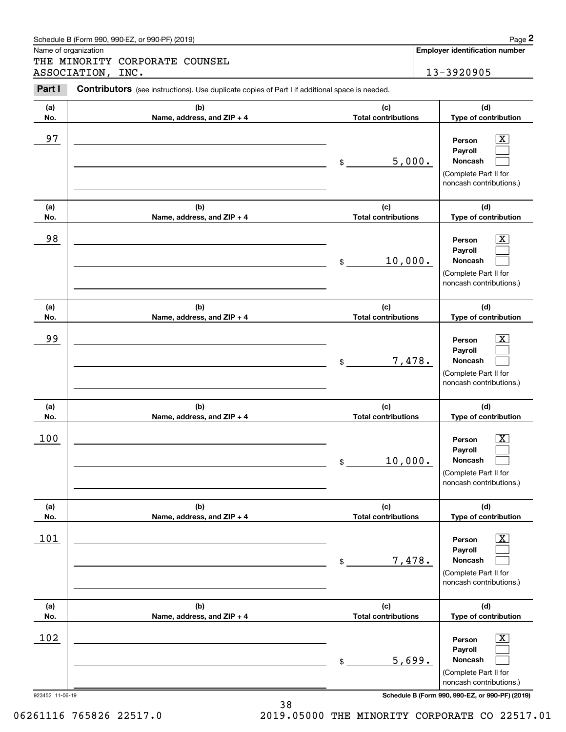|                      | Schedule B (Form 990, 990-EZ, or 990-PF) (2019)                                                       |                                   |        | Page 2                                                                                                        |
|----------------------|-------------------------------------------------------------------------------------------------------|-----------------------------------|--------|---------------------------------------------------------------------------------------------------------------|
| Name of organization | THE MINORITY CORPORATE COUNSEL                                                                        |                                   |        | Employer identification number                                                                                |
|                      | ASSOCIATION,<br>INC.                                                                                  |                                   |        | 13-3920905                                                                                                    |
| Part I               | <b>Contributors</b> (see instructions). Use duplicate copies of Part I if additional space is needed. |                                   |        |                                                                                                               |
| (a)<br>No.           | (b)<br>Name, address, and ZIP + 4                                                                     | (c)<br><b>Total contributions</b> |        | (d)<br>Type of contribution                                                                                   |
| 97                   |                                                                                                       | \$                                | 5,000. | $\mathbf{X}$<br>Person<br>Payroll<br>Noncash<br>(Complete Part II for<br>noncash contributions.)              |
| (a)<br>No.           | (b)<br>Name, address, and ZIP + 4                                                                     | (c)<br><b>Total contributions</b> |        | (d)<br>Type of contribution                                                                                   |
| 98                   |                                                                                                       | 10,000.<br>\$                     |        | $\overline{\text{X}}$<br>Person<br>Payroll<br>Noncash<br>(Complete Part II for<br>noncash contributions.)     |
| (a)<br>No.           | (b)<br>Name, address, and ZIP + 4                                                                     | (c)<br><b>Total contributions</b> |        | (d)<br>Type of contribution                                                                                   |
| 99                   |                                                                                                       | \$                                | 7,478. | $\overline{\text{X}}$<br>Person<br>Payroll<br>Noncash<br>(Complete Part II for<br>noncash contributions.)     |
| (a)<br>No.           | (b)<br>Name, address, and ZIP + 4                                                                     | (c)<br><b>Total contributions</b> |        | (d)<br>Type of contribution                                                                                   |
| 100                  |                                                                                                       | 10,000.<br>\$                     |        | $\overline{\mathbf{X}}$<br>Person<br>Payroll<br>Noncash<br>(Complete Part II for<br>noncash contributions.)   |
| (a)<br>No.           | (b)<br>Name, address, and ZIP + 4                                                                     | (c)<br><b>Total contributions</b> |        | (d)<br>Type of contribution                                                                                   |
| 101                  |                                                                                                       | \$                                | 7,478. | $\boxed{\text{X}}$<br>Person<br>Payroll<br><b>Noncash</b><br>(Complete Part II for<br>noncash contributions.) |
| (a)<br>No.           | (b)<br>Name, address, and ZIP + 4                                                                     | (c)<br><b>Total contributions</b> |        | (d)<br>Type of contribution                                                                                   |
| 102                  |                                                                                                       | \$                                | 5,699. | $\boxed{\text{X}}$<br>Person<br>Payroll<br>Noncash<br>(Complete Part II for<br>noncash contributions.)        |

38 06261116 765826 22517.0 2019.05000 THE MINORITY CORPORATE CO 22517.01

Schedule B (Form 990, 990-EZ, or 990-PF) (2019) Page 2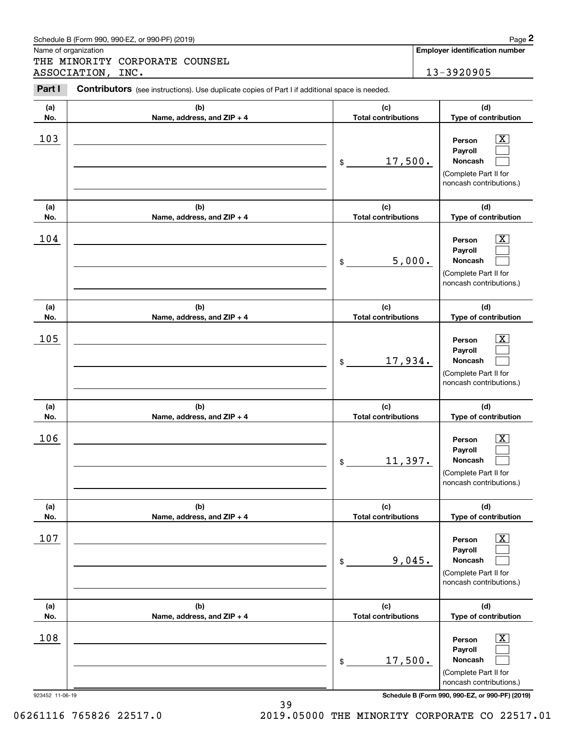|                      | Schedule B (Form 990, 990-EZ, or 990-PF) (2019)                                                                               |                                   |        | Page 2                                                                                                        |
|----------------------|-------------------------------------------------------------------------------------------------------------------------------|-----------------------------------|--------|---------------------------------------------------------------------------------------------------------------|
| Name of organization | THE MINORITY CORPORATE COUNSEL                                                                                                |                                   |        | Employer identification number                                                                                |
| Part I               | ASSOCIATION,<br>INC.<br><b>Contributors</b> (see instructions). Use duplicate copies of Part I if additional space is needed. |                                   |        | 13-3920905                                                                                                    |
| (a)<br>No.           | (b)<br>Name, address, and ZIP + 4                                                                                             | (c)<br><b>Total contributions</b> |        | (d)<br>Type of contribution                                                                                   |
| 103                  |                                                                                                                               | 17,500.<br>\$                     |        | $\mathbf{X}$<br>Person<br>Payroll<br>Noncash<br>(Complete Part II for<br>noncash contributions.)              |
| (a)<br>No.           | (b)<br>Name, address, and ZIP + 4                                                                                             | (c)<br><b>Total contributions</b> |        | (d)<br>Type of contribution                                                                                   |
| 104                  |                                                                                                                               | \$                                | 5,000. | $\overline{\mathbf{X}}$<br>Person<br>Payroll<br>Noncash<br>(Complete Part II for<br>noncash contributions.)   |
| (a)<br>No.           | (b)<br>Name, address, and ZIP + 4                                                                                             | (c)<br><b>Total contributions</b> |        | (d)<br>Type of contribution                                                                                   |
| 105                  |                                                                                                                               | 17,934.<br>\$                     |        | $\overline{\text{X}}$<br>Person<br>Payroll<br>Noncash<br>(Complete Part II for<br>noncash contributions.)     |
| (a)<br>No.           | (b)<br>Name, address, and ZIP + 4                                                                                             | (c)<br><b>Total contributions</b> |        | (d)<br>Type of contribution                                                                                   |
| 106                  |                                                                                                                               | 11,397.<br>\$                     |        | $\mathbf{X}$<br>Person<br>Payroll<br>Noncash<br>(Complete Part II for<br>noncash contributions.)              |
| (a)<br>No.           | (b)<br>Name, address, and ZIP + 4                                                                                             | (c)<br><b>Total contributions</b> |        | (d)<br>Type of contribution                                                                                   |
| 107                  |                                                                                                                               | \$                                | 9,045. | $\boxed{\text{X}}$<br>Person<br>Payroll<br><b>Noncash</b><br>(Complete Part II for<br>noncash contributions.) |
| (a)<br>No.           | (b)<br>Name, address, and ZIP + 4                                                                                             | (c)<br><b>Total contributions</b> |        | (d)<br>Type of contribution                                                                                   |
| 108                  |                                                                                                                               | 17,500.<br>\$                     |        | $\boxed{\text{X}}$<br>Person<br>Payroll<br>Noncash<br>(Complete Part II for<br>noncash contributions.)        |

39 06261116 765826 22517.0 2019.05000 THE MINORITY CORPORATE CO 22517.01

Schedule B (Form 990, 990-EZ, or 990-PF) (2019) Page 2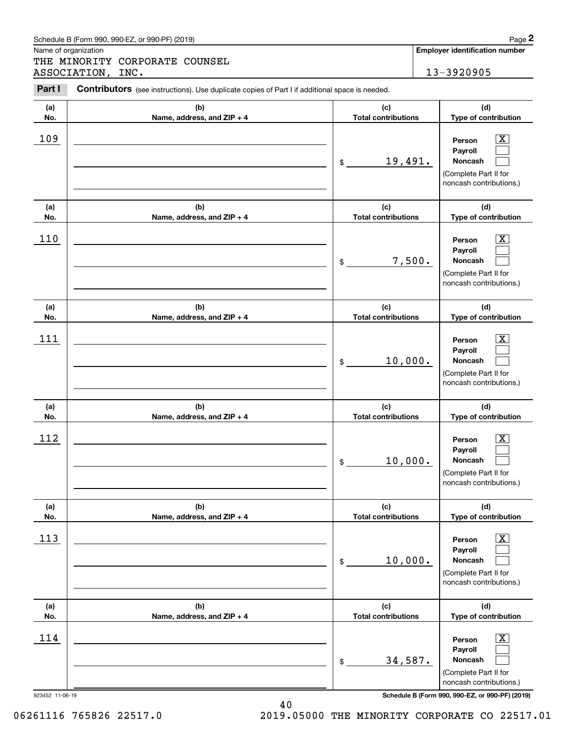|            | Schedule B (Form 990, 990-EZ, or 990-PF) (2019)                                                                            |                                   | Page 2                                                                                                        |
|------------|----------------------------------------------------------------------------------------------------------------------------|-----------------------------------|---------------------------------------------------------------------------------------------------------------|
|            | Name of organization<br>THE MINORITY CORPORATE COUNSEL                                                                     |                                   | Employer identification number                                                                                |
| Part I     | ASSOCIATION, INC.<br><b>Contributors</b> (see instructions). Use duplicate copies of Part I if additional space is needed. |                                   | 13-3920905                                                                                                    |
| (a)<br>No. | (b)<br>Name, address, and ZIP + 4                                                                                          | (c)<br><b>Total contributions</b> | (d)<br>Type of contribution                                                                                   |
| 109        |                                                                                                                            | 19,491.<br>\$                     | $\mathbf{X}$<br>Person<br>Payroll<br>Noncash<br>(Complete Part II for<br>noncash contributions.)              |
| (a)<br>No. | (b)<br>Name, address, and ZIP + 4                                                                                          | (c)<br><b>Total contributions</b> | (d)<br>Type of contribution                                                                                   |
| 110        |                                                                                                                            | 7,500.<br>\$                      | $\overline{\mathbf{X}}$<br>Person<br>Payroll<br>Noncash<br>(Complete Part II for<br>noncash contributions.)   |
| (a)<br>No. | (b)<br>Name, address, and ZIP + 4                                                                                          | (c)<br><b>Total contributions</b> | (d)<br>Type of contribution                                                                                   |
| 111        |                                                                                                                            | 10,000.<br>\$                     | $\overline{\text{X}}$<br>Person<br>Payroll<br>Noncash<br>(Complete Part II for<br>noncash contributions.)     |
| (a)<br>No. | (b)<br>Name, address, and ZIP + 4                                                                                          | (c)<br><b>Total contributions</b> | (d)<br>Type of contribution                                                                                   |
| 112        |                                                                                                                            | 10,000.<br>\$                     | $\mathbf{X}$<br>Person<br>Payroll<br>Noncash<br>(Complete Part II for<br>noncash contributions.)              |
| (a)<br>No. | (b)<br>Name, address, and ZIP + 4                                                                                          | (c)<br><b>Total contributions</b> | (d)<br>Type of contribution                                                                                   |
| 113        |                                                                                                                            | 10,000.<br>\$                     | $\boxed{\text{X}}$<br>Person<br>Payroll<br><b>Noncash</b><br>(Complete Part II for<br>noncash contributions.) |
| (a)<br>No. | (b)<br>Name, address, and ZIP + 4                                                                                          | (c)<br><b>Total contributions</b> | (d)<br>Type of contribution                                                                                   |
| 114        |                                                                                                                            | 34,587.<br>\$                     | $\boxed{\text{X}}$<br>Person<br>Payroll<br>Noncash<br>(Complete Part II for<br>noncash contributions.)        |

Schedule B (Form 990, 990-EZ, or 990-PF) (2019) Page 2

923452 11-06-19 **Schedule B (Form 990, 990-EZ, or 990-PF) (2019)**

40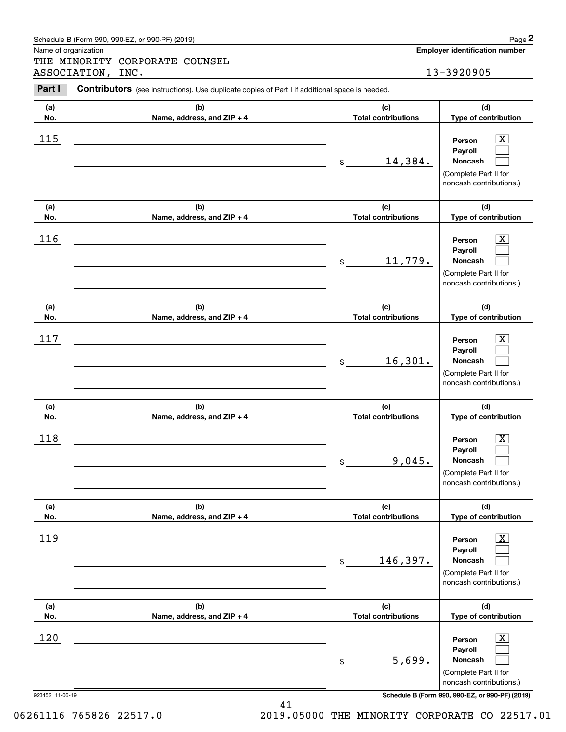|            | Schedule B (Form 990, 990-EZ, or 990-PF) (2019)                                                       |                                             |        | Page 2                                                                                                                          |
|------------|-------------------------------------------------------------------------------------------------------|---------------------------------------------|--------|---------------------------------------------------------------------------------------------------------------------------------|
|            | Name of organization<br>THE MINORITY CORPORATE COUNSEL                                                |                                             |        | <b>Employer identification number</b>                                                                                           |
|            | ASSOCIATION, INC.                                                                                     |                                             |        | 13-3920905                                                                                                                      |
| Part I     | <b>Contributors</b> (see instructions). Use duplicate copies of Part I if additional space is needed. |                                             |        |                                                                                                                                 |
| (a)        | (b)                                                                                                   | (c)                                         |        | (d)                                                                                                                             |
| No.        | Name, address, and ZIP + 4                                                                            | <b>Total contributions</b>                  |        | Type of contribution                                                                                                            |
| 115        |                                                                                                       | 14,384.<br>\$                               |        | $\mathbf{X}$<br>Person<br>Payroll<br><b>Noncash</b><br>(Complete Part II for<br>noncash contributions.)                         |
| (a)        | (b)                                                                                                   | (c)                                         |        | (d)                                                                                                                             |
| No.<br>116 | Name, address, and ZIP + 4                                                                            | <b>Total contributions</b><br>11,779.<br>\$ |        | Type of contribution<br>$\mathbf{X}$<br>Person<br>Payroll<br><b>Noncash</b><br>(Complete Part II for<br>noncash contributions.) |
| (a)<br>No. | (b)<br>Name, address, and ZIP + 4                                                                     | (c)<br><b>Total contributions</b>           |        | (d)<br>Type of contribution                                                                                                     |
| 117        |                                                                                                       | 16,301.<br>\$                               |        | $\mathbf{X}$<br>Person<br>Payroll<br><b>Noncash</b><br>(Complete Part II for<br>noncash contributions.)                         |
| (a)<br>No. | (b)<br>Name, address, and ZIP + 4                                                                     | (c)<br><b>Total contributions</b>           |        | (d)<br>Type of contribution                                                                                                     |
| 118        |                                                                                                       | \$                                          | 9,045. | $\mathbf{X}$<br>Person<br><b>Payroll</b><br>Noncash<br>(Complete Part II for<br>noncash contributions.)                         |
| (a)<br>No. | (b)<br>Name, address, and ZIP + 4                                                                     | (c)<br><b>Total contributions</b>           |        | (d)<br>Type of contribution                                                                                                     |
| 119        |                                                                                                       | 146,397.<br>\$                              |        | $\boxed{\text{X}}$<br>Person<br>Payroll<br><b>Noncash</b><br>(Complete Part II for<br>noncash contributions.)                   |
| (a)<br>No. | (b)<br>Name, address, and ZIP + 4                                                                     | (c)<br><b>Total contributions</b>           |        | (d)<br>Type of contribution                                                                                                     |
| 120        |                                                                                                       | \$                                          | 5,699. | $\boxed{\text{X}}$<br>Person<br>Payroll<br><b>Noncash</b><br>(Complete Part II for<br>noncash contributions.)                   |

923452 11-06-19 **Schedule B (Form 990, 990-EZ, or 990-PF) (2019)**

06261116 765826 22517.0 2019.05000 THE MINORITY CORPORATE CO 22517.01

41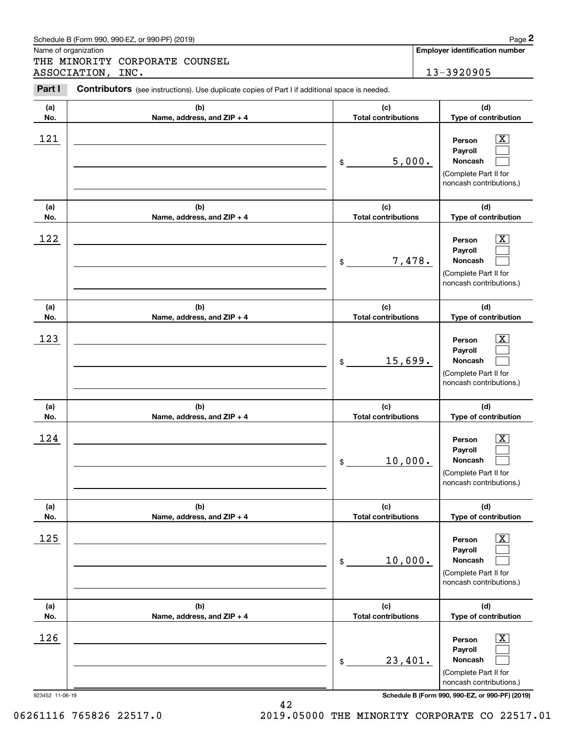|        | Schedule B (Form 990, 990-EZ, or 990-PF) (2019)                                                       |        | Page 2                                |  |  |
|--------|-------------------------------------------------------------------------------------------------------|--------|---------------------------------------|--|--|
|        | Name of organization                                                                                  |        | <b>Employer identification number</b> |  |  |
|        | THE MINORITY CORPORATE COUNSEL                                                                        |        |                                       |  |  |
|        | ASSOCIATION, INC.                                                                                     |        | 13-3920905                            |  |  |
| Part I | <b>Contributors</b> (see instructions). Use duplicate copies of Part I if additional space is needed. |        |                                       |  |  |
| (a     | (h)                                                                                                   | $\sim$ | (h)                                   |  |  |

| Part I     | Contributors (see instructions). Use duplicate copies of Part I if additional space is needed. |                                             |                                                                                                                                     |  |  |
|------------|------------------------------------------------------------------------------------------------|---------------------------------------------|-------------------------------------------------------------------------------------------------------------------------------------|--|--|
| (a)        | (b)                                                                                            | (c)                                         | (d)                                                                                                                                 |  |  |
| No.        | Name, address, and ZIP + 4                                                                     | <b>Total contributions</b>                  | Type of contribution                                                                                                                |  |  |
| 121        |                                                                                                | 5,000.<br>\$                                | $\overline{\mathbf{X}}$<br>Person<br>Payroll<br>Noncash<br>(Complete Part II for<br>noncash contributions.)                         |  |  |
| (a)<br>No. | (b)<br>Name, address, and ZIP + 4                                                              | (c)<br><b>Total contributions</b>           | (d)<br>Type of contribution                                                                                                         |  |  |
| 122        |                                                                                                | 7,478.<br>\$                                | $\overline{\mathbf{X}}$<br>Person<br>Payroll<br>Noncash<br>(Complete Part II for<br>noncash contributions.)                         |  |  |
| (a)        | (b)                                                                                            | (c)                                         | (d)                                                                                                                                 |  |  |
| No.        | Name, address, and ZIP + 4                                                                     | <b>Total contributions</b>                  | Type of contribution                                                                                                                |  |  |
| 123        |                                                                                                | 15,699.<br>\$                               | $\overline{\mathbf{X}}$<br>Person<br>Payroll<br>Noncash<br>(Complete Part II for<br>noncash contributions.)                         |  |  |
| (a)        | (b)                                                                                            | (c)                                         | (d)                                                                                                                                 |  |  |
| No.<br>124 | Name, address, and ZIP + 4                                                                     | <b>Total contributions</b><br>10,000.<br>\$ | Type of contribution<br>$\overline{\mathbf{X}}$<br>Person<br>Payroll<br>Noncash<br>(Complete Part II for<br>noncash contributions.) |  |  |
| (a)<br>No. | (b)<br>Name, address, and ZIP + 4                                                              | (c)<br><b>Total contributions</b>           | (d)<br>Type of contribution                                                                                                         |  |  |
| 125        |                                                                                                | 10,000.<br>\$                               | $\overline{\mathbf{X}}$<br>Person<br>Payroll<br>Noncash<br>(Complete Part II for<br>noncash contributions.)                         |  |  |
| (a)        | (b)                                                                                            | (c)                                         | (d)                                                                                                                                 |  |  |
| No.<br>126 | Name, address, and ZIP + 4                                                                     | <b>Total contributions</b><br>23,401.<br>\$ | Type of contribution<br>$\overline{\mathbf{X}}$<br>Person<br>Payroll<br>Noncash<br>(Complete Part II for<br>noncash contributions.) |  |  |

923452 11-06-19 **Schedule B (Form 990, 990-EZ, or 990-PF) (2019)**

06261116 765826 22517.0 2019.05000 THE MINORITY CORPORATE CO 22517.01

42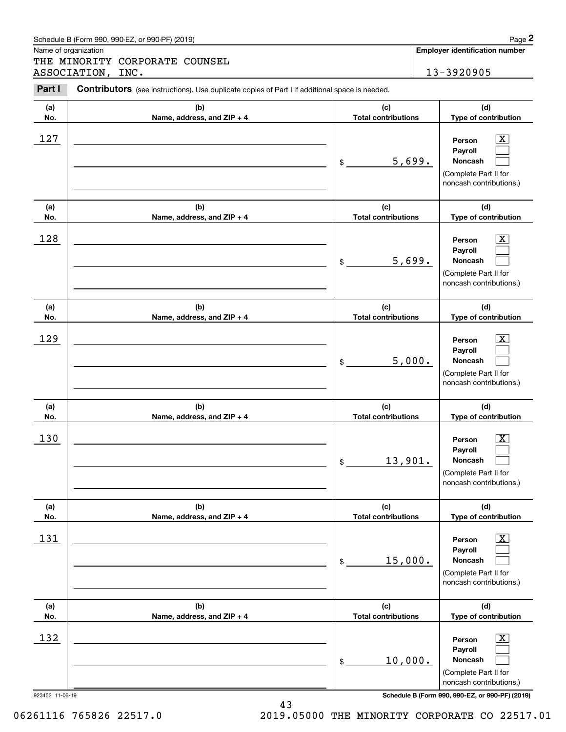|                 | Schedule B (Form 990, 990-EZ, or 990-PF) (2019)                                                |                                   | Page 2                                                                                                             |
|-----------------|------------------------------------------------------------------------------------------------|-----------------------------------|--------------------------------------------------------------------------------------------------------------------|
|                 | Name of organization<br>THE MINORITY CORPORATE COUNSEL                                         |                                   | <b>Employer identification number</b>                                                                              |
|                 | ASSOCIATION, INC.                                                                              |                                   | 13-3920905                                                                                                         |
| Part I          | Contributors (see instructions). Use duplicate copies of Part I if additional space is needed. |                                   |                                                                                                                    |
| (a)             | (b)                                                                                            | (c)                               | (d)                                                                                                                |
| No.             | Name, address, and ZIP + 4                                                                     | <b>Total contributions</b>        | Type of contribution                                                                                               |
| 127             |                                                                                                | 5,699.<br>\$                      | $\mathbf{X}$<br>Person<br>Payroll<br>Noncash<br>(Complete Part II for<br>noncash contributions.)                   |
| (a)<br>No.      | (b)<br>Name, address, and ZIP + 4                                                              | (c)<br><b>Total contributions</b> | (d)<br>Type of contribution                                                                                        |
| 128             |                                                                                                | 5,699.<br>\$                      | $\overline{\mathbf{X}}$<br>Person<br>Payroll<br>Noncash<br>(Complete Part II for<br>noncash contributions.)        |
| (a)             | (b)                                                                                            | (c)                               | (d)                                                                                                                |
| No.             | Name, address, and ZIP + 4                                                                     | <b>Total contributions</b>        | Type of contribution                                                                                               |
| 129             |                                                                                                | 5,000.<br>\$                      | $\mathbf{X}$<br>Person<br>Payroll<br>Noncash<br>(Complete Part II for<br>noncash contributions.)                   |
| (a)<br>No.      | (b)<br>Name, address, and ZIP + 4                                                              | (c)<br><b>Total contributions</b> | (d)<br>Type of contribution                                                                                        |
| 130             |                                                                                                | 13,901.<br>\$                     | $\overline{\text{X}}$<br>Person<br>Payroll<br>Noncash<br>(Complete Part II for<br>noncash contributions.)          |
| (a)<br>No.      | (b)<br>Name, address, and ZIP + 4                                                              | (c)<br><b>Total contributions</b> | (d)<br>Type of contribution                                                                                        |
| 131             |                                                                                                | 15,000.<br>\$                     | $\overline{\mathbf{X}}$<br>Person<br>Payroll<br><b>Noncash</b><br>(Complete Part II for<br>noncash contributions.) |
| (a)<br>No.      | (b)<br>Name, address, and ZIP + 4                                                              | (c)<br><b>Total contributions</b> | (d)<br>Type of contribution                                                                                        |
| 132             |                                                                                                | 10,000.<br>\$                     | $\overline{\mathbf{X}}$<br>Person<br>Payroll<br>Noncash<br>(Complete Part II for<br>noncash contributions.)        |
| 923452 11-06-19 |                                                                                                |                                   | Schedule B (Form 990, 990-EZ, or 990-PF) (2019)                                                                    |

06261116 765826 22517.0 2019.05000 THE MINORITY CORPORATE CO 22517.01

Schedule B (Form 990, 990-EZ, or 990-PF) (2019) Page 2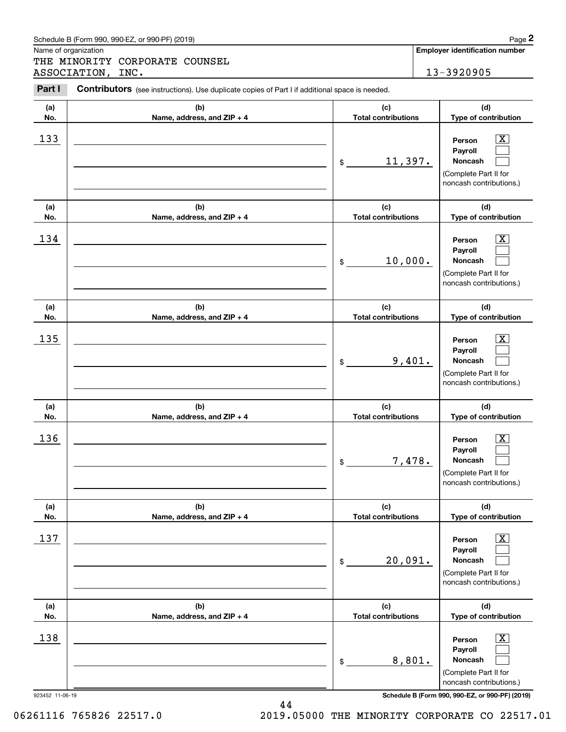|            | Schedule B (Form 990, 990-EZ, or 990-PF) (2019)                                                |                                   | Page 2                                                                                                        |
|------------|------------------------------------------------------------------------------------------------|-----------------------------------|---------------------------------------------------------------------------------------------------------------|
|            | Name of organization<br>THE MINORITY CORPORATE COUNSEL                                         |                                   | Employer identification number                                                                                |
|            | ASSOCIATION, INC.                                                                              |                                   | 13-3920905                                                                                                    |
| Part I     | Contributors (see instructions). Use duplicate copies of Part I if additional space is needed. |                                   |                                                                                                               |
| (a)<br>No. | (b)<br>Name, address, and ZIP + 4                                                              | (c)<br><b>Total contributions</b> | (d)<br>Type of contribution                                                                                   |
| 133        |                                                                                                | 11,397.<br>\$                     | $\mathbf{X}$<br>Person<br>Payroll<br>Noncash<br>(Complete Part II for<br>noncash contributions.)              |
| (a)<br>No. | (b)<br>Name, address, and ZIP + 4                                                              | (c)<br><b>Total contributions</b> | (d)<br>Type of contribution                                                                                   |
| 134        |                                                                                                | 10,000.<br>\$                     | $\overline{\mathbf{X}}$<br>Person<br>Payroll<br>Noncash<br>(Complete Part II for<br>noncash contributions.)   |
| (a)<br>No. | (b)<br>Name, address, and ZIP + 4                                                              | (c)<br><b>Total contributions</b> | (d)<br>Type of contribution                                                                                   |
| 135        |                                                                                                | 9,401.<br>\$                      | $\overline{\text{X}}$<br>Person<br>Payroll<br>Noncash<br>(Complete Part II for<br>noncash contributions.)     |
| (a)<br>No. | (b)<br>Name, address, and ZIP + 4                                                              | (c)<br><b>Total contributions</b> | (d)<br>Type of contribution                                                                                   |
| 136        |                                                                                                | 7,478.<br>\$                      | $\mathbf{X}$<br>Person<br>Payroll<br>Noncash<br>(Complete Part II for<br>noncash contributions.)              |
| (a)<br>No. | (b)<br>Name, address, and ZIP + 4                                                              | (c)<br><b>Total contributions</b> | (d)<br>Type of contribution                                                                                   |
| 137        |                                                                                                | 20,091.<br>\$                     | $\boxed{\text{X}}$<br>Person<br>Payroll<br><b>Noncash</b><br>(Complete Part II for<br>noncash contributions.) |
| (a)<br>No. | (b)<br>Name, address, and ZIP + 4                                                              | (c)<br><b>Total contributions</b> | (d)<br>Type of contribution                                                                                   |
| 138        |                                                                                                | 8,801.<br>\$                      | $\boxed{\text{X}}$<br>Person<br>Payroll<br><b>Noncash</b><br>(Complete Part II for<br>noncash contributions.) |

923452 11-06-19 **Schedule B (Form 990, 990-EZ, or 990-PF) (2019)**

06261116 765826 22517.0 2019.05000 THE MINORITY CORPORATE CO 22517.01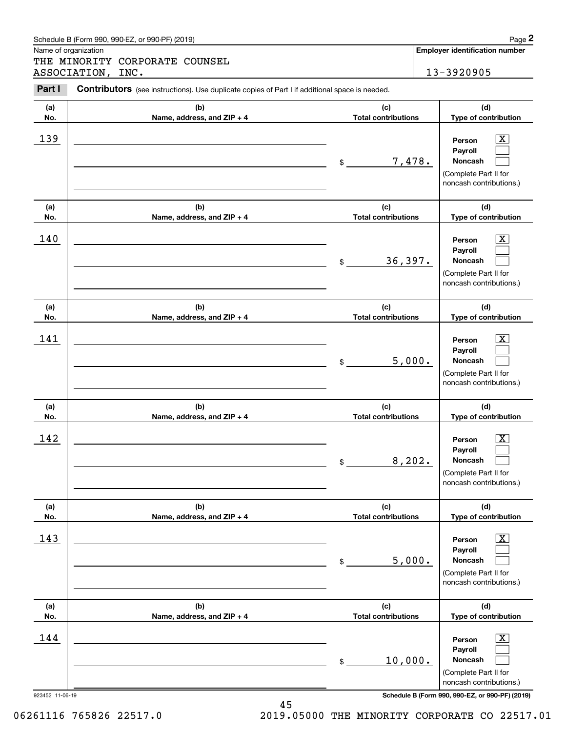|                      | Schedule B (Form 990, 990-EZ, or 990-PF) (2019)                                                |                                   |         | Page 2                                                                                                      |
|----------------------|------------------------------------------------------------------------------------------------|-----------------------------------|---------|-------------------------------------------------------------------------------------------------------------|
| Name of organization | THE MINORITY CORPORATE COUNSEL                                                                 |                                   |         | <b>Employer identification number</b>                                                                       |
|                      | ASSOCIATION, INC.                                                                              |                                   |         | 13-3920905                                                                                                  |
| Part I               | Contributors (see instructions). Use duplicate copies of Part I if additional space is needed. |                                   |         |                                                                                                             |
| (a)<br>No.           | (b)<br>Name, address, and ZIP + 4                                                              | (c)<br><b>Total contributions</b> |         | (d)<br>Type of contribution                                                                                 |
| 139                  |                                                                                                | \$                                | 7,478.  | $\overline{\mathbf{X}}$<br>Person<br>Payroll<br>Noncash<br>(Complete Part II for<br>noncash contributions.) |
| (a)<br>No.           | (b)<br>Name, address, and ZIP + 4                                                              | (c)<br><b>Total contributions</b> |         | (d)<br>Type of contribution                                                                                 |
| 140                  |                                                                                                | 36,397.<br>\$                     |         | x<br>Person<br>Payroll<br>Noncash<br>(Complete Part II for<br>noncash contributions.)                       |
| (a)<br>No.           | (b)<br>Name, address, and ZIP + 4                                                              | (c)<br><b>Total contributions</b> |         | (d)<br>Type of contribution                                                                                 |
| 141                  |                                                                                                | \$                                | 5,000.  | х<br>Person<br>Payroll<br>Noncash<br>(Complete Part II for<br>noncash contributions.)                       |
| (a)<br>No.           | (b)<br>Name, address, and ZIP + 4                                                              | (c)<br><b>Total contributions</b> |         | (d)<br>Type of contribution                                                                                 |
| 142                  |                                                                                                | \$                                | 8, 202. | $\overline{\mathbf{X}}$<br>Person<br>Payroll<br>Noncash<br>(Complete Part II for<br>noncash contributions.) |
| (a)<br>No.           | (b)<br>Name, address, and ZIP + 4                                                              | (c)<br><b>Total contributions</b> |         | (d)<br>Type of contribution                                                                                 |
| 143                  |                                                                                                | \$                                | 5,000.  | $\boxed{\text{X}}$<br>Person<br>Payroll<br>Noncash<br>(Complete Part II for<br>noncash contributions.)      |
| (a)<br>No.           | (b)<br>Name, address, and ZIP + 4                                                              | (c)<br><b>Total contributions</b> |         | (d)<br>Type of contribution                                                                                 |
| 144                  |                                                                                                | 10,000.<br>\$                     |         | $\boxed{\text{X}}$<br>Person<br>Payroll<br>Noncash<br>(Complete Part II for<br>noncash contributions.)      |

Schedule B (Form 990, 990-EZ, or 990-PF) (2019) Page 2

923452 11-06-19 **Schedule B (Form 990, 990-EZ, or 990-PF) (2019)**

06261116 765826 22517.0 2019.05000 THE MINORITY CORPORATE CO 22517.01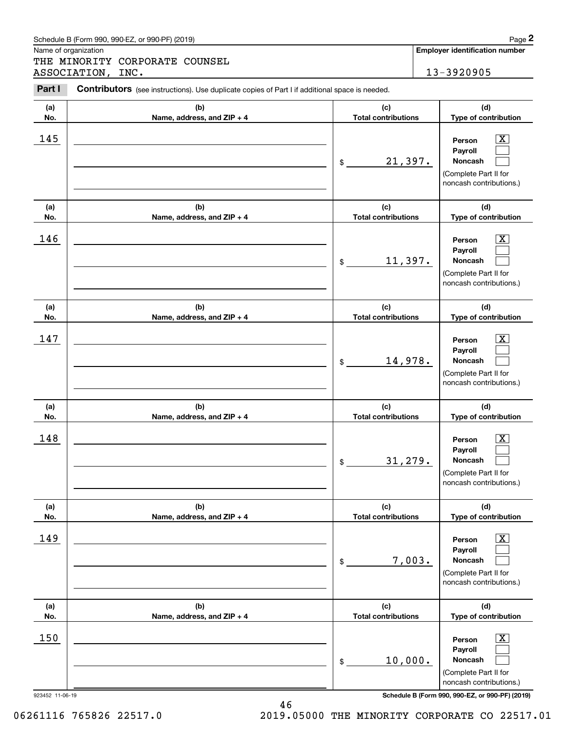|                      | Schedule B (Form 990, 990-EZ, or 990-PF) (2019)                                                |                                   |        | Page 2                                                                                                      |
|----------------------|------------------------------------------------------------------------------------------------|-----------------------------------|--------|-------------------------------------------------------------------------------------------------------------|
| Name of organization | THE MINORITY CORPORATE COUNSEL                                                                 |                                   |        | <b>Employer identification number</b>                                                                       |
|                      | ASSOCIATION, INC.                                                                              |                                   |        | 13-3920905                                                                                                  |
| Part I               | Contributors (see instructions). Use duplicate copies of Part I if additional space is needed. |                                   |        |                                                                                                             |
| (a)<br>No.           | (b)<br>Name, address, and ZIP + 4                                                              | (c)<br><b>Total contributions</b> |        | (d)<br>Type of contribution                                                                                 |
| 145                  |                                                                                                | 21,397.<br>$\$$                   |        | $\overline{\text{X}}$<br>Person<br>Payroll<br>Noncash<br>(Complete Part II for<br>noncash contributions.)   |
| (a)<br>No.           | (b)<br>Name, address, and ZIP + 4                                                              | (c)<br><b>Total contributions</b> |        | (d)<br>Type of contribution                                                                                 |
| 146                  |                                                                                                | 11,397.<br>\$                     |        | $\overline{\text{X}}$<br>Person<br>Payroll<br>Noncash<br>(Complete Part II for<br>noncash contributions.)   |
| (a)<br>No.           | (b)<br>Name, address, and ZIP + 4                                                              | (c)<br><b>Total contributions</b> |        | (d)<br>Type of contribution                                                                                 |
| 147                  |                                                                                                | 14,978.<br>\$                     |        | $\overline{\text{X}}$<br>Person<br>Payroll<br>Noncash<br>(Complete Part II for<br>noncash contributions.)   |
| (a)<br>No.           | (b)<br>Name, address, and ZIP + 4                                                              | (c)<br><b>Total contributions</b> |        | (d)<br>Type of contribution                                                                                 |
| 148                  |                                                                                                | 31, 279.<br>\$                    |        | $\overline{\text{X}}$<br>Person<br>Payroll<br>Noncash<br>(Complete Part II for<br>noncash contributions.)   |
| (a)<br>No.           | (b)<br>Name, address, and ZIP + 4                                                              | (c)<br><b>Total contributions</b> |        | (d)<br>Type of contribution                                                                                 |
| 149                  |                                                                                                | \$                                | 7,003. | $\overline{\mathbf{X}}$<br>Person<br>Payroll<br>Noncash<br>(Complete Part II for<br>noncash contributions.) |
| (a)<br>No.           | (b)<br>Name, address, and ZIP + 4                                                              | (c)<br><b>Total contributions</b> |        | (d)<br>Type of contribution                                                                                 |
| 150                  |                                                                                                | 10,000.<br>\$                     |        | $\overline{\mathbf{X}}$<br>Person<br>Payroll<br>Noncash<br>(Complete Part II for<br>noncash contributions.) |

06261116 765826 22517.0 2019.05000 THE MINORITY CORPORATE CO 22517.01

46

| Schedule B (Form 990, 990-EZ, or 990-PF) (2019) | Page |
|-------------------------------------------------|------|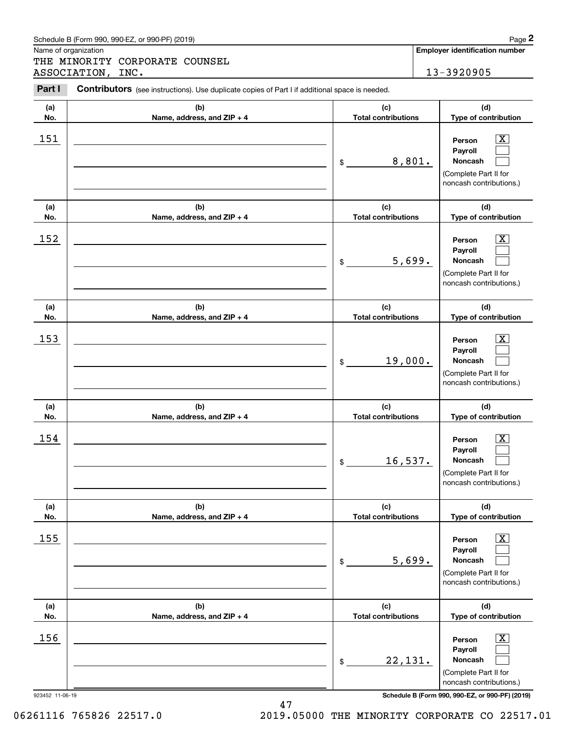| (a)<br>No.      | (b)<br>Name, address, and ZIP + 4 | (c)<br><b>Total contributions</b> | (d)<br>Type of contribution                                                                               |
|-----------------|-----------------------------------|-----------------------------------|-----------------------------------------------------------------------------------------------------------|
| 151             |                                   | 8,801.<br>\$                      | $\overline{\text{X}}$<br>Person<br>Payroll<br>Noncash<br>(Complete Part II for<br>noncash contributions.) |
| (a)<br>No.      | (b)<br>Name, address, and ZIP + 4 | (c)<br><b>Total contributions</b> | (d)<br>Type of contribution                                                                               |
| 152             |                                   | 5,699.<br>\$                      | Х,<br>Person<br>Payroll<br>Noncash<br>(Complete Part II for<br>noncash contributions.)                    |
| (a)<br>No.      | (b)<br>Name, address, and ZIP + 4 | (c)<br><b>Total contributions</b> | (d)<br>Type of contribution                                                                               |
| 153             |                                   | 19,000.<br>\$                     | $\overline{\text{X}}$<br>Person<br>Payroll<br>Noncash<br>(Complete Part II for<br>noncash contributions.) |
| (a)<br>No.      | (b)<br>Name, address, and ZIP + 4 | (c)<br><b>Total contributions</b> | (d)<br>Type of contribution                                                                               |
| 154             |                                   | 16,537.<br>$\$$                   | х<br>Person<br>Payroll<br>Noncash<br>(Complete Part II for<br>noncash contributions.)                     |
| (a)<br>No.      | (b)<br>Name, address, and ZIP + 4 | (c)<br><b>Total contributions</b> | (d)<br>Type of contribution                                                                               |
| 155             |                                   | 5,699.<br>\$                      | $\overline{\text{X}}$<br>Person<br>Payroll<br>Noncash<br>(Complete Part II for<br>noncash contributions.) |
| (a)             | (b)                               | (c)                               | (d)                                                                                                       |
| No.             | Name, address, and ZIP + 4        | <b>Total contributions</b>        | Type of contribution                                                                                      |
| 156             |                                   | 22,131.<br>\$                     | Х,<br>Person<br>Payroll<br>Noncash<br>(Complete Part II for<br>noncash contributions.)                    |
| 923452 11-06-19 |                                   |                                   | Schedule B (Form 990, 990-EZ, or 990-PF) (2019)                                                           |

### Schedule B (Form 990, 990-EZ, or 990-PF) (2019) **Page 2**

Name of organization

(see instructions). Use duplicate copies of Part I if additional space is needed.<br> **2Part I Contributors** (see instructions). Use duplicate copies of Part I if additional space is needed.<br> **2Part I Contributors** (see i THE MINORITY CORPORATE COUNSEL ASSOCIATION, INC. 13-3920905

**Employer identification number**

06261116 765826 22517.0 2019.05000 THE MINORITY CORPORATE CO 22517.01

47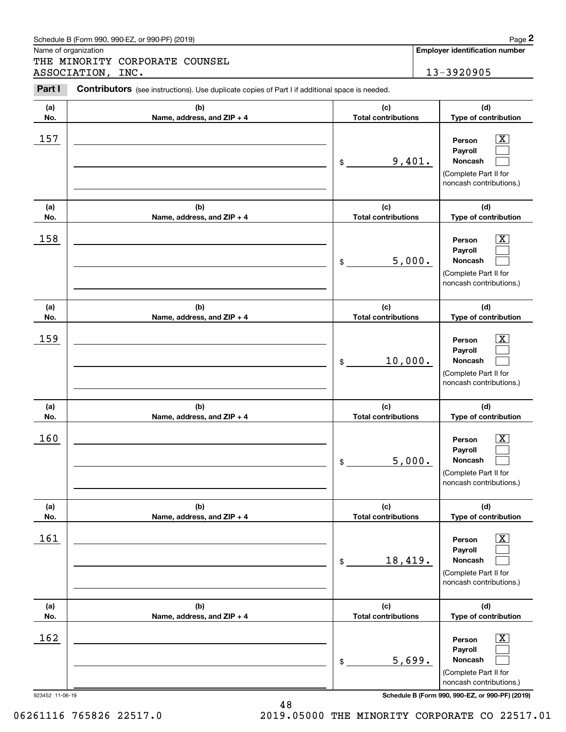|            | Schedule B (Form 990, 990-EZ, or 990-PF) (2019)                                                |                                   | Page 2                                                                                                             |
|------------|------------------------------------------------------------------------------------------------|-----------------------------------|--------------------------------------------------------------------------------------------------------------------|
|            | Name of organization                                                                           |                                   | <b>Employer identification number</b>                                                                              |
|            | THE MINORITY CORPORATE COUNSEL<br>ASSOCIATION, INC.                                            |                                   | 13-3920905                                                                                                         |
| Part I     | Contributors (see instructions). Use duplicate copies of Part I if additional space is needed. |                                   |                                                                                                                    |
| (a)<br>No. | (b)<br>Name, address, and ZIP + 4                                                              | (c)<br><b>Total contributions</b> | (d)<br>Type of contribution                                                                                        |
| 157        |                                                                                                | 9,401.<br>\$                      | $\overline{\mathbf{X}}$<br>Person<br>Payroll<br>Noncash<br>(Complete Part II for<br>noncash contributions.)        |
| (a)<br>No. | (b)<br>Name, address, and ZIP + 4                                                              | (c)<br><b>Total contributions</b> | (d)<br>Type of contribution                                                                                        |
| 158        |                                                                                                | 5,000.<br>\$                      | $\overline{\mathbf{X}}$<br>Person<br>Payroll<br>Noncash<br>(Complete Part II for<br>noncash contributions.)        |
| (a)<br>No. | (b)<br>Name, address, and ZIP + 4                                                              | (c)<br><b>Total contributions</b> | (d)<br>Type of contribution                                                                                        |
| 159        |                                                                                                | 10,000.<br>\$                     | $\overline{\mathbf{X}}$<br>Person<br>Payroll<br>Noncash<br>(Complete Part II for<br>noncash contributions.)        |
| (a)<br>No. | (b)<br>Name, address, and ZIP + 4                                                              | (c)<br><b>Total contributions</b> | (d)<br>Type of contribution                                                                                        |
| 160        |                                                                                                | 5,000.<br>\$                      | $\overline{\mathbf{X}}$<br>Person<br>Payroll<br>Noncash<br>(Complete Part II for<br>noncash contributions.)        |
| (a)<br>No. | (b)<br>Name, address, and ZIP + 4                                                              | (c)<br><b>Total contributions</b> | (d)<br>Type of contribution                                                                                        |
| 161        |                                                                                                | 18,419.<br>\$                     | $\overline{\mathbf{X}}$<br>Person<br>Payroll<br><b>Noncash</b><br>(Complete Part II for<br>noncash contributions.) |
| (a)<br>No. | (b)<br>Name, address, and ZIP + 4                                                              | (c)<br><b>Total contributions</b> | (d)<br>Type of contribution                                                                                        |
| 162        |                                                                                                | 5,699.<br>\$                      | $\overline{\mathbf{X}}$<br>Person<br>Payroll<br>Noncash<br>(Complete Part II for<br>noncash contributions.)        |

923452 11-06-19 **Schedule B (Form 990, 990-EZ, or 990-PF) (2019)**

06261116 765826 22517.0 2019.05000 THE MINORITY CORPORATE CO 22517.01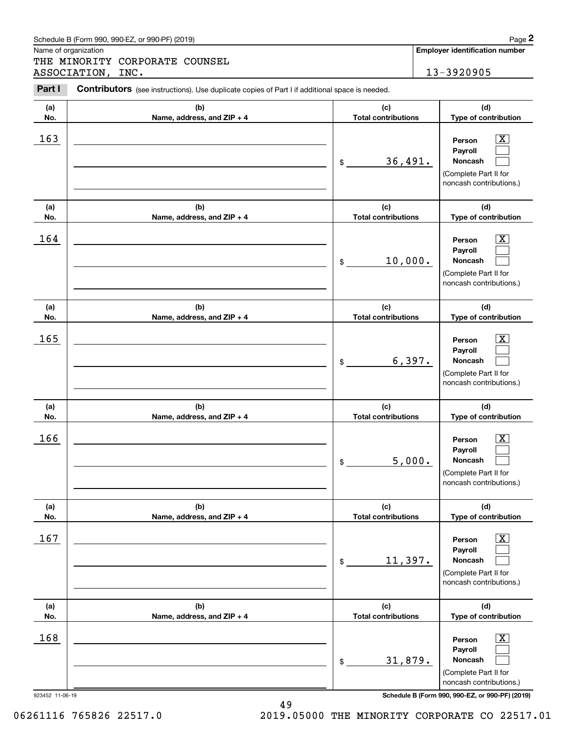|            | Schedule B (Form 990, 990-EZ, or 990-PF) (2019)                                                |                                   | Page 2                                                                                                              |
|------------|------------------------------------------------------------------------------------------------|-----------------------------------|---------------------------------------------------------------------------------------------------------------------|
|            | Name of organization<br>THE MINORITY CORPORATE COUNSEL                                         |                                   | <b>Employer identification number</b>                                                                               |
|            | ASSOCIATION, INC.                                                                              |                                   | 13-3920905                                                                                                          |
| Part I     | Contributors (see instructions). Use duplicate copies of Part I if additional space is needed. |                                   |                                                                                                                     |
| (a)<br>No. | (b)<br>Name, address, and ZIP + 4                                                              | (c)<br><b>Total contributions</b> | (d)<br>Type of contribution                                                                                         |
| 163        |                                                                                                | 36,491.<br>$\$$                   | $\overline{\text{X}}$<br>Person<br>Payroll<br>Noncash<br>(Complete Part II for<br>noncash contributions.)           |
| (a)<br>No. | (b)<br>Name, address, and ZIP + 4                                                              | (c)<br><b>Total contributions</b> | (d)<br>Type of contribution                                                                                         |
| 164        |                                                                                                | 10,000.<br>\$                     | $\overline{\text{X}}$<br>Person<br>Payroll<br>Noncash<br>(Complete Part II for<br>noncash contributions.)           |
| (a)<br>No. | (b)<br>Name, address, and ZIP + 4                                                              | (c)<br><b>Total contributions</b> | (d)<br>Type of contribution                                                                                         |
| 165        |                                                                                                | \$                                | $\overline{\text{X}}$<br>Person<br>Payroll<br>6,397.<br>Noncash<br>(Complete Part II for<br>noncash contributions.) |
| (a)<br>No. | (b)<br>Name, address, and ZIP + 4                                                              | (c)<br><b>Total contributions</b> | (d)<br>Type of contribution                                                                                         |
| 166        |                                                                                                | \$                                | $\overline{\text{X}}$<br>Person<br>Payroll<br>5,000.<br>Noncash<br>(Complete Part II for<br>noncash contributions.) |
| (a)<br>No. | (b)<br>Name, address, and ZIP + 4                                                              | (c)<br><b>Total contributions</b> | (d)<br>Type of contribution                                                                                         |
| 167        |                                                                                                | 11,397.<br>\$                     | $\overline{\mathbf{X}}$<br>Person<br>Payroll<br>Noncash<br>(Complete Part II for<br>noncash contributions.)         |
| (a)<br>No. | (b)<br>Name, address, and ZIP + 4                                                              | (c)<br><b>Total contributions</b> | (d)<br>Type of contribution                                                                                         |
| 168        |                                                                                                | 31,879.<br>\$                     | $\overline{\mathbf{X}}$<br>Person<br>Payroll<br>Noncash<br>(Complete Part II for<br>noncash contributions.)         |

49

06261116 765826 22517.0 2019.05000 THE MINORITY CORPORATE CO 22517.01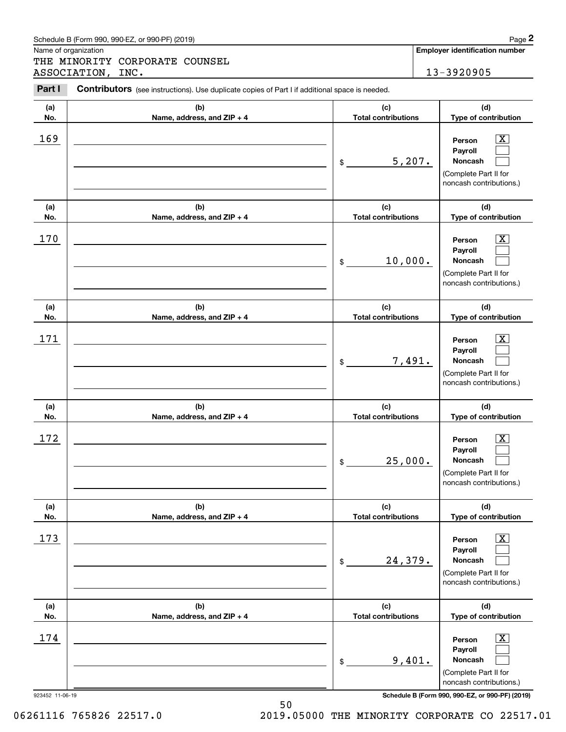|            | Schedule B (Form 990, 990-EZ, or 990-PF) (2019)                                                       |                                   |        | Page 2                                                                                                        |
|------------|-------------------------------------------------------------------------------------------------------|-----------------------------------|--------|---------------------------------------------------------------------------------------------------------------|
|            | Name of organization<br>THE MINORITY CORPORATE COUNSEL<br>ASSOCIATION,<br>INC.                        |                                   |        | Employer identification number<br>13-3920905                                                                  |
| Part I     | <b>Contributors</b> (see instructions). Use duplicate copies of Part I if additional space is needed. |                                   |        |                                                                                                               |
| (a)<br>No. | (b)<br>Name, address, and ZIP + 4                                                                     | (c)<br><b>Total contributions</b> |        | (d)<br>Type of contribution                                                                                   |
| 169        |                                                                                                       | \$                                | 5,207. | $\mathbf{X}$<br>Person<br>Payroll<br>Noncash<br>(Complete Part II for<br>noncash contributions.)              |
| (a)<br>No. | (b)<br>Name, address, and ZIP + 4                                                                     | (c)<br><b>Total contributions</b> |        | (d)<br>Type of contribution                                                                                   |
| 170        |                                                                                                       | 10,000.<br>\$                     |        | $\overline{\mathbf{X}}$<br>Person<br>Payroll<br>Noncash<br>(Complete Part II for<br>noncash contributions.)   |
| (a)<br>No. | (b)<br>Name, address, and ZIP + 4                                                                     | (c)<br><b>Total contributions</b> |        | (d)<br>Type of contribution                                                                                   |
| 171        |                                                                                                       | \$                                | 7,491. | $\overline{\text{X}}$<br>Person<br>Payroll<br>Noncash<br>(Complete Part II for<br>noncash contributions.)     |
| (a)<br>No. | (b)<br>Name, address, and ZIP + 4                                                                     | (c)<br><b>Total contributions</b> |        | (d)<br>Type of contribution                                                                                   |
| 172        |                                                                                                       | 25,000.<br>\$                     |        | $\mathbf{X}$<br>Person<br>Payroll<br>Noncash<br>(Complete Part II for<br>noncash contributions.)              |
| (a)<br>No. | (b)<br>Name, address, and ZIP + 4                                                                     | (c)<br><b>Total contributions</b> |        | (d)<br>Type of contribution                                                                                   |
| 173        |                                                                                                       | 24,379.<br>\$                     |        | $\boxed{\text{X}}$<br>Person<br>Payroll<br><b>Noncash</b><br>(Complete Part II for<br>noncash contributions.) |
| (a)<br>No. | (b)<br>Name, address, and ZIP + 4                                                                     | (c)<br><b>Total contributions</b> |        | (d)<br>Type of contribution                                                                                   |
| 174        |                                                                                                       | \$                                | 9,401. | $\boxed{\text{X}}$<br>Person<br>Payroll<br><b>Noncash</b><br>(Complete Part II for<br>noncash contributions.) |

50 06261116 765826 22517.0 2019.05000 THE MINORITY CORPORATE CO 22517.01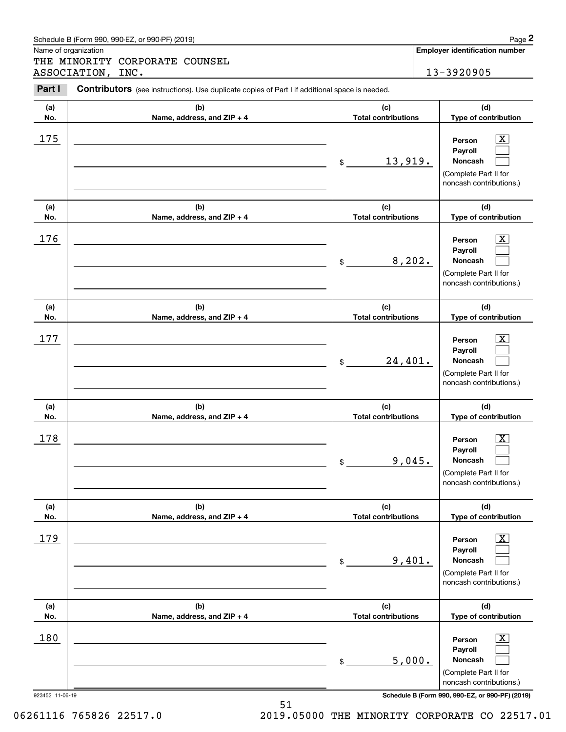| (a)<br>No. | (b)<br>Name, address, and ZIP + 4 | (c)<br><b>Total contributions</b> | (d)<br>Type of contribution                                                                      |
|------------|-----------------------------------|-----------------------------------|--------------------------------------------------------------------------------------------------|
| 175        |                                   | 13,919.<br>$\frac{1}{2}$          | $\mathbf{X}$<br>Person<br>Payroll<br>Noncash<br>(Complete Part II for<br>noncash contributions.) |
| (a)<br>No. | (b)<br>Name, address, and ZIP + 4 | (c)<br><b>Total contributions</b> | (d)<br>Type of contribution                                                                      |
| 176        |                                   | 8,202.<br>\$                      | $\mathbf{X}$<br>Person<br>Payroll<br>Noncash<br>(Complete Part II for<br>noncash contributions.) |
| (a)<br>No. | (b)<br>Name, address, and ZIP + 4 | (c)<br><b>Total contributions</b> | (d)<br>Type of contribution                                                                      |
| 177        |                                   | 24,401.<br>\$                     | $\mathbf{X}$<br>Person<br>Payroll<br>Noncash<br>(Complete Part II for<br>noncash contributions.) |
| (a)<br>No. | (b)<br>Name, address, and ZIP + 4 | (c)<br><b>Total contributions</b> | (d)<br>Type of contribution                                                                      |
| 178        |                                   | 9,045.<br>\$                      | X<br>Person<br>Payroll<br>Noncash<br>(Complete Part II for<br>noncash contributions.)            |
| (a)<br>No. | (b)<br>Name, address, and ZIP + 4 | (c)<br><b>Total contributions</b> | (d)<br><b>Type of contribution</b>                                                               |
| 179        |                                   | 9,401.<br>$$\mathbb{S}$$          | Person<br>Payroll<br>Noncash<br>(Complete Part II for<br>noncash contributions.)                 |
| (a)<br>No. | (b)<br>Name, address, and ZIP + 4 | (c)<br><b>Total contributions</b> | (d)<br>Type of contribution                                                                      |
| 180        |                                   | 5,000.<br>\$                      | х<br>Person<br>Payroll<br>Noncash<br>(Complete Part II for<br>noncash contributions.)            |
|            | 923452 11-06-19                   |                                   | Schedule B (Form 990, 990-EZ, or 990-PF) (2019)                                                  |

Contributors (see instructions). Use duplicate copies of Part I if additional space is needed.

Name of organization

Chedule B (Form 990, 990-EZ, or 990-PF) (2019)<br> **2Page 2**<br>
2PART MINORITY CORPORATE COUNSEL<br>
2PART I Contributors (see instructions). Use duplicate copies of Part I if additional space is needed.<br>
2PART I Contributors (see THE MINORITY CORPORATE COUNSEL ASSOCIATION, INC. 13-3920905

**Employer identification number**

51

06261116 765826 22517.0 2019.05000 THE MINORITY CORPORATE CO 22517.01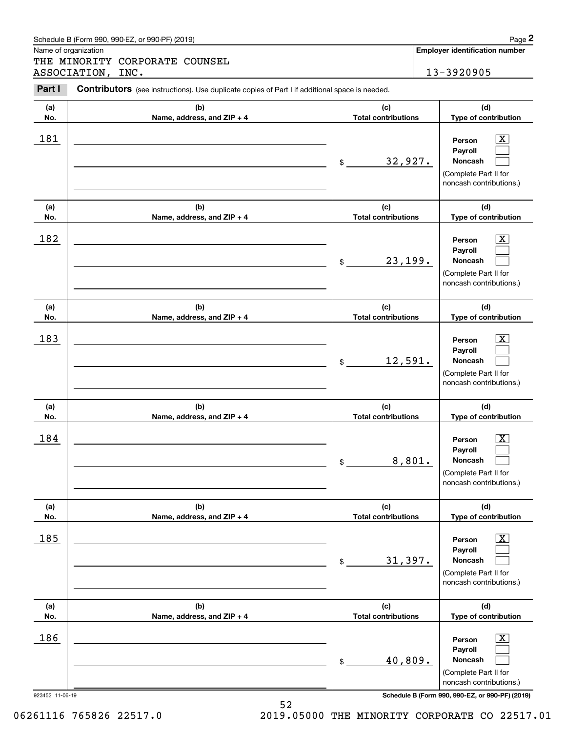|            | Schedule B (Form 990, 990-EZ, or 990-PF) (2019)                                                |                                   | Page 2                                                                                                              |
|------------|------------------------------------------------------------------------------------------------|-----------------------------------|---------------------------------------------------------------------------------------------------------------------|
|            | Name of organization<br>THE MINORITY CORPORATE COUNSEL                                         |                                   | <b>Employer identification number</b>                                                                               |
|            | ASSOCIATION, INC.                                                                              |                                   | 13-3920905                                                                                                          |
| Part I     | Contributors (see instructions). Use duplicate copies of Part I if additional space is needed. |                                   |                                                                                                                     |
| (a)<br>No. | (b)<br>Name, address, and ZIP + 4                                                              | (c)<br><b>Total contributions</b> | (d)<br>Type of contribution                                                                                         |
| 181        |                                                                                                | 32,927.<br>$\$$                   | $\overline{\text{X}}$<br>Person<br>Payroll<br>Noncash<br>(Complete Part II for<br>noncash contributions.)           |
| (a)<br>No. | (b)<br>Name, address, and ZIP + 4                                                              | (c)<br><b>Total contributions</b> | (d)<br>Type of contribution                                                                                         |
| 182        |                                                                                                | 23,199.<br>\$                     | $\overline{\text{X}}$<br>Person<br>Payroll<br>Noncash<br>(Complete Part II for<br>noncash contributions.)           |
| (a)<br>No. | (b)<br>Name, address, and ZIP + 4                                                              | (c)<br><b>Total contributions</b> | (d)<br>Type of contribution                                                                                         |
| 183        |                                                                                                | 12,591.<br>\$                     | $\overline{\text{X}}$<br>Person<br>Payroll<br>Noncash<br>(Complete Part II for<br>noncash contributions.)           |
| (a)<br>No. | (b)<br>Name, address, and ZIP + 4                                                              | (c)<br><b>Total contributions</b> | (d)<br>Type of contribution                                                                                         |
| 184        |                                                                                                | \$                                | $\overline{\text{X}}$<br>Person<br>Payroll<br>8,801.<br>Noncash<br>(Complete Part II for<br>noncash contributions.) |
| (a)<br>No. | (b)<br>Name, address, and ZIP + 4                                                              | (c)<br><b>Total contributions</b> | (d)<br>Type of contribution                                                                                         |
| 185        |                                                                                                | 31,397.<br>\$                     | $\overline{\mathbf{X}}$<br>Person<br>Payroll<br>Noncash<br>(Complete Part II for<br>noncash contributions.)         |
| (a)<br>No. | (b)<br>Name, address, and ZIP + 4                                                              | (c)<br><b>Total contributions</b> | (d)<br>Type of contribution                                                                                         |
| 186        |                                                                                                | 40,809.<br>\$                     | $\overline{\mathbf{X}}$<br>Person<br>Payroll<br>Noncash<br>(Complete Part II for<br>noncash contributions.)         |

923452 11-06-19 **Schedule B (Form 990, 990-EZ, or 990-PF) (2019)**

06261116 765826 22517.0 2019.05000 THE MINORITY CORPORATE CO 22517.01

| Schedule B<br>(2019)<br>990-EZ<br>$\_$ . or 990-PF $^{\backprime}$ .<br>B (Form 990. <sup>ค.</sup> | Paɑe |
|----------------------------------------------------------------------------------------------------|------|
|                                                                                                    |      |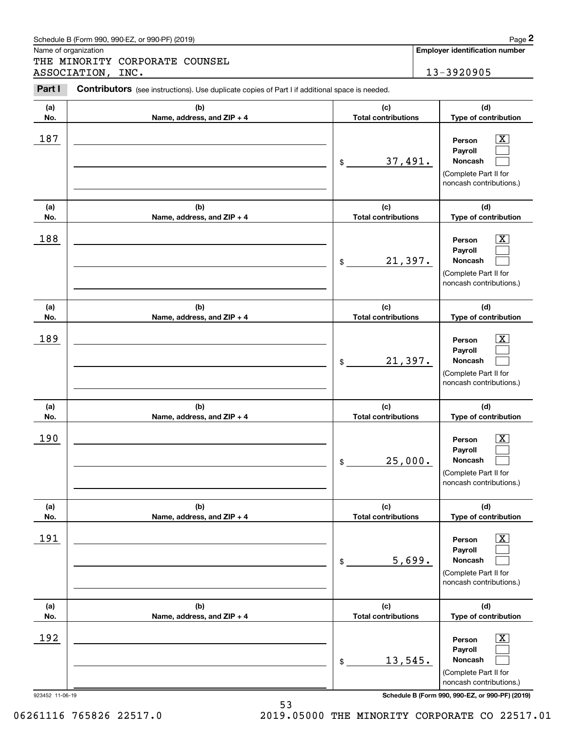|            | Schedule B (Form 990, 990-EZ, or 990-PF) (2019)                                                |                                   |        | Page 2                                                                                                             |
|------------|------------------------------------------------------------------------------------------------|-----------------------------------|--------|--------------------------------------------------------------------------------------------------------------------|
|            | Name of organization<br>THE MINORITY CORPORATE COUNSEL                                         |                                   |        | <b>Employer identification number</b>                                                                              |
|            | ASSOCIATION, INC.                                                                              |                                   |        | 13-3920905                                                                                                         |
| Part I     | Contributors (see instructions). Use duplicate copies of Part I if additional space is needed. |                                   |        |                                                                                                                    |
| (a)<br>No. | (b)<br>Name, address, and ZIP + 4                                                              | (c)<br><b>Total contributions</b> |        | (d)<br>Type of contribution                                                                                        |
| 187        |                                                                                                | 37,491.<br>\$                     |        | $\mathbf{X}$<br>Person<br>Payroll<br>Noncash<br>(Complete Part II for<br>noncash contributions.)                   |
| (a)<br>No. | (b)<br>Name, address, and ZIP + 4                                                              | (c)<br><b>Total contributions</b> |        | (d)<br>Type of contribution                                                                                        |
| 188        |                                                                                                | 21,397.<br>\$                     |        | $\overline{\mathbf{X}}$<br>Person<br>Payroll<br>Noncash<br>(Complete Part II for<br>noncash contributions.)        |
| (a)<br>No. | (b)<br>Name, address, and ZIP + 4                                                              | (c)<br><b>Total contributions</b> |        | (d)<br>Type of contribution                                                                                        |
| 189        |                                                                                                | 21,397.<br>\$                     |        | $\overline{\mathbf{X}}$<br>Person<br>Payroll<br>Noncash<br>(Complete Part II for<br>noncash contributions.)        |
| (a)<br>No. | (b)<br>Name, address, and ZIP + 4                                                              | (c)<br><b>Total contributions</b> |        | (d)<br>Type of contribution                                                                                        |
| 190        |                                                                                                | 25,000.<br>\$                     |        | $\overline{\text{X}}$<br>Person<br>Payroll<br>Noncash<br>(Complete Part II for<br>noncash contributions.)          |
| (a)<br>No. | (b)<br>Name, address, and ZIP + 4                                                              | (c)<br><b>Total contributions</b> |        | (d)<br>Type of contribution                                                                                        |
| 191        |                                                                                                | \$                                | 5,699. | $\overline{\mathbf{X}}$<br>Person<br>Payroll<br><b>Noncash</b><br>(Complete Part II for<br>noncash contributions.) |
| (a)<br>No. | (b)<br>Name, address, and ZIP + 4                                                              | (c)<br><b>Total contributions</b> |        | (d)<br>Type of contribution                                                                                        |
| 192        |                                                                                                | 13,545.<br>\$                     |        | $\overline{\mathbf{X}}$<br>Person<br>Payroll<br>Noncash<br>(Complete Part II for<br>noncash contributions.)        |

923452 11-06-19 **Schedule B (Form 990, 990-EZ, or 990-PF) (2019)**

06261116 765826 22517.0 2019.05000 THE MINORITY CORPORATE CO 22517.01

Schedule B (Form 990, 990-EZ, or 990-PF) (2019) Page 2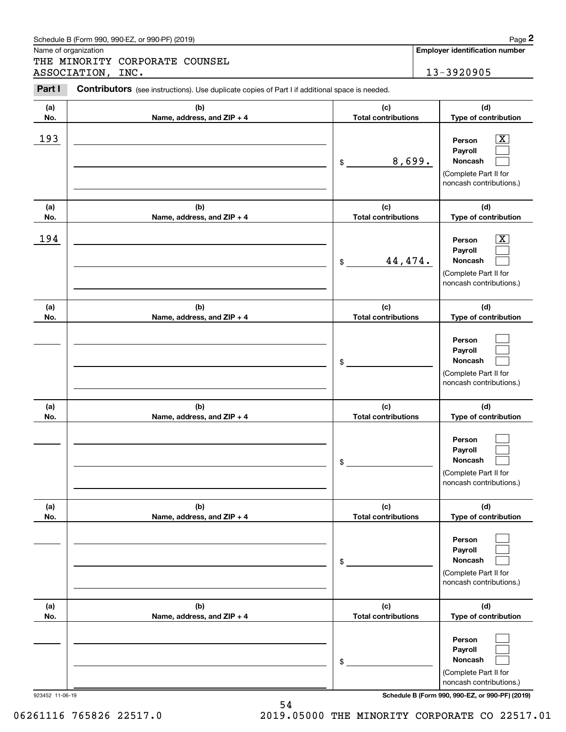|            | Schedule B (Form 990, 990-EZ, or 990-PF) (2019)                                                |                                   | Page 2                                                                                                      |
|------------|------------------------------------------------------------------------------------------------|-----------------------------------|-------------------------------------------------------------------------------------------------------------|
|            | Name of organization<br>THE MINORITY CORPORATE COUNSEL<br>ASSOCIATION, INC.                    |                                   | Employer identification number<br>13-3920905                                                                |
| Part I     | Contributors (see instructions). Use duplicate copies of Part I if additional space is needed. |                                   |                                                                                                             |
| (a)<br>No. | (b)<br>Name, address, and ZIP + 4                                                              | (c)<br><b>Total contributions</b> | (d)<br>Type of contribution                                                                                 |
| 193        |                                                                                                | \$                                | $\mathbf{X}$<br>Person<br>Payroll<br>8,699.<br>Noncash<br>(Complete Part II for<br>noncash contributions.)  |
| (a)<br>No. | (b)<br>Name, address, and ZIP + 4                                                              | (c)<br><b>Total contributions</b> | (d)<br>Type of contribution                                                                                 |
| 194        |                                                                                                | 44,474.<br>\$                     | $\overline{\mathbf{X}}$<br>Person<br>Payroll<br>Noncash<br>(Complete Part II for<br>noncash contributions.) |
| (a)<br>No. | (b)<br>Name, address, and ZIP + 4                                                              | (c)<br><b>Total contributions</b> | (d)<br>Type of contribution                                                                                 |
|            |                                                                                                | \$                                | Person<br>Payroll<br>Noncash<br>(Complete Part II for<br>noncash contributions.)                            |
| (a)<br>No. | (b)<br>Name, address, and ZIP + 4                                                              | (c)<br><b>Total contributions</b> | (d)<br>Type of contribution                                                                                 |
|            |                                                                                                | \$                                | Person<br>Payroll<br>Noncash<br>(Complete Part II for<br>noncash contributions.)                            |
| (a)<br>No. | (b)<br>Name, address, and ZIP + 4                                                              | (c)<br><b>Total contributions</b> | (d)<br>Type of contribution                                                                                 |
|            |                                                                                                | \$                                | Person<br>Payroll<br><b>Noncash</b><br>(Complete Part II for<br>noncash contributions.)                     |
| (a)<br>No. | (b)<br>Name, address, and ZIP + 4                                                              | (c)<br><b>Total contributions</b> | (d)<br>Type of contribution                                                                                 |
|            |                                                                                                | \$                                | Person<br>Payroll<br><b>Noncash</b><br>(Complete Part II for<br>noncash contributions.)                     |

06261116 765826 22517.0 2019.05000 THE MINORITY CORPORATE CO 22517.01

54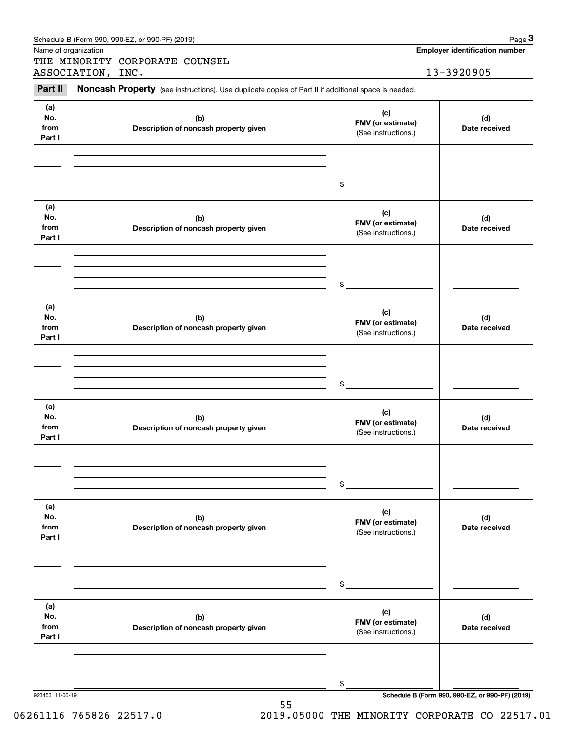|                              | Schedule B (Form 990, 990-EZ, or 990-PF) (2019)                                                     |                                                 | Page 3                                          |
|------------------------------|-----------------------------------------------------------------------------------------------------|-------------------------------------------------|-------------------------------------------------|
|                              | Name of organization                                                                                |                                                 | <b>Employer identification number</b>           |
|                              | THE MINORITY CORPORATE COUNSEL<br>ASSOCIATION, INC.                                                 |                                                 | 13-3920905                                      |
| Part II                      | Noncash Property (see instructions). Use duplicate copies of Part II if additional space is needed. |                                                 |                                                 |
| (a)<br>No.<br>from<br>Part I | (b)<br>Description of noncash property given                                                        | (c)<br>FMV (or estimate)<br>(See instructions.) | (d)<br>Date received                            |
|                              |                                                                                                     | \$                                              |                                                 |
| (a)<br>No.<br>from<br>Part I | (b)<br>Description of noncash property given                                                        | (c)<br>FMV (or estimate)<br>(See instructions.) | (d)<br>Date received                            |
|                              |                                                                                                     | \$                                              |                                                 |
| (a)<br>No.<br>from<br>Part I | (b)<br>Description of noncash property given                                                        | (c)<br>FMV (or estimate)<br>(See instructions.) | (d)<br>Date received                            |
|                              |                                                                                                     | \$                                              |                                                 |
| (a)<br>No.<br>from<br>Part I | (b)<br>Description of noncash property given                                                        | (c)<br>FMV (or estimate)<br>(See instructions.) | (d)<br>Date received                            |
|                              |                                                                                                     | \$                                              |                                                 |
| (a)<br>No.<br>from<br>Part I | (b)<br>Description of noncash property given                                                        | (c)<br>FMV (or estimate)<br>(See instructions.) | (d)<br>Date received                            |
|                              |                                                                                                     | \$                                              |                                                 |
| (a)<br>No.<br>from<br>Part I | (b)<br>Description of noncash property given                                                        | (c)<br>FMV (or estimate)<br>(See instructions.) | (d)<br>Date received                            |
|                              |                                                                                                     | \$                                              |                                                 |
| 923453 11-06-19              |                                                                                                     |                                                 | Schedule B (Form 990, 990-EZ, or 990-PF) (2019) |

55 06261116 765826 22517.0 2019.05000 THE MINORITY CORPORATE CO 22517.01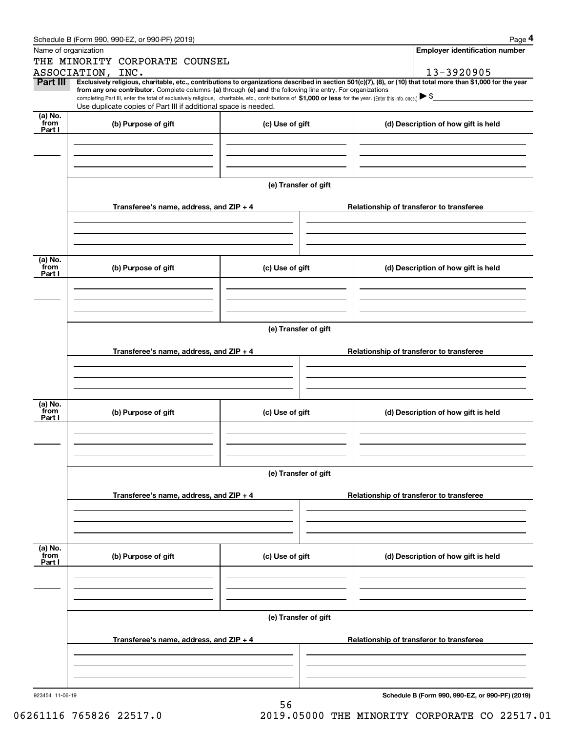|                  | Schedule B (Form 990, 990-EZ, or 990-PF) (2019)                                                                                                                                                                                                                              |                      |                                          | Page 4                                          |
|------------------|------------------------------------------------------------------------------------------------------------------------------------------------------------------------------------------------------------------------------------------------------------------------------|----------------------|------------------------------------------|-------------------------------------------------|
|                  | Name of organization                                                                                                                                                                                                                                                         |                      |                                          | Employer identification number                  |
|                  | THE MINORITY CORPORATE COUNSEL                                                                                                                                                                                                                                               |                      |                                          |                                                 |
|                  | ASSOCIATION, INC.                                                                                                                                                                                                                                                            |                      |                                          | 13-3920905                                      |
| <b>Part III</b>  | Exclusively religious, charitable, etc., contributions to organizations described in section 501(c)(7), (8), or (10) that total more than \$1,000 for the year<br>from any one contributor. Complete columns (a) through (e) and the following line entry. For organizations |                      |                                          |                                                 |
|                  | completing Part III, enter the total of exclusively religious, charitable, etc., contributions of \$1,000 or less for the year. (Enter this info. once.) $\blacktriangleright$ \$                                                                                            |                      |                                          |                                                 |
| (a) No.          | Use duplicate copies of Part III if additional space is needed.                                                                                                                                                                                                              |                      |                                          |                                                 |
| from             | (b) Purpose of gift                                                                                                                                                                                                                                                          | (c) Use of gift      |                                          | (d) Description of how gift is held             |
| Part I           |                                                                                                                                                                                                                                                                              |                      |                                          |                                                 |
|                  |                                                                                                                                                                                                                                                                              |                      |                                          |                                                 |
|                  |                                                                                                                                                                                                                                                                              |                      |                                          |                                                 |
|                  |                                                                                                                                                                                                                                                                              |                      |                                          |                                                 |
|                  |                                                                                                                                                                                                                                                                              | (e) Transfer of gift |                                          |                                                 |
|                  |                                                                                                                                                                                                                                                                              |                      |                                          |                                                 |
|                  | Transferee's name, address, and $ZIP + 4$                                                                                                                                                                                                                                    |                      | Relationship of transferor to transferee |                                                 |
|                  |                                                                                                                                                                                                                                                                              |                      |                                          |                                                 |
|                  |                                                                                                                                                                                                                                                                              |                      |                                          |                                                 |
|                  |                                                                                                                                                                                                                                                                              |                      |                                          |                                                 |
| (a) No.          |                                                                                                                                                                                                                                                                              |                      |                                          |                                                 |
| from<br>Part I   | (b) Purpose of gift                                                                                                                                                                                                                                                          | (c) Use of gift      |                                          | (d) Description of how gift is held             |
|                  |                                                                                                                                                                                                                                                                              |                      |                                          |                                                 |
|                  |                                                                                                                                                                                                                                                                              |                      |                                          |                                                 |
|                  |                                                                                                                                                                                                                                                                              |                      |                                          |                                                 |
|                  |                                                                                                                                                                                                                                                                              |                      |                                          |                                                 |
|                  | (e) Transfer of gift                                                                                                                                                                                                                                                         |                      |                                          |                                                 |
|                  | Transferee's name, address, and $ZIP + 4$                                                                                                                                                                                                                                    |                      | Relationship of transferor to transferee |                                                 |
|                  |                                                                                                                                                                                                                                                                              |                      |                                          |                                                 |
|                  |                                                                                                                                                                                                                                                                              |                      |                                          |                                                 |
|                  |                                                                                                                                                                                                                                                                              |                      |                                          |                                                 |
| (a) No.          |                                                                                                                                                                                                                                                                              |                      |                                          |                                                 |
| from<br>Part I   | (b) Purpose of gift                                                                                                                                                                                                                                                          | (c) Use of gift      |                                          | (d) Description of how gift is held             |
|                  |                                                                                                                                                                                                                                                                              |                      |                                          |                                                 |
|                  |                                                                                                                                                                                                                                                                              |                      |                                          |                                                 |
|                  |                                                                                                                                                                                                                                                                              |                      |                                          |                                                 |
|                  |                                                                                                                                                                                                                                                                              |                      |                                          |                                                 |
|                  |                                                                                                                                                                                                                                                                              | (e) Transfer of gift |                                          |                                                 |
|                  | Transferee's name, address, and ZIP + 4                                                                                                                                                                                                                                      |                      | Relationship of transferor to transferee |                                                 |
|                  |                                                                                                                                                                                                                                                                              |                      |                                          |                                                 |
|                  |                                                                                                                                                                                                                                                                              |                      |                                          |                                                 |
|                  |                                                                                                                                                                                                                                                                              |                      |                                          |                                                 |
|                  |                                                                                                                                                                                                                                                                              |                      |                                          |                                                 |
| (a) No.<br>`from | (b) Purpose of gift                                                                                                                                                                                                                                                          | (c) Use of gift      |                                          | (d) Description of how gift is held             |
| Part I           |                                                                                                                                                                                                                                                                              |                      |                                          |                                                 |
|                  |                                                                                                                                                                                                                                                                              |                      |                                          |                                                 |
|                  |                                                                                                                                                                                                                                                                              |                      |                                          |                                                 |
|                  |                                                                                                                                                                                                                                                                              |                      |                                          |                                                 |
|                  | (e) Transfer of gift                                                                                                                                                                                                                                                         |                      |                                          |                                                 |
|                  |                                                                                                                                                                                                                                                                              |                      |                                          |                                                 |
|                  | Transferee's name, address, and ZIP + 4                                                                                                                                                                                                                                      |                      | Relationship of transferor to transferee |                                                 |
|                  |                                                                                                                                                                                                                                                                              |                      |                                          |                                                 |
|                  |                                                                                                                                                                                                                                                                              |                      |                                          |                                                 |
|                  |                                                                                                                                                                                                                                                                              |                      |                                          |                                                 |
| 923454 11-06-19  |                                                                                                                                                                                                                                                                              |                      |                                          | Schedule B (Form 990, 990-EZ, or 990-PF) (2019) |
|                  |                                                                                                                                                                                                                                                                              | 56                   |                                          |                                                 |

06261116 765826 22517.0 2019.05000 THE MINORITY CORPORATE CO 22517.01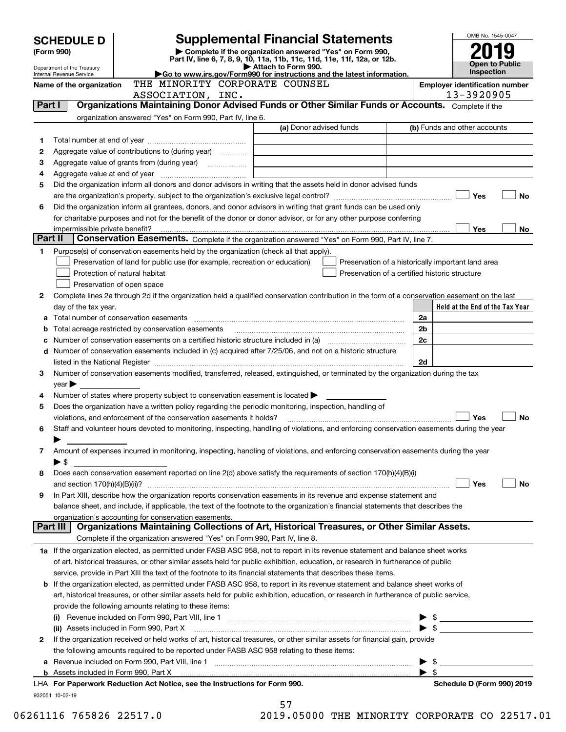|         | <b>Supplemental Financial Statements</b><br><b>SCHEDULE D</b> |                                                                                                                                                       |                                                                                 |                                                    |                |                                 |
|---------|---------------------------------------------------------------|-------------------------------------------------------------------------------------------------------------------------------------------------------|---------------------------------------------------------------------------------|----------------------------------------------------|----------------|---------------------------------|
|         | (Form 990)                                                    |                                                                                                                                                       |                                                                                 |                                                    |                |                                 |
|         |                                                               | Part IV, line 6, 7, 8, 9, 10, 11a, 11b, 11c, 11d, 11e, 11f, 12a, or 12b.                                                                              | Complete if the organization answered "Yes" on Form 990,<br>Attach to Form 990. |                                                    |                | <b>Open to Public</b>           |
|         | Department of the Treasury<br>Internal Revenue Service        |                                                                                                                                                       | Inspection                                                                      |                                                    |                |                                 |
|         | Name of the organization                                      |                                                                                                                                                       | <b>Employer identification number</b>                                           |                                                    |                |                                 |
|         |                                                               | ASSOCIATION, INC.                                                                                                                                     |                                                                                 |                                                    |                | 13-3920905                      |
|         | Part I                                                        | Organizations Maintaining Donor Advised Funds or Other Similar Funds or Accounts. Complete if the                                                     |                                                                                 |                                                    |                |                                 |
|         |                                                               | organization answered "Yes" on Form 990, Part IV, line 6.                                                                                             |                                                                                 |                                                    |                |                                 |
|         |                                                               |                                                                                                                                                       | (a) Donor advised funds                                                         |                                                    |                | (b) Funds and other accounts    |
| 1       |                                                               |                                                                                                                                                       |                                                                                 |                                                    |                |                                 |
| 2       |                                                               |                                                                                                                                                       |                                                                                 |                                                    |                |                                 |
| 3       |                                                               |                                                                                                                                                       |                                                                                 |                                                    |                |                                 |
| 4       |                                                               |                                                                                                                                                       |                                                                                 |                                                    |                |                                 |
| 5       |                                                               | Did the organization inform all donors and donor advisors in writing that the assets held in donor advised funds                                      |                                                                                 |                                                    |                |                                 |
|         |                                                               |                                                                                                                                                       |                                                                                 |                                                    |                | Yes<br>No                       |
| 6       |                                                               | Did the organization inform all grantees, donors, and donor advisors in writing that grant funds can be used only                                     |                                                                                 |                                                    |                |                                 |
|         |                                                               | for charitable purposes and not for the benefit of the donor or donor advisor, or for any other purpose conferring                                    |                                                                                 |                                                    |                |                                 |
|         | impermissible private benefit?                                |                                                                                                                                                       |                                                                                 |                                                    |                | <b>Yes</b><br>No.               |
| Part II |                                                               | Conservation Easements. Complete if the organization answered "Yes" on Form 990, Part IV, line 7.                                                     |                                                                                 |                                                    |                |                                 |
| 1       |                                                               | Purpose(s) of conservation easements held by the organization (check all that apply).                                                                 |                                                                                 |                                                    |                |                                 |
|         |                                                               | Preservation of land for public use (for example, recreation or education)                                                                            |                                                                                 | Preservation of a historically important land area |                |                                 |
|         |                                                               | Protection of natural habitat                                                                                                                         |                                                                                 | Preservation of a certified historic structure     |                |                                 |
|         |                                                               | Preservation of open space                                                                                                                            |                                                                                 |                                                    |                |                                 |
| 2       |                                                               | Complete lines 2a through 2d if the organization held a qualified conservation contribution in the form of a conservation easement on the last        |                                                                                 |                                                    |                |                                 |
|         | day of the tax year.                                          |                                                                                                                                                       |                                                                                 |                                                    |                | Held at the End of the Tax Year |
|         |                                                               |                                                                                                                                                       |                                                                                 |                                                    | 2a             |                                 |
| b       |                                                               | Total acreage restricted by conservation easements                                                                                                    |                                                                                 |                                                    | 2 <sub>b</sub> |                                 |
|         |                                                               |                                                                                                                                                       |                                                                                 |                                                    | 2c             |                                 |
| d       |                                                               | Number of conservation easements included in (c) acquired after 7/25/06, and not on a historic structure                                              |                                                                                 |                                                    |                |                                 |
|         |                                                               |                                                                                                                                                       |                                                                                 |                                                    | 2d             |                                 |
| З       |                                                               | Number of conservation easements modified, transferred, released, extinguished, or terminated by the organization during the tax                      |                                                                                 |                                                    |                |                                 |
|         | $year \blacktriangleright$                                    |                                                                                                                                                       |                                                                                 |                                                    |                |                                 |
| 4       |                                                               | Number of states where property subject to conservation easement is located                                                                           |                                                                                 |                                                    |                |                                 |
| 5       |                                                               | Does the organization have a written policy regarding the periodic monitoring, inspection, handling of                                                |                                                                                 |                                                    |                |                                 |
|         |                                                               | violations, and enforcement of the conservation easements it holds?                                                                                   |                                                                                 |                                                    |                | Yes<br>No                       |
| 6       |                                                               | Staff and volunteer hours devoted to monitoring, inspecting, handling of violations, and enforcing conservation easements during the year             |                                                                                 |                                                    |                |                                 |
|         |                                                               |                                                                                                                                                       |                                                                                 |                                                    |                |                                 |
| 7       |                                                               | Amount of expenses incurred in monitoring, inspecting, handling of violations, and enforcing conservation easements during the year                   |                                                                                 |                                                    |                |                                 |
|         | ▶\$                                                           |                                                                                                                                                       |                                                                                 |                                                    |                |                                 |
| 8       |                                                               | Does each conservation easement reported on line 2(d) above satisfy the requirements of section 170(h)(4)(B)(i)                                       |                                                                                 |                                                    |                |                                 |
|         |                                                               |                                                                                                                                                       |                                                                                 |                                                    |                | Yes<br>No                       |
| 9       |                                                               | In Part XIII, describe how the organization reports conservation easements in its revenue and expense statement and                                   |                                                                                 |                                                    |                |                                 |
|         |                                                               | balance sheet, and include, if applicable, the text of the footnote to the organization's financial statements that describes the                     |                                                                                 |                                                    |                |                                 |
|         | Part III                                                      | organization's accounting for conservation easements.<br>Organizations Maintaining Collections of Art, Historical Treasures, or Other Similar Assets. |                                                                                 |                                                    |                |                                 |
|         |                                                               | Complete if the organization answered "Yes" on Form 990, Part IV, line 8.                                                                             |                                                                                 |                                                    |                |                                 |
|         |                                                               |                                                                                                                                                       |                                                                                 |                                                    |                |                                 |
|         |                                                               | 1a If the organization elected, as permitted under FASB ASC 958, not to report in its revenue statement and balance sheet works                       |                                                                                 |                                                    |                |                                 |
|         |                                                               | of art, historical treasures, or other similar assets held for public exhibition, education, or research in furtherance of public                     |                                                                                 |                                                    |                |                                 |
|         |                                                               | service, provide in Part XIII the text of the footnote to its financial statements that describes these items.                                        |                                                                                 |                                                    |                |                                 |
| b       |                                                               | If the organization elected, as permitted under FASB ASC 958, to report in its revenue statement and balance sheet works of                           |                                                                                 |                                                    |                |                                 |
|         |                                                               | art, historical treasures, or other similar assets held for public exhibition, education, or research in furtherance of public service,               |                                                                                 |                                                    |                |                                 |
|         |                                                               | provide the following amounts relating to these items:                                                                                                |                                                                                 |                                                    |                |                                 |
|         |                                                               |                                                                                                                                                       |                                                                                 |                                                    |                |                                 |
|         |                                                               | (ii) Assets included in Form 990, Part X                                                                                                              |                                                                                 |                                                    |                |                                 |
| 2       |                                                               | If the organization received or held works of art, historical treasures, or other similar assets for financial gain, provide                          |                                                                                 |                                                    |                |                                 |
|         |                                                               | the following amounts required to be reported under FASB ASC 958 relating to these items:                                                             |                                                                                 |                                                    |                |                                 |
| а       |                                                               |                                                                                                                                                       |                                                                                 |                                                    |                | $\sim$ 5                        |
|         |                                                               |                                                                                                                                                       |                                                                                 |                                                    | ▶ \$           |                                 |
|         |                                                               | LHA For Paperwork Reduction Act Notice, see the Instructions for Form 990.                                                                            |                                                                                 |                                                    |                | Schedule D (Form 990) 2019      |
|         | 932051 10-02-19                                               |                                                                                                                                                       |                                                                                 |                                                    |                |                                 |
|         |                                                               |                                                                                                                                                       | 57                                                                              |                                                    |                |                                 |

06261116 765826 22517.0 2019.05000 THE MINORITY CORPORATE CO 22517.01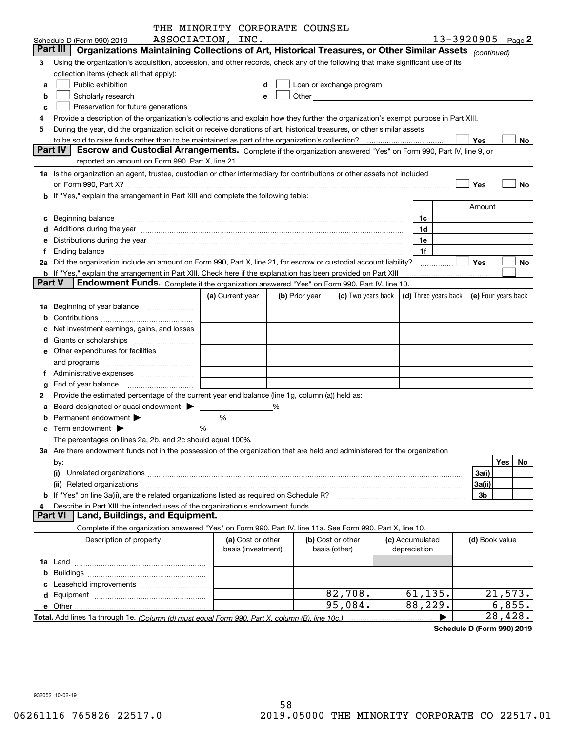|               | THE MINORITY CORPORATE COUNSEL                                                                                                                                                                                                 |                  |                    |   |                |                                                                                                                                                                                                                               |            |                 |                                                          |                   |
|---------------|--------------------------------------------------------------------------------------------------------------------------------------------------------------------------------------------------------------------------------|------------------|--------------------|---|----------------|-------------------------------------------------------------------------------------------------------------------------------------------------------------------------------------------------------------------------------|------------|-----------------|----------------------------------------------------------|-------------------|
|               | ASSOCIATION, INC.<br>Schedule D (Form 990) 2019                                                                                                                                                                                |                  |                    |   |                |                                                                                                                                                                                                                               |            |                 |                                                          | 13-3920905 Page 2 |
|               | Part III<br>Organizations Maintaining Collections of Art, Historical Treasures, or Other Similar Assets (continued)                                                                                                            |                  |                    |   |                |                                                                                                                                                                                                                               |            |                 |                                                          |                   |
| 3             | Using the organization's acquisition, accession, and other records, check any of the following that make significant use of its                                                                                                |                  |                    |   |                |                                                                                                                                                                                                                               |            |                 |                                                          |                   |
|               | collection items (check all that apply):                                                                                                                                                                                       |                  |                    |   |                |                                                                                                                                                                                                                               |            |                 |                                                          |                   |
| a             | Public exhibition                                                                                                                                                                                                              |                  | d                  |   |                | Loan or exchange program                                                                                                                                                                                                      |            |                 |                                                          |                   |
| b             | Scholarly research                                                                                                                                                                                                             |                  | е                  |   |                | Other and the contract of the contract of the contract of the contract of the contract of the contract of the contract of the contract of the contract of the contract of the contract of the contract of the contract of the |            |                 |                                                          |                   |
| c             | Preservation for future generations                                                                                                                                                                                            |                  |                    |   |                |                                                                                                                                                                                                                               |            |                 |                                                          |                   |
|               | Provide a description of the organization's collections and explain how they further the organization's exempt purpose in Part XIII.                                                                                           |                  |                    |   |                |                                                                                                                                                                                                                               |            |                 |                                                          |                   |
| 5             | During the year, did the organization solicit or receive donations of art, historical treasures, or other similar assets                                                                                                       |                  |                    |   |                |                                                                                                                                                                                                                               |            |                 |                                                          |                   |
|               | to be sold to raise funds rather than to be maintained as part of the organization's collection?                                                                                                                               |                  |                    |   |                |                                                                                                                                                                                                                               | . <u>.</u> |                 | Yes                                                      | No                |
|               | Part IV<br>Escrow and Custodial Arrangements. Complete if the organization answered "Yes" on Form 990, Part IV, line 9, or                                                                                                     |                  |                    |   |                |                                                                                                                                                                                                                               |            |                 |                                                          |                   |
|               | reported an amount on Form 990, Part X, line 21.                                                                                                                                                                               |                  |                    |   |                |                                                                                                                                                                                                                               |            |                 |                                                          |                   |
|               | 1a Is the organization an agent, trustee, custodian or other intermediary for contributions or other assets not included                                                                                                       |                  |                    |   |                |                                                                                                                                                                                                                               |            |                 |                                                          |                   |
|               | on Form 990, Part X? [11] matter contracts and contracts and contracts are contracted as a form 990, Part X?                                                                                                                   |                  |                    |   |                |                                                                                                                                                                                                                               |            |                 | Yes                                                      | No                |
|               | <b>b</b> If "Yes," explain the arrangement in Part XIII and complete the following table:                                                                                                                                      |                  |                    |   |                |                                                                                                                                                                                                                               |            |                 |                                                          |                   |
|               |                                                                                                                                                                                                                                |                  |                    |   |                |                                                                                                                                                                                                                               |            |                 | Amount                                                   |                   |
|               | c Beginning balance measurements and the contract of the contract of the contract of the contract of the contract of the contract of the contract of the contract of the contract of the contract of the contract of the contr |                  |                    |   |                |                                                                                                                                                                                                                               |            | 1c              |                                                          |                   |
|               | d Additions during the year measurements are all an according to the year measurement of the year measurement of the state of the state of the state of the state of the state of the state of the state of the state of the s |                  |                    |   |                |                                                                                                                                                                                                                               |            | 1d              |                                                          |                   |
|               |                                                                                                                                                                                                                                |                  |                    |   |                |                                                                                                                                                                                                                               |            | 1e              |                                                          |                   |
|               | e Distributions during the year manufactured and contain an account of the state of the state of the state of the state of the state of the state of the state of the state of the state of the state of the state of the stat |                  |                    |   |                |                                                                                                                                                                                                                               |            | 1f              |                                                          |                   |
| Ť.            | 2a Did the organization include an amount on Form 990, Part X, line 21, for escrow or custodial account liability?                                                                                                             |                  |                    |   |                |                                                                                                                                                                                                                               |            |                 | Yes                                                      | No                |
|               | <b>b</b> If "Yes," explain the arrangement in Part XIII. Check here if the explanation has been provided on Part XIII                                                                                                          |                  |                    |   |                |                                                                                                                                                                                                                               |            | .               |                                                          |                   |
| <b>Part V</b> | Endowment Funds. Complete if the organization answered "Yes" on Form 990, Part IV, line 10.                                                                                                                                    |                  |                    |   |                |                                                                                                                                                                                                                               |            |                 |                                                          |                   |
|               |                                                                                                                                                                                                                                | (a) Current year |                    |   | (b) Prior year | (c) Two years back                                                                                                                                                                                                            |            |                 | $\vert$ (d) Three years back $\vert$ (e) Four years back |                   |
|               |                                                                                                                                                                                                                                |                  |                    |   |                |                                                                                                                                                                                                                               |            |                 |                                                          |                   |
|               |                                                                                                                                                                                                                                |                  |                    |   |                |                                                                                                                                                                                                                               |            |                 |                                                          |                   |
|               |                                                                                                                                                                                                                                |                  |                    |   |                |                                                                                                                                                                                                                               |            |                 |                                                          |                   |
|               | c Net investment earnings, gains, and losses                                                                                                                                                                                   |                  |                    |   |                |                                                                                                                                                                                                                               |            |                 |                                                          |                   |
|               | d Grants or scholarships <i>manually contained</i>                                                                                                                                                                             |                  |                    |   |                |                                                                                                                                                                                                                               |            |                 |                                                          |                   |
|               | e Other expenditures for facilities                                                                                                                                                                                            |                  |                    |   |                |                                                                                                                                                                                                                               |            |                 |                                                          |                   |
|               | and programs                                                                                                                                                                                                                   |                  |                    |   |                |                                                                                                                                                                                                                               |            |                 |                                                          |                   |
|               | f Administrative expenses <i>manually communicative</i>                                                                                                                                                                        |                  |                    |   |                |                                                                                                                                                                                                                               |            |                 |                                                          |                   |
|               | <b>g</b> End of year balance $\ldots$                                                                                                                                                                                          |                  |                    |   |                |                                                                                                                                                                                                                               |            |                 |                                                          |                   |
| 2             | Provide the estimated percentage of the current year end balance (line 1g, column (a)) held as:                                                                                                                                |                  |                    |   |                |                                                                                                                                                                                                                               |            |                 |                                                          |                   |
|               | a Board designated or quasi-endowment >                                                                                                                                                                                        |                  |                    | % |                |                                                                                                                                                                                                                               |            |                 |                                                          |                   |
|               |                                                                                                                                                                                                                                | %                |                    |   |                |                                                                                                                                                                                                                               |            |                 |                                                          |                   |
|               | %<br>$\mathbf c$ Term endowment $\blacktriangleright$                                                                                                                                                                          |                  |                    |   |                |                                                                                                                                                                                                                               |            |                 |                                                          |                   |
|               | The percentages on lines 2a, 2b, and 2c should equal 100%.                                                                                                                                                                     |                  |                    |   |                |                                                                                                                                                                                                                               |            |                 |                                                          |                   |
|               | 3a Are there endowment funds not in the possession of the organization that are held and administered for the organization                                                                                                     |                  |                    |   |                |                                                                                                                                                                                                                               |            |                 |                                                          |                   |
|               | by:                                                                                                                                                                                                                            |                  |                    |   |                |                                                                                                                                                                                                                               |            |                 |                                                          | Yes<br>No         |
|               | (i)                                                                                                                                                                                                                            |                  |                    |   |                |                                                                                                                                                                                                                               |            |                 | 3a(i)                                                    |                   |
|               |                                                                                                                                                                                                                                |                  |                    |   |                |                                                                                                                                                                                                                               |            |                 | 3a(ii)                                                   |                   |
|               |                                                                                                                                                                                                                                |                  |                    |   |                |                                                                                                                                                                                                                               |            |                 | 3b                                                       |                   |
|               | Describe in Part XIII the intended uses of the organization's endowment funds.                                                                                                                                                 |                  |                    |   |                |                                                                                                                                                                                                                               |            |                 |                                                          |                   |
|               | <b>Part VI</b><br>Land, Buildings, and Equipment.                                                                                                                                                                              |                  |                    |   |                |                                                                                                                                                                                                                               |            |                 |                                                          |                   |
|               | Complete if the organization answered "Yes" on Form 990, Part IV, line 11a. See Form 990, Part X, line 10.                                                                                                                     |                  |                    |   |                |                                                                                                                                                                                                                               |            |                 |                                                          |                   |
|               | Description of property                                                                                                                                                                                                        |                  | (a) Cost or other  |   |                | (b) Cost or other                                                                                                                                                                                                             |            | (c) Accumulated | (d) Book value                                           |                   |
|               |                                                                                                                                                                                                                                |                  | basis (investment) |   |                | basis (other)                                                                                                                                                                                                                 |            | depreciation    |                                                          |                   |
|               |                                                                                                                                                                                                                                |                  |                    |   |                |                                                                                                                                                                                                                               |            |                 |                                                          |                   |
|               |                                                                                                                                                                                                                                |                  |                    |   |                |                                                                                                                                                                                                                               |            |                 |                                                          |                   |
|               |                                                                                                                                                                                                                                |                  |                    |   |                |                                                                                                                                                                                                                               |            |                 |                                                          |                   |
|               |                                                                                                                                                                                                                                |                  |                    |   |                | 82,708.                                                                                                                                                                                                                       |            | 61, 135.        |                                                          | 21,573.           |
|               |                                                                                                                                                                                                                                |                  |                    |   |                | 95,084.                                                                                                                                                                                                                       |            | 88,229.         |                                                          | 6,855.            |
|               |                                                                                                                                                                                                                                |                  |                    |   |                |                                                                                                                                                                                                                               |            |                 |                                                          | 28,428.           |

**Schedule D (Form 990) 2019**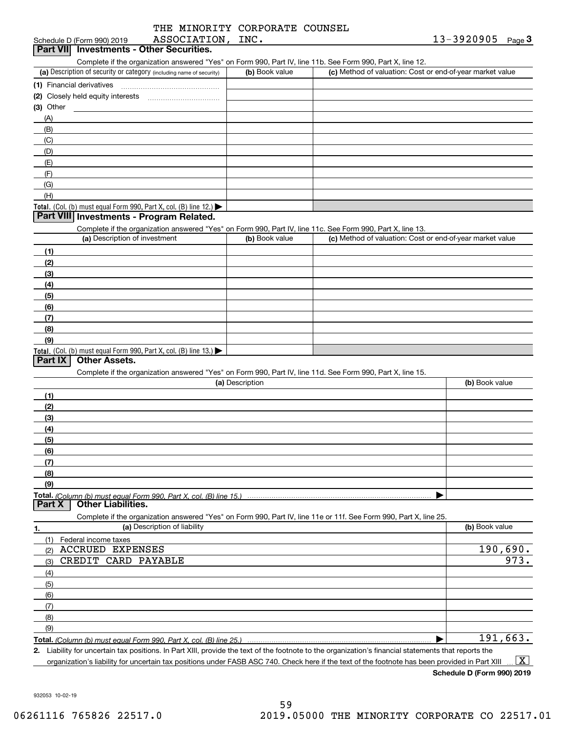|  | THE MINORITY CORPORATE COUNSEL |  |
|--|--------------------------------|--|
|  |                                |  |

| ASSOCIATION, INC.<br>Schedule D (Form 990) 2019                                                                                                                                         |                 |                                                           | $13 - 3920905$ Page 3 |  |
|-----------------------------------------------------------------------------------------------------------------------------------------------------------------------------------------|-----------------|-----------------------------------------------------------|-----------------------|--|
| <b>Investments - Other Securities.</b><br><b>Part VIII</b>                                                                                                                              |                 |                                                           |                       |  |
| Complete if the organization answered "Yes" on Form 990, Part IV, line 11b. See Form 990, Part X, line 12.                                                                              |                 |                                                           |                       |  |
| (a) Description of security or category (including name of security)                                                                                                                    | (b) Book value  | (c) Method of valuation: Cost or end-of-year market value |                       |  |
| (1) Financial derivatives                                                                                                                                                               |                 |                                                           |                       |  |
|                                                                                                                                                                                         |                 |                                                           |                       |  |
| $(3)$ Other<br><u> 1989 - Andrea State</u>                                                                                                                                              |                 |                                                           |                       |  |
| (A)                                                                                                                                                                                     |                 |                                                           |                       |  |
| (B)                                                                                                                                                                                     |                 |                                                           |                       |  |
| (C)                                                                                                                                                                                     |                 |                                                           |                       |  |
| (D)                                                                                                                                                                                     |                 |                                                           |                       |  |
| (E)                                                                                                                                                                                     |                 |                                                           |                       |  |
| (F)                                                                                                                                                                                     |                 |                                                           |                       |  |
| (G)                                                                                                                                                                                     |                 |                                                           |                       |  |
| (H)                                                                                                                                                                                     |                 |                                                           |                       |  |
| Total. (Col. (b) must equal Form 990, Part X, col. (B) line 12.) $\blacktriangleright$                                                                                                  |                 |                                                           |                       |  |
| Part VIII Investments - Program Related.<br>Complete if the organization answered "Yes" on Form 990, Part IV, line 11c. See Form 990, Part X, line 13.<br>(a) Description of investment | (b) Book value  | (c) Method of valuation: Cost or end-of-year market value |                       |  |
|                                                                                                                                                                                         |                 |                                                           |                       |  |
| (1)                                                                                                                                                                                     |                 |                                                           |                       |  |
| (2)                                                                                                                                                                                     |                 |                                                           |                       |  |
| (3)                                                                                                                                                                                     |                 |                                                           |                       |  |
| (4)                                                                                                                                                                                     |                 |                                                           |                       |  |
| (5)                                                                                                                                                                                     |                 |                                                           |                       |  |
| (6)                                                                                                                                                                                     |                 |                                                           |                       |  |
| (7)                                                                                                                                                                                     |                 |                                                           |                       |  |
| (8)                                                                                                                                                                                     |                 |                                                           |                       |  |
| (9)                                                                                                                                                                                     |                 |                                                           |                       |  |
| Total. (Col. (b) must equal Form 990, Part X, col. (B) line 13.)<br><b>Other Assets.</b><br>Part IX                                                                                     |                 |                                                           |                       |  |
| Complete if the organization answered "Yes" on Form 990, Part IV, line 11d. See Form 990, Part X, line 15.                                                                              |                 |                                                           |                       |  |
|                                                                                                                                                                                         | (a) Description |                                                           | (b) Book value        |  |
| (1)                                                                                                                                                                                     |                 |                                                           |                       |  |
| (2)                                                                                                                                                                                     |                 |                                                           |                       |  |
| (3)                                                                                                                                                                                     |                 |                                                           |                       |  |

**(3)(4) (5) (6) (7) (8) (9) Total.**  *(Column (b) must equal Form 990, Part X, col. (B) line 15.)*  $\blacktriangleright$ 

**Part X Other Liabilities.**

Complete if the organization answered "Yes" on Form 990, Part IV, line 11e or 11f. See Form 990, Part X, line 25.

| 1.  | (a) Description of liability | (b) Book value        |
|-----|------------------------------|-----------------------|
| (1) | Federal income taxes         |                       |
| (2) | <b>ACCRUED EXPENSES</b>      | $\frac{190,690}{973}$ |
|     | (3) CREDIT CARD PAYABLE      |                       |
| (4) |                              |                       |
| (5) |                              |                       |
| (6) |                              |                       |
| (7) |                              |                       |
| (8) |                              |                       |
| (9) |                              |                       |
|     |                              | 191,663.              |

**2.** Liability for uncertain tax positions. In Part XIII, provide the text of the footnote to the organization's financial statements that reports the organization's liability for uncertain tax positions under FASB ASC 740. Check here if the text of the footnote has been provided in Part XIII  $\boxed{\text{X}}$ 

**Schedule D (Form 990) 2019**

932053 10-02-19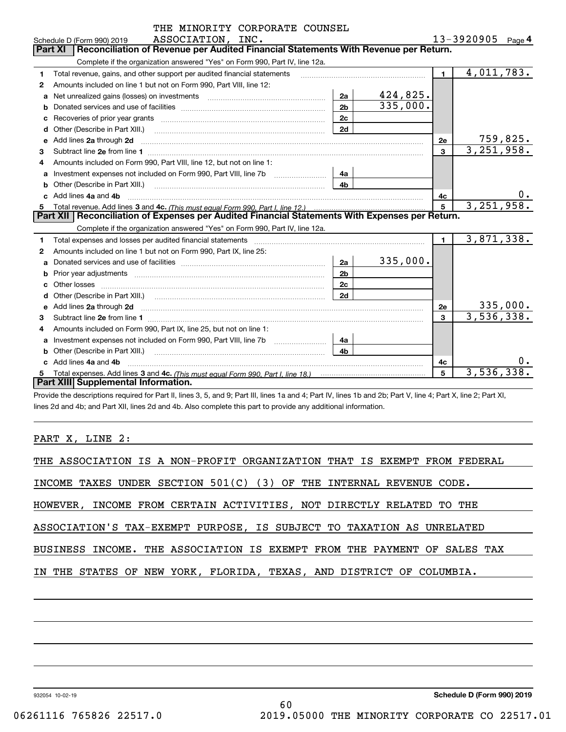|    | THE MINORITY CORPORATE COUNSEL                                                                                                                                                                                                      |                |            |                |                        |           |
|----|-------------------------------------------------------------------------------------------------------------------------------------------------------------------------------------------------------------------------------------|----------------|------------|----------------|------------------------|-----------|
|    | ASSOCIATION, INC.<br>Schedule D (Form 990) 2019                                                                                                                                                                                     |                |            |                | 13-3920905 $_{Page}$ 4 |           |
|    | Reconciliation of Revenue per Audited Financial Statements With Revenue per Return.<br><b>Part XI</b>                                                                                                                               |                |            |                |                        |           |
|    | Complete if the organization answered "Yes" on Form 990, Part IV, line 12a.                                                                                                                                                         |                |            |                |                        |           |
| 1  | Total revenue, gains, and other support per audited financial statements                                                                                                                                                            |                |            | 1 <sup>1</sup> | 4,011,783.             |           |
| 2  | Amounts included on line 1 but not on Form 990, Part VIII, line 12:                                                                                                                                                                 |                |            |                |                        |           |
| a  | Net unrealized gains (losses) on investments [11] matter contracts and the unrealized gains (losses) on investments                                                                                                                 | 2a             | 424,825.   |                |                        |           |
| b  |                                                                                                                                                                                                                                     | 2 <sub>b</sub> | 335,000.   |                |                        |           |
| с  |                                                                                                                                                                                                                                     | 2c             |            |                |                        |           |
| d  |                                                                                                                                                                                                                                     | 2d             |            |                |                        |           |
| е  | Add lines 2a through 2d                                                                                                                                                                                                             |                |            | 2е             |                        | 759,825.  |
| 3  |                                                                                                                                                                                                                                     |                |            | $\mathbf{3}$   | 3,251,958.             |           |
| 4  | Amounts included on Form 990, Part VIII, line 12, but not on line 1:                                                                                                                                                                |                |            |                |                        |           |
| a  |                                                                                                                                                                                                                                     | 4a             |            |                |                        |           |
|    | Other (Describe in Part XIII.) <b>Construction Contract Construction</b> Chern Construction Chern Chern Chern Chern Chern Chern Chern Chern Chern Chern Chern Chern Chern Chern Chern Chern Chern Chern Chern Chern Chern Chern Che | 4b             |            |                |                        |           |
|    | c Add lines 4a and 4b                                                                                                                                                                                                               |                |            | 4c             |                        | $0 \cdot$ |
| 5  |                                                                                                                                                                                                                                     | 5              | 3,251,958. |                |                        |           |
|    | Part XII   Reconciliation of Expenses per Audited Financial Statements With Expenses per Return.                                                                                                                                    |                |            |                |                        |           |
|    | Complete if the organization answered "Yes" on Form 990, Part IV, line 12a.                                                                                                                                                         |                |            |                |                        |           |
| 1  | Total expenses and losses per audited financial statements [11] [11] Total expenses and losses per audited financial statements [11] [11] Total expenses and losses per audited financial statements                                |                |            | $\blacksquare$ | 3,871,338.             |           |
| 2  | Amounts included on line 1 but not on Form 990, Part IX, line 25:                                                                                                                                                                   |                |            |                |                        |           |
| a  |                                                                                                                                                                                                                                     | 2a             | 335,000.   |                |                        |           |
|    |                                                                                                                                                                                                                                     | 2 <sub>b</sub> |            |                |                        |           |
| C. |                                                                                                                                                                                                                                     | 2c             |            |                |                        |           |
| d  |                                                                                                                                                                                                                                     | 2d             |            |                |                        |           |
| е  | Add lines 2a through 2d <b>contained a contained a contained a contained a</b> contained a contained a contained a contained a contained a contained a contained a contained a contained a contained a contained a contained a cont |                |            | 2е             |                        | 335,000.  |
| 3  |                                                                                                                                                                                                                                     |                |            | $\mathbf{3}$   | 3,536,338.             |           |
| 4  | Amounts included on Form 990, Part IX, line 25, but not on line 1:                                                                                                                                                                  |                |            |                |                        |           |
| a  |                                                                                                                                                                                                                                     | 4a             |            |                |                        |           |
| b  | Other (Describe in Part XIII.) <b>Construction Contract Construction</b> Chemistry Chemistry Chemistry Chemistry Chemistry                                                                                                          | 4 <sub>b</sub> |            |                |                        |           |
|    | Add lines 4a and 4b                                                                                                                                                                                                                 |                |            | 4c             |                        | 0.        |
| 5  |                                                                                                                                                                                                                                     |                |            | 5              | 3,536,338.             |           |
|    | Part XIII Supplemental Information.                                                                                                                                                                                                 |                |            |                |                        |           |

Provide the descriptions required for Part II, lines 3, 5, and 9; Part III, lines 1a and 4; Part IV, lines 1b and 2b; Part V, line 4; Part X, line 2; Part XI, lines 2d and 4b; and Part XII, lines 2d and 4b. Also complete this part to provide any additional information.

PART X, LINE 2:

| THE ASSOCIATION IS A NON-PROFIT ORGANIZATION THAT IS EXEMPT FROM FEDERAL |
|--------------------------------------------------------------------------|
| INCOME TAXES UNDER SECTION $501(C)$ (3) OF THE INTERNAL REVENUE CODE.    |
| HOWEVER, INCOME FROM CERTAIN ACTIVITIES, NOT DIRECTLY RELATED TO THE     |
| ASSOCIATION'S TAX-EXEMPT PURPOSE, IS SUBJECT TO TAXATION AS UNRELATED    |
| BUSINESS INCOME. THE ASSOCIATION IS EXEMPT FROM THE PAYMENT OF SALES TAX |
| IN THE STATES OF NEW YORK, FLORIDA, TEXAS, AND DISTRICT OF COLUMBIA.     |
|                                                                          |
|                                                                          |

60

932054 10-02-19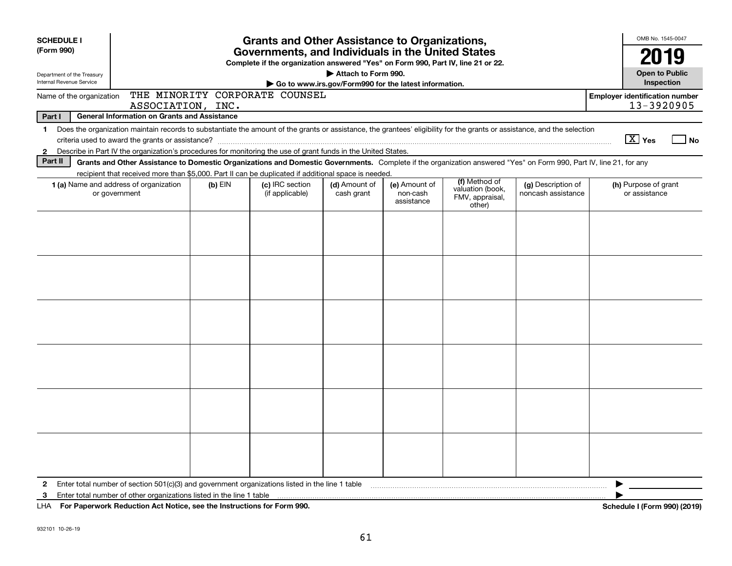| <b>SCHEDULE I</b>                                                                                                        |                                                                                                                                                                          |           | <b>Grants and Other Assistance to Organizations,</b> |               |                        |                                               |                    |  | OMB No. 1545-0047      |                              |
|--------------------------------------------------------------------------------------------------------------------------|--------------------------------------------------------------------------------------------------------------------------------------------------------------------------|-----------|------------------------------------------------------|---------------|------------------------|-----------------------------------------------|--------------------|--|------------------------|------------------------------|
| (Form 990)                                                                                                               | Governments, and Individuals in the United States                                                                                                                        |           |                                                      |               |                        |                                               |                    |  | 2019                   |                              |
| Complete if the organization answered "Yes" on Form 990, Part IV, line 21 or 22.<br>Attach to Form 990.                  |                                                                                                                                                                          |           |                                                      |               |                        |                                               |                    |  | <b>Open to Public</b>  |                              |
| Department of the Treasury<br><b>Internal Revenue Service</b><br>Go to www.irs.gov/Form990 for the latest information.   |                                                                                                                                                                          |           |                                                      |               |                        |                                               |                    |  | Inspection             |                              |
| THE MINORITY CORPORATE COUNSEL<br><b>Employer identification number</b><br>Name of the organization<br>ASSOCIATION, INC. |                                                                                                                                                                          |           |                                                      |               |                        |                                               |                    |  | 13-3920905             |                              |
| Part I                                                                                                                   | <b>General Information on Grants and Assistance</b>                                                                                                                      |           |                                                      |               |                        |                                               |                    |  |                        |                              |
| $\mathbf 1$                                                                                                              | Does the organization maintain records to substantiate the amount of the grants or assistance, the grantees' eligibility for the grants or assistance, and the selection |           |                                                      |               |                        |                                               |                    |  |                        |                              |
|                                                                                                                          |                                                                                                                                                                          |           |                                                      |               |                        |                                               |                    |  | $\boxed{\text{X}}$ Yes | No                           |
| $\mathbf{2}$                                                                                                             | Describe in Part IV the organization's procedures for monitoring the use of grant funds in the United States.                                                            |           |                                                      |               |                        |                                               |                    |  |                        |                              |
| Part II                                                                                                                  | Grants and Other Assistance to Domestic Organizations and Domestic Governments. Complete if the organization answered "Yes" on Form 990, Part IV, line 21, for any       |           |                                                      |               |                        |                                               |                    |  |                        |                              |
|                                                                                                                          | recipient that received more than \$5,000. Part II can be duplicated if additional space is needed.<br>1 (a) Name and address of organization                            | $(b)$ EIN | (c) IRC section                                      | (d) Amount of | (e) Amount of          | (f) Method of                                 | (g) Description of |  | (h) Purpose of grant   |                              |
|                                                                                                                          | or government                                                                                                                                                            |           | (if applicable)                                      | cash grant    | non-cash<br>assistance | valuation (book,<br>FMV, appraisal,<br>other) | noncash assistance |  | or assistance          |                              |
|                                                                                                                          |                                                                                                                                                                          |           |                                                      |               |                        |                                               |                    |  |                        |                              |
|                                                                                                                          |                                                                                                                                                                          |           |                                                      |               |                        |                                               |                    |  |                        |                              |
|                                                                                                                          |                                                                                                                                                                          |           |                                                      |               |                        |                                               |                    |  |                        |                              |
|                                                                                                                          |                                                                                                                                                                          |           |                                                      |               |                        |                                               |                    |  |                        |                              |
|                                                                                                                          |                                                                                                                                                                          |           |                                                      |               |                        |                                               |                    |  |                        |                              |
|                                                                                                                          |                                                                                                                                                                          |           |                                                      |               |                        |                                               |                    |  |                        |                              |
|                                                                                                                          |                                                                                                                                                                          |           |                                                      |               |                        |                                               |                    |  |                        |                              |
|                                                                                                                          |                                                                                                                                                                          |           |                                                      |               |                        |                                               |                    |  |                        |                              |
|                                                                                                                          |                                                                                                                                                                          |           |                                                      |               |                        |                                               |                    |  |                        |                              |
|                                                                                                                          |                                                                                                                                                                          |           |                                                      |               |                        |                                               |                    |  |                        |                              |
|                                                                                                                          |                                                                                                                                                                          |           |                                                      |               |                        |                                               |                    |  |                        |                              |
|                                                                                                                          |                                                                                                                                                                          |           |                                                      |               |                        |                                               |                    |  |                        |                              |
|                                                                                                                          |                                                                                                                                                                          |           |                                                      |               |                        |                                               |                    |  |                        |                              |
|                                                                                                                          |                                                                                                                                                                          |           |                                                      |               |                        |                                               |                    |  |                        |                              |
|                                                                                                                          |                                                                                                                                                                          |           |                                                      |               |                        |                                               |                    |  |                        |                              |
|                                                                                                                          |                                                                                                                                                                          |           |                                                      |               |                        |                                               |                    |  |                        |                              |
|                                                                                                                          |                                                                                                                                                                          |           |                                                      |               |                        |                                               |                    |  |                        |                              |
|                                                                                                                          |                                                                                                                                                                          |           |                                                      |               |                        |                                               |                    |  |                        |                              |
|                                                                                                                          |                                                                                                                                                                          |           |                                                      |               |                        |                                               |                    |  |                        |                              |
|                                                                                                                          |                                                                                                                                                                          |           |                                                      |               |                        |                                               |                    |  |                        |                              |
|                                                                                                                          |                                                                                                                                                                          |           |                                                      |               |                        |                                               |                    |  |                        |                              |
| $\mathbf{2}$                                                                                                             | Enter total number of section $501(c)(3)$ and government organizations listed in the line 1 table                                                                        |           |                                                      |               |                        |                                               |                    |  |                        |                              |
| 3                                                                                                                        | Enter total number of other organizations listed in the line 1 table                                                                                                     |           |                                                      |               |                        |                                               |                    |  |                        |                              |
|                                                                                                                          | LHA For Paperwork Reduction Act Notice, see the Instructions for Form 990.                                                                                               |           |                                                      |               |                        |                                               |                    |  |                        | Schedule I (Form 990) (2019) |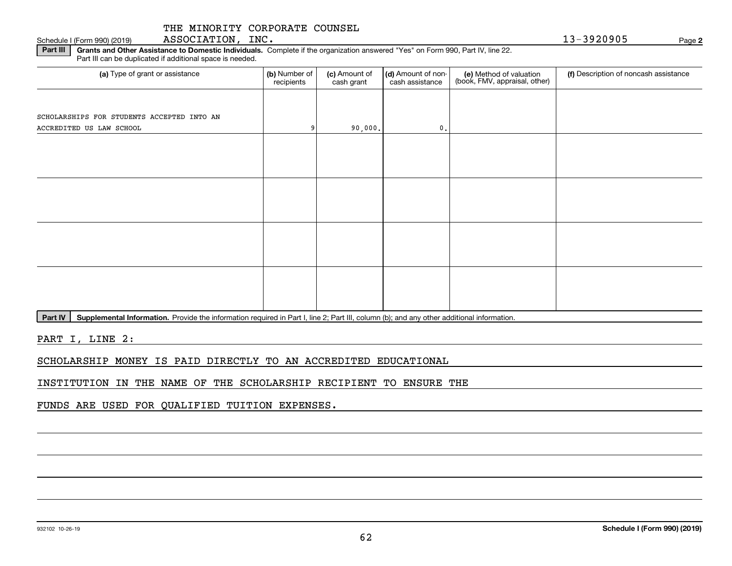## THE MINORITY CORPORATE COUNSEL

932102 10-26-19

**Part III** | Grants and Other Assistance to Domestic Individuals. Complete if the organization answered "Yes" on Form 990, Part IV, line 22. Part III can be duplicated if additional space is needed.

| (a) Type of grant or assistance            | (b) Number of<br>recipients | (c) Amount of<br>cash grant | (d) Amount of non-<br>cash assistance | (e) Method of valuation<br>(book, FMV, appraisal, other) | (f) Description of noncash assistance |
|--------------------------------------------|-----------------------------|-----------------------------|---------------------------------------|----------------------------------------------------------|---------------------------------------|
|                                            |                             |                             |                                       |                                                          |                                       |
| SCHOLARSHIPS FOR STUDENTS ACCEPTED INTO AN |                             |                             |                                       |                                                          |                                       |
| ACCREDITED US LAW SCHOOL                   |                             | 90,000.                     | $\mathfrak o$ .                       |                                                          |                                       |
|                                            |                             |                             |                                       |                                                          |                                       |
|                                            |                             |                             |                                       |                                                          |                                       |
|                                            |                             |                             |                                       |                                                          |                                       |
|                                            |                             |                             |                                       |                                                          |                                       |
|                                            |                             |                             |                                       |                                                          |                                       |
|                                            |                             |                             |                                       |                                                          |                                       |
|                                            |                             |                             |                                       |                                                          |                                       |
|                                            |                             |                             |                                       |                                                          |                                       |
|                                            |                             |                             |                                       |                                                          |                                       |
|                                            |                             |                             |                                       |                                                          |                                       |
|                                            |                             |                             |                                       |                                                          |                                       |
|                                            |                             |                             |                                       |                                                          |                                       |

Part IV | Supplemental Information. Provide the information required in Part I, line 2; Part III, column (b); and any other additional information.

PART I, LINE 2:

SCHOLARSHIP MONEY IS PAID DIRECTLY TO AN ACCREDITED EDUCATIONAL

INSTITUTION IN THE NAME OF THE SCHOLARSHIP RECIPIENT TO ENSURE THE

FUNDS ARE USED FOR QUALIFIED TUITION EXPENSES.

Schedule I (Form 990) (2019) ASSOCIATION, INC. 1 3-3920905 Page

**2**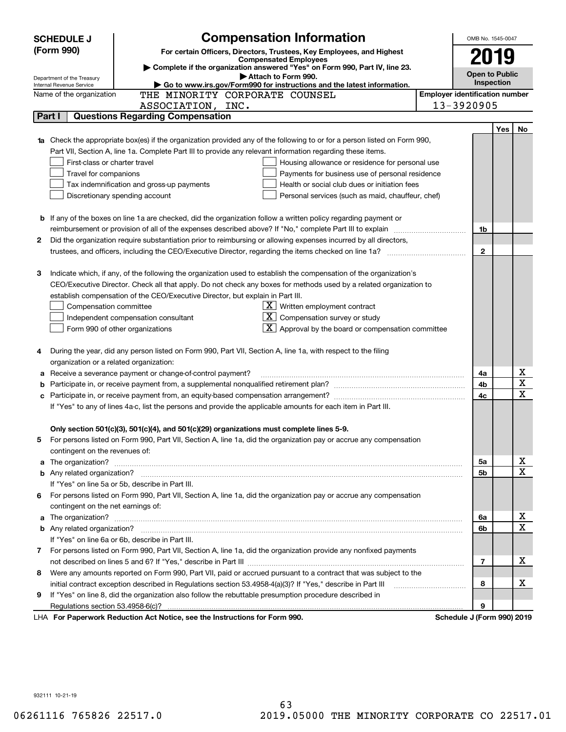|    | <b>Compensation Information</b><br><b>SCHEDULE J</b>                                                                                                    |                                       | OMB No. 1545-0047                   |            |                         |  |
|----|---------------------------------------------------------------------------------------------------------------------------------------------------------|---------------------------------------|-------------------------------------|------------|-------------------------|--|
|    | (Form 990)<br>For certain Officers, Directors, Trustees, Key Employees, and Highest                                                                     |                                       |                                     |            |                         |  |
|    | <b>Compensated Employees</b>                                                                                                                            |                                       | 2019                                |            |                         |  |
|    | Complete if the organization answered "Yes" on Form 990, Part IV, line 23.                                                                              |                                       |                                     |            |                         |  |
|    | Attach to Form 990.<br>Department of the Treasury<br>Go to www.irs.gov/Form990 for instructions and the latest information.<br>Internal Revenue Service |                                       | <b>Open to Public</b><br>Inspection |            |                         |  |
|    | THE MINORITY CORPORATE COUNSEL<br>Name of the organization                                                                                              | <b>Employer identification number</b> |                                     |            |                         |  |
|    | ASSOCIATION, INC.                                                                                                                                       | 13-3920905                            |                                     |            |                         |  |
|    | <b>Questions Regarding Compensation</b><br>Part I                                                                                                       |                                       |                                     |            |                         |  |
|    |                                                                                                                                                         |                                       |                                     | <b>Yes</b> | No                      |  |
|    | 1a Check the appropriate box(es) if the organization provided any of the following to or for a person listed on Form 990,                               |                                       |                                     |            |                         |  |
|    | Part VII, Section A, line 1a. Complete Part III to provide any relevant information regarding these items.                                              |                                       |                                     |            |                         |  |
|    | First-class or charter travel<br>Housing allowance or residence for personal use                                                                        |                                       |                                     |            |                         |  |
|    | Travel for companions<br>Payments for business use of personal residence                                                                                |                                       |                                     |            |                         |  |
|    | Tax indemnification and gross-up payments<br>Health or social club dues or initiation fees                                                              |                                       |                                     |            |                         |  |
|    | Discretionary spending account<br>Personal services (such as maid, chauffeur, chef)                                                                     |                                       |                                     |            |                         |  |
|    |                                                                                                                                                         |                                       |                                     |            |                         |  |
|    | <b>b</b> If any of the boxes on line 1a are checked, did the organization follow a written policy regarding payment or                                  |                                       |                                     |            |                         |  |
|    | reimbursement or provision of all of the expenses described above? If "No," complete Part III to explain                                                |                                       | 1b                                  |            |                         |  |
| 2  | Did the organization require substantiation prior to reimbursing or allowing expenses incurred by all directors,                                        |                                       |                                     |            |                         |  |
|    | trustees, and officers, including the CEO/Executive Director, regarding the items checked on line 1a?                                                   |                                       | $\mathbf{2}$                        |            |                         |  |
|    |                                                                                                                                                         |                                       |                                     |            |                         |  |
| з  | Indicate which, if any, of the following the organization used to establish the compensation of the organization's                                      |                                       |                                     |            |                         |  |
|    | CEO/Executive Director. Check all that apply. Do not check any boxes for methods used by a related organization to                                      |                                       |                                     |            |                         |  |
|    | establish compensation of the CEO/Executive Director, but explain in Part III.                                                                          |                                       |                                     |            |                         |  |
|    | $X$ Written employment contract<br>Compensation committee                                                                                               |                                       |                                     |            |                         |  |
|    | $X$ Compensation survey or study<br>Independent compensation consultant                                                                                 |                                       |                                     |            |                         |  |
|    | $\lfloor x \rfloor$ Approval by the board or compensation committee<br>Form 990 of other organizations                                                  |                                       |                                     |            |                         |  |
|    |                                                                                                                                                         |                                       |                                     |            |                         |  |
|    | During the year, did any person listed on Form 990, Part VII, Section A, line 1a, with respect to the filing                                            |                                       |                                     |            |                         |  |
|    | organization or a related organization:                                                                                                                 |                                       |                                     |            |                         |  |
| а  | Receive a severance payment or change-of-control payment?                                                                                               |                                       | 4a                                  |            | х                       |  |
| b  |                                                                                                                                                         |                                       | 4b                                  |            | $\overline{\mathbf{x}}$ |  |
| с  |                                                                                                                                                         |                                       | 4c                                  |            | $\overline{\mathbf{x}}$ |  |
|    | If "Yes" to any of lines 4a-c, list the persons and provide the applicable amounts for each item in Part III.                                           |                                       |                                     |            |                         |  |
|    |                                                                                                                                                         |                                       |                                     |            |                         |  |
|    | Only section 501(c)(3), 501(c)(4), and 501(c)(29) organizations must complete lines 5-9.                                                                |                                       |                                     |            |                         |  |
|    | For persons listed on Form 990, Part VII, Section A, line 1a, did the organization pay or accrue any compensation                                       |                                       |                                     |            |                         |  |
|    | contingent on the revenues of:                                                                                                                          |                                       |                                     |            |                         |  |
|    | a The organization? <b>Constitution</b> and the organization?                                                                                           |                                       | 5a                                  |            | x                       |  |
|    |                                                                                                                                                         |                                       | 5b                                  |            | $\overline{\mathbf{x}}$ |  |
|    | If "Yes" on line 5a or 5b, describe in Part III.                                                                                                        |                                       |                                     |            |                         |  |
| 6. | For persons listed on Form 990, Part VII, Section A, line 1a, did the organization pay or accrue any compensation                                       |                                       |                                     |            |                         |  |
|    | contingent on the net earnings of:                                                                                                                      |                                       |                                     |            |                         |  |
| a  |                                                                                                                                                         |                                       | 6a                                  |            | х                       |  |
|    |                                                                                                                                                         |                                       | 6b                                  |            | $\overline{\mathbf{x}}$ |  |
|    | If "Yes" on line 6a or 6b, describe in Part III.                                                                                                        |                                       |                                     |            |                         |  |
|    | 7 For persons listed on Form 990, Part VII, Section A, line 1a, did the organization provide any nonfixed payments                                      |                                       |                                     |            |                         |  |
|    |                                                                                                                                                         |                                       | 7                                   |            | х                       |  |
| 8  | Were any amounts reported on Form 990, Part VII, paid or accrued pursuant to a contract that was subject to the                                         |                                       |                                     |            |                         |  |
|    | initial contract exception described in Regulations section 53.4958-4(a)(3)? If "Yes," describe in Part III                                             |                                       | 8                                   |            | х                       |  |
| 9  | If "Yes" on line 8, did the organization also follow the rebuttable presumption procedure described in                                                  |                                       |                                     |            |                         |  |
|    | Regulations section 53.4958-6(c)?                                                                                                                       |                                       | 9                                   |            |                         |  |
|    | LHA For Paperwork Reduction Act Notice, see the Instructions for Form 990.                                                                              | Schedule J (Form 990) 2019            |                                     |            |                         |  |

932111 10-21-19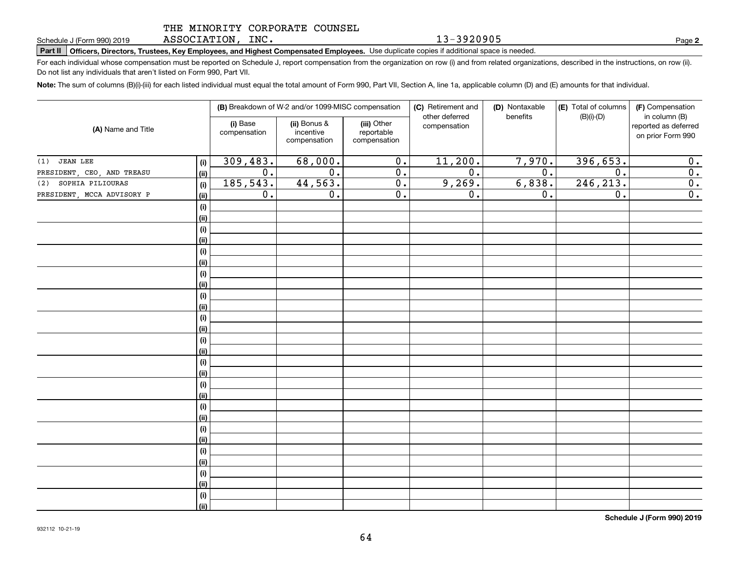### THE MINORITY CORPORATE COUNSEL

ASSOCIATION, INC.

13-3920905

**2**

**Part II Officers, Directors, Trustees, Key Employees, and Highest Compensated Employees.**  Schedule J (Form 990) 2019 Page Use duplicate copies if additional space is needed.

For each individual whose compensation must be reported on Schedule J, report compensation from the organization on row (i) and from related organizations, described in the instructions, on row (ii). Do not list any individuals that aren't listed on Form 990, Part VII.

**Note:**  The sum of columns (B)(i)-(iii) for each listed individual must equal the total amount of Form 990, Part VII, Section A, line 1a, applicable column (D) and (E) amounts for that individual.

|                                           | (B) Breakdown of W-2 and/or 1099-MISC compensation |                                           |                                           | (C) Retirement and<br>other deferred | (D) Nontaxable<br>benefits | (E) Total of columns<br>$(B)(i)-(D)$ | (F) Compensation<br>in column (B)         |
|-------------------------------------------|----------------------------------------------------|-------------------------------------------|-------------------------------------------|--------------------------------------|----------------------------|--------------------------------------|-------------------------------------------|
| (A) Name and Title                        | (i) Base<br>compensation                           | (ii) Bonus &<br>incentive<br>compensation | (iii) Other<br>reportable<br>compensation | compensation                         |                            |                                      | reported as deferred<br>on prior Form 990 |
| <b>JEAN LEE</b><br>(1)<br>(i)             | 309,483.                                           | 68,000.                                   | $\mathbf 0$ .                             | 11,200.                              | 7,970.                     | 396,653.                             | 0.                                        |
| PRESIDENT, CEO, AND TREASU<br><u>(ii)</u> | 0.                                                 | $\overline{0}$ .                          | $\overline{0}$ .                          | $\overline{0}$ .                     | $\overline{0}$ .           | $\overline{0}$ .                     | 0.                                        |
| SOPHIA PILIOURAS<br>(2)<br>(i)            | 185,543.                                           | 44,563.                                   | $\overline{0}$ .                          | 9,269.                               | 6,838.                     | 246, 213.                            | 0.                                        |
| PRESIDENT, MCCA ADVISORY P<br><u>(ii)</u> | 0.                                                 | $\mathbf 0$ .                             | $\overline{0}$ .                          | 0.                                   | 0.                         | $\overline{0}$ .                     | 0.                                        |
| $\qquad \qquad \textbf{(i)}$              |                                                    |                                           |                                           |                                      |                            |                                      |                                           |
| <u>(ii)</u>                               |                                                    |                                           |                                           |                                      |                            |                                      |                                           |
| (i)                                       |                                                    |                                           |                                           |                                      |                            |                                      |                                           |
| <u>(ii)</u>                               |                                                    |                                           |                                           |                                      |                            |                                      |                                           |
| (i)                                       |                                                    |                                           |                                           |                                      |                            |                                      |                                           |
| <u>(ii)</u>                               |                                                    |                                           |                                           |                                      |                            |                                      |                                           |
| (i)                                       |                                                    |                                           |                                           |                                      |                            |                                      |                                           |
| <u>(ii)</u>                               |                                                    |                                           |                                           |                                      |                            |                                      |                                           |
| (i)                                       |                                                    |                                           |                                           |                                      |                            |                                      |                                           |
| <u>(ii)</u>                               |                                                    |                                           |                                           |                                      |                            |                                      |                                           |
| (i)                                       |                                                    |                                           |                                           |                                      |                            |                                      |                                           |
| <u>(ii)</u>                               |                                                    |                                           |                                           |                                      |                            |                                      |                                           |
| (i)<br><u>(ii)</u>                        |                                                    |                                           |                                           |                                      |                            |                                      |                                           |
| (i)                                       |                                                    |                                           |                                           |                                      |                            |                                      |                                           |
| <u>(ii)</u>                               |                                                    |                                           |                                           |                                      |                            |                                      |                                           |
| (i)                                       |                                                    |                                           |                                           |                                      |                            |                                      |                                           |
| <u>(ii)</u>                               |                                                    |                                           |                                           |                                      |                            |                                      |                                           |
| (i)                                       |                                                    |                                           |                                           |                                      |                            |                                      |                                           |
| <u>(ii)</u>                               |                                                    |                                           |                                           |                                      |                            |                                      |                                           |
| (i)                                       |                                                    |                                           |                                           |                                      |                            |                                      |                                           |
| <u>(ii)</u>                               |                                                    |                                           |                                           |                                      |                            |                                      |                                           |
| (i)                                       |                                                    |                                           |                                           |                                      |                            |                                      |                                           |
| <u>(ii)</u>                               |                                                    |                                           |                                           |                                      |                            |                                      |                                           |
| (i)                                       |                                                    |                                           |                                           |                                      |                            |                                      |                                           |
| <u>(ii)</u>                               |                                                    |                                           |                                           |                                      |                            |                                      |                                           |
| (i)                                       |                                                    |                                           |                                           |                                      |                            |                                      |                                           |
| $\overline{}}$                            |                                                    |                                           |                                           |                                      |                            |                                      |                                           |

**Schedule J (Form 990) 2019**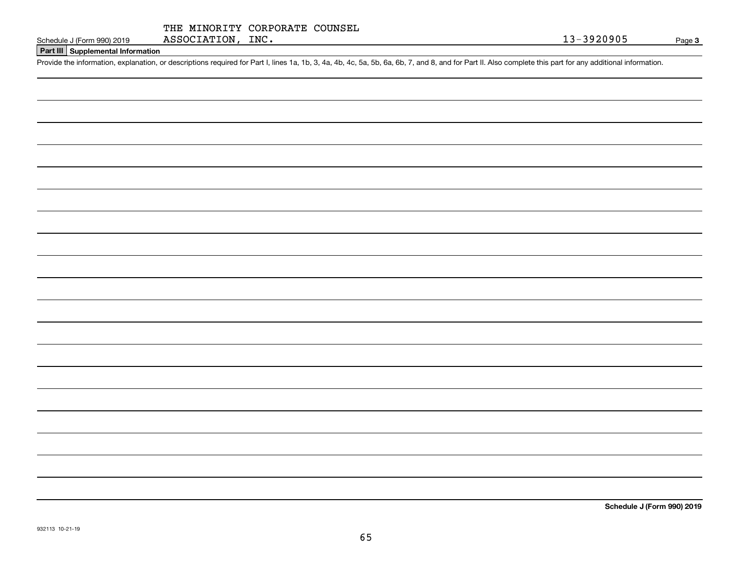|                   | THE MINORITY CORPORATE COUNSEL |  |
|-------------------|--------------------------------|--|
| ASSOCIATION, INC. |                                |  |

## **Part III Supplemental Information**

Schedule J (Form 990) 2019 ASSOCIATION, INC.<br>Part III Supplemental Information<br>Provide the information, explanation, or descriptions required for Part I, lines 1a, 1b, 3, 4a, 4b, 4c, 5a, 5b, 6a, 6b, 7, and 8, and for Part

**Schedule J (Form 990) 2019**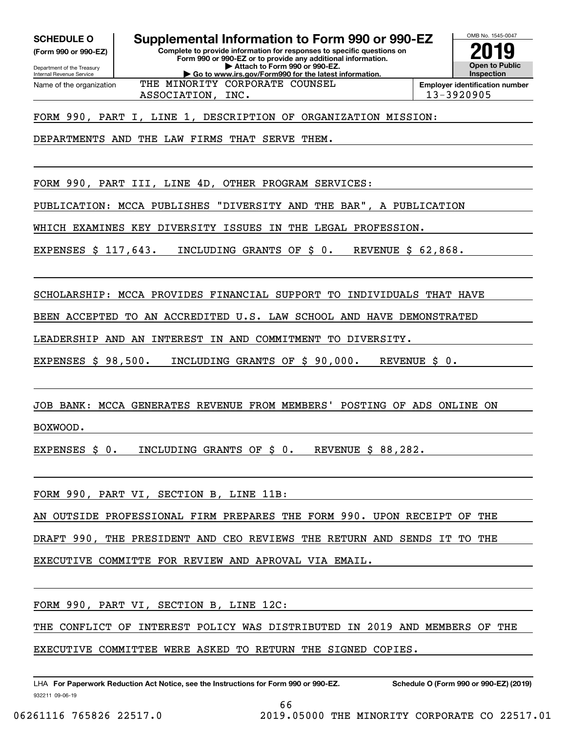**(Form 990 or 990-EZ)**

Department of the Treasury Internal Revenue Service Name of the organization

# **Complete to provide information for responses to specific questions on SCHEDULE O Supplemental Information to Form 990 or 990-EZ**

**Form 990 or 990-EZ or to provide any additional information. | Attach to Form 990 or 990-EZ. | Go to www.irs.gov/Form990 for the latest information.** THE MINORITY CORPORATE COUNSEL



ASSOCIATION, INC. 13-3920905

FORM 990, PART I, LINE 1, DESCRIPTION OF ORGANIZATION MISSION:

DEPARTMENTS AND THE LAW FIRMS THAT SERVE THEM.

FORM 990, PART III, LINE 4D, OTHER PROGRAM SERVICES:

PUBLICATION: MCCA PUBLISHES "DIVERSITY AND THE BAR", A PUBLICATION

WHICH EXAMINES KEY DIVERSITY ISSUES IN THE LEGAL PROFESSION.

EXPENSES \$ 117,643. INCLUDING GRANTS OF \$ 0. REVENUE \$ 62,868.

SCHOLARSHIP: MCCA PROVIDES FINANCIAL SUPPORT TO INDIVIDUALS THAT HAVE

BEEN ACCEPTED TO AN ACCREDITED U.S. LAW SCHOOL AND HAVE DEMONSTRATED

LEADERSHIP AND AN INTEREST IN AND COMMITMENT TO DIVERSITY.

EXPENSES \$ 98,500. INCLUDING GRANTS OF \$ 90,000. REVENUE \$ 0.

JOB BANK: MCCA GENERATES REVENUE FROM MEMBERS' POSTING OF ADS ONLINE ON

BOXWOOD.

EXPENSES \$ 0. INCLUDING GRANTS OF \$ 0. REVENUE \$ 88,282.

FORM 990, PART VI, SECTION B, LINE 11B:

AN OUTSIDE PROFESSIONAL FIRM PREPARES THE FORM 990. UPON RECEIPT OF THE

DRAFT 990, THE PRESIDENT AND CEO REVIEWS THE RETURN AND SENDS IT TO THE

EXECUTIVE COMMITTE FOR REVIEW AND APROVAL VIA EMAIL.

FORM 990, PART VI, SECTION B, LINE 12C:

THE CONFLICT OF INTEREST POLICY WAS DISTRIBUTED IN 2019 AND MEMBERS OF THE

EXECUTIVE COMMITTEE WERE ASKED TO RETURN THE SIGNED COPIES.

932211 09-06-19 LHA For Paperwork Reduction Act Notice, see the Instructions for Form 990 or 990-EZ. Schedule O (Form 990 or 990-EZ) (2019)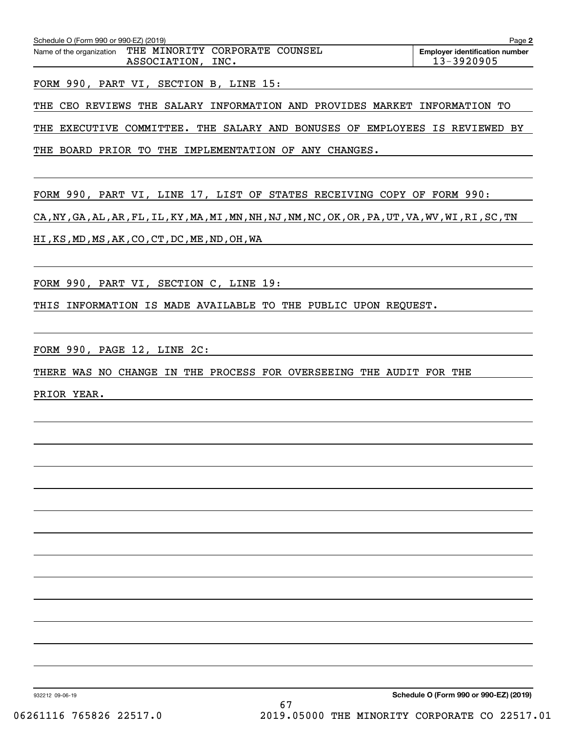| Schedule O (Form 990 or 990-EZ) (2019)<br>Page 2 |                                                |      |  |                                                     |  |  |  |  |  |  |  |
|--------------------------------------------------|------------------------------------------------|------|--|-----------------------------------------------------|--|--|--|--|--|--|--|
| Name of the organization                         | THE MINORITY CORPORATE COUNSEL<br>ASSOCIATION, | INC. |  | <b>Employer identification number</b><br>13-3920905 |  |  |  |  |  |  |  |

FORM 990, PART VI, SECTION B, LINE 15:

THE CEO REVIEWS THE SALARY INFORMATION AND PROVIDES MARKET INFORMATION TO

THE EXECUTIVE COMMITTEE. THE SALARY AND BONUSES OF EMPLOYEES IS REVIEWED BY

THE BOARD PRIOR TO THE IMPLEMENTATION OF ANY CHANGES.

FORM 990, PART VI, LINE 17, LIST OF STATES RECEIVING COPY OF FORM 990:

CA, NY, GA, AL, AR, FL, IL, KY, MA, MI, MN, NH, NJ, NM, NC, OK, OR, PA, UT, VA, WV, WI, RI, SC, TN

HI,KS,MD,MS,AK,CO,CT,DC,ME,ND,OH,WA

FORM 990, PART VI, SECTION C, LINE 19:

THIS INFORMATION IS MADE AVAILABLE TO THE PUBLIC UPON REQUEST.

FORM 990, PAGE 12, LINE 2C:

THERE WAS NO CHANGE IN THE PROCESS FOR OVERSEEING THE AUDIT FOR THE

PRIOR YEAR.

932212 09-06-19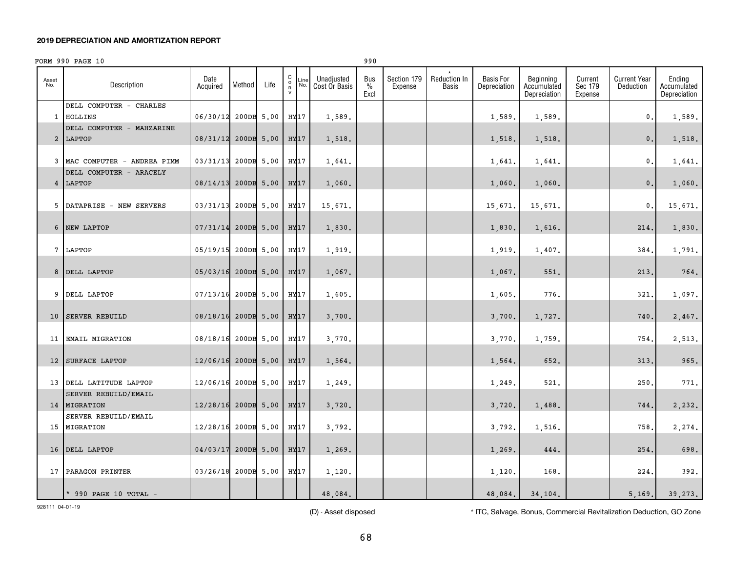### **2019 DEPRECIATION AND AMORTIZATION REPORT**

|              | FORM 990 PAGE 10                       |                     |            |            |                                              |             |                             | 990                          |                        |                       |                                  |                                          |                               |                                  |                                       |
|--------------|----------------------------------------|---------------------|------------|------------|----------------------------------------------|-------------|-----------------------------|------------------------------|------------------------|-----------------------|----------------------------------|------------------------------------------|-------------------------------|----------------------------------|---------------------------------------|
| Asset<br>No. | Description                            | Date<br>Acquired    | Method     | Life       | $\mathtt{C}$<br>$\circ$<br>n<br>$\mathsf{v}$ | Line<br>No. | Unadjusted<br>Cost Or Basis | Bus<br>$\frac{0}{0}$<br>Excl | Section 179<br>Expense | Reduction In<br>Basis | <b>Basis For</b><br>Depreciation | Beginning<br>Accumulated<br>Depreciation | Current<br>Sec 179<br>Expense | <b>Current Year</b><br>Deduction | Ending<br>Accumulated<br>Depreciation |
|              | DELL COMPUTER - CHARLES<br>1 HOLLINS   | 06/30/12            | 200DB 5.00 |            | HY17                                         |             | 1,589.                      |                              |                        |                       | 1,589.                           | 1,589.                                   |                               | 0.                               | 1,589.                                |
|              | DELL COMPUTER - MAHZARINE<br>2 LAPTOP  | 08/31/12            | 200DB 5.00 |            | HY17                                         |             | 1,518.                      |                              |                        |                       | 1,518.                           | 1,518.                                   |                               | $0$ .                            | 1,518.                                |
|              | 3 MAC COMPUTER - ANDREA PIMM           | 03/31/13            | 200DB 5.00 |            | HY17                                         |             | 1,641.                      |                              |                        |                       | 1,641.                           | 1,641.                                   |                               | 0.                               | 1,641.                                |
|              | DELL COMPUTER - ARACELY<br>4 LAPTOP    | 08/14/13            |            | 200DB 5.00 | HY17                                         |             | 1,060.                      |                              |                        |                       | 1,060.                           | 1,060.                                   |                               | 0.                               | 1,060.                                |
|              | 5 DATAPRISE - NEW SERVERS              | 03/31/13            | 200DB 5.00 |            | HY17                                         |             | 15,671.                     |                              |                        |                       | 15,671.                          | 15,671.                                  |                               | 0.                               | 15,671.                               |
|              | 6 NEW LAPTOP                           | 07/31/14            |            | 200DB 5.00 | HY17                                         |             | 1,830.                      |                              |                        |                       | 1,830.                           | 1,616.                                   |                               | 214.                             | 1,830.                                |
|              | 7 LAPTOP                               | 05/19/15            |            | 200DB 5.00 | HY17                                         |             | 1,919.                      |                              |                        |                       | 1,919.                           | 1,407.                                   |                               | 384                              | 1,791.                                |
|              | 8 DELL LAPTOP                          | 05/03/16            |            | 200DB 5.00 | HY <sub>17</sub>                             |             | 1,067.                      |                              |                        |                       | 1,067.                           | 551.                                     |                               | 213                              | 764.                                  |
|              | 9 DELL LAPTOP                          | 07/13/16            |            | 200DB 5.00 | HY17                                         |             | 1,605.                      |                              |                        |                       | 1,605                            | 776.                                     |                               | 321                              | 1,097.                                |
|              | 10 SERVER REBUILD                      | 08/18/16            | 200DB 5.00 |            | HY17                                         |             | 3,700.                      |                              |                        |                       | 3,700.                           | 1,727.                                   |                               | 740                              | 2,467.                                |
| 11           | <b>EMAIL MIGRATION</b>                 | 08/18/16            | 200DB 5.00 |            | HY17                                         |             | 3,770.                      |                              |                        |                       | 3,770                            | 1,759.                                   |                               | 754                              | 2,513.                                |
|              | 12 SURFACE LAPTOP                      | 12/06/16 200DB 5.00 |            |            | HY17                                         |             | 1,564.                      |                              |                        |                       | 1,564.                           | 652.                                     |                               | 313                              | 965.                                  |
|              | 13 DELL LATITUDE LAPTOP                | 12/06/16            | 200DB 5.00 |            | HY17                                         |             | 1,249.                      |                              |                        |                       | 1,249.                           | 521.                                     |                               | 250                              | 771.                                  |
|              | SERVER REBUILD/EMAIL<br>14   MIGRATION | 12/28/16            | 200DB 5.00 |            | HY17                                         |             | 3,720.                      |                              |                        |                       | 3,720.                           | 1,488.                                   |                               | 744.                             | 2,232.                                |
|              | SERVER REBUILD/EMAIL<br>15 MIGRATION   | 12/28/16            | 200DB 5.00 |            | HY17                                         |             | 3,792.                      |                              |                        |                       | 3,792.                           | 1,516.                                   |                               | 758                              | 2,274.                                |
|              | 16 DELL LAPTOP                         | 04/03/17            |            | 200DB 5.00 | HY17                                         |             | 1,269.                      |                              |                        |                       | 1,269.                           | 444.                                     |                               | 254                              | 698.                                  |
|              | 17 PARAGON PRINTER                     | 03/26/18            |            | 200DB 5.00 | HY17                                         |             | 1,120.                      |                              |                        |                       | 1,120                            | 168.                                     |                               | 224                              | 392.                                  |
|              | $*$ 990 PAGE 10 TOTAL -                |                     |            |            |                                              |             | 48,084.                     |                              |                        |                       | 48,084.                          | 34,104.                                  |                               | 5.169.                           | 39.273.                               |

928111 04-01-19

(D) - Asset disposed \* ITC, Salvage, Bonus, Commercial Revitalization Deduction, GO Zone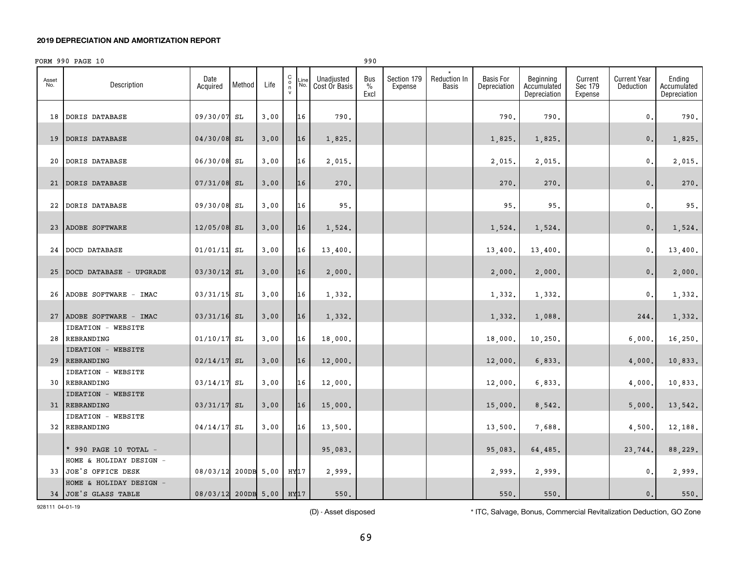### **2019 DEPRECIATION AND AMORTIZATION REPORT**

|              | FORM 990 PAGE 10                           |                          |            |      |                                              |             |                             | 990                          |                        |                       |                                  |                                          |                               |                                  |                                       |
|--------------|--------------------------------------------|--------------------------|------------|------|----------------------------------------------|-------------|-----------------------------|------------------------------|------------------------|-----------------------|----------------------------------|------------------------------------------|-------------------------------|----------------------------------|---------------------------------------|
| Asset<br>No. | Description                                | Date<br>Acquired         | Method     | Life | $\begin{array}{c}\nC \\ O \\ N\n\end{array}$ | .ine<br>No. | Unadjusted<br>Cost Or Basis | Bus<br>$\frac{0}{0}$<br>Excl | Section 179<br>Expense | Reduction In<br>Basis | <b>Basis For</b><br>Depreciation | Beginning<br>Accumulated<br>Depreciation | Current<br>Sec 179<br>Expense | <b>Current Year</b><br>Deduction | Ending<br>Accumulated<br>Depreciation |
| 18           | DORIS DATABASE                             | 09/30/07                 | SL         | 3.00 |                                              | 16          | 790.                        |                              |                        |                       | 790.                             | 790.                                     |                               | 0.                               | 790.                                  |
| 19           | DORIS DATABASE                             | 04/30/08                 | SL         | 3.00 |                                              | 16          | 1,825.                      |                              |                        |                       | 1,825.                           | 1,825.                                   |                               | 0.                               | 1,825.                                |
| 20           | DORIS DATABASE                             | 06/30/08 SL              |            | 3.00 |                                              | 16          | 2,015.                      |                              |                        |                       | 2,015.                           | 2,015.                                   |                               | 0.                               | 2,015.                                |
| 21           | DORIS DATABASE                             | $07/31/08$ SL            |            | 3.00 |                                              | 16          | 270.                        |                              |                        |                       | 270.                             | 270.                                     |                               | 0.                               | 270.                                  |
|              | 22 DORIS DATABASE                          | 09/30/08 SL              |            | 3.00 |                                              | 16          | 95.                         |                              |                        |                       | 95.                              | 95.                                      |                               | 0.                               | 95.                                   |
| 23           | ADOBE SOFTWARE                             | 12/05/08 SL              |            | 3.00 |                                              | 16          | 1,524.                      |                              |                        |                       | 1,524.                           | 1,524.                                   |                               | 0.                               | 1,524.                                |
| 24           | <b>DOCD DATABASE</b>                       | 01/01/11                 | SL         | 3.00 |                                              | 16          | 13,400.                     |                              |                        |                       | 13,400.                          | 13,400.                                  |                               | 0.                               | 13,400.                               |
| 25           | DOCD DATABASE - UPGRADE                    | 03/30/12 SL              |            | 3.00 |                                              | 16          | 2,000.                      |                              |                        |                       | 2,000.                           | 2,000.                                   |                               | 0.                               | 2,000.                                |
|              | 26 ADOBE SOFTWARE - IMAC                   | 03/31/15 SL              |            | 3.00 |                                              | 16          | 1,332.                      |                              |                        |                       | 1,332.                           | 1,332.                                   |                               | 0.                               | 1,332.                                |
|              | 27 ADOBE SOFTWARE - IMAC                   | $03/31/16$ SL            |            | 3.00 |                                              | 16          | 1,332.                      |                              |                        |                       | 1,332.                           | 1,088.                                   |                               | 244                              | 1,332.                                |
|              | <b>IDEATION - WEBSITE</b><br>28 REBRANDING | 01/10/17                 | SL         | 3.00 |                                              | 16          | 18,000.                     |                              |                        |                       | 18,000                           | 10, 250.                                 |                               | 6,000                            | 16, 250.                              |
| 29           | <b>IDEATION - WEBSITE</b><br>REBRANDING    | 02/14/17                 | SL         | 3.00 |                                              | 16          | 12,000.                     |                              |                        |                       | 12,000.                          | 6,833.                                   |                               | 4,000.                           | 10,833.                               |
| 30           | <b>IDEATION - WEBSITE</b><br>REBRANDING    | 03/14/17                 | SL         | 3.00 |                                              | 16          | 12,000.                     |                              |                        |                       | 12,000.                          | 6,833.                                   |                               | 4,000                            | 10,833.                               |
|              | <b>IDEATION - WEBSITE</b><br>31 REBRANDING | 03/31/17                 | SL         | 3.00 |                                              | 16          | 15,000.                     |                              |                        |                       | 15,000.                          | 8,542.                                   |                               | 5,000.                           | 13,542.                               |
|              | <b>IDEATION - WEBSITE</b><br>32 REBRANDING | 04/14/17                 | SL         | 3.00 |                                              | 16          | 13,500.                     |                              |                        |                       | 13,500.                          | 7,688.                                   |                               | 4,500                            | 12,188.                               |
|              | * 990 PAGE 10 TOTAL -                      |                          |            |      |                                              |             | 95,083.                     |                              |                        |                       | 95,083.                          | 64,485.                                  |                               | 23,744.                          | 88,229.                               |
|              | HOME & HOLIDAY DESIGN -                    |                          |            |      |                                              |             |                             |                              |                        |                       |                                  |                                          |                               |                                  |                                       |
|              | 33 JOE'S OFFICE DESK                       | 08/03/12                 | 200DB 5.00 |      | HY17                                         |             | 2.999.                      |                              |                        |                       | 2,999.                           | 2,999.                                   |                               | 0.                               | 2,999.                                |
|              | HOME & HOLIDAY DESIGN -                    |                          |            |      |                                              |             |                             |                              |                        |                       |                                  |                                          |                               |                                  |                                       |
|              | 34 JOE'S GLASS TABLE                       | 08/03/12 200DB 5.00 HY17 |            |      |                                              |             | 550.                        |                              |                        |                       | 550.                             | 550.                                     |                               | 0.1                              | 550.                                  |

928111 04-01-19

(D) - Asset disposed \* ITC, Salvage, Bonus, Commercial Revitalization Deduction, GO Zone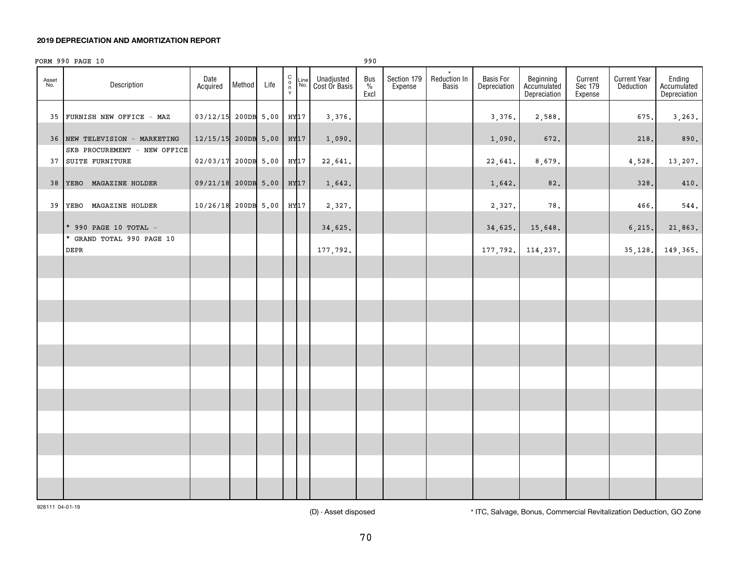### **2019 DEPRECIATION AND AMORTIZATION REPORT**

|              | FORM 990 PAGE 10                                              |                                      |        |      |                                                   |         |                                      | 990                 |                        |                       |                           |                                          |                               |                                  |                                       |
|--------------|---------------------------------------------------------------|--------------------------------------|--------|------|---------------------------------------------------|---------|--------------------------------------|---------------------|------------------------|-----------------------|---------------------------|------------------------------------------|-------------------------------|----------------------------------|---------------------------------------|
| Asset<br>No. | Description                                                   | Date<br>Acquired                     | Method | Life | $\begin{smallmatrix} 0\\0\\1\\1\end{smallmatrix}$ |         | Line Unadjusted<br>No. Cost Or Basis | Bus<br>$\%$<br>Excl | Section 179<br>Expense | Reduction In<br>Basis | Basis For<br>Depreciation | Beginning<br>Accumulated<br>Depreciation | Current<br>Sec 179<br>Expense | <b>Current Year</b><br>Deduction | Ending<br>Accumulated<br>Depreciation |
|              | 35 FURNISH NEW OFFICE - MAZ                                   | 03/12/15 200DB 5.00                  |        |      |                                                   | $HY$ 17 | 3,376.                               |                     |                        |                       | 3,376.                    | 2,588.                                   |                               | 675.                             | 3,263.                                |
|              | 36 NEW TELEVISION - MARKETING<br>SKB PROCUREMENT - NEW OFFICE | $12/15/15$ 200DB 5.00                |        |      |                                                   | HY17    | 1,090.                               |                     |                        |                       | 1,090.                    | 672.                                     |                               | 218.                             | 890.                                  |
|              | 37 SUITE FURNITURE                                            | 02/03/17 200DB 5.00                  |        |      |                                                   | HY17    | 22,641.                              |                     |                        |                       | 22,641.                   | 8,679.                                   |                               | 4,528.                           | 13,207.                               |
|              | 38 YEBO MAGAZINE HOLDER                                       | 09/21/18 200DB 5.00 HY <sub>17</sub> |        |      |                                                   |         | 1,642.                               |                     |                        |                       | 1,642.                    | 82.                                      |                               | 328.                             | 410.                                  |
|              | 39 YEBO MAGAZINE HOLDER                                       | 10/26/18 200DB 5.00                  |        |      |                                                   | HY17    | 2,327.                               |                     |                        |                       | 2,327.                    | 78.                                      |                               | 466.                             | $544.$                                |
|              | * 990 PAGE 10 TOTAL -                                         |                                      |        |      |                                                   |         | 34,625.                              |                     |                        |                       | 34,625.                   | 15,648.                                  |                               | 6, 215.                          | 21,863.                               |
|              | * GRAND TOTAL 990 PAGE 10<br><b>DEPR</b>                      |                                      |        |      |                                                   |         | 177,792.                             |                     |                        |                       | 177,792.                  | 114,237.                                 |                               | 35,128.                          | 149,365.                              |
|              |                                                               |                                      |        |      |                                                   |         |                                      |                     |                        |                       |                           |                                          |                               |                                  |                                       |
|              |                                                               |                                      |        |      |                                                   |         |                                      |                     |                        |                       |                           |                                          |                               |                                  |                                       |
|              |                                                               |                                      |        |      |                                                   |         |                                      |                     |                        |                       |                           |                                          |                               |                                  |                                       |
|              |                                                               |                                      |        |      |                                                   |         |                                      |                     |                        |                       |                           |                                          |                               |                                  |                                       |
|              |                                                               |                                      |        |      |                                                   |         |                                      |                     |                        |                       |                           |                                          |                               |                                  |                                       |
|              |                                                               |                                      |        |      |                                                   |         |                                      |                     |                        |                       |                           |                                          |                               |                                  |                                       |
|              |                                                               |                                      |        |      |                                                   |         |                                      |                     |                        |                       |                           |                                          |                               |                                  |                                       |
|              |                                                               |                                      |        |      |                                                   |         |                                      |                     |                        |                       |                           |                                          |                               |                                  |                                       |
|              |                                                               |                                      |        |      |                                                   |         |                                      |                     |                        |                       |                           |                                          |                               |                                  |                                       |
|              |                                                               |                                      |        |      |                                                   |         |                                      |                     |                        |                       |                           |                                          |                               |                                  |                                       |
|              |                                                               |                                      |        |      |                                                   |         |                                      |                     |                        |                       |                           |                                          |                               |                                  |                                       |
|              |                                                               |                                      |        |      |                                                   |         |                                      |                     |                        |                       |                           |                                          |                               |                                  |                                       |

928111 04-01-19

(D) - Asset disposed \* ITC, Salvage, Bonus, Commercial Revitalization Deduction, GO Zone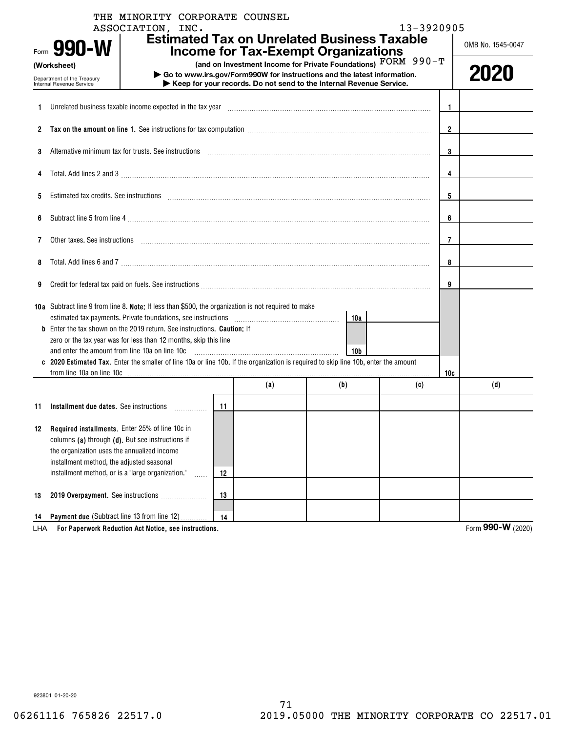|              | THE MINORITY CORPORATE COUNSEL<br>ASSOCIATION, INC.                                                                                                                                                                                                       |    |     |                                                                                                                                                                                                                 | 13-3920905 |                |                   |
|--------------|-----------------------------------------------------------------------------------------------------------------------------------------------------------------------------------------------------------------------------------------------------------|----|-----|-----------------------------------------------------------------------------------------------------------------------------------------------------------------------------------------------------------------|------------|----------------|-------------------|
|              | Form 990-W                                                                                                                                                                                                                                                |    |     | <b>Estimated Tax on Unrelated Business Taxable</b><br><b>Income for Tax-Exempt Organizations</b>                                                                                                                |            |                | OMB No. 1545-0047 |
|              | (Worksheet)<br>Department of the Treasury<br>Internal Revenue Service                                                                                                                                                                                     |    |     | (and on Investment Income for Private Foundations) FORM 990-T<br>Go to www.irs.gov/Form990W for instructions and the latest information.<br>Keep for your records. Do not send to the Internal Revenue Service. |            |                | 2020              |
|              |                                                                                                                                                                                                                                                           |    |     |                                                                                                                                                                                                                 |            |                |                   |
| 1.           | Unrelated business taxable income expected in the tax year manufactured contained business taxable income expected in the tax year manufactured contained business taxable income expected in the tax year manufactured and th                            |    |     |                                                                                                                                                                                                                 |            | -1             |                   |
| $\mathbf{2}$ | Tax on the amount on line 1. See instructions for tax computation <i>manuformance computation</i> and the amount on line 1. See instructions for tax computation <i>manuformance computation</i> and the set of the set of the set of th                  |    |     |                                                                                                                                                                                                                 |            | $\overline{2}$ |                   |
| 3            | Alternative minimum tax for trusts. See instructions material content in the content of the content of the set of the set of the set of the set of the set of the set of the set of the set of the set of the set of the set o                            |    | 3   |                                                                                                                                                                                                                 |            |                |                   |
|              | Total. Add lines 2 and 3 manufactured and control and control of the 2 and 3 manufactured and control of the control of the control of the control of the control of the control of the control of the control of the control                             |    |     |                                                                                                                                                                                                                 |            | 4              |                   |
| 5            | Estimated tax credits. See instructions entertainment contains and all the set of the set of the set of the set of the set of the set of the set of the set of the set of the set of the set of the set of the set of the set                             |    |     |                                                                                                                                                                                                                 |            | 5              |                   |
| 6            |                                                                                                                                                                                                                                                           |    | 6   |                                                                                                                                                                                                                 |            |                |                   |
| 7            |                                                                                                                                                                                                                                                           |    | 7   |                                                                                                                                                                                                                 |            |                |                   |
| 8            | Total. Add lines 6 and 7 [11] manufacture contract to an analysis of the contract of the contract of the contract of the contract of the contract of the contract of the contract of the contract of the contract of the contr                            |    | 8   |                                                                                                                                                                                                                 |            |                |                   |
| 9            |                                                                                                                                                                                                                                                           |    |     |                                                                                                                                                                                                                 |            | 9              |                   |
|              | 10a Subtract line 9 from line 8. Note: If less than \$500, the organization is not required to make                                                                                                                                                       |    |     |                                                                                                                                                                                                                 |            |                |                   |
|              | <b>b</b> Enter the tax shown on the 2019 return. See instructions. <b>Caution:</b> If                                                                                                                                                                     |    |     | 10a                                                                                                                                                                                                             |            |                |                   |
|              | zero or the tax year was for less than 12 months, skip this line                                                                                                                                                                                          |    |     |                                                                                                                                                                                                                 |            |                |                   |
|              | and enter the amount from line 10a on line 10c<br>c 2020 Estimated Tax. Enter the smaller of line 10a or line 10b. If the organization is required to skip line 10b, enter the amount                                                                     |    |     | 10 <sub>b</sub>                                                                                                                                                                                                 |            |                |                   |
|              |                                                                                                                                                                                                                                                           |    | (a) | (b)                                                                                                                                                                                                             |            | 10c            |                   |
|              |                                                                                                                                                                                                                                                           |    |     |                                                                                                                                                                                                                 | (c)        |                | (d)               |
| 11           | Installment due dates. See instructions                                                                                                                                                                                                                   | 11 |     |                                                                                                                                                                                                                 |            |                |                   |
| 12           | Required installments. Enter 25% of line 10c in<br>columns (a) through (d). But see instructions if<br>the organization uses the annualized income<br>installment method, the adjusted seasonal<br>installment method, or is a "large organization."<br>. | 12 |     |                                                                                                                                                                                                                 |            |                |                   |
| 13           | 2019 Overpayment. See instructions                                                                                                                                                                                                                        | 13 |     |                                                                                                                                                                                                                 |            |                |                   |
| 14           | <b>Payment due (Subtract line 13 from line 12)</b>                                                                                                                                                                                                        | 14 |     |                                                                                                                                                                                                                 |            |                |                   |

**For Paperwork Reduction Act Notice, see instructions.** LHA Form **990-W** (2020)

923801 01-20-20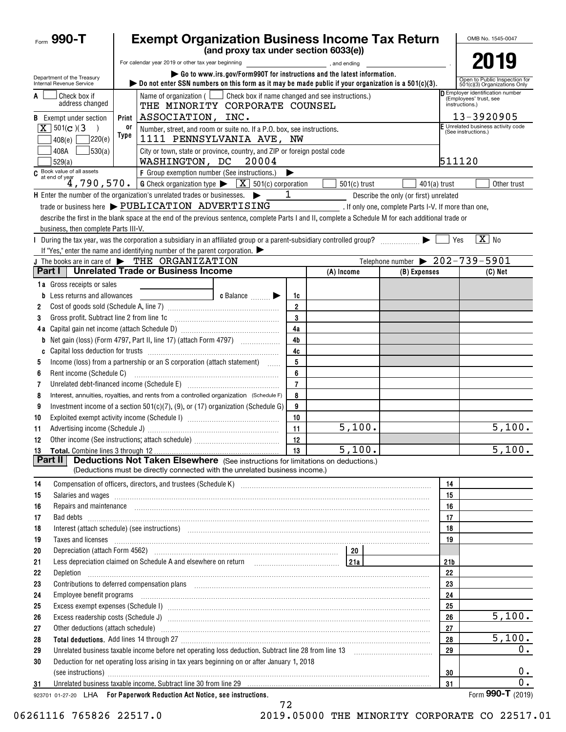| Form 990-T                                               |      | <b>Exempt Organization Business Income Tax Return</b>                                                                                                                                                                               |                |                                                                            |                                                |                       | OMB No. 1545-0047                                             |
|----------------------------------------------------------|------|-------------------------------------------------------------------------------------------------------------------------------------------------------------------------------------------------------------------------------------|----------------|----------------------------------------------------------------------------|------------------------------------------------|-----------------------|---------------------------------------------------------------|
|                                                          |      | (and proxy tax under section 6033(e))                                                                                                                                                                                               |                |                                                                            |                                                |                       |                                                               |
|                                                          |      | For calendar year 2019 or other tax year beginning                                                                                                                                                                                  |                | $\overline{\phantom{a}}$ , and ending                                      |                                                |                       | 2019                                                          |
| Department of the Treasury<br>Internal Revenue Service   |      | $\triangleright$ Go to www.irs.gov/Form990T for instructions and the latest information.<br>Do not enter SSN numbers on this form as it may be made public if your organization is a $501(c)(3)$ .                                  |                |                                                                            |                                                |                       | Open to Public Inspection for<br>501(c)(3) Organizations Only |
| Check box if<br>A<br>address changed                     |      | Name of organization $($ $\Box$ Check box if name changed and see instructions.)<br>THE MINORITY CORPORATE COUNSEL                                                                                                                  |                | Employer identification number<br>(Employees' trust, see<br>instructions.) |                                                |                       |                                                               |
| <b>B</b> Exempt under section                            |      | Print   ASSOCIATION, INC.                                                                                                                                                                                                           |                |                                                                            |                                                |                       | 13-3920905                                                    |
| $X$ 501(c)(3)                                            | 0ľ   | Number, street, and room or suite no. If a P.O. box, see instructions.                                                                                                                                                              |                |                                                                            |                                                |                       | E Unrelated business activity code<br>(See instructions.)     |
| 7220(e)<br>408(e)                                        | Type | 1111 PENNSYLVANIA AVE, NW                                                                                                                                                                                                           |                |                                                                            |                                                |                       |                                                               |
| 408A<br> 530(a) <br>529(a)                               |      | City or town, state or province, country, and ZIP or foreign postal code<br>WASHINGTON, DC<br>20004                                                                                                                                 | 511120         |                                                                            |                                                |                       |                                                               |
| $\frac{1}{2}$ Book value of all assets<br>at end of year |      | F Group exemption number (See instructions.)                                                                                                                                                                                        |                |                                                                            |                                                |                       |                                                               |
|                                                          |      | 4,790,570. G Check organization type $\triangleright$ $\boxed{\text{X}}$ 501(c) corporation                                                                                                                                         |                | $501(c)$ trust                                                             | $401(a)$ trust                                 |                       | Other trust                                                   |
|                                                          |      | H Enter the number of the organization's unrelated trades or businesses.<br>▶                                                                                                                                                       | 1              |                                                                            | Describe the only (or first) unrelated         |                       |                                                               |
|                                                          |      | trade or business here > PUBLICATION ADVERTISING                                                                                                                                                                                    |                | . If only one, complete Parts I-V. If more than one,                       |                                                |                       |                                                               |
|                                                          |      | describe the first in the blank space at the end of the previous sentence, complete Parts I and II, complete a Schedule M for each additional trade or                                                                              |                |                                                                            |                                                |                       |                                                               |
| business, then complete Parts III-V.                     |      |                                                                                                                                                                                                                                     |                |                                                                            |                                                |                       |                                                               |
|                                                          |      | If "Yes," enter the name and identifying number of the parent corporation. $\blacktriangleright$                                                                                                                                    |                |                                                                            |                                                | Yes                   | $\overline{X}$ No                                             |
|                                                          |      | J The books are in care of $\blacktriangleright$ THE ORGANIZATION                                                                                                                                                                   |                |                                                                            | Telephone number $\triangleright$ 202-739-5901 |                       |                                                               |
| Part I                                                   |      | <b>Unrelated Trade or Business Income</b>                                                                                                                                                                                           |                | (A) Income                                                                 | (B) Expenses                                   |                       | $(C)$ Net                                                     |
| 1a Gross receipts or sales                               |      |                                                                                                                                                                                                                                     |                |                                                                            |                                                |                       |                                                               |
| <b>b</b> Less returns and allowances                     |      | $\bullet$ Balance $\qquad \qquad \bullet$                                                                                                                                                                                           | 1c             |                                                                            |                                                |                       |                                                               |
| 2                                                        |      |                                                                                                                                                                                                                                     | $\overline{2}$ |                                                                            |                                                |                       |                                                               |
| Gross profit. Subtract line 2 from line 1c<br>3          |      |                                                                                                                                                                                                                                     | 3              |                                                                            |                                                |                       |                                                               |
|                                                          |      |                                                                                                                                                                                                                                     | 4a             |                                                                            |                                                |                       |                                                               |
| b                                                        |      |                                                                                                                                                                                                                                     | 4b             |                                                                            |                                                |                       |                                                               |
| C                                                        |      |                                                                                                                                                                                                                                     | 4c             |                                                                            |                                                |                       |                                                               |
| 5                                                        |      | Income (loss) from a partnership or an S corporation (attach statement)                                                                                                                                                             | 5              |                                                                            |                                                |                       |                                                               |
| 6                                                        |      |                                                                                                                                                                                                                                     | 6              |                                                                            |                                                |                       |                                                               |
| 7                                                        |      | Unrelated debt-financed income (Schedule E) [11] [2010] [2010] [2010] [2010] [2010] [2010] [2010] [2010] [2010                                                                                                                      | $\overline{7}$ |                                                                            |                                                |                       |                                                               |
| 8                                                        |      | Interest, annuities, royalties, and rents from a controlled organization (Schedule F)                                                                                                                                               | 8<br>9         |                                                                            |                                                |                       |                                                               |
| 9<br>10                                                  |      | Investment income of a section $501(c)(7)$ , (9), or (17) organization (Schedule G)                                                                                                                                                 | 10             |                                                                            |                                                |                       |                                                               |
| 11                                                       |      |                                                                                                                                                                                                                                     | 11             | 5,100.                                                                     |                                                |                       | 5,100.                                                        |
| 12                                                       |      |                                                                                                                                                                                                                                     | 12             |                                                                            |                                                |                       |                                                               |
|                                                          |      |                                                                                                                                                                                                                                     | 13             | 5,100.                                                                     |                                                |                       | 5,100.                                                        |
| Part II                                                  |      | <b>Deductions Not Taken Elsewhere</b> (See instructions for limitations on deductions.)                                                                                                                                             |                |                                                                            |                                                |                       |                                                               |
|                                                          |      | (Deductions must be directly connected with the unrelated business income.)                                                                                                                                                         |                |                                                                            |                                                |                       |                                                               |
| 14                                                       |      |                                                                                                                                                                                                                                     |                |                                                                            |                                                | 14                    |                                                               |
| 15                                                       |      | Salaries and wages <b>construction and construction</b> was a series of the construction of the construction of the construction of the construction of the construction of the construction of the construction of the constructio |                |                                                                            |                                                | 15                    |                                                               |
| 16                                                       |      | Repairs and maintenance <i>[1] [1] [1] [1] [1] [1] [1] [1] [1] [1]</i> [1] <b>[1]</b> [1] <b>[1]</b> [1] <b>[1] [1] [1] [1] [1] [1] [1] [1] [1] [1] [1] [1] [1] [1] [1] [1] [1] [1] [1] [1] [1] [1]</b>                             |                |                                                                            |                                                | 16                    |                                                               |
| 17                                                       |      |                                                                                                                                                                                                                                     |                |                                                                            |                                                | 17                    |                                                               |
| 18                                                       |      | Interest (attach schedule) (see instructions) www.communically.communically.communically.communically.communically                                                                                                                  |                |                                                                            |                                                | 18                    |                                                               |
| 19                                                       |      | Taxes and licenses <b>construction and construction of the construction of the construction of the construction</b>                                                                                                                 |                |                                                                            |                                                | 19                    |                                                               |
| 20                                                       |      |                                                                                                                                                                                                                                     |                |                                                                            |                                                |                       |                                                               |
| 21<br>22                                                 |      | Less depreciation claimed on Schedule A and elsewhere on return [1] [114] [214]                                                                                                                                                     |                |                                                                            |                                                | 21 <sub>b</sub><br>22 |                                                               |
| Depletion<br>23                                          |      | Contributions to deferred compensation plans [11] manufactured contributions to deferred compensation plans [11] manufactured compensation plans [11] manufactured compensation plans [11] manufactured contributions to defer      |                |                                                                            |                                                | 23                    |                                                               |
| 24                                                       |      | Employee benefit programs in the continuum contract of the contract of the contract of the contract of the contract of the contract of the contract of the contract of the contract of the contract of the contract of the con      |                |                                                                            |                                                | 24                    |                                                               |
| 25                                                       |      |                                                                                                                                                                                                                                     |                |                                                                            |                                                | 25                    |                                                               |
| 26                                                       |      | Excess readership costs (Schedule J) <b>Marting Community Contract Community</b> Constant Contract Constant Constant Constant Constant Constant Constant Constant Constant Constant Constant Constant Constant Constant Constant Co |                |                                                                            |                                                | 26                    | 5,100.                                                        |
| 27                                                       |      |                                                                                                                                                                                                                                     |                |                                                                            |                                                | 27                    |                                                               |
| 28                                                       |      |                                                                                                                                                                                                                                     |                |                                                                            |                                                | 28                    | 5,100.                                                        |
| 29                                                       |      | Unrelated business taxable income before net operating loss deduction. Subtract line 28 from line 13 [11] [12]                                                                                                                      |                |                                                                            |                                                | 29                    | $0$ .                                                         |
| 30                                                       |      | Deduction for net operating loss arising in tax years beginning on or after January 1, 2018                                                                                                                                         |                |                                                                            |                                                |                       |                                                               |
|                                                          |      | (see instructions) with a constructions of the construction of the constructions of the constructions of the constructions of the constructions of the constructions of the constructions of the constructions of the construc      |                |                                                                            |                                                | 30                    | $0$ .                                                         |
| 31                                                       |      | Unrelated business taxable income. Subtract line 30 from line 29 manufactured contains and contained business taxable income. Subtract line 30 from line 29 manufactured contains and the United States of the United States a      |                |                                                                            |                                                | 31                    | 0.<br>Form 990-T (2019)                                       |
|                                                          |      | 923701 01-27-20 LHA For Paperwork Reduction Act Notice, see instructions.                                                                                                                                                           |                |                                                                            |                                                |                       |                                                               |

06261116 765826 22517.0 2019.05000 THE MINORITY CORPORATE CO 22517.01

<sup>72</sup>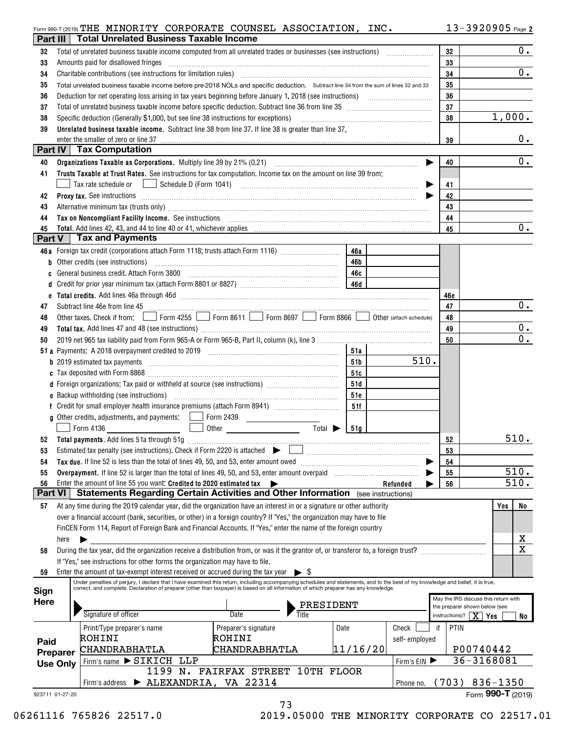## 13-3920905 THE MINORITY CORPORATE COUNSEL ASSOCIATION, INC.

|                      |                                                         | Form 990-T (2019) THE MINORITY CORPORATE COUNSEL ASSOCIATION, INC.                                                                                                                                                                               |                                   |      |          |                                                                                                                |      | $13 - 3920905$ Page 2                                                 |
|----------------------|---------------------------------------------------------|--------------------------------------------------------------------------------------------------------------------------------------------------------------------------------------------------------------------------------------------------|-----------------------------------|------|----------|----------------------------------------------------------------------------------------------------------------|------|-----------------------------------------------------------------------|
| Part III             |                                                         | <b>Total Unrelated Business Taxable Income</b>                                                                                                                                                                                                   |                                   |      |          |                                                                                                                |      |                                                                       |
| 32                   |                                                         |                                                                                                                                                                                                                                                  |                                   |      |          |                                                                                                                | 32   | 0.                                                                    |
| 33                   |                                                         | Amounts paid for disallowed fringes                                                                                                                                                                                                              |                                   |      |          |                                                                                                                | 33   |                                                                       |
| 34                   |                                                         |                                                                                                                                                                                                                                                  |                                   |      |          |                                                                                                                | 34   | 0.                                                                    |
| 35                   |                                                         | Total unrelated business taxable income before pre-2018 NOLs and specific deduction. Subtract line 34 from the sum of lines 32 and 33                                                                                                            | 35                                |      |          |                                                                                                                |      |                                                                       |
| 36                   |                                                         |                                                                                                                                                                                                                                                  | 36                                |      |          |                                                                                                                |      |                                                                       |
| 37                   |                                                         | Total of unrelated business taxable income before specific deduction. Subtract line 36 from line 35 [11] [11] Total of unrelated business taxable income before specific deduction. Subtract line 35                                             | 37                                |      |          |                                                                                                                |      |                                                                       |
| 38                   |                                                         | Specific deduction (Generally \$1,000, but see line 38 instructions for exceptions)                                                                                                                                                              |                                   |      |          |                                                                                                                | 38   | 1,000.                                                                |
| 39                   |                                                         | Unrelated business taxable income. Subtract line 38 from line 37. If line 38 is greater than line 37,                                                                                                                                            |                                   |      |          |                                                                                                                |      |                                                                       |
|                      |                                                         | enter the smaller of zero or line 37                                                                                                                                                                                                             |                                   |      |          |                                                                                                                | 39   | $0$ .                                                                 |
|                      |                                                         | <b>Part IV</b> Tax Computation                                                                                                                                                                                                                   |                                   |      |          |                                                                                                                |      |                                                                       |
| 40                   |                                                         |                                                                                                                                                                                                                                                  |                                   | 40   | 0.       |                                                                                                                |      |                                                                       |
| 41                   |                                                         | Trusts Taxable at Trust Rates. See instructions for tax computation. Income tax on the amount on line 39 from:                                                                                                                                   |                                   |      |          |                                                                                                                |      |                                                                       |
|                      |                                                         | Tax rate schedule or                                                                                                                                                                                                                             |                                   | 41   |          |                                                                                                                |      |                                                                       |
| 42                   |                                                         | Proxy tax. See instructions information and contact the contract of the contract of the contract of the contract of the contract of the contract of the contract of the contract of the contract of the contract of the contra                   |                                   |      |          |                                                                                                                | 42   |                                                                       |
| 43                   |                                                         | Alternative minimum tax (trusts only) manufacture and content to the content of the content of the content of the content of the content of the content of the content of the content of the content of the content of the con                   |                                   |      |          |                                                                                                                | 43   |                                                                       |
| 44                   |                                                         | Tax on Noncompliant Facility Income. See instructions [11] [12] matter contracts and a set of Moncompliant Facility Income. See instructions [11] matter contracts and a set of Moncompliant Facility Income.                                    |                                   |      |          |                                                                                                                | 44   |                                                                       |
| 45                   |                                                         |                                                                                                                                                                                                                                                  |                                   |      |          |                                                                                                                | 45   | 0.                                                                    |
| Part V               |                                                         | <b>Tax and Payments</b>                                                                                                                                                                                                                          |                                   |      |          |                                                                                                                |      |                                                                       |
|                      |                                                         | 46a Foreign tax credit (corporations attach Form 1118; trusts attach Form 1116) [                                                                                                                                                                |                                   | 46a  |          |                                                                                                                |      |                                                                       |
|                      |                                                         | <b>b</b> Other credits (see instructions)                                                                                                                                                                                                        |                                   | 46b  |          |                                                                                                                |      |                                                                       |
| c                    |                                                         |                                                                                                                                                                                                                                                  |                                   |      |          |                                                                                                                |      |                                                                       |
|                      |                                                         |                                                                                                                                                                                                                                                  |                                   |      |          |                                                                                                                |      |                                                                       |
|                      |                                                         |                                                                                                                                                                                                                                                  |                                   |      |          |                                                                                                                | 46e  |                                                                       |
| 47                   |                                                         | Subtract line 46e from line 45 <b>magazine and the contract of the 46e</b> from line 45                                                                                                                                                          |                                   |      |          |                                                                                                                | 47   | $0_{.}$                                                               |
| 48                   |                                                         | Other taxes. Check if from: Form 4255 Form 8611 Form 8697 Form 8866 Other (attach schedule)                                                                                                                                                      |                                   |      |          |                                                                                                                | 48   |                                                                       |
| 49                   |                                                         |                                                                                                                                                                                                                                                  |                                   |      |          |                                                                                                                | 49   | 0.<br>$\overline{0}$ .                                                |
| 50                   |                                                         |                                                                                                                                                                                                                                                  |                                   |      |          |                                                                                                                | 50   |                                                                       |
|                      |                                                         |                                                                                                                                                                                                                                                  |                                   | 51a  |          |                                                                                                                |      |                                                                       |
|                      |                                                         |                                                                                                                                                                                                                                                  |                                   | 51b  |          | 510.                                                                                                           |      |                                                                       |
|                      |                                                         |                                                                                                                                                                                                                                                  |                                   | 51c  |          |                                                                                                                |      |                                                                       |
|                      |                                                         | d Foreign organizations: Tax paid or withheld at source (see instructions) [                                                                                                                                                                     |                                   | 51d  |          |                                                                                                                |      |                                                                       |
|                      |                                                         |                                                                                                                                                                                                                                                  |                                   | 51e  |          |                                                                                                                |      |                                                                       |
|                      |                                                         |                                                                                                                                                                                                                                                  |                                   | 51f  |          |                                                                                                                |      |                                                                       |
|                      |                                                         | <b>g</b> Other credits, adjustments, and payments:                                                                                                                                                                                               | Form 2439                         |      |          |                                                                                                                |      |                                                                       |
|                      |                                                         | Form 4136                                                                                                                                                                                                                                        | $Total \triangleright$            | 51g  |          |                                                                                                                |      |                                                                       |
|                      |                                                         | 52 Total payments. Add lines 51a through 51g                                                                                                                                                                                                     |                                   |      |          |                                                                                                                | 52   | 510.                                                                  |
| 53                   |                                                         | Estimated tax penalty (see instructions). Check if Form 2220 is attached $\blacktriangleright$                                                                                                                                                   |                                   |      |          | and a strategic contract of the contract of the contract of the contract of the contract of the contract of th | 53   |                                                                       |
| 54                   |                                                         | Tax due. If line 52 is less than the total of lines 49, 50, and 53, enter amount owed                                                                                                                                                            |                                   |      |          |                                                                                                                | 54   | 510.                                                                  |
| 55                   |                                                         |                                                                                                                                                                                                                                                  |                                   |      |          |                                                                                                                | 55   |                                                                       |
| 56<br><b>Part VI</b> |                                                         | Enter the amount of line 55 you want: Credited to 2020 estimated tax $\blacktriangleright$<br><b>Statements Regarding Certain Activities and Other Information</b> (see instructions)                                                            |                                   |      |          | Refunded                                                                                                       | 56   | 510.                                                                  |
|                      |                                                         |                                                                                                                                                                                                                                                  |                                   |      |          |                                                                                                                |      |                                                                       |
| 57                   |                                                         | At any time during the 2019 calendar year, did the organization have an interest in or a signature or other authority<br>over a financial account (bank, securities, or other) in a foreign country? If "Yes," the organization may have to file |                                   |      |          |                                                                                                                |      | No<br>Yes                                                             |
|                      |                                                         | FinCEN Form 114, Report of Foreign Bank and Financial Accounts. If "Yes," enter the name of the foreign country                                                                                                                                  |                                   |      |          |                                                                                                                |      |                                                                       |
|                      | here                                                    |                                                                                                                                                                                                                                                  |                                   |      |          |                                                                                                                |      | Χ                                                                     |
|                      |                                                         | During the tax year, did the organization receive a distribution from, or was it the grantor of, or transferor to, a foreign trust?                                                                                                              |                                   |      |          |                                                                                                                |      | $\overline{\mathbf{x}}$                                               |
| 58                   |                                                         | If "Yes," see instructions for other forms the organization may have to file.                                                                                                                                                                    |                                   |      |          |                                                                                                                |      |                                                                       |
| 59                   |                                                         | Enter the amount of tax-exempt interest received or accrued during the tax year                                                                                                                                                                  | $\triangleright$ 5                |      |          |                                                                                                                |      |                                                                       |
|                      |                                                         | Under penalties of perjury, I declare that I have examined this return, including accompanying schedules and statements, and to the best of my knowledge and belief, it is true,                                                                 |                                   |      |          |                                                                                                                |      |                                                                       |
| Sign                 |                                                         | correct, and complete. Declaration of preparer (other than taxpayer) is based on all information of which preparer has any knowledge.                                                                                                            |                                   |      |          |                                                                                                                |      |                                                                       |
| <b>Here</b>          |                                                         |                                                                                                                                                                                                                                                  |                                   |      |          |                                                                                                                |      | May the IRS discuss this return with<br>the preparer shown below (see |
|                      |                                                         | Signature of officer                                                                                                                                                                                                                             | <b>PRESIDENT</b><br>Title<br>Date |      |          |                                                                                                                |      | instructions)? $\mid$ $X \mid$ Yes<br>No                              |
|                      |                                                         | Print/Type preparer's name                                                                                                                                                                                                                       | Preparer's signature              | Date |          | Check<br>if                                                                                                    | PTIN |                                                                       |
|                      |                                                         | ROHINI                                                                                                                                                                                                                                           | ROHINI                            |      |          | self-employed                                                                                                  |      |                                                                       |
| Paid                 |                                                         | CHANDRABHATLA                                                                                                                                                                                                                                    | CHANDRABHATLA                     |      | 11/16/20 |                                                                                                                |      | P00740442                                                             |
|                      | Preparer<br>Firm's name > SIKICH LLP<br><b>Use Only</b> |                                                                                                                                                                                                                                                  |                                   |      |          |                                                                                                                |      | 36-3168081                                                            |
|                      |                                                         |                                                                                                                                                                                                                                                  | 1199 N. FAIRFAX STREET 10TH FLOOR |      |          | Firm's EIN                                                                                                     |      |                                                                       |
|                      |                                                         | Firm's address > ALEXANDRIA, VA 22314                                                                                                                                                                                                            |                                   |      |          | Phone no.                                                                                                      |      | $(703) 836 - 1350$                                                    |
| 923711 01-27-20      |                                                         |                                                                                                                                                                                                                                                  |                                   |      |          |                                                                                                                |      | Form 990-T (2019)                                                     |
|                      |                                                         |                                                                                                                                                                                                                                                  |                                   |      |          |                                                                                                                |      |                                                                       |

73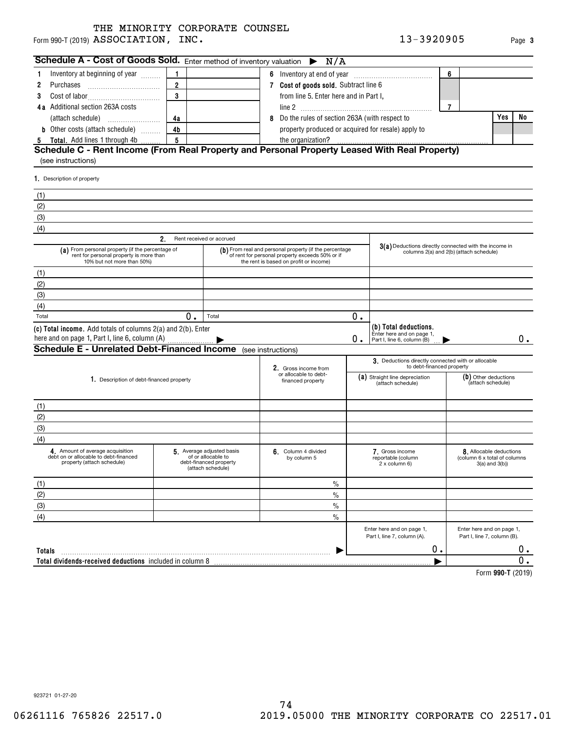Form 990-T (2019)  ${\bf ASSOCIATION}$  ,  ${\bf INC.}$  . The contract of the contract of the contract of the contract of the contract of the contract of the contract of the contract of the contract of the contract of the contract of the co THE MINORITY CORPORATE COUNSEL

| Schedule A - Cost of Goods Sold. Enter method of inventory valuation                                                      |                |                                                                                               |   | N/A<br>▶                                                                                                                                            |                                        |                                                                                                  |   |                                                                           |    |  |
|---------------------------------------------------------------------------------------------------------------------------|----------------|-----------------------------------------------------------------------------------------------|---|-----------------------------------------------------------------------------------------------------------------------------------------------------|----------------------------------------|--------------------------------------------------------------------------------------------------|---|---------------------------------------------------------------------------|----|--|
| Inventory at beginning of year<br>1                                                                                       | 1              |                                                                                               |   |                                                                                                                                                     |                                        |                                                                                                  | 6 |                                                                           |    |  |
| 2<br>Purchases                                                                                                            | $\overline{2}$ |                                                                                               |   | 6 Inventory at end of year <i></i><br>7 Cost of goods sold. Subtract line 6                                                                         |                                        |                                                                                                  |   |                                                                           |    |  |
| 3                                                                                                                         | 3              |                                                                                               |   |                                                                                                                                                     | from line 5. Enter here and in Part I, |                                                                                                  |   |                                                                           |    |  |
| 4a Additional section 263A costs                                                                                          |                |                                                                                               |   | $\overline{7}$                                                                                                                                      |                                        |                                                                                                  |   |                                                                           |    |  |
| (attach schedule)<br>$\ldots \ldots \ldots \ldots \ldots \ldots$                                                          | 4a             |                                                                                               | 8 | Do the rules of section 263A (with respect to                                                                                                       |                                        |                                                                                                  |   | Yes                                                                       | No |  |
| <b>b</b> Other costs (attach schedule)                                                                                    | 4 <sub>b</sub> |                                                                                               |   | property produced or acquired for resale) apply to                                                                                                  |                                        |                                                                                                  |   |                                                                           |    |  |
| <b>5</b> Total. Add lines 1 through 4b                                                                                    | 5              |                                                                                               |   |                                                                                                                                                     |                                        |                                                                                                  |   |                                                                           |    |  |
| Schedule C - Rent Income (From Real Property and Personal Property Leased With Real Property)                             |                |                                                                                               |   |                                                                                                                                                     |                                        |                                                                                                  |   |                                                                           |    |  |
| (see instructions)                                                                                                        |                |                                                                                               |   |                                                                                                                                                     |                                        |                                                                                                  |   |                                                                           |    |  |
| 1. Description of property                                                                                                |                |                                                                                               |   |                                                                                                                                                     |                                        |                                                                                                  |   |                                                                           |    |  |
|                                                                                                                           |                |                                                                                               |   |                                                                                                                                                     |                                        |                                                                                                  |   |                                                                           |    |  |
| (1)                                                                                                                       |                |                                                                                               |   |                                                                                                                                                     |                                        |                                                                                                  |   |                                                                           |    |  |
| (2)                                                                                                                       |                |                                                                                               |   |                                                                                                                                                     |                                        |                                                                                                  |   |                                                                           |    |  |
| (3)                                                                                                                       |                |                                                                                               |   |                                                                                                                                                     |                                        |                                                                                                  |   |                                                                           |    |  |
| (4)                                                                                                                       |                |                                                                                               |   |                                                                                                                                                     |                                        |                                                                                                  |   |                                                                           |    |  |
|                                                                                                                           | 2.             | Rent received or accrued                                                                      |   |                                                                                                                                                     |                                        |                                                                                                  |   |                                                                           |    |  |
| (a) From personal property (if the percentage of<br>rent for personal property is more than<br>10% but not more than 50%) |                |                                                                                               |   | (b) From real and personal property (if the percentage<br>of rent for personal property exceeds 50% or if<br>the rent is based on profit or income) |                                        | 3(a) Deductions directly connected with the income in<br>columns 2(a) and 2(b) (attach schedule) |   |                                                                           |    |  |
| (1)                                                                                                                       |                |                                                                                               |   |                                                                                                                                                     |                                        |                                                                                                  |   |                                                                           |    |  |
| (2)                                                                                                                       |                |                                                                                               |   |                                                                                                                                                     |                                        |                                                                                                  |   |                                                                           |    |  |
| (3)                                                                                                                       |                |                                                                                               |   |                                                                                                                                                     |                                        |                                                                                                  |   |                                                                           |    |  |
| (4)                                                                                                                       |                |                                                                                               |   |                                                                                                                                                     |                                        |                                                                                                  |   |                                                                           |    |  |
| Total                                                                                                                     | 0.             | Total                                                                                         |   |                                                                                                                                                     | 0.                                     |                                                                                                  |   |                                                                           |    |  |
| (c) Total income. Add totals of columns 2(a) and 2(b). Enter                                                              |                |                                                                                               |   |                                                                                                                                                     |                                        | (b) Total deductions.                                                                            |   |                                                                           |    |  |
| here and on page 1, Part I, line 6, column (A)                                                                            | О.             | Enter here and on page 1,<br>Part I, line 6, column (B)                                       |   |                                                                                                                                                     | 0.                                     |                                                                                                  |   |                                                                           |    |  |
| <b>Schedule E - Unrelated Debt-Financed Income</b> (see instructions)                                                     |                |                                                                                               |   |                                                                                                                                                     |                                        |                                                                                                  |   |                                                                           |    |  |
|                                                                                                                           |                |                                                                                               |   |                                                                                                                                                     |                                        | 3. Deductions directly connected with or allocable<br>to debt-financed property                  |   |                                                                           |    |  |
|                                                                                                                           |                |                                                                                               |   | 2. Gross income from<br>or allocable to debt-                                                                                                       |                                        | (a) Straight line depreciation                                                                   |   | (b) Other deductions                                                      |    |  |
| 1. Description of debt-financed property                                                                                  |                |                                                                                               |   | financed property                                                                                                                                   | (attach schedule)                      |                                                                                                  |   | (attach schedule)                                                         |    |  |
|                                                                                                                           |                |                                                                                               |   |                                                                                                                                                     |                                        |                                                                                                  |   |                                                                           |    |  |
| (1)                                                                                                                       |                |                                                                                               |   |                                                                                                                                                     |                                        |                                                                                                  |   |                                                                           |    |  |
| (2)                                                                                                                       |                |                                                                                               |   |                                                                                                                                                     |                                        |                                                                                                  |   |                                                                           |    |  |
| (3)                                                                                                                       |                |                                                                                               |   |                                                                                                                                                     |                                        |                                                                                                  |   |                                                                           |    |  |
| (4)                                                                                                                       |                |                                                                                               |   |                                                                                                                                                     |                                        |                                                                                                  |   |                                                                           |    |  |
| 4. Amount of average acquisition<br>debt on or allocable to debt-financed<br>property (attach schedule)                   |                | 5. Average adjusted basis<br>of or allocable to<br>ebt-financed property<br>(attach schedule) |   | 6. Column 4 divided<br>by column 5                                                                                                                  |                                        | 7. Gross income<br>reportable (column<br>2 x column 6)                                           |   | 8. Allocable deductions<br>(column 6 x total of columns<br>3(a) and 3(b)) |    |  |
| (1)                                                                                                                       |                |                                                                                               |   | $\frac{0}{0}$                                                                                                                                       |                                        |                                                                                                  |   |                                                                           |    |  |
| (2)                                                                                                                       |                |                                                                                               |   | $\frac{0}{0}$                                                                                                                                       |                                        |                                                                                                  |   |                                                                           |    |  |
| (3)                                                                                                                       |                |                                                                                               |   | $\frac{0}{0}$                                                                                                                                       |                                        |                                                                                                  |   |                                                                           |    |  |
| (4)                                                                                                                       |                |                                                                                               |   | $\%$                                                                                                                                                |                                        |                                                                                                  |   |                                                                           |    |  |
|                                                                                                                           |                |                                                                                               |   |                                                                                                                                                     |                                        | Enter here and on page 1,<br>Part I, line 7, column (A).                                         |   | Enter here and on page 1,<br>Part I, line 7, column (B).                  |    |  |
| Totals                                                                                                                    |                |                                                                                               |   |                                                                                                                                                     |                                        | Ο.                                                                                               |   |                                                                           | Ο. |  |
| Total dividends-received deductions included in column 8                                                                  |                |                                                                                               |   |                                                                                                                                                     |                                        |                                                                                                  |   |                                                                           | Ο. |  |
|                                                                                                                           |                |                                                                                               |   |                                                                                                                                                     |                                        |                                                                                                  |   | $T_{2}$ $\rightarrow$ 000 $\pm$ (0040)                                    |    |  |

**990-T**  Form (2019)

**3**

923721 01-27-20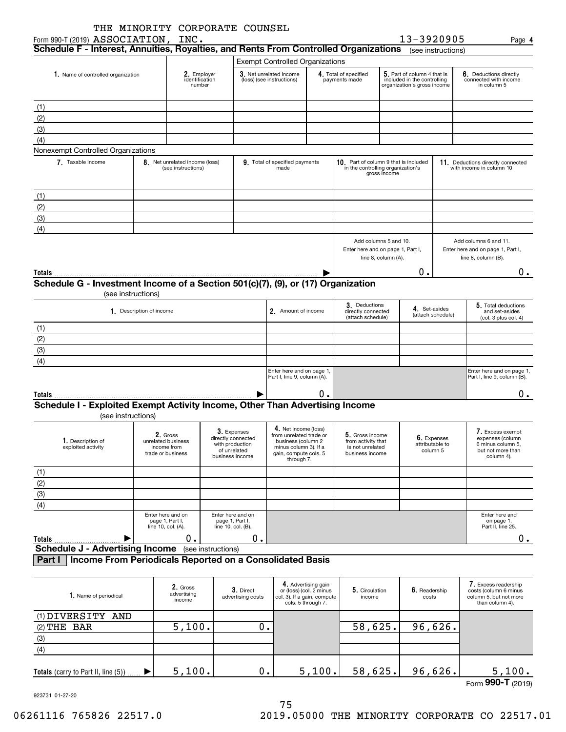|                                                                                                                             | THE MINORITY CORPORATE COUNSEL                                     |                                                      |  |                                                                                         |                                                                                                                                       |                                                |                                                                                            |                     |                                                                                           |                                                               |                                                                                              |  |
|-----------------------------------------------------------------------------------------------------------------------------|--------------------------------------------------------------------|------------------------------------------------------|--|-----------------------------------------------------------------------------------------|---------------------------------------------------------------------------------------------------------------------------------------|------------------------------------------------|--------------------------------------------------------------------------------------------|---------------------|-------------------------------------------------------------------------------------------|---------------------------------------------------------------|----------------------------------------------------------------------------------------------|--|
| Form 990-T (2019) ASSOCIATION, INC.<br>Schedule F - Interest, Annuities, Royalties, and Rents From Controlled Organizations |                                                                    |                                                      |  |                                                                                         |                                                                                                                                       |                                                |                                                                                            |                     | 13-3920905                                                                                | (see instructions)                                            | Page 4                                                                                       |  |
|                                                                                                                             |                                                                    |                                                      |  |                                                                                         | <b>Exempt Controlled Organizations</b>                                                                                                |                                                |                                                                                            |                     |                                                                                           |                                                               |                                                                                              |  |
| 1. Name of controlled organization                                                                                          |                                                                    | 2. Employer<br>identification<br>number              |  | 3. Net unrelated income<br>(loss) (see instructions)                                    |                                                                                                                                       |                                                | 4. Total of specified<br>payments made                                                     |                     | 5. Part of column 4 that is<br>included in the controlling<br>organization's gross income |                                                               | 6. Deductions directly<br>connected with income<br>in column 5                               |  |
|                                                                                                                             |                                                                    |                                                      |  |                                                                                         |                                                                                                                                       |                                                |                                                                                            |                     |                                                                                           |                                                               |                                                                                              |  |
| (1)<br>(2)                                                                                                                  |                                                                    |                                                      |  |                                                                                         |                                                                                                                                       |                                                |                                                                                            |                     |                                                                                           |                                                               |                                                                                              |  |
| (3)                                                                                                                         |                                                                    |                                                      |  |                                                                                         |                                                                                                                                       |                                                |                                                                                            |                     |                                                                                           |                                                               |                                                                                              |  |
| (4)                                                                                                                         |                                                                    |                                                      |  |                                                                                         |                                                                                                                                       |                                                |                                                                                            |                     |                                                                                           |                                                               |                                                                                              |  |
| Nonexempt Controlled Organizations                                                                                          |                                                                    |                                                      |  |                                                                                         |                                                                                                                                       |                                                |                                                                                            |                     |                                                                                           |                                                               |                                                                                              |  |
| 7. Taxable Income                                                                                                           |                                                                    | 8. Net unrelated income (loss)<br>(see instructions) |  |                                                                                         | 9. Total of specified payments<br>made                                                                                                |                                                | 10. Part of column 9 that is included<br>in the controlling organization's<br>gross income |                     |                                                                                           |                                                               | 11. Deductions directly connected<br>with income in column 10                                |  |
| (1)                                                                                                                         |                                                                    |                                                      |  |                                                                                         |                                                                                                                                       |                                                |                                                                                            |                     |                                                                                           |                                                               |                                                                                              |  |
| (2)                                                                                                                         |                                                                    |                                                      |  |                                                                                         |                                                                                                                                       |                                                |                                                                                            |                     |                                                                                           |                                                               |                                                                                              |  |
| (3)                                                                                                                         |                                                                    |                                                      |  |                                                                                         |                                                                                                                                       |                                                |                                                                                            |                     |                                                                                           |                                                               |                                                                                              |  |
| (4)                                                                                                                         |                                                                    |                                                      |  |                                                                                         |                                                                                                                                       |                                                |                                                                                            |                     |                                                                                           |                                                               |                                                                                              |  |
|                                                                                                                             |                                                                    |                                                      |  |                                                                                         |                                                                                                                                       |                                                | Add columns 5 and 10.<br>Enter here and on page 1, Part I,                                 | line 8, column (A). |                                                                                           |                                                               | Add columns 6 and 11.<br>Enter here and on page 1, Part I,<br>line 8, column (B).            |  |
| Totals                                                                                                                      |                                                                    |                                                      |  |                                                                                         |                                                                                                                                       |                                                |                                                                                            |                     | О.                                                                                        |                                                               | 0.                                                                                           |  |
| Schedule G - Investment Income of a Section 501(c)(7), (9), or (17) Organization                                            | (see instructions)                                                 |                                                      |  |                                                                                         |                                                                                                                                       |                                                |                                                                                            |                     |                                                                                           |                                                               |                                                                                              |  |
|                                                                                                                             | 1. Description of income                                           |                                                      |  |                                                                                         | 2. Amount of income                                                                                                                   |                                                | 3. Deductions<br>directly connected<br>(attach schedule)                                   | 4. Set-asides       | (attach schedule)                                                                         | 5. Total deductions<br>and set-asides<br>(col. 3 plus col. 4) |                                                                                              |  |
| (1)                                                                                                                         |                                                                    |                                                      |  |                                                                                         |                                                                                                                                       |                                                |                                                                                            |                     |                                                                                           |                                                               |                                                                                              |  |
| (2)                                                                                                                         |                                                                    |                                                      |  |                                                                                         |                                                                                                                                       |                                                |                                                                                            |                     |                                                                                           |                                                               |                                                                                              |  |
| (3)                                                                                                                         |                                                                    |                                                      |  |                                                                                         |                                                                                                                                       |                                                |                                                                                            |                     |                                                                                           |                                                               |                                                                                              |  |
| (4)                                                                                                                         |                                                                    |                                                      |  |                                                                                         |                                                                                                                                       |                                                |                                                                                            |                     |                                                                                           |                                                               |                                                                                              |  |
|                                                                                                                             |                                                                    |                                                      |  |                                                                                         | Enter here and on page 1,<br>Part I, line 9, column (A).                                                                              |                                                |                                                                                            |                     |                                                                                           |                                                               | Enter here and on page 1,<br>Part I, line 9, column (B).                                     |  |
| Totals                                                                                                                      |                                                                    |                                                      |  |                                                                                         |                                                                                                                                       | ο.                                             |                                                                                            |                     |                                                                                           |                                                               | 0.                                                                                           |  |
| Schedule I - Exploited Exempt Activity Income, Other Than Advertising Income<br>(see instructions)                          |                                                                    |                                                      |  |                                                                                         |                                                                                                                                       |                                                |                                                                                            |                     |                                                                                           |                                                               |                                                                                              |  |
| 1. Description of<br>exploited activity                                                                                     | 2. Gross<br>unrelated business<br>income from<br>trade or business |                                                      |  | 3. Expenses<br>directly connected<br>with production<br>of unrelated<br>business income | 4. Net income (loss)<br>from unrelated trade or<br>business (column 2<br>minus column 3). If a<br>gain, compute cols. 5<br>through 7. |                                                | 5. Gross income<br>from activity that<br>is not unrelated<br>business income               |                     | 6. Expenses<br>attributable to<br>column 5                                                |                                                               | 7. Excess exempt<br>expenses (column<br>6 minus column 5,<br>but not more than<br>column 4). |  |
| (1)                                                                                                                         |                                                                    |                                                      |  |                                                                                         |                                                                                                                                       |                                                |                                                                                            |                     |                                                                                           |                                                               |                                                                                              |  |
| (2)                                                                                                                         |                                                                    |                                                      |  |                                                                                         |                                                                                                                                       |                                                |                                                                                            |                     |                                                                                           |                                                               |                                                                                              |  |
| $\overline{3}$                                                                                                              |                                                                    |                                                      |  |                                                                                         |                                                                                                                                       |                                                |                                                                                            |                     |                                                                                           |                                                               |                                                                                              |  |
| (4)                                                                                                                         |                                                                    |                                                      |  |                                                                                         |                                                                                                                                       |                                                |                                                                                            |                     |                                                                                           |                                                               |                                                                                              |  |
|                                                                                                                             | Enter here and on<br>page 1, Part I,<br>line 10, col. (A).         |                                                      |  | Enter here and on<br>page 1, Part I,<br>line 10, col. (B).                              |                                                                                                                                       |                                                |                                                                                            |                     |                                                                                           |                                                               | Enter here and<br>on page 1,<br>Part II, line 25.                                            |  |
| Totals                                                                                                                      |                                                                    | 0.                                                   |  | 0.                                                                                      |                                                                                                                                       |                                                |                                                                                            |                     |                                                                                           |                                                               | 0.                                                                                           |  |
| <b>Schedule J - Advertising Income</b> (see instructions)                                                                   |                                                                    |                                                      |  |                                                                                         |                                                                                                                                       |                                                |                                                                                            |                     |                                                                                           |                                                               |                                                                                              |  |
| Income From Periodicals Reported on a Consolidated Basis<br>Part I                                                          |                                                                    |                                                      |  |                                                                                         |                                                                                                                                       |                                                |                                                                                            |                     |                                                                                           |                                                               |                                                                                              |  |
| 1. Name of periodical                                                                                                       |                                                                    | 2. Gross<br>advertising                              |  | 3. Direct<br>advertising costs                                                          | col. 3). If a gain, compute                                                                                                           | 4. Advertising gain<br>or (loss) (col. 2 minus | 5. Circulation<br>income                                                                   |                     | 6. Readership<br>costs                                                                    |                                                               | 7. Excess readership<br>costs (column 6 minus<br>column 5, but not more                      |  |

| 1. Name of periodical                      | 2. Gross<br>advertising<br>income | 3. Direct<br>advertising costs | <b>T.</b> AUVERUSING GAILER<br>or (loss) (col. 2 minus<br>col. 3). If a gain, compute<br>cols. 5 through 7. | 5. Circulation<br>income | 6. Readership<br>costs | <b>1.</b> EXCESS <b>Requersing</b><br>costs (column 6 minus<br>column 5, but not more<br>than column 4). |
|--------------------------------------------|-----------------------------------|--------------------------------|-------------------------------------------------------------------------------------------------------------|--------------------------|------------------------|----------------------------------------------------------------------------------------------------------|
| (1) DIVERSITY AND                          |                                   |                                |                                                                                                             |                          |                        |                                                                                                          |
| $(2)$ THE BAR                              | 5,100.                            |                                |                                                                                                             | 58,625.                  | 96,626.                |                                                                                                          |
| (3)                                        |                                   |                                |                                                                                                             |                          |                        |                                                                                                          |
| (4)                                        |                                   |                                |                                                                                                             |                          |                        |                                                                                                          |
| <b>Totals</b> (carry to Part II, line (5)) | 5,100.                            | $0$ .                          | 5,100.                                                                                                      | 58,625.                  | 96,626.                | 5,100.                                                                                                   |
|                                            |                                   |                                |                                                                                                             |                          |                        | $F_{\alpha\mu\alpha}$ QQQ_T $(0.010)$                                                                    |

923731 01-27-20

Form (2019) **990-T**